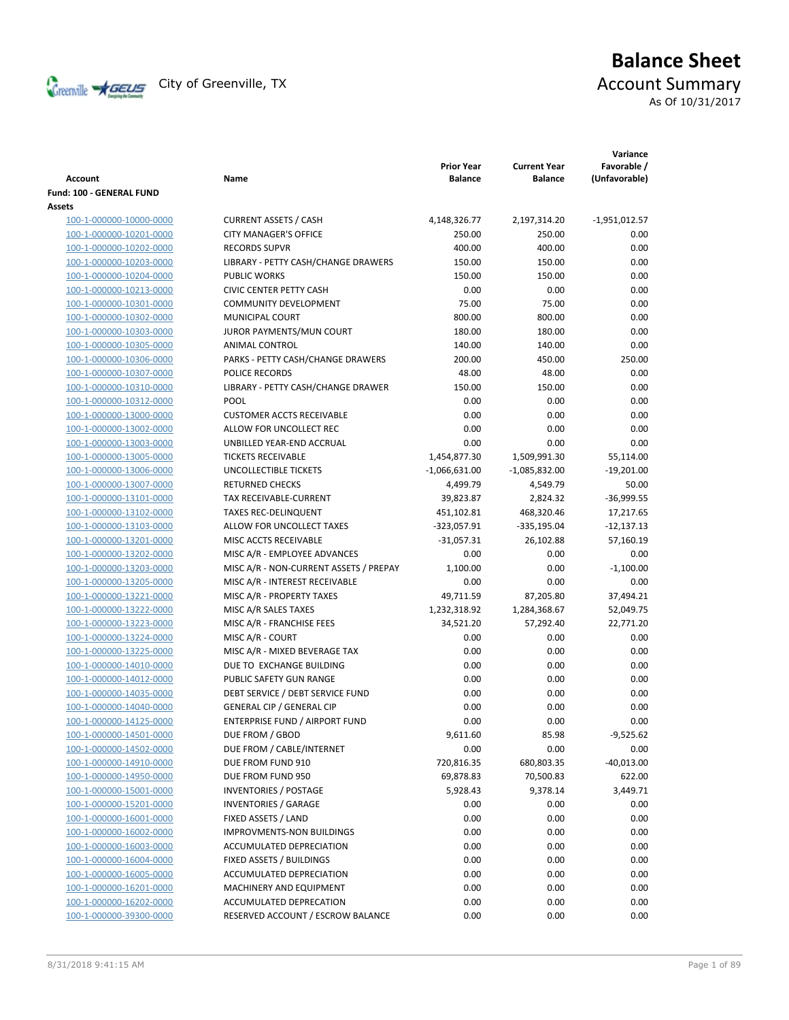

# **Balance Sheet** Creenville  $\star$  GEUS</del> City of Greenville, TX **Account Summary** As Of 10/31/2017

| <b>Account</b>           | Name                                   | <b>Prior Year</b><br><b>Balance</b> | <b>Current Year</b><br><b>Balance</b> | Variance<br>Favorable /<br>(Unfavorable) |
|--------------------------|----------------------------------------|-------------------------------------|---------------------------------------|------------------------------------------|
| Fund: 100 - GENERAL FUND |                                        |                                     |                                       |                                          |
| Assets                   |                                        |                                     |                                       |                                          |
| 100-1-000000-10000-0000  | <b>CURRENT ASSETS / CASH</b>           | 4,148,326.77                        | 2,197,314.20                          | $-1,951,012.57$                          |
| 100-1-000000-10201-0000  | <b>CITY MANAGER'S OFFICE</b>           | 250.00                              | 250.00                                | 0.00                                     |
| 100-1-000000-10202-0000  | <b>RECORDS SUPVR</b>                   | 400.00                              | 400.00                                | 0.00                                     |
| 100-1-000000-10203-0000  | LIBRARY - PETTY CASH/CHANGE DRAWERS    | 150.00                              | 150.00                                | 0.00                                     |
| 100-1-000000-10204-0000  | <b>PUBLIC WORKS</b>                    | 150.00                              | 150.00                                | 0.00                                     |
| 100-1-000000-10213-0000  | <b>CIVIC CENTER PETTY CASH</b>         | 0.00                                | 0.00                                  | 0.00                                     |
| 100-1-000000-10301-0000  | <b>COMMUNITY DEVELOPMENT</b>           | 75.00                               | 75.00                                 | 0.00                                     |
| 100-1-000000-10302-0000  | MUNICIPAL COURT                        | 800.00                              | 800.00                                | 0.00                                     |
| 100-1-000000-10303-0000  | JUROR PAYMENTS/MUN COURT               | 180.00                              | 180.00                                | 0.00                                     |
| 100-1-000000-10305-0000  | ANIMAL CONTROL                         | 140.00                              | 140.00                                | 0.00                                     |
| 100-1-000000-10306-0000  | PARKS - PETTY CASH/CHANGE DRAWERS      | 200.00                              | 450.00                                | 250.00                                   |
| 100-1-000000-10307-0000  | POLICE RECORDS                         | 48.00                               | 48.00                                 | 0.00                                     |
| 100-1-000000-10310-0000  | LIBRARY - PETTY CASH/CHANGE DRAWER     | 150.00                              | 150.00                                | 0.00                                     |
| 100-1-000000-10312-0000  | POOL                                   | 0.00                                | 0.00                                  | 0.00                                     |
| 100-1-000000-13000-0000  | <b>CUSTOMER ACCTS RECEIVABLE</b>       | 0.00                                | 0.00                                  | 0.00                                     |
| 100-1-000000-13002-0000  | ALLOW FOR UNCOLLECT REC                | 0.00                                | 0.00                                  | 0.00                                     |
| 100-1-000000-13003-0000  | UNBILLED YEAR-END ACCRUAL              | 0.00                                | 0.00                                  | 0.00                                     |
| 100-1-000000-13005-0000  | <b>TICKETS RECEIVABLE</b>              | 1,454,877.30                        | 1,509,991.30                          | 55,114.00                                |
| 100-1-000000-13006-0000  | <b>UNCOLLECTIBLE TICKETS</b>           | $-1,066,631.00$                     | $-1,085,832.00$                       | $-19,201.00$                             |
| 100-1-000000-13007-0000  | <b>RETURNED CHECKS</b>                 | 4,499.79                            | 4,549.79                              | 50.00                                    |
| 100-1-000000-13101-0000  | <b>TAX RECEIVABLE-CURRENT</b>          | 39,823.87                           | 2,824.32                              | $-36,999.55$                             |
| 100-1-000000-13102-0000  | <b>TAXES REC-DELINQUENT</b>            | 451,102.81                          | 468,320.46                            | 17,217.65                                |
| 100-1-000000-13103-0000  | ALLOW FOR UNCOLLECT TAXES              | $-323,057.91$                       | $-335,195.04$                         | $-12,137.13$                             |
| 100-1-000000-13201-0000  | MISC ACCTS RECEIVABLE                  | $-31,057.31$                        | 26,102.88                             | 57,160.19                                |
| 100-1-000000-13202-0000  | MISC A/R - EMPLOYEE ADVANCES           | 0.00                                | 0.00                                  | 0.00                                     |
| 100-1-000000-13203-0000  | MISC A/R - NON-CURRENT ASSETS / PREPAY | 1,100.00                            | 0.00                                  | $-1,100.00$                              |
| 100-1-000000-13205-0000  | MISC A/R - INTEREST RECEIVABLE         | 0.00                                | 0.00                                  | 0.00                                     |
| 100-1-000000-13221-0000  | MISC A/R - PROPERTY TAXES              | 49,711.59                           | 87,205.80                             | 37,494.21                                |
| 100-1-000000-13222-0000  | MISC A/R SALES TAXES                   | 1,232,318.92                        | 1,284,368.67                          | 52,049.75                                |
| 100-1-000000-13223-0000  | MISC A/R - FRANCHISE FEES              | 34,521.20                           | 57,292.40                             | 22,771.20                                |
| 100-1-000000-13224-0000  | MISC A/R - COURT                       | 0.00                                | 0.00                                  | 0.00                                     |
| 100-1-000000-13225-0000  | MISC A/R - MIXED BEVERAGE TAX          | 0.00                                | 0.00                                  | 0.00                                     |
| 100-1-000000-14010-0000  | DUE TO EXCHANGE BUILDING               | 0.00                                | 0.00                                  | 0.00                                     |
| 100-1-000000-14012-0000  | PUBLIC SAFETY GUN RANGE                | 0.00                                | 0.00                                  | 0.00                                     |
| 100-1-000000-14035-0000  | DEBT SERVICE / DEBT SERVICE FUND       | 0.00                                | 0.00                                  | 0.00                                     |
| 100-1-000000-14040-0000  | <b>GENERAL CIP / GENERAL CIP</b>       | 0.00                                | 0.00                                  | 0.00                                     |
| 100-1-000000-14125-0000  | <b>ENTERPRISE FUND / AIRPORT FUND</b>  | 0.00                                | 0.00                                  | 0.00                                     |
| 100-1-000000-14501-0000  | DUE FROM / GBOD                        | 9,611.60                            | 85.98                                 | $-9,525.62$                              |
| 100-1-000000-14502-0000  | DUE FROM / CABLE/INTERNET              | 0.00                                | 0.00                                  | 0.00                                     |
| 100-1-000000-14910-0000  | DUE FROM FUND 910                      | 720,816.35                          | 680,803.35                            | $-40,013.00$                             |
| 100-1-000000-14950-0000  | DUE FROM FUND 950                      | 69,878.83                           | 70,500.83                             | 622.00                                   |
| 100-1-000000-15001-0000  | <b>INVENTORIES / POSTAGE</b>           | 5,928.43                            | 9,378.14                              | 3,449.71                                 |
| 100-1-000000-15201-0000  | <b>INVENTORIES / GARAGE</b>            | 0.00                                | 0.00                                  | 0.00                                     |
| 100-1-000000-16001-0000  | FIXED ASSETS / LAND                    | 0.00                                | 0.00                                  | 0.00                                     |
| 100-1-000000-16002-0000  | IMPROVMENTS-NON BUILDINGS              | 0.00                                | 0.00                                  | 0.00                                     |
| 100-1-000000-16003-0000  | ACCUMULATED DEPRECIATION               | 0.00                                | 0.00                                  | 0.00                                     |
| 100-1-000000-16004-0000  | FIXED ASSETS / BUILDINGS               | 0.00                                | 0.00                                  | 0.00                                     |
| 100-1-000000-16005-0000  | ACCUMULATED DEPRECIATION               | 0.00                                | 0.00                                  | 0.00                                     |
| 100-1-000000-16201-0000  | MACHINERY AND EQUIPMENT                | 0.00                                | 0.00                                  | 0.00                                     |
| 100-1-000000-16202-0000  | ACCUMULATED DEPRECATION                | 0.00                                | 0.00                                  | 0.00                                     |
| 100-1-000000-39300-0000  | RESERVED ACCOUNT / ESCROW BALANCE      | 0.00                                | 0.00                                  | 0.00                                     |
|                          |                                        |                                     |                                       |                                          |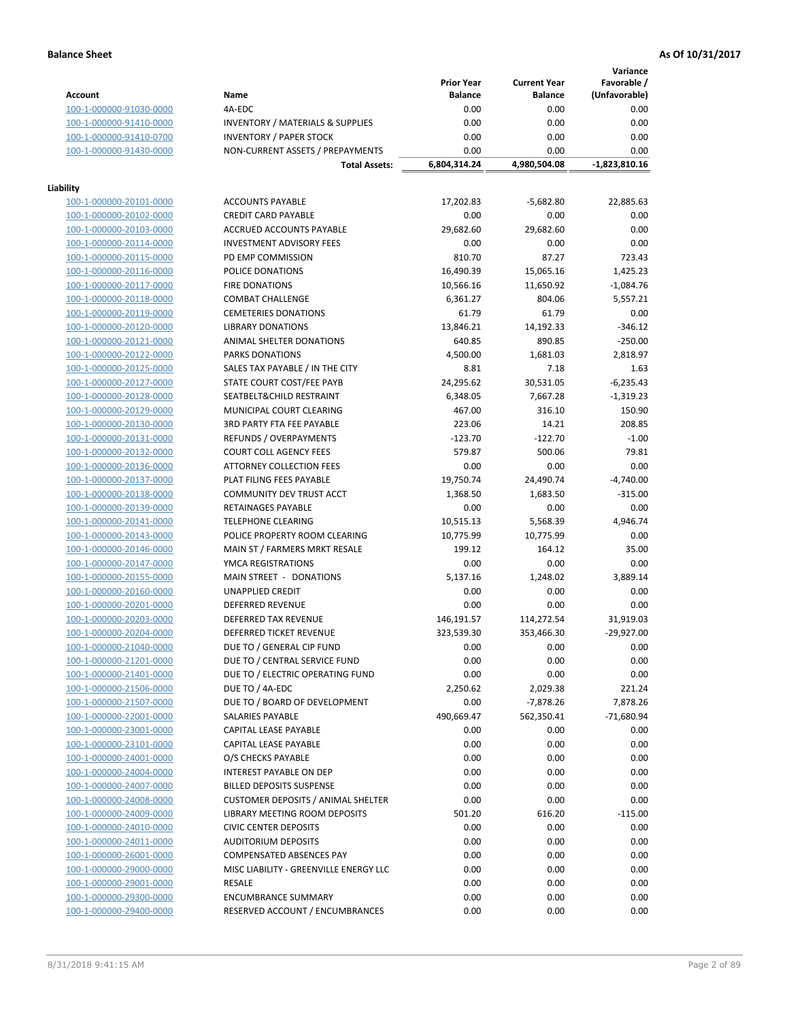**Variance**

|                                                    |                                             | <b>Prior Year</b> | <b>Current Year</b> | Favorable /     |
|----------------------------------------------------|---------------------------------------------|-------------------|---------------------|-----------------|
| <b>Account</b>                                     | Name                                        | <b>Balance</b>    | <b>Balance</b>      | (Unfavorable)   |
| 100-1-000000-91030-0000                            | 4A-EDC                                      | 0.00              | 0.00                | 0.00            |
| 100-1-000000-91410-0000                            | <b>INVENTORY / MATERIALS &amp; SUPPLIES</b> | 0.00              | 0.00                | 0.00            |
| 100-1-000000-91410-0700                            | <b>INVENTORY / PAPER STOCK</b>              | 0.00              | 0.00                | 0.00            |
| 100-1-000000-91430-0000                            | NON-CURRENT ASSETS / PREPAYMENTS            | 0.00              | 0.00                | 0.00            |
|                                                    | <b>Total Assets:</b>                        | 6,804,314.24      | 4,980,504.08        | $-1,823,810.16$ |
|                                                    |                                             |                   |                     |                 |
| Liability                                          |                                             |                   |                     |                 |
| 100-1-000000-20101-0000                            | <b>ACCOUNTS PAYABLE</b>                     | 17,202.83         | $-5,682.80$         | 22,885.63       |
| 100-1-000000-20102-0000                            | <b>CREDIT CARD PAYABLE</b>                  | 0.00              | 0.00                | 0.00            |
| 100-1-000000-20103-0000                            | ACCRUED ACCOUNTS PAYABLE                    | 29,682.60         | 29,682.60           | 0.00            |
| 100-1-000000-20114-0000                            | <b>INVESTMENT ADVISORY FEES</b>             | 0.00              | 0.00                | 0.00            |
| 100-1-000000-20115-0000                            | PD EMP COMMISSION                           | 810.70            | 87.27               | 723.43          |
| 100-1-000000-20116-0000                            | POLICE DONATIONS                            | 16,490.39         | 15,065.16           | 1,425.23        |
| 100-1-000000-20117-0000                            | <b>FIRE DONATIONS</b>                       | 10,566.16         | 11,650.92           | $-1,084.76$     |
| 100-1-000000-20118-0000                            | <b>COMBAT CHALLENGE</b>                     | 6,361.27          | 804.06              | 5,557.21        |
| 100-1-000000-20119-0000                            | <b>CEMETERIES DONATIONS</b>                 | 61.79             | 61.79               | 0.00            |
| 100-1-000000-20120-0000                            | <b>LIBRARY DONATIONS</b>                    | 13,846.21         | 14,192.33           | $-346.12$       |
| 100-1-000000-20121-0000                            | ANIMAL SHELTER DONATIONS                    | 640.85            | 890.85              | $-250.00$       |
| 100-1-000000-20122-0000                            | PARKS DONATIONS                             | 4,500.00          | 1,681.03            | 2,818.97        |
| 100-1-000000-20125-0000                            | SALES TAX PAYABLE / IN THE CITY             | 8.81              | 7.18                | 1.63            |
| 100-1-000000-20127-0000                            | STATE COURT COST/FEE PAYB                   | 24,295.62         | 30,531.05           | $-6,235.43$     |
| 100-1-000000-20128-0000                            | SEATBELT&CHILD RESTRAINT                    | 6,348.05          | 7,667.28            | $-1,319.23$     |
| 100-1-000000-20129-0000                            | MUNICIPAL COURT CLEARING                    | 467.00            | 316.10              | 150.90          |
| 100-1-000000-20130-0000                            | 3RD PARTY FTA FEE PAYABLE                   | 223.06            | 14.21               | 208.85          |
| 100-1-000000-20131-0000                            | <b>REFUNDS / OVERPAYMENTS</b>               | $-123.70$         | $-122.70$           | $-1.00$         |
| 100-1-000000-20132-0000                            | <b>COURT COLL AGENCY FEES</b>               | 579.87            | 500.06              | 79.81           |
| 100-1-000000-20136-0000                            | ATTORNEY COLLECTION FEES                    | 0.00              | 0.00                | 0.00            |
| 100-1-000000-20137-0000                            | PLAT FILING FEES PAYABLE                    | 19,750.74         | 24,490.74           | $-4,740.00$     |
| 100-1-000000-20138-0000                            | COMMUNITY DEV TRUST ACCT                    | 1,368.50          | 1,683.50            | $-315.00$       |
| 100-1-000000-20139-0000                            | RETAINAGES PAYABLE                          | 0.00              | 0.00                | 0.00            |
| 100-1-000000-20141-0000                            | <b>TELEPHONE CLEARING</b>                   | 10,515.13         | 5,568.39            | 4,946.74        |
| 100-1-000000-20143-0000                            | POLICE PROPERTY ROOM CLEARING               | 10,775.99         | 10,775.99           | 0.00            |
| 100-1-000000-20146-0000                            | MAIN ST / FARMERS MRKT RESALE               | 199.12            | 164.12              | 35.00           |
| 100-1-000000-20147-0000                            | YMCA REGISTRATIONS                          | 0.00              | 0.00                | 0.00            |
| 100-1-000000-20155-0000                            | MAIN STREET - DONATIONS                     | 5,137.16          | 1,248.02            | 3,889.14        |
| 100-1-000000-20160-0000                            | <b>UNAPPLIED CREDIT</b>                     | 0.00              | 0.00                | 0.00            |
| 100-1-000000-20201-0000                            | DEFERRED REVENUE                            | 0.00              | 0.00                | 0.00            |
| 100-1-000000-20203-0000                            | <b>DEFERRED TAX REVENUE</b>                 | 146,191.57        | 114,272.54          | 31,919.03       |
| 100-1-000000-20204-0000                            | <b>DEFERRED TICKET REVENUE</b>              | 323,539.30        | 353,466.30          | $-29,927.00$    |
| 100-1-000000-21040-0000                            | DUE TO / GENERAL CIP FUND                   | 0.00              | 0.00                | 0.00            |
| 100-1-000000-21201-0000                            | DUE TO / CENTRAL SERVICE FUND               | 0.00              | 0.00                | 0.00            |
| 100-1-000000-21401-0000                            | DUE TO / ELECTRIC OPERATING FUND            | 0.00              | 0.00                | 0.00            |
| 100-1-000000-21506-0000                            | DUE TO / 4A-EDC                             | 2,250.62          | 2,029.38            | 221.24          |
| 100-1-000000-21507-0000                            | DUE TO / BOARD OF DEVELOPMENT               | 0.00              | $-7,878.26$         | 7,878.26        |
| 100-1-000000-22001-0000                            | SALARIES PAYABLE                            | 490,669.47        | 562,350.41          | $-71,680.94$    |
| 100-1-000000-23001-0000                            | CAPITAL LEASE PAYABLE                       | 0.00              | 0.00                | 0.00            |
| 100-1-000000-23101-0000                            | CAPITAL LEASE PAYABLE                       | 0.00              | 0.00                | 0.00            |
| 100-1-000000-24001-0000                            | O/S CHECKS PAYABLE                          | 0.00              | 0.00                | 0.00            |
| 100-1-000000-24004-0000                            | <b>INTEREST PAYABLE ON DEP</b>              | 0.00              | 0.00                | 0.00            |
| 100-1-000000-24007-0000                            | <b>BILLED DEPOSITS SUSPENSE</b>             | 0.00              | 0.00                | 0.00            |
| 100-1-000000-24008-0000                            | <b>CUSTOMER DEPOSITS / ANIMAL SHELTER</b>   | 0.00              | 0.00                | 0.00            |
| 100-1-000000-24009-0000                            | <b>LIBRARY MEETING ROOM DEPOSITS</b>        | 501.20            | 616.20              | $-115.00$       |
| 100-1-000000-24010-0000                            | <b>CIVIC CENTER DEPOSITS</b>                | 0.00              | 0.00                | 0.00            |
| 100-1-000000-24011-0000                            | <b>AUDITORIUM DEPOSITS</b>                  | 0.00              | 0.00                | 0.00            |
| 100-1-000000-26001-0000                            | <b>COMPENSATED ABSENCES PAY</b>             | 0.00              | 0.00                | 0.00            |
|                                                    | MISC LIABILITY - GREENVILLE ENERGY LLC      | 0.00              | 0.00                | 0.00            |
| 100-1-000000-29000-0000<br>100-1-000000-29001-0000 | RESALE                                      | 0.00              | 0.00                | 0.00            |
|                                                    |                                             |                   |                     |                 |
| 100-1-000000-29300-0000                            | <b>ENCUMBRANCE SUMMARY</b>                  | 0.00              | 0.00                | 0.00            |
| 100-1-000000-29400-0000                            | RESERVED ACCOUNT / ENCUMBRANCES             | 0.00              | 0.00                | 0.00            |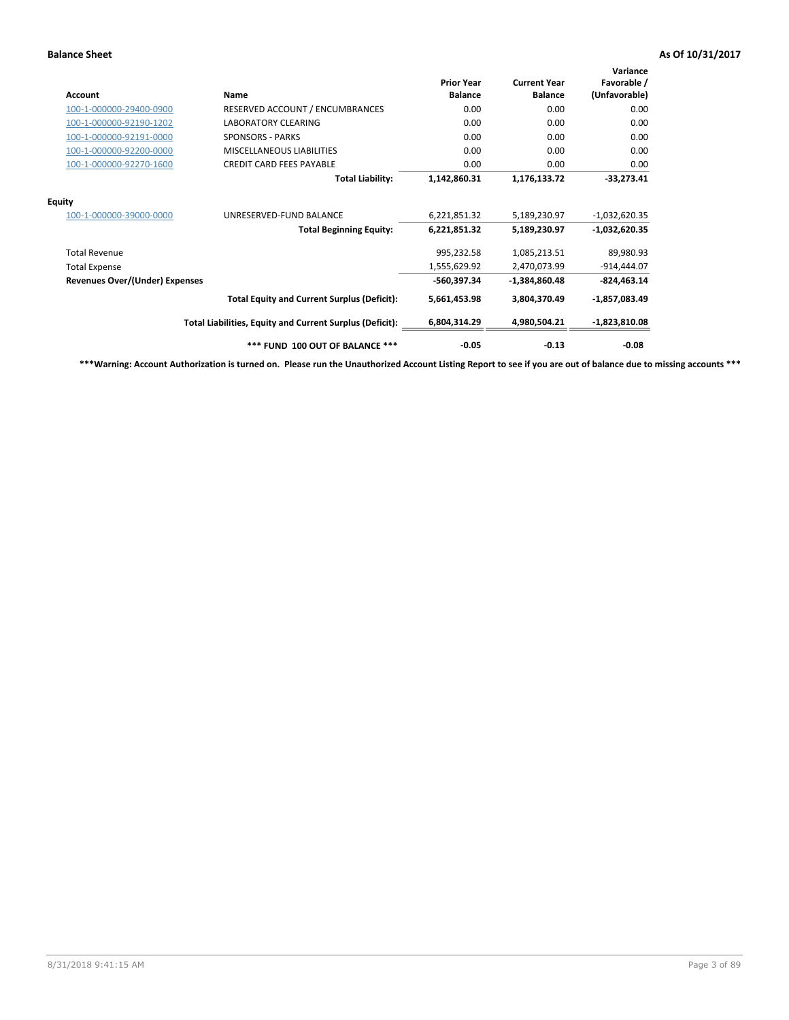| Account                               | <b>Name</b>                                              | <b>Prior Year</b><br><b>Balance</b> | <b>Current Year</b><br><b>Balance</b> | Variance<br>Favorable /<br>(Unfavorable) |
|---------------------------------------|----------------------------------------------------------|-------------------------------------|---------------------------------------|------------------------------------------|
| 100-1-000000-29400-0900               | RESERVED ACCOUNT / ENCUMBRANCES                          | 0.00                                | 0.00                                  | 0.00                                     |
| 100-1-000000-92190-1202               | <b>LABORATORY CLEARING</b>                               | 0.00                                | 0.00                                  | 0.00                                     |
| 100-1-000000-92191-0000               | <b>SPONSORS - PARKS</b>                                  | 0.00                                | 0.00                                  | 0.00                                     |
| 100-1-000000-92200-0000               | <b>MISCELLANEOUS LIABILITIES</b>                         | 0.00                                | 0.00                                  | 0.00                                     |
| 100-1-000000-92270-1600               | <b>CREDIT CARD FEES PAYABLE</b>                          | 0.00                                | 0.00                                  | 0.00                                     |
|                                       | <b>Total Liability:</b>                                  | 1,142,860.31                        | 1,176,133.72                          | $-33,273.41$                             |
| <b>Equity</b>                         |                                                          |                                     |                                       |                                          |
| 100-1-000000-39000-0000               | UNRESERVED-FUND BALANCE                                  | 6,221,851.32                        | 5,189,230.97                          | $-1,032,620.35$                          |
|                                       | <b>Total Beginning Equity:</b>                           | 6,221,851.32                        | 5,189,230.97                          | $-1,032,620.35$                          |
| <b>Total Revenue</b>                  |                                                          | 995,232.58                          | 1,085,213.51                          | 89,980.93                                |
| <b>Total Expense</b>                  |                                                          | 1,555,629.92                        | 2,470,073.99                          | $-914,444.07$                            |
| <b>Revenues Over/(Under) Expenses</b> |                                                          | -560,397.34                         | -1,384,860.48                         | $-824,463.14$                            |
|                                       | <b>Total Equity and Current Surplus (Deficit):</b>       | 5,661,453.98                        | 3,804,370.49                          | $-1,857,083.49$                          |
|                                       | Total Liabilities, Equity and Current Surplus (Deficit): | 6,804,314.29                        | 4,980,504.21                          | $-1,823,810.08$                          |
|                                       | *** FUND 100 OUT OF BALANCE ***                          | $-0.05$                             | $-0.13$                               | $-0.08$                                  |

**\*\*\*Warning: Account Authorization is turned on. Please run the Unauthorized Account Listing Report to see if you are out of balance due to missing accounts \*\*\***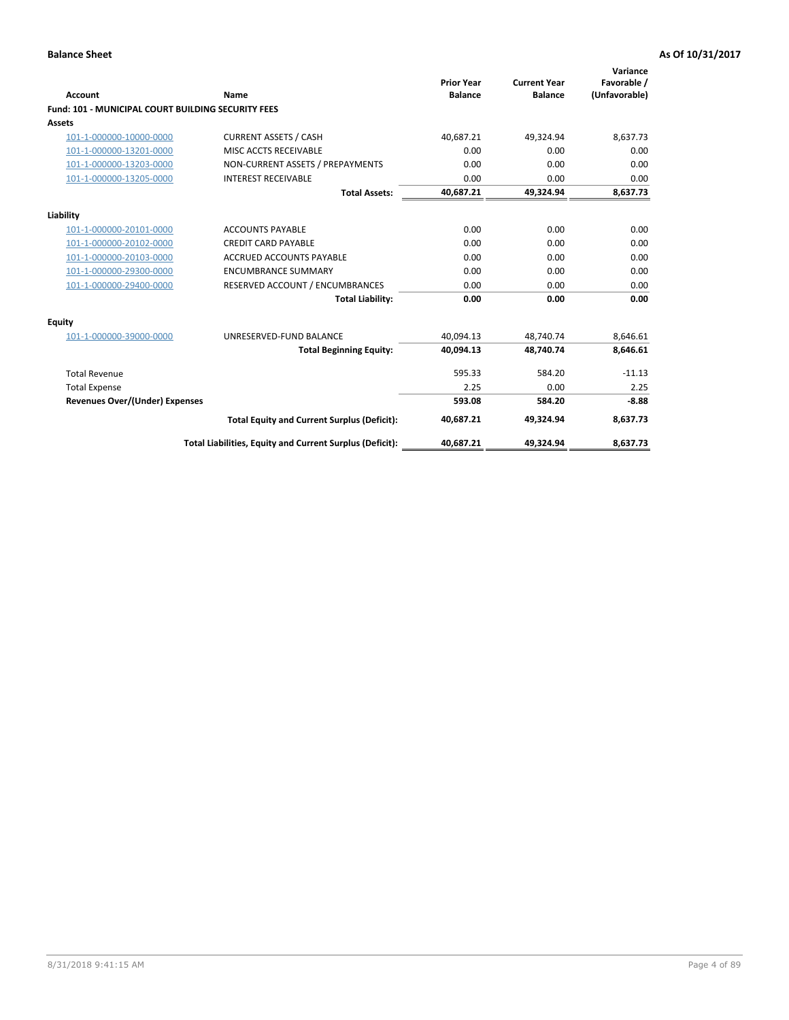| <b>Account</b>                                            | Name                                                     | <b>Prior Year</b><br><b>Balance</b> | <b>Current Year</b><br><b>Balance</b> | Variance<br>Favorable /<br>(Unfavorable) |
|-----------------------------------------------------------|----------------------------------------------------------|-------------------------------------|---------------------------------------|------------------------------------------|
| <b>Fund: 101 - MUNICIPAL COURT BUILDING SECURITY FEES</b> |                                                          |                                     |                                       |                                          |
| Assets                                                    |                                                          |                                     |                                       |                                          |
| 101-1-000000-10000-0000                                   | <b>CURRENT ASSETS / CASH</b>                             | 40,687.21                           | 49,324.94                             | 8,637.73                                 |
| 101-1-000000-13201-0000                                   | MISC ACCTS RECEIVABLE                                    | 0.00                                | 0.00                                  | 0.00                                     |
| 101-1-000000-13203-0000                                   | NON-CURRENT ASSETS / PREPAYMENTS                         | 0.00                                | 0.00                                  | 0.00                                     |
| 101-1-000000-13205-0000                                   | <b>INTEREST RECEIVABLE</b>                               | 0.00                                | 0.00                                  | 0.00                                     |
|                                                           | <b>Total Assets:</b>                                     | 40,687.21                           | 49,324.94                             | 8,637.73                                 |
| Liability                                                 |                                                          |                                     |                                       |                                          |
| 101-1-000000-20101-0000                                   | <b>ACCOUNTS PAYABLE</b>                                  | 0.00                                | 0.00                                  | 0.00                                     |
| 101-1-000000-20102-0000                                   | <b>CREDIT CARD PAYABLE</b>                               | 0.00                                | 0.00                                  | 0.00                                     |
| 101-1-000000-20103-0000                                   | <b>ACCRUED ACCOUNTS PAYABLE</b>                          | 0.00                                | 0.00                                  | 0.00                                     |
| 101-1-000000-29300-0000                                   | <b>ENCUMBRANCE SUMMARY</b>                               | 0.00                                | 0.00                                  | 0.00                                     |
| 101-1-000000-29400-0000                                   | RESERVED ACCOUNT / ENCUMBRANCES                          | 0.00                                | 0.00                                  | 0.00                                     |
|                                                           | <b>Total Liability:</b>                                  | 0.00                                | 0.00                                  | 0.00                                     |
| <b>Equity</b>                                             |                                                          |                                     |                                       |                                          |
| 101-1-000000-39000-0000                                   | UNRESERVED-FUND BALANCE                                  | 40,094.13                           | 48,740.74                             | 8,646.61                                 |
|                                                           | <b>Total Beginning Equity:</b>                           | 40.094.13                           | 48.740.74                             | 8,646.61                                 |
| <b>Total Revenue</b>                                      |                                                          | 595.33                              | 584.20                                | $-11.13$                                 |
| <b>Total Expense</b>                                      |                                                          | 2.25                                | 0.00                                  | 2.25                                     |
| <b>Revenues Over/(Under) Expenses</b>                     |                                                          | 593.08                              | 584.20                                | $-8.88$                                  |
|                                                           | <b>Total Equity and Current Surplus (Deficit):</b>       | 40,687.21                           | 49,324.94                             | 8,637.73                                 |
|                                                           | Total Liabilities, Equity and Current Surplus (Deficit): | 40,687.21                           | 49,324.94                             | 8,637.73                                 |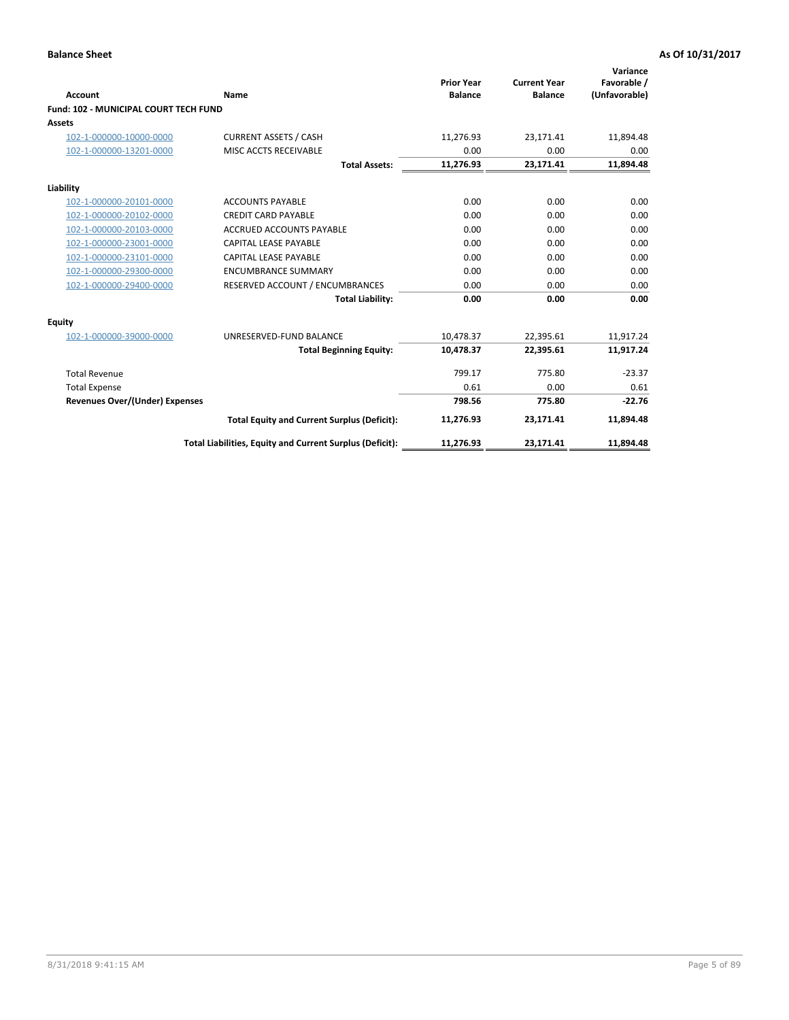| <b>Account</b>                               | Name                                                     | <b>Prior Year</b><br><b>Balance</b> | <b>Current Year</b><br><b>Balance</b> | Variance<br>Favorable /<br>(Unfavorable) |
|----------------------------------------------|----------------------------------------------------------|-------------------------------------|---------------------------------------|------------------------------------------|
| <b>Fund: 102 - MUNICIPAL COURT TECH FUND</b> |                                                          |                                     |                                       |                                          |
| Assets                                       |                                                          |                                     |                                       |                                          |
| 102-1-000000-10000-0000                      | <b>CURRENT ASSETS / CASH</b>                             | 11,276.93                           | 23,171.41                             | 11,894.48                                |
| 102-1-000000-13201-0000                      | MISC ACCTS RECEIVABLE                                    | 0.00                                | 0.00                                  | 0.00                                     |
|                                              | <b>Total Assets:</b>                                     | 11,276.93                           | 23,171.41                             | 11,894.48                                |
| Liability                                    |                                                          |                                     |                                       |                                          |
| 102-1-000000-20101-0000                      | <b>ACCOUNTS PAYABLE</b>                                  | 0.00                                | 0.00                                  | 0.00                                     |
| 102-1-000000-20102-0000                      | <b>CREDIT CARD PAYABLE</b>                               | 0.00                                | 0.00                                  | 0.00                                     |
| 102-1-000000-20103-0000                      | <b>ACCRUED ACCOUNTS PAYABLE</b>                          | 0.00                                | 0.00                                  | 0.00                                     |
| 102-1-000000-23001-0000                      | <b>CAPITAL LEASE PAYABLE</b>                             | 0.00                                | 0.00                                  | 0.00                                     |
| 102-1-000000-23101-0000                      | <b>CAPITAL LEASE PAYABLE</b>                             | 0.00                                | 0.00                                  | 0.00                                     |
| 102-1-000000-29300-0000                      | <b>ENCUMBRANCE SUMMARY</b>                               | 0.00                                | 0.00                                  | 0.00                                     |
| 102-1-000000-29400-0000                      | RESERVED ACCOUNT / ENCUMBRANCES                          | 0.00                                | 0.00                                  | 0.00                                     |
|                                              | <b>Total Liability:</b>                                  | 0.00                                | 0.00                                  | 0.00                                     |
| Equity                                       |                                                          |                                     |                                       |                                          |
| 102-1-000000-39000-0000                      | UNRESERVED-FUND BALANCE                                  | 10,478.37                           | 22,395.61                             | 11,917.24                                |
|                                              | <b>Total Beginning Equity:</b>                           | 10,478.37                           | 22,395.61                             | 11,917.24                                |
| <b>Total Revenue</b>                         |                                                          | 799.17                              | 775.80                                | $-23.37$                                 |
| <b>Total Expense</b>                         |                                                          | 0.61                                | 0.00                                  | 0.61                                     |
| <b>Revenues Over/(Under) Expenses</b>        |                                                          | 798.56                              | 775.80                                | $-22.76$                                 |
|                                              | <b>Total Equity and Current Surplus (Deficit):</b>       | 11,276.93                           | 23,171.41                             | 11,894.48                                |
|                                              | Total Liabilities, Equity and Current Surplus (Deficit): | 11,276.93                           | 23,171.41                             | 11,894.48                                |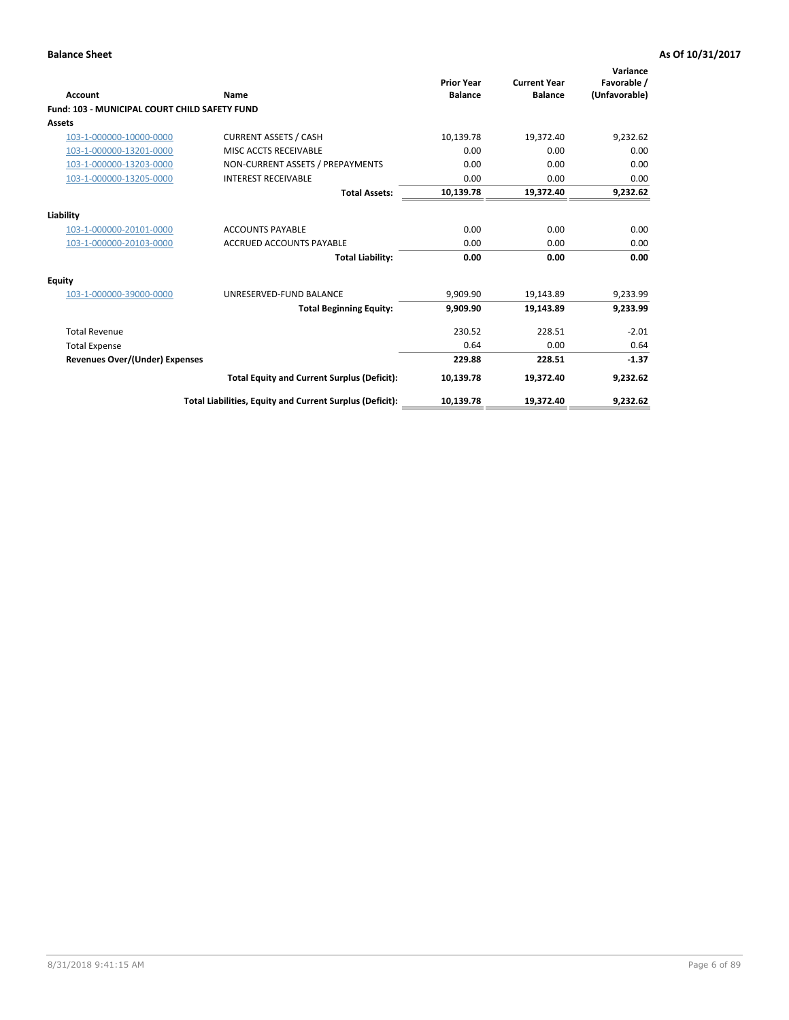| <b>Account</b>                                       | Name                                                     | <b>Prior Year</b><br><b>Balance</b> | <b>Current Year</b><br><b>Balance</b> | Variance<br>Favorable /<br>(Unfavorable) |
|------------------------------------------------------|----------------------------------------------------------|-------------------------------------|---------------------------------------|------------------------------------------|
| <b>Fund: 103 - MUNICIPAL COURT CHILD SAFETY FUND</b> |                                                          |                                     |                                       |                                          |
| <b>Assets</b>                                        |                                                          |                                     |                                       |                                          |
| 103-1-000000-10000-0000                              | <b>CURRENT ASSETS / CASH</b>                             | 10,139.78                           | 19,372.40                             | 9,232.62                                 |
| 103-1-000000-13201-0000                              | MISC ACCTS RECEIVABLE                                    | 0.00                                | 0.00                                  | 0.00                                     |
| 103-1-000000-13203-0000                              | NON-CURRENT ASSETS / PREPAYMENTS                         | 0.00                                | 0.00                                  | 0.00                                     |
| 103-1-000000-13205-0000                              | <b>INTEREST RECEIVABLE</b>                               | 0.00                                | 0.00                                  | 0.00                                     |
|                                                      | <b>Total Assets:</b>                                     | 10,139.78                           | 19,372.40                             | 9,232.62                                 |
| Liability                                            |                                                          |                                     |                                       |                                          |
| 103-1-000000-20101-0000                              | <b>ACCOUNTS PAYABLE</b>                                  | 0.00                                | 0.00                                  | 0.00                                     |
| 103-1-000000-20103-0000                              | <b>ACCRUED ACCOUNTS PAYABLE</b>                          | 0.00                                | 0.00                                  | 0.00                                     |
|                                                      | <b>Total Liability:</b>                                  | 0.00                                | 0.00                                  | 0.00                                     |
| <b>Equity</b>                                        |                                                          |                                     |                                       |                                          |
| 103-1-000000-39000-0000                              | UNRESERVED-FUND BALANCE                                  | 9,909.90                            | 19,143.89                             | 9,233.99                                 |
|                                                      | <b>Total Beginning Equity:</b>                           | 9,909.90                            | 19,143.89                             | 9,233.99                                 |
| <b>Total Revenue</b>                                 |                                                          | 230.52                              | 228.51                                | $-2.01$                                  |
| <b>Total Expense</b>                                 |                                                          | 0.64                                | 0.00                                  | 0.64                                     |
| <b>Revenues Over/(Under) Expenses</b>                |                                                          | 229.88                              | 228.51                                | $-1.37$                                  |
|                                                      | <b>Total Equity and Current Surplus (Deficit):</b>       | 10,139.78                           | 19,372.40                             | 9,232.62                                 |
|                                                      | Total Liabilities, Equity and Current Surplus (Deficit): | 10,139.78                           | 19,372.40                             | 9,232.62                                 |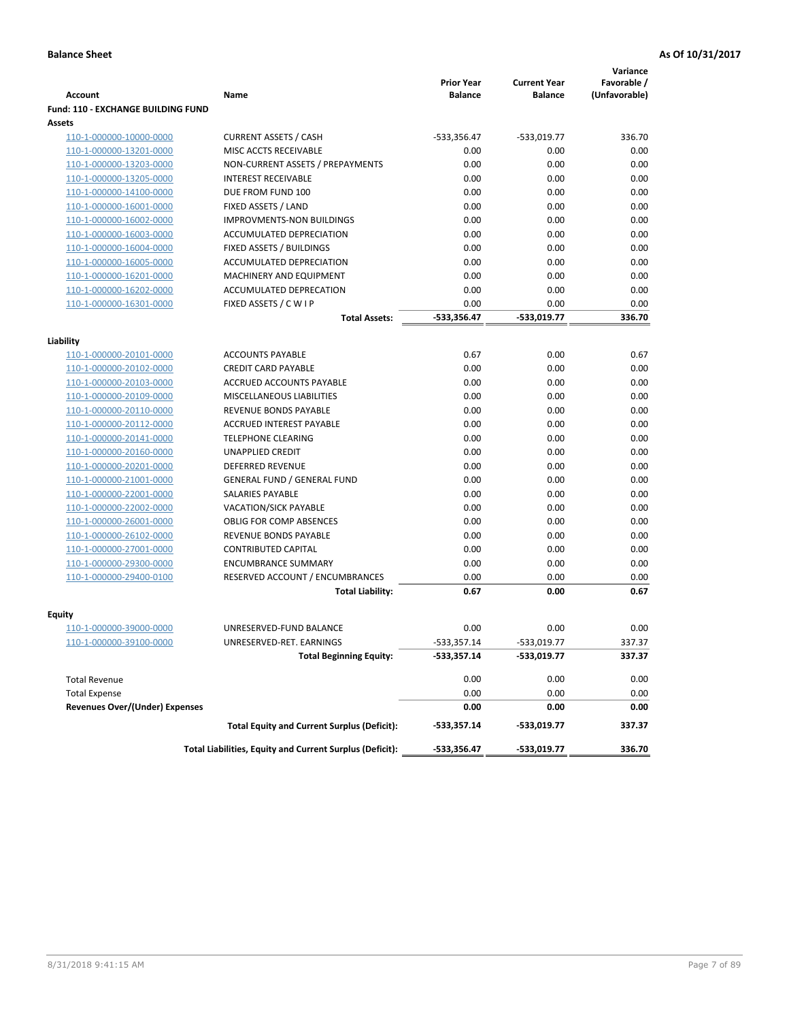|                                           |                                                          |                                     |                                       | Variance                     |
|-------------------------------------------|----------------------------------------------------------|-------------------------------------|---------------------------------------|------------------------------|
| <b>Account</b>                            | Name                                                     | <b>Prior Year</b><br><b>Balance</b> | <b>Current Year</b><br><b>Balance</b> | Favorable /<br>(Unfavorable) |
| <b>Fund: 110 - EXCHANGE BUILDING FUND</b> |                                                          |                                     |                                       |                              |
| Assets                                    |                                                          |                                     |                                       |                              |
| 110-1-000000-10000-0000                   | <b>CURRENT ASSETS / CASH</b>                             | -533,356.47                         | $-533,019.77$                         | 336.70                       |
| 110-1-000000-13201-0000                   | MISC ACCTS RECEIVABLE                                    | 0.00                                | 0.00                                  | 0.00                         |
| 110-1-000000-13203-0000                   | NON-CURRENT ASSETS / PREPAYMENTS                         | 0.00                                | 0.00                                  | 0.00                         |
| 110-1-000000-13205-0000                   | <b>INTEREST RECEIVABLE</b>                               | 0.00                                | 0.00                                  | 0.00                         |
| 110-1-000000-14100-0000                   | DUE FROM FUND 100                                        | 0.00                                | 0.00                                  | 0.00                         |
| 110-1-000000-16001-0000                   | FIXED ASSETS / LAND                                      | 0.00                                | 0.00                                  | 0.00                         |
| 110-1-000000-16002-0000                   | <b>IMPROVMENTS-NON BUILDINGS</b>                         | 0.00                                | 0.00                                  | 0.00                         |
| 110-1-000000-16003-0000                   | ACCUMULATED DEPRECIATION                                 | 0.00                                | 0.00                                  | 0.00                         |
| 110-1-000000-16004-0000                   | FIXED ASSETS / BUILDINGS                                 | 0.00                                | 0.00                                  | 0.00                         |
| 110-1-000000-16005-0000                   | ACCUMULATED DEPRECIATION                                 | 0.00                                | 0.00                                  | 0.00                         |
| 110-1-000000-16201-0000                   | <b>MACHINERY AND EQUIPMENT</b>                           | 0.00                                | 0.00                                  | 0.00                         |
| 110-1-000000-16202-0000                   | ACCUMULATED DEPRECATION                                  | 0.00                                | 0.00                                  | 0.00                         |
| 110-1-000000-16301-0000                   | FIXED ASSETS / C W I P                                   | 0.00                                | 0.00                                  | 0.00                         |
|                                           | <b>Total Assets:</b>                                     | -533.356.47                         | -533.019.77                           | 336.70                       |
| Liability                                 |                                                          |                                     |                                       |                              |
| 110-1-000000-20101-0000                   | <b>ACCOUNTS PAYABLE</b>                                  | 0.67                                | 0.00                                  | 0.67                         |
| 110-1-000000-20102-0000                   | <b>CREDIT CARD PAYABLE</b>                               | 0.00                                | 0.00                                  | 0.00                         |
| 110-1-000000-20103-0000                   | ACCRUED ACCOUNTS PAYABLE                                 | 0.00                                | 0.00                                  | 0.00                         |
| 110-1-000000-20109-0000                   | MISCELLANEOUS LIABILITIES                                | 0.00                                | 0.00                                  | 0.00                         |
| 110-1-000000-20110-0000                   | REVENUE BONDS PAYABLE                                    | 0.00                                | 0.00                                  | 0.00                         |
| 110-1-000000-20112-0000                   | <b>ACCRUED INTEREST PAYABLE</b>                          | 0.00                                | 0.00                                  | 0.00                         |
| 110-1-000000-20141-0000                   | <b>TELEPHONE CLEARING</b>                                | 0.00                                | 0.00                                  | 0.00                         |
| 110-1-000000-20160-0000                   | <b>UNAPPLIED CREDIT</b>                                  | 0.00                                | 0.00                                  | 0.00                         |
| 110-1-000000-20201-0000                   | <b>DEFERRED REVENUE</b>                                  | 0.00                                | 0.00                                  | 0.00                         |
| 110-1-000000-21001-0000                   | <b>GENERAL FUND / GENERAL FUND</b>                       | 0.00                                | 0.00                                  | 0.00                         |
| 110-1-000000-22001-0000                   | SALARIES PAYABLE                                         | 0.00                                | 0.00                                  | 0.00                         |
| 110-1-000000-22002-0000                   | <b>VACATION/SICK PAYABLE</b>                             | 0.00                                | 0.00                                  | 0.00                         |
| 110-1-000000-26001-0000                   | <b>OBLIG FOR COMP ABSENCES</b>                           | 0.00                                | 0.00                                  | 0.00                         |
| 110-1-000000-26102-0000                   | REVENUE BONDS PAYABLE                                    | 0.00                                | 0.00                                  | 0.00                         |
| 110-1-000000-27001-0000                   | <b>CONTRIBUTED CAPITAL</b>                               | 0.00                                | 0.00                                  | 0.00                         |
| 110-1-000000-29300-0000                   | <b>ENCUMBRANCE SUMMARY</b>                               | 0.00                                | 0.00                                  | 0.00                         |
| 110-1-000000-29400-0100                   | RESERVED ACCOUNT / ENCUMBRANCES                          | 0.00                                | 0.00                                  | 0.00                         |
|                                           | <b>Total Liability:</b>                                  | 0.67                                | 0.00                                  | 0.67                         |
|                                           |                                                          |                                     |                                       |                              |
| <b>Equity</b><br>110-1-000000-39000-0000  | UNRESERVED-FUND BALANCE                                  | 0.00                                | 0.00                                  | 0.00                         |
| 110-1-000000-39100-0000                   | UNRESERVED-RET. EARNINGS                                 | -533,357.14                         | -533,019.77                           | 337.37                       |
|                                           | <b>Total Beginning Equity:</b>                           | $-533,357.14$                       | -533,019.77                           | 337.37                       |
|                                           |                                                          |                                     |                                       |                              |
| <b>Total Revenue</b>                      |                                                          | 0.00                                | 0.00                                  | 0.00                         |
| <b>Total Expense</b>                      |                                                          | 0.00                                | 0.00                                  | 0.00                         |
| <b>Revenues Over/(Under) Expenses</b>     |                                                          | 0.00                                | 0.00                                  | 0.00                         |
|                                           | <b>Total Equity and Current Surplus (Deficit):</b>       | -533,357.14                         | -533,019.77                           | 337.37                       |
|                                           | Total Liabilities, Equity and Current Surplus (Deficit): | -533,356.47                         | -533,019.77                           | 336.70                       |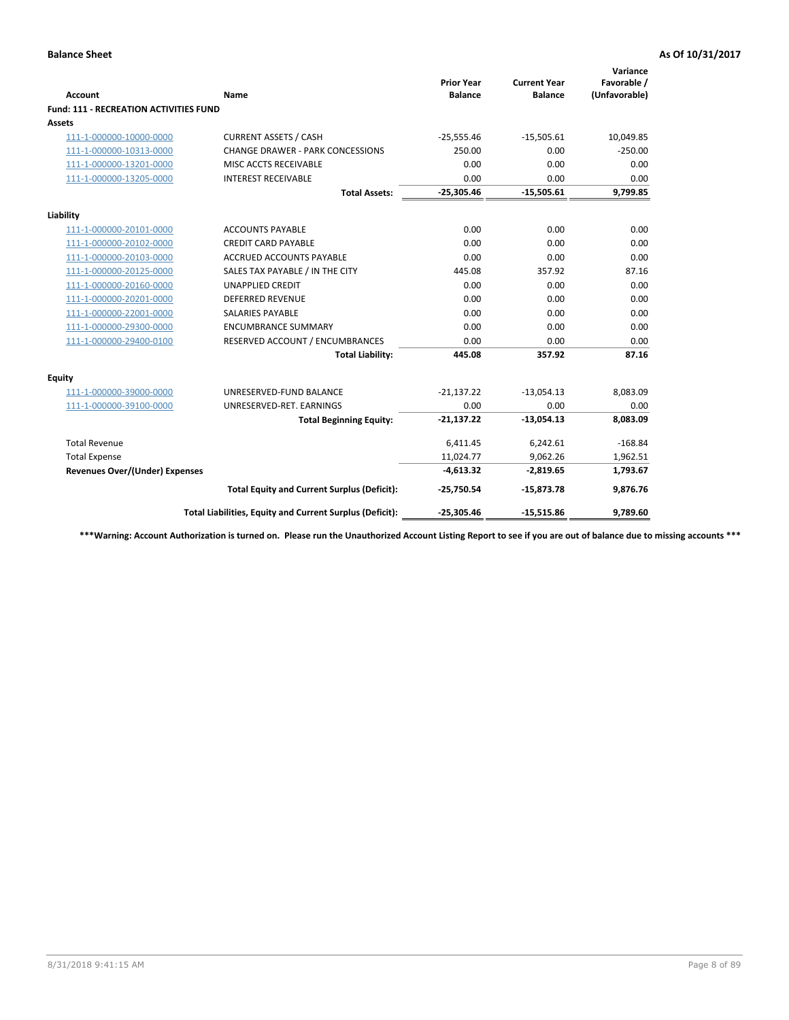|                                               |                                                          | <b>Prior Year</b> | <b>Current Year</b> | Variance<br>Favorable / |
|-----------------------------------------------|----------------------------------------------------------|-------------------|---------------------|-------------------------|
| <b>Account</b>                                | <b>Name</b>                                              | <b>Balance</b>    | <b>Balance</b>      | (Unfavorable)           |
| <b>Fund: 111 - RECREATION ACTIVITIES FUND</b> |                                                          |                   |                     |                         |
| Assets                                        |                                                          |                   |                     |                         |
| 111-1-000000-10000-0000                       | <b>CURRENT ASSETS / CASH</b>                             | $-25,555.46$      | $-15,505.61$        | 10,049.85               |
| 111-1-000000-10313-0000                       | <b>CHANGE DRAWER - PARK CONCESSIONS</b>                  | 250.00            | 0.00                | $-250.00$               |
| 111-1-000000-13201-0000                       | MISC ACCTS RECEIVABLE                                    | 0.00              | 0.00                | 0.00                    |
| 111-1-000000-13205-0000                       | <b>INTEREST RECEIVABLE</b>                               | 0.00              | 0.00                | 0.00                    |
|                                               | <b>Total Assets:</b>                                     | $-25,305.46$      | $-15,505.61$        | 9,799.85                |
| Liability                                     |                                                          |                   |                     |                         |
| 111-1-000000-20101-0000                       | <b>ACCOUNTS PAYABLE</b>                                  | 0.00              | 0.00                | 0.00                    |
| 111-1-000000-20102-0000                       | <b>CREDIT CARD PAYABLE</b>                               | 0.00              | 0.00                | 0.00                    |
| 111-1-000000-20103-0000                       | <b>ACCRUED ACCOUNTS PAYABLE</b>                          | 0.00              | 0.00                | 0.00                    |
| 111-1-000000-20125-0000                       | SALES TAX PAYABLE / IN THE CITY                          | 445.08            | 357.92              | 87.16                   |
| 111-1-000000-20160-0000                       | <b>UNAPPLIED CREDIT</b>                                  | 0.00              | 0.00                | 0.00                    |
| 111-1-000000-20201-0000                       | <b>DEFERRED REVENUE</b>                                  | 0.00              | 0.00                | 0.00                    |
| 111-1-000000-22001-0000                       | <b>SALARIES PAYABLE</b>                                  | 0.00              | 0.00                | 0.00                    |
| 111-1-000000-29300-0000                       | <b>ENCUMBRANCE SUMMARY</b>                               | 0.00              | 0.00                | 0.00                    |
| 111-1-000000-29400-0100                       | RESERVED ACCOUNT / ENCUMBRANCES                          | 0.00              | 0.00                | 0.00                    |
|                                               | <b>Total Liability:</b>                                  | 445.08            | 357.92              | 87.16                   |
| Equity                                        |                                                          |                   |                     |                         |
| 111-1-000000-39000-0000                       | UNRESERVED-FUND BALANCE                                  | $-21,137.22$      | $-13,054.13$        | 8,083.09                |
| 111-1-000000-39100-0000                       | UNRESERVED-RET. EARNINGS                                 | 0.00              | 0.00                | 0.00                    |
|                                               | <b>Total Beginning Equity:</b>                           | $-21,137.22$      | $-13,054.13$        | 8,083.09                |
| <b>Total Revenue</b>                          |                                                          | 6,411.45          | 6,242.61            | $-168.84$               |
| <b>Total Expense</b>                          |                                                          | 11,024.77         | 9,062.26            | 1,962.51                |
| <b>Revenues Over/(Under) Expenses</b>         |                                                          | $-4,613.32$       | $-2,819.65$         | 1,793.67                |
|                                               | <b>Total Equity and Current Surplus (Deficit):</b>       | $-25,750.54$      | $-15,873.78$        | 9,876.76                |
|                                               | Total Liabilities, Equity and Current Surplus (Deficit): | $-25,305.46$      | $-15,515.86$        | 9,789.60                |

**\*\*\*Warning: Account Authorization is turned on. Please run the Unauthorized Account Listing Report to see if you are out of balance due to missing accounts \*\*\***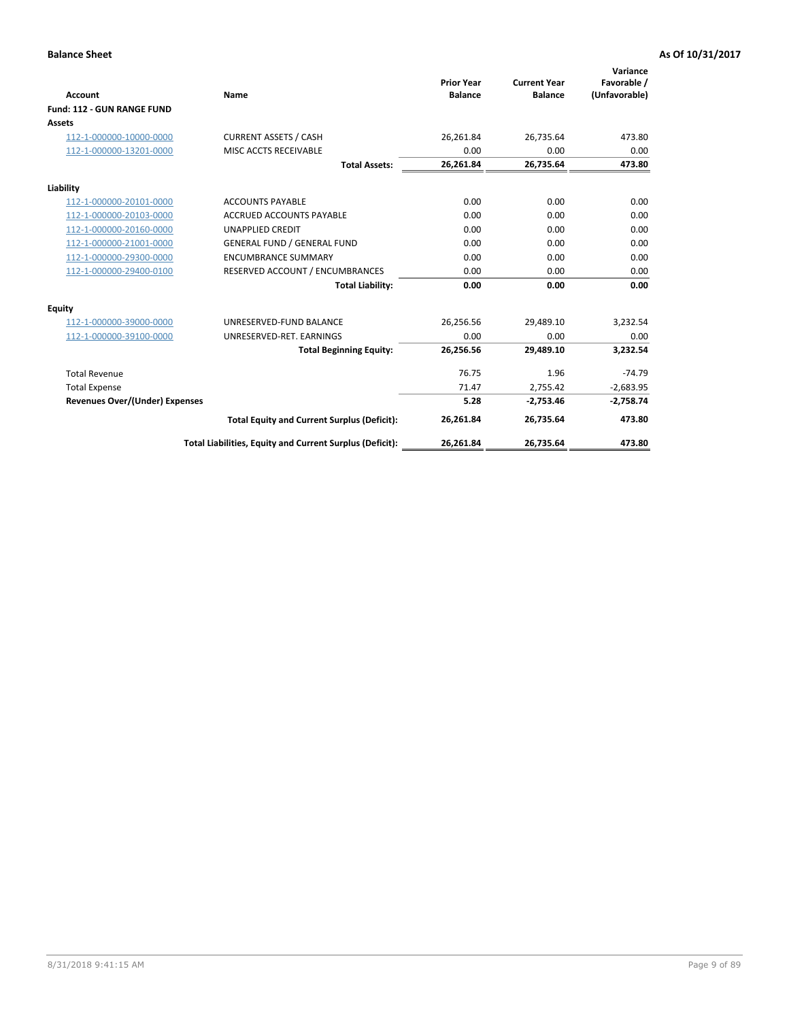|                                       |                                                          |                                     |                                       | Variance                     |
|---------------------------------------|----------------------------------------------------------|-------------------------------------|---------------------------------------|------------------------------|
| <b>Account</b>                        | Name                                                     | <b>Prior Year</b><br><b>Balance</b> | <b>Current Year</b><br><b>Balance</b> | Favorable /<br>(Unfavorable) |
| Fund: 112 - GUN RANGE FUND            |                                                          |                                     |                                       |                              |
| <b>Assets</b>                         |                                                          |                                     |                                       |                              |
| 112-1-000000-10000-0000               | <b>CURRENT ASSETS / CASH</b>                             | 26,261.84                           | 26,735.64                             | 473.80                       |
| 112-1-000000-13201-0000               | MISC ACCTS RECEIVABLE                                    | 0.00                                | 0.00                                  | 0.00                         |
|                                       | <b>Total Assets:</b>                                     | 26,261.84                           | 26,735.64                             | 473.80                       |
| Liability                             |                                                          |                                     |                                       |                              |
| 112-1-000000-20101-0000               | <b>ACCOUNTS PAYABLE</b>                                  | 0.00                                | 0.00                                  | 0.00                         |
| 112-1-000000-20103-0000               | <b>ACCRUED ACCOUNTS PAYABLE</b>                          | 0.00                                | 0.00                                  | 0.00                         |
| 112-1-000000-20160-0000               | <b>UNAPPLIED CREDIT</b>                                  | 0.00                                | 0.00                                  | 0.00                         |
| 112-1-000000-21001-0000               | <b>GENERAL FUND / GENERAL FUND</b>                       | 0.00                                | 0.00                                  | 0.00                         |
| 112-1-000000-29300-0000               | <b>ENCUMBRANCE SUMMARY</b>                               | 0.00                                | 0.00                                  | 0.00                         |
| 112-1-000000-29400-0100               | RESERVED ACCOUNT / ENCUMBRANCES                          | 0.00                                | 0.00                                  | 0.00                         |
|                                       | <b>Total Liability:</b>                                  | 0.00                                | 0.00                                  | 0.00                         |
| Equity                                |                                                          |                                     |                                       |                              |
| 112-1-000000-39000-0000               | UNRESERVED-FUND BALANCE                                  | 26,256.56                           | 29,489.10                             | 3,232.54                     |
| 112-1-000000-39100-0000               | UNRESERVED-RET. EARNINGS                                 | 0.00                                | 0.00                                  | 0.00                         |
|                                       | <b>Total Beginning Equity:</b>                           | 26,256.56                           | 29,489.10                             | 3.232.54                     |
| <b>Total Revenue</b>                  |                                                          | 76.75                               | 1.96                                  | $-74.79$                     |
| <b>Total Expense</b>                  |                                                          | 71.47                               | 2,755.42                              | $-2,683.95$                  |
| <b>Revenues Over/(Under) Expenses</b> |                                                          | 5.28                                | $-2,753.46$                           | $-2,758.74$                  |
|                                       | <b>Total Equity and Current Surplus (Deficit):</b>       | 26,261.84                           | 26,735.64                             | 473.80                       |
|                                       | Total Liabilities, Equity and Current Surplus (Deficit): | 26,261.84                           | 26,735.64                             | 473.80                       |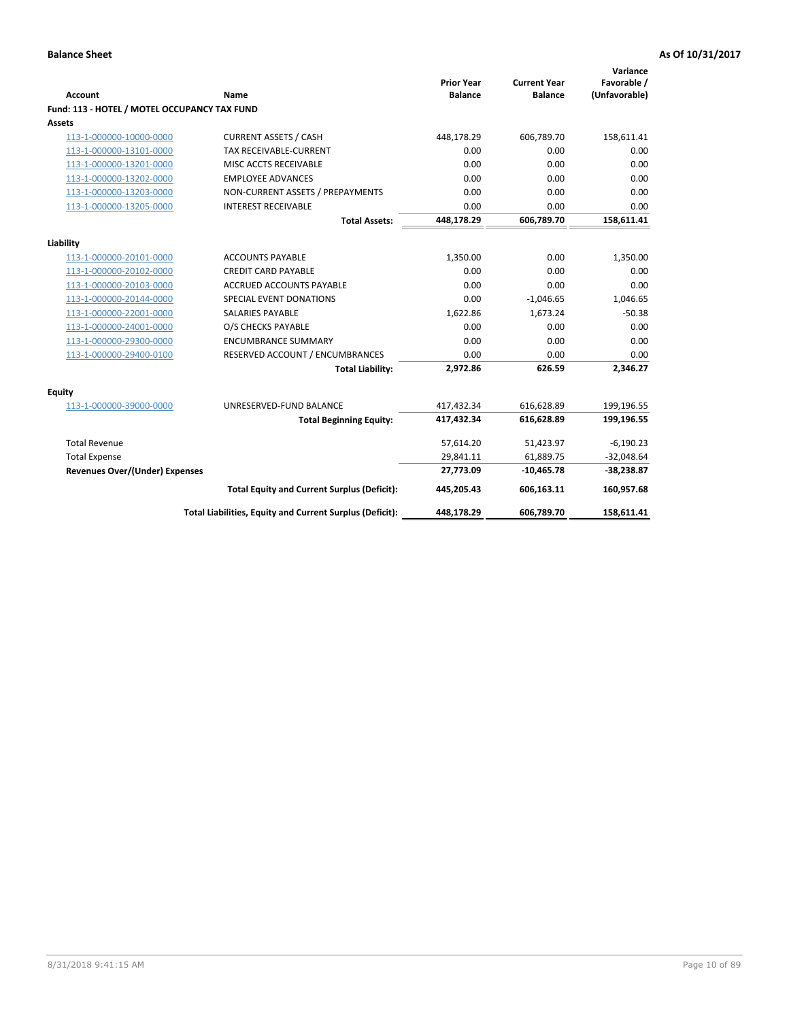| <b>Account</b>                                     | Name                                                     | <b>Prior Year</b><br><b>Balance</b> | <b>Current Year</b><br><b>Balance</b> | Variance<br>Favorable /<br>(Unfavorable) |
|----------------------------------------------------|----------------------------------------------------------|-------------------------------------|---------------------------------------|------------------------------------------|
| Fund: 113 - HOTEL / MOTEL OCCUPANCY TAX FUND       |                                                          |                                     |                                       |                                          |
| Assets                                             |                                                          |                                     |                                       |                                          |
| 113-1-000000-10000-0000                            | <b>CURRENT ASSETS / CASH</b>                             | 448,178.29                          | 606,789.70                            | 158,611.41                               |
| 113-1-000000-13101-0000                            | TAX RECEIVABLE-CURRENT                                   | 0.00                                | 0.00                                  | 0.00                                     |
| 113-1-000000-13201-0000                            | MISC ACCTS RECEIVABLE                                    | 0.00                                | 0.00                                  | 0.00                                     |
| 113-1-000000-13202-0000                            | <b>EMPLOYEE ADVANCES</b>                                 | 0.00                                | 0.00                                  | 0.00                                     |
| 113-1-000000-13203-0000                            | NON-CURRENT ASSETS / PREPAYMENTS                         | 0.00                                | 0.00                                  | 0.00                                     |
| 113-1-000000-13205-0000                            | <b>INTEREST RECEIVABLE</b>                               | 0.00                                | 0.00                                  | 0.00                                     |
|                                                    | <b>Total Assets:</b>                                     | 448,178.29                          | 606,789.70                            | 158,611.41                               |
|                                                    |                                                          |                                     |                                       |                                          |
| Liability                                          | <b>ACCOUNTS PAYABLE</b>                                  | 1,350.00                            | 0.00                                  | 1,350.00                                 |
| 113-1-000000-20101-0000<br>113-1-000000-20102-0000 | <b>CREDIT CARD PAYABLE</b>                               | 0.00                                | 0.00                                  | 0.00                                     |
| 113-1-000000-20103-0000                            | <b>ACCRUED ACCOUNTS PAYABLE</b>                          | 0.00                                | 0.00                                  | 0.00                                     |
| 113-1-000000-20144-0000                            | SPECIAL EVENT DONATIONS                                  | 0.00                                | $-1,046.65$                           | 1,046.65                                 |
| 113-1-000000-22001-0000                            | <b>SALARIES PAYABLE</b>                                  | 1,622.86                            | 1,673.24                              | $-50.38$                                 |
|                                                    |                                                          | 0.00                                |                                       |                                          |
| 113-1-000000-24001-0000                            | O/S CHECKS PAYABLE                                       |                                     | 0.00                                  | 0.00                                     |
| 113-1-000000-29300-0000                            | <b>ENCUMBRANCE SUMMARY</b>                               | 0.00                                | 0.00                                  | 0.00                                     |
| 113-1-000000-29400-0100                            | RESERVED ACCOUNT / ENCUMBRANCES                          | 0.00                                | 0.00                                  | 0.00                                     |
|                                                    | <b>Total Liability:</b>                                  | 2,972.86                            | 626.59                                | 2,346.27                                 |
| Equity                                             |                                                          |                                     |                                       |                                          |
| 113-1-000000-39000-0000                            | UNRESERVED-FUND BALANCE                                  | 417,432.34                          | 616,628.89                            | 199,196.55                               |
|                                                    | <b>Total Beginning Equity:</b>                           | 417,432.34                          | 616,628.89                            | 199,196.55                               |
| <b>Total Revenue</b>                               |                                                          | 57,614.20                           | 51,423.97                             | $-6,190.23$                              |
| <b>Total Expense</b>                               |                                                          | 29,841.11                           | 61,889.75                             | $-32,048.64$                             |
| Revenues Over/(Under) Expenses                     |                                                          | 27,773.09                           | $-10,465.78$                          | $-38,238.87$                             |
|                                                    | <b>Total Equity and Current Surplus (Deficit):</b>       | 445,205.43                          | 606,163.11                            | 160,957.68                               |
|                                                    | Total Liabilities, Equity and Current Surplus (Deficit): | 448,178.29                          | 606,789.70                            | 158,611.41                               |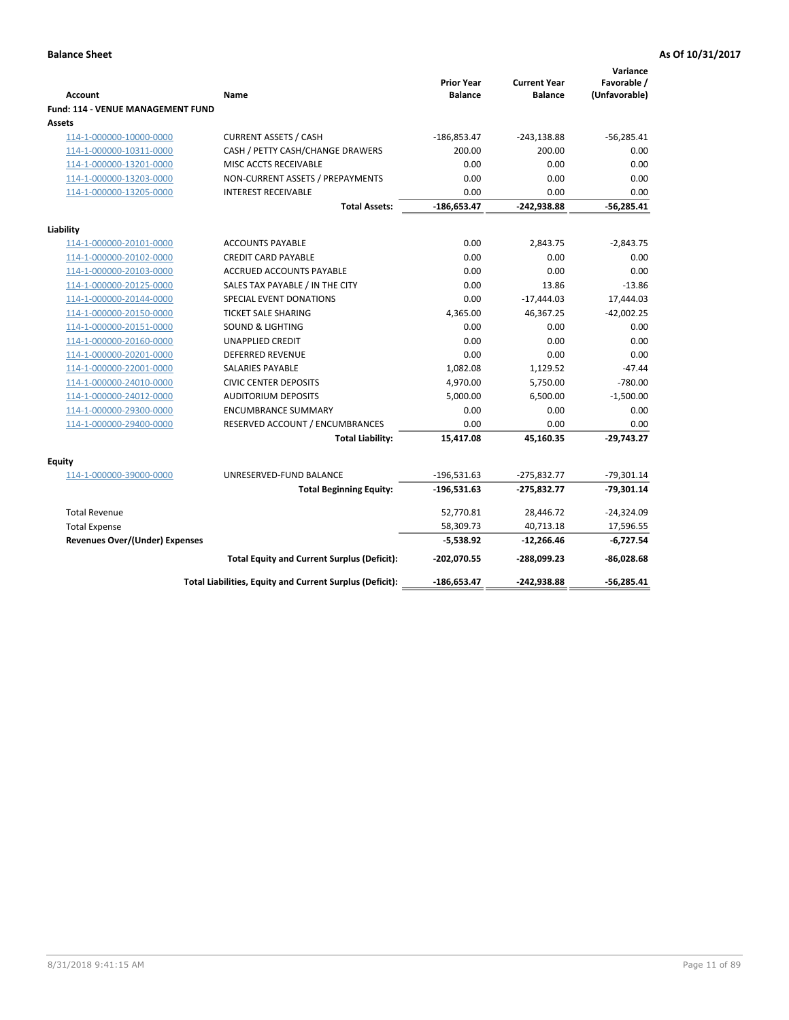| <b>Account</b><br>Fund: 114 - VENUE MANAGEMENT FUND | Name                                                     | <b>Prior Year</b><br><b>Balance</b> | <b>Current Year</b><br><b>Balance</b> | Variance<br>Favorable /<br>(Unfavorable) |
|-----------------------------------------------------|----------------------------------------------------------|-------------------------------------|---------------------------------------|------------------------------------------|
| Assets                                              |                                                          |                                     |                                       |                                          |
| 114-1-000000-10000-0000                             | <b>CURRENT ASSETS / CASH</b>                             | $-186,853.47$                       | $-243,138.88$                         | $-56,285.41$                             |
| 114-1-000000-10311-0000                             | CASH / PETTY CASH/CHANGE DRAWERS                         | 200.00                              | 200.00                                | 0.00                                     |
| 114-1-000000-13201-0000                             | MISC ACCTS RECEIVABLE                                    | 0.00                                | 0.00                                  | 0.00                                     |
| 114-1-000000-13203-0000                             | NON-CURRENT ASSETS / PREPAYMENTS                         | 0.00                                | 0.00                                  | 0.00                                     |
| 114-1-000000-13205-0000                             | <b>INTEREST RECEIVABLE</b>                               | 0.00                                | 0.00                                  | 0.00                                     |
|                                                     | <b>Total Assets:</b>                                     | $-186,653.47$                       | -242,938.88                           | $-56,285.41$                             |
| Liability                                           |                                                          |                                     |                                       |                                          |
| 114-1-000000-20101-0000                             | <b>ACCOUNTS PAYABLE</b>                                  | 0.00                                | 2,843.75                              | $-2,843.75$                              |
| 114-1-000000-20102-0000                             | <b>CREDIT CARD PAYABLE</b>                               | 0.00                                | 0.00                                  | 0.00                                     |
| 114-1-000000-20103-0000                             | <b>ACCRUED ACCOUNTS PAYABLE</b>                          | 0.00                                | 0.00                                  | 0.00                                     |
| 114-1-000000-20125-0000                             | SALES TAX PAYABLE / IN THE CITY                          | 0.00                                | 13.86                                 | $-13.86$                                 |
| 114-1-000000-20144-0000                             | SPECIAL EVENT DONATIONS                                  | 0.00                                | $-17,444.03$                          | 17,444.03                                |
| 114-1-000000-20150-0000                             | <b>TICKET SALE SHARING</b>                               | 4,365.00                            | 46,367.25                             | $-42,002.25$                             |
| 114-1-000000-20151-0000                             | <b>SOUND &amp; LIGHTING</b>                              | 0.00                                | 0.00                                  | 0.00                                     |
| 114-1-000000-20160-0000                             | <b>UNAPPLIED CREDIT</b>                                  | 0.00                                | 0.00                                  | 0.00                                     |
| 114-1-000000-20201-0000                             | <b>DEFERRED REVENUE</b>                                  | 0.00                                | 0.00                                  | 0.00                                     |
| 114-1-000000-22001-0000                             | SALARIES PAYABLE                                         | 1,082.08                            | 1,129.52                              | $-47.44$                                 |
| 114-1-000000-24010-0000                             | <b>CIVIC CENTER DEPOSITS</b>                             | 4,970.00                            | 5,750.00                              | $-780.00$                                |
| 114-1-000000-24012-0000                             | <b>AUDITORIUM DEPOSITS</b>                               | 5,000.00                            | 6,500.00                              | $-1,500.00$                              |
| 114-1-000000-29300-0000                             | <b>ENCUMBRANCE SUMMARY</b>                               | 0.00                                | 0.00                                  | 0.00                                     |
| 114-1-000000-29400-0000                             | RESERVED ACCOUNT / ENCUMBRANCES                          | 0.00                                | 0.00                                  | 0.00                                     |
|                                                     | <b>Total Liability:</b>                                  | 15,417.08                           | 45,160.35                             | $-29,743.27$                             |
| Equity                                              |                                                          |                                     |                                       |                                          |
| 114-1-000000-39000-0000                             | UNRESERVED-FUND BALANCE                                  | $-196,531.63$                       | $-275,832.77$                         | $-79,301.14$                             |
|                                                     | <b>Total Beginning Equity:</b>                           | $-196,531.63$                       | -275,832.77                           | $-79,301.14$                             |
| <b>Total Revenue</b>                                |                                                          | 52,770.81                           | 28,446.72                             | $-24,324.09$                             |
| <b>Total Expense</b>                                |                                                          | 58,309.73                           | 40,713.18                             | 17,596.55                                |
| <b>Revenues Over/(Under) Expenses</b>               |                                                          | $-5,538.92$                         | $-12,266.46$                          | $-6,727.54$                              |
|                                                     | <b>Total Equity and Current Surplus (Deficit):</b>       | $-202,070.55$                       | -288,099.23                           | $-86,028.68$                             |
|                                                     | Total Liabilities, Equity and Current Surplus (Deficit): | $-186,653.47$                       | -242,938.88                           | $-56,285.41$                             |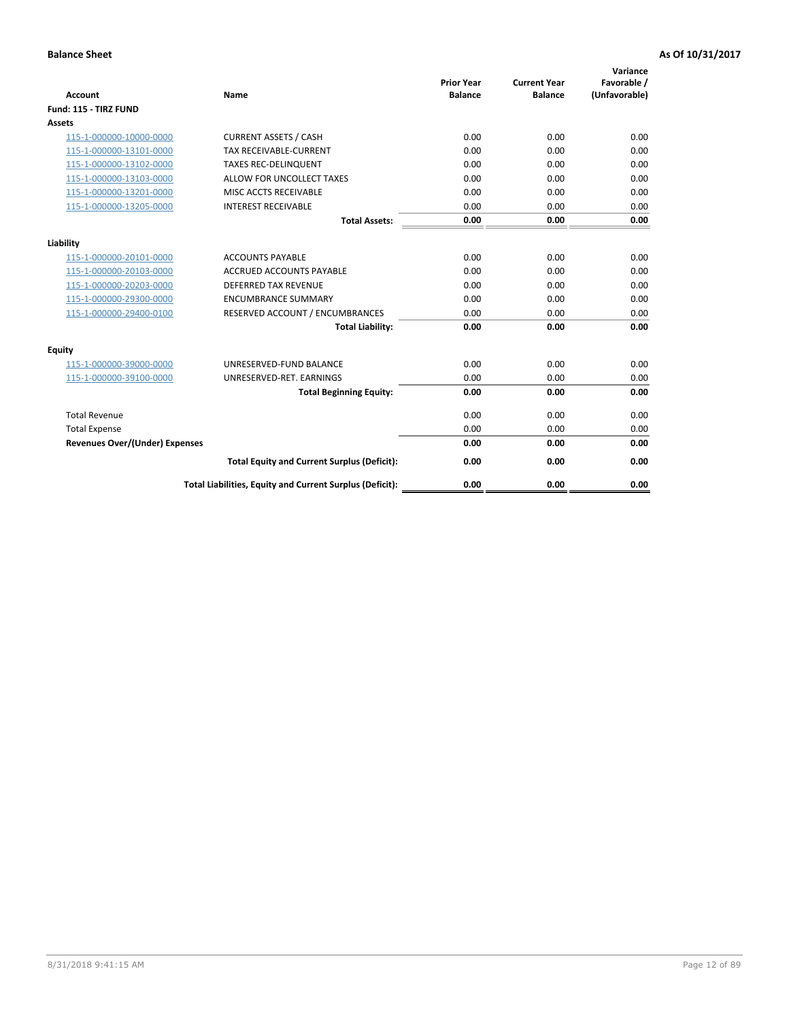|                                       |                                                          |                                     |                                       | Variance                     |
|---------------------------------------|----------------------------------------------------------|-------------------------------------|---------------------------------------|------------------------------|
| <b>Account</b>                        | Name                                                     | <b>Prior Year</b><br><b>Balance</b> | <b>Current Year</b><br><b>Balance</b> | Favorable /<br>(Unfavorable) |
| Fund: 115 - TIRZ FUND                 |                                                          |                                     |                                       |                              |
| Assets                                |                                                          |                                     |                                       |                              |
| 115-1-000000-10000-0000               | <b>CURRENT ASSETS / CASH</b>                             | 0.00                                | 0.00                                  | 0.00                         |
| 115-1-000000-13101-0000               | TAX RECEIVABLE-CURRENT                                   | 0.00                                | 0.00                                  | 0.00                         |
| 115-1-000000-13102-0000               | <b>TAXES REC-DELINQUENT</b>                              | 0.00                                | 0.00                                  | 0.00                         |
| 115-1-000000-13103-0000               | ALLOW FOR UNCOLLECT TAXES                                | 0.00                                | 0.00                                  | 0.00                         |
| 115-1-000000-13201-0000               | MISC ACCTS RECEIVABLE                                    | 0.00                                | 0.00                                  | 0.00                         |
| 115-1-000000-13205-0000               | <b>INTEREST RECEIVABLE</b>                               | 0.00                                | 0.00                                  | 0.00                         |
|                                       | <b>Total Assets:</b>                                     | 0.00                                | 0.00                                  | 0.00                         |
| Liability                             |                                                          |                                     |                                       |                              |
| 115-1-000000-20101-0000               | <b>ACCOUNTS PAYABLE</b>                                  | 0.00                                | 0.00                                  | 0.00                         |
| 115-1-000000-20103-0000               | <b>ACCRUED ACCOUNTS PAYABLE</b>                          | 0.00                                | 0.00                                  | 0.00                         |
| 115-1-000000-20203-0000               | <b>DEFERRED TAX REVENUE</b>                              | 0.00                                | 0.00                                  | 0.00                         |
| 115-1-000000-29300-0000               | <b>ENCUMBRANCE SUMMARY</b>                               | 0.00                                | 0.00                                  | 0.00                         |
| 115-1-000000-29400-0100               | RESERVED ACCOUNT / ENCUMBRANCES                          | 0.00                                | 0.00                                  | 0.00                         |
|                                       | <b>Total Liability:</b>                                  | 0.00                                | 0.00                                  | 0.00                         |
|                                       |                                                          |                                     |                                       |                              |
| <b>Equity</b>                         |                                                          |                                     |                                       |                              |
| 115-1-000000-39000-0000               | UNRESERVED-FUND BALANCE                                  | 0.00                                | 0.00                                  | 0.00                         |
| 115-1-000000-39100-0000               | UNRESERVED-RET. EARNINGS                                 | 0.00                                | 0.00                                  | 0.00                         |
|                                       | <b>Total Beginning Equity:</b>                           | 0.00                                | 0.00                                  | 0.00                         |
| <b>Total Revenue</b>                  |                                                          | 0.00                                | 0.00                                  | 0.00                         |
| <b>Total Expense</b>                  |                                                          | 0.00                                | 0.00                                  | 0.00                         |
| <b>Revenues Over/(Under) Expenses</b> |                                                          | 0.00                                | 0.00                                  | 0.00                         |
|                                       | <b>Total Equity and Current Surplus (Deficit):</b>       | 0.00                                | 0.00                                  | 0.00                         |
|                                       | Total Liabilities, Equity and Current Surplus (Deficit): | 0.00                                | 0.00                                  | 0.00                         |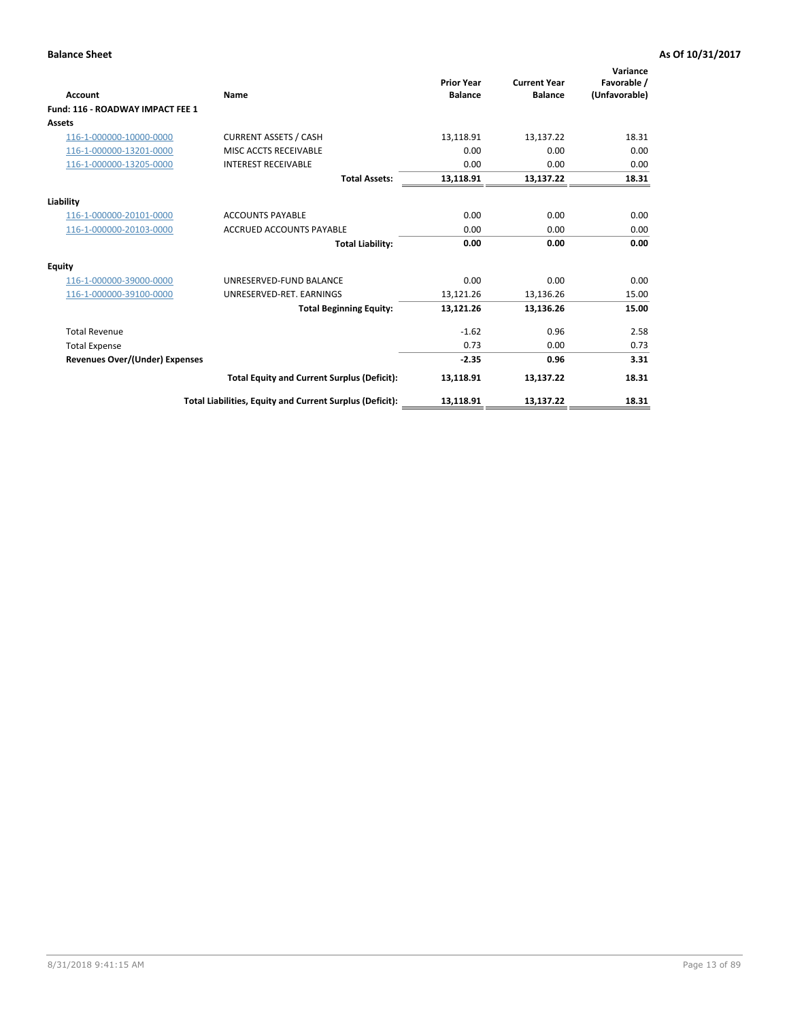| <b>Account</b>                        | Name                                                     | <b>Prior Year</b><br><b>Balance</b> | <b>Current Year</b><br><b>Balance</b> | Variance<br>Favorable /<br>(Unfavorable) |
|---------------------------------------|----------------------------------------------------------|-------------------------------------|---------------------------------------|------------------------------------------|
| Fund: 116 - ROADWAY IMPACT FEE 1      |                                                          |                                     |                                       |                                          |
| Assets                                |                                                          |                                     |                                       |                                          |
| 116-1-000000-10000-0000               | <b>CURRENT ASSETS / CASH</b>                             | 13,118.91                           | 13,137.22                             | 18.31                                    |
| 116-1-000000-13201-0000               | MISC ACCTS RECEIVABLE                                    | 0.00                                | 0.00                                  | 0.00                                     |
| 116-1-000000-13205-0000               | <b>INTEREST RECEIVABLE</b>                               | 0.00                                | 0.00                                  | 0.00                                     |
|                                       | <b>Total Assets:</b>                                     | 13,118.91                           | 13,137.22                             | 18.31                                    |
| Liability                             |                                                          |                                     |                                       |                                          |
| 116-1-000000-20101-0000               | <b>ACCOUNTS PAYABLE</b>                                  | 0.00                                | 0.00                                  | 0.00                                     |
| 116-1-000000-20103-0000               | <b>ACCRUED ACCOUNTS PAYABLE</b>                          | 0.00                                | 0.00                                  | 0.00                                     |
|                                       | <b>Total Liability:</b>                                  | 0.00                                | 0.00                                  | 0.00                                     |
| Equity                                |                                                          |                                     |                                       |                                          |
| 116-1-000000-39000-0000               | UNRESERVED-FUND BALANCE                                  | 0.00                                | 0.00                                  | 0.00                                     |
| 116-1-000000-39100-0000               | UNRESERVED-RET. EARNINGS                                 | 13,121.26                           | 13,136.26                             | 15.00                                    |
|                                       | <b>Total Beginning Equity:</b>                           | 13,121.26                           | 13,136.26                             | 15.00                                    |
| <b>Total Revenue</b>                  |                                                          | $-1.62$                             | 0.96                                  | 2.58                                     |
| <b>Total Expense</b>                  |                                                          | 0.73                                | 0.00                                  | 0.73                                     |
| <b>Revenues Over/(Under) Expenses</b> |                                                          | $-2.35$                             | 0.96                                  | 3.31                                     |
|                                       | <b>Total Equity and Current Surplus (Deficit):</b>       | 13,118.91                           | 13,137.22                             | 18.31                                    |
|                                       | Total Liabilities, Equity and Current Surplus (Deficit): | 13,118.91                           | 13,137.22                             | 18.31                                    |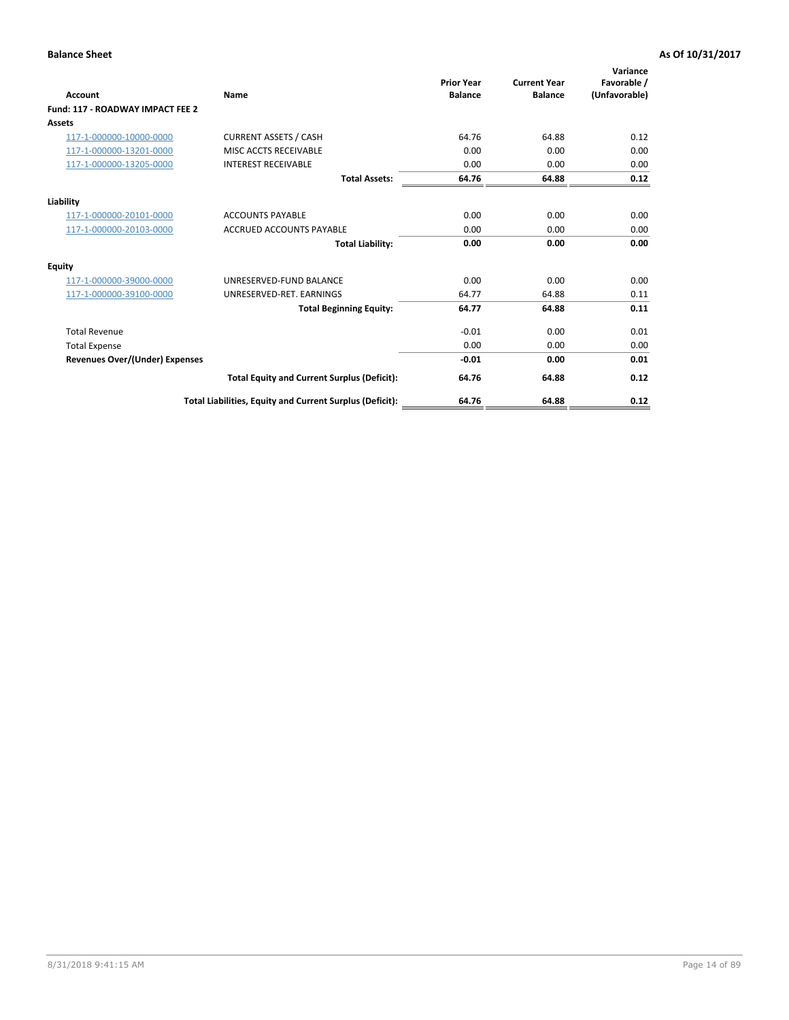| <b>Account</b>                        | Name                                                     | <b>Prior Year</b><br><b>Balance</b> | <b>Current Year</b><br><b>Balance</b> | Variance<br>Favorable /<br>(Unfavorable) |
|---------------------------------------|----------------------------------------------------------|-------------------------------------|---------------------------------------|------------------------------------------|
| Fund: 117 - ROADWAY IMPACT FEE 2      |                                                          |                                     |                                       |                                          |
| Assets                                |                                                          |                                     |                                       |                                          |
| 117-1-000000-10000-0000               | <b>CURRENT ASSETS / CASH</b>                             | 64.76                               | 64.88                                 | 0.12                                     |
| 117-1-000000-13201-0000               | MISC ACCTS RECEIVABLE                                    | 0.00                                | 0.00                                  | 0.00                                     |
| 117-1-000000-13205-0000               | <b>INTEREST RECEIVABLE</b>                               | 0.00                                | 0.00                                  | 0.00                                     |
|                                       | <b>Total Assets:</b>                                     | 64.76                               | 64.88                                 | 0.12                                     |
| Liability                             |                                                          |                                     |                                       |                                          |
| 117-1-000000-20101-0000               | <b>ACCOUNTS PAYABLE</b>                                  | 0.00                                | 0.00                                  | 0.00                                     |
| 117-1-000000-20103-0000               | <b>ACCRUED ACCOUNTS PAYABLE</b>                          | 0.00                                | 0.00                                  | 0.00                                     |
|                                       | <b>Total Liability:</b>                                  | 0.00                                | 0.00                                  | 0.00                                     |
| <b>Equity</b>                         |                                                          |                                     |                                       |                                          |
| 117-1-000000-39000-0000               | UNRESERVED-FUND BALANCE                                  | 0.00                                | 0.00                                  | 0.00                                     |
| 117-1-000000-39100-0000               | UNRESERVED-RET, EARNINGS                                 | 64.77                               | 64.88                                 | 0.11                                     |
|                                       | <b>Total Beginning Equity:</b>                           | 64.77                               | 64.88                                 | 0.11                                     |
| <b>Total Revenue</b>                  |                                                          | $-0.01$                             | 0.00                                  | 0.01                                     |
| <b>Total Expense</b>                  |                                                          | 0.00                                | 0.00                                  | 0.00                                     |
| <b>Revenues Over/(Under) Expenses</b> |                                                          | $-0.01$                             | 0.00                                  | 0.01                                     |
|                                       | <b>Total Equity and Current Surplus (Deficit):</b>       | 64.76                               | 64.88                                 | 0.12                                     |
|                                       | Total Liabilities, Equity and Current Surplus (Deficit): | 64.76                               | 64.88                                 | 0.12                                     |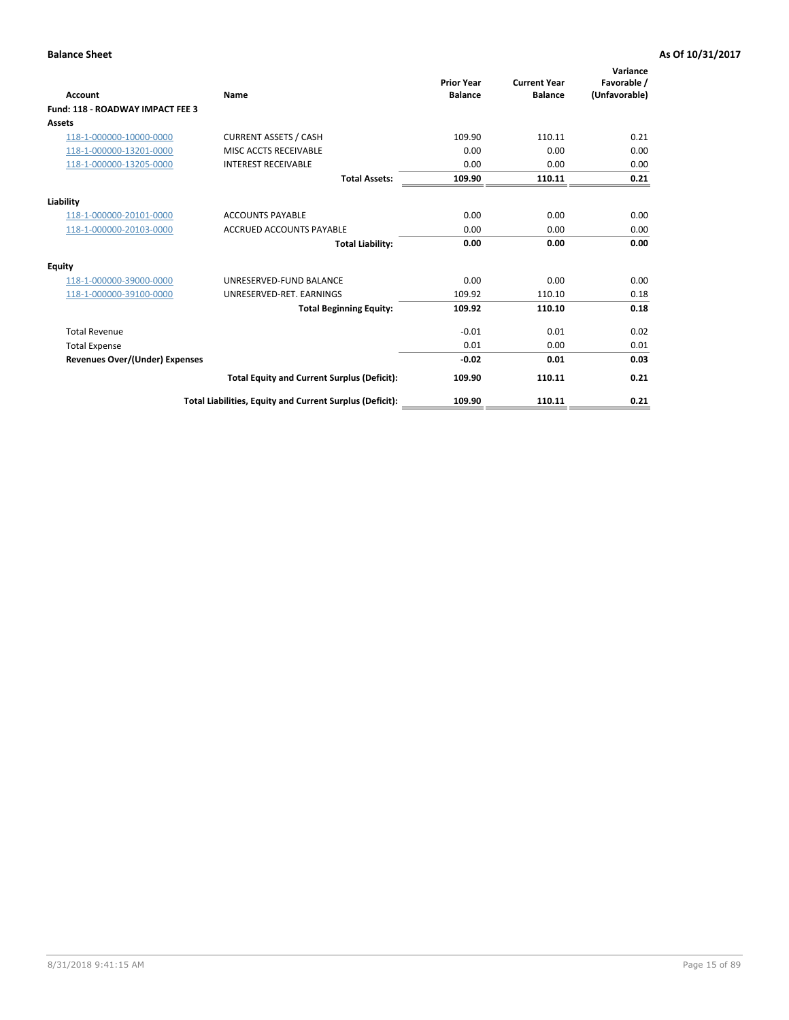| <b>Account</b>                          | Name                                                     | <b>Prior Year</b><br><b>Balance</b> | <b>Current Year</b><br><b>Balance</b> | Variance<br>Favorable /<br>(Unfavorable) |
|-----------------------------------------|----------------------------------------------------------|-------------------------------------|---------------------------------------|------------------------------------------|
| <b>Fund: 118 - ROADWAY IMPACT FEE 3</b> |                                                          |                                     |                                       |                                          |
| Assets                                  |                                                          |                                     |                                       |                                          |
| 118-1-000000-10000-0000                 | <b>CURRENT ASSETS / CASH</b>                             | 109.90                              | 110.11                                | 0.21                                     |
| 118-1-000000-13201-0000                 | MISC ACCTS RECEIVABLE                                    | 0.00                                | 0.00                                  | 0.00                                     |
| 118-1-000000-13205-0000                 | <b>INTEREST RECEIVABLE</b>                               | 0.00                                | 0.00                                  | 0.00                                     |
|                                         | <b>Total Assets:</b>                                     | 109.90                              | 110.11                                | 0.21                                     |
| Liability                               |                                                          |                                     |                                       |                                          |
| 118-1-000000-20101-0000                 | <b>ACCOUNTS PAYABLE</b>                                  | 0.00                                | 0.00                                  | 0.00                                     |
| 118-1-000000-20103-0000                 | <b>ACCRUED ACCOUNTS PAYABLE</b>                          | 0.00                                | 0.00                                  | 0.00                                     |
|                                         | <b>Total Liability:</b>                                  | 0.00                                | 0.00                                  | 0.00                                     |
| <b>Equity</b>                           |                                                          |                                     |                                       |                                          |
| 118-1-000000-39000-0000                 | UNRESERVED-FUND BALANCE                                  | 0.00                                | 0.00                                  | 0.00                                     |
| 118-1-000000-39100-0000                 | UNRESERVED-RET, EARNINGS                                 | 109.92                              | 110.10                                | 0.18                                     |
|                                         | <b>Total Beginning Equity:</b>                           | 109.92                              | 110.10                                | 0.18                                     |
| <b>Total Revenue</b>                    |                                                          | $-0.01$                             | 0.01                                  | 0.02                                     |
| <b>Total Expense</b>                    |                                                          | 0.01                                | 0.00                                  | 0.01                                     |
| <b>Revenues Over/(Under) Expenses</b>   |                                                          | $-0.02$                             | 0.01                                  | 0.03                                     |
|                                         | <b>Total Equity and Current Surplus (Deficit):</b>       | 109.90                              | 110.11                                | 0.21                                     |
|                                         | Total Liabilities, Equity and Current Surplus (Deficit): | 109.90                              | 110.11                                | 0.21                                     |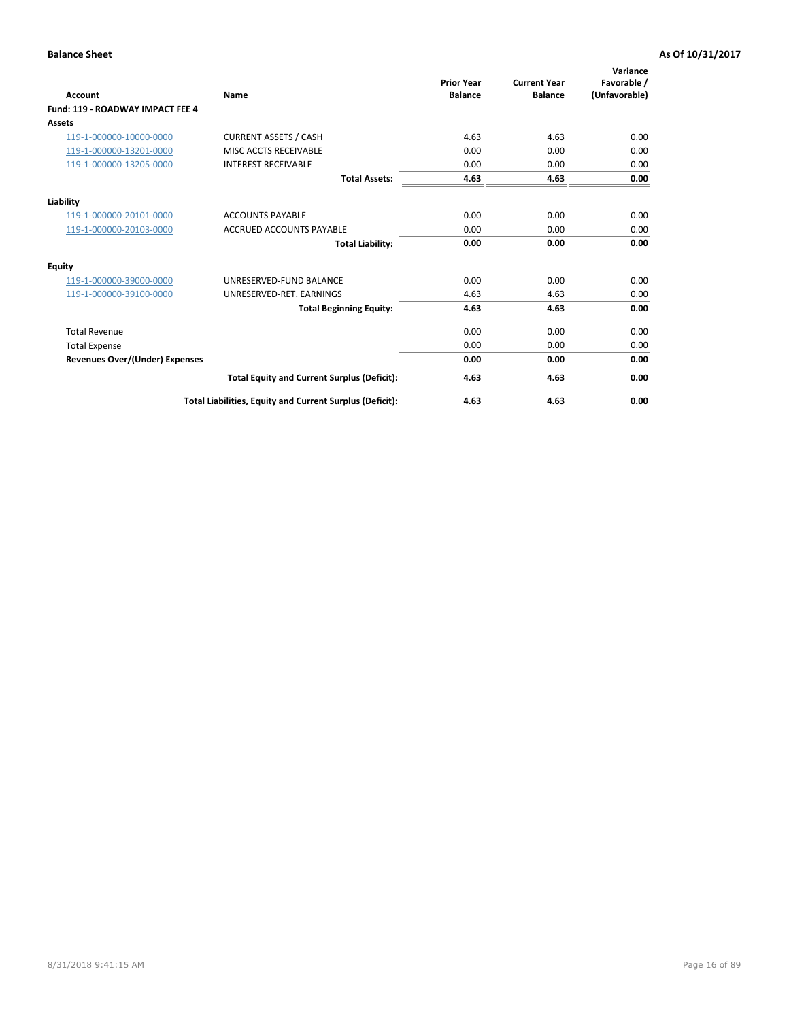| <b>Account</b>                        | <b>Name</b>                                              | <b>Prior Year</b><br><b>Balance</b> | <b>Current Year</b><br><b>Balance</b> | Variance<br>Favorable /<br>(Unfavorable) |
|---------------------------------------|----------------------------------------------------------|-------------------------------------|---------------------------------------|------------------------------------------|
| Fund: 119 - ROADWAY IMPACT FEE 4      |                                                          |                                     |                                       |                                          |
| Assets                                |                                                          |                                     |                                       |                                          |
| 119-1-000000-10000-0000               | <b>CURRENT ASSETS / CASH</b>                             | 4.63                                | 4.63                                  | 0.00                                     |
| 119-1-000000-13201-0000               | MISC ACCTS RECEIVABLE                                    | 0.00                                | 0.00                                  | 0.00                                     |
| 119-1-000000-13205-0000               | <b>INTEREST RECEIVABLE</b>                               | 0.00                                | 0.00                                  | 0.00                                     |
|                                       | <b>Total Assets:</b>                                     | 4.63                                | 4.63                                  | 0.00                                     |
| Liability                             |                                                          |                                     |                                       |                                          |
| 119-1-000000-20101-0000               | <b>ACCOUNTS PAYABLE</b>                                  | 0.00                                | 0.00                                  | 0.00                                     |
| 119-1-000000-20103-0000               | <b>ACCRUED ACCOUNTS PAYABLE</b>                          | 0.00                                | 0.00                                  | 0.00                                     |
|                                       | <b>Total Liability:</b>                                  | 0.00                                | 0.00                                  | 0.00                                     |
| Equity                                |                                                          |                                     |                                       |                                          |
| 119-1-000000-39000-0000               | UNRESERVED-FUND BALANCE                                  | 0.00                                | 0.00                                  | 0.00                                     |
| 119-1-000000-39100-0000               | UNRESERVED-RET. EARNINGS                                 | 4.63                                | 4.63                                  | 0.00                                     |
|                                       | <b>Total Beginning Equity:</b>                           | 4.63                                | 4.63                                  | 0.00                                     |
| <b>Total Revenue</b>                  |                                                          | 0.00                                | 0.00                                  | 0.00                                     |
| <b>Total Expense</b>                  |                                                          | 0.00                                | 0.00                                  | 0.00                                     |
| <b>Revenues Over/(Under) Expenses</b> |                                                          | 0.00                                | 0.00                                  | 0.00                                     |
|                                       | <b>Total Equity and Current Surplus (Deficit):</b>       | 4.63                                | 4.63                                  | 0.00                                     |
|                                       | Total Liabilities, Equity and Current Surplus (Deficit): | 4.63                                | 4.63                                  | 0.00                                     |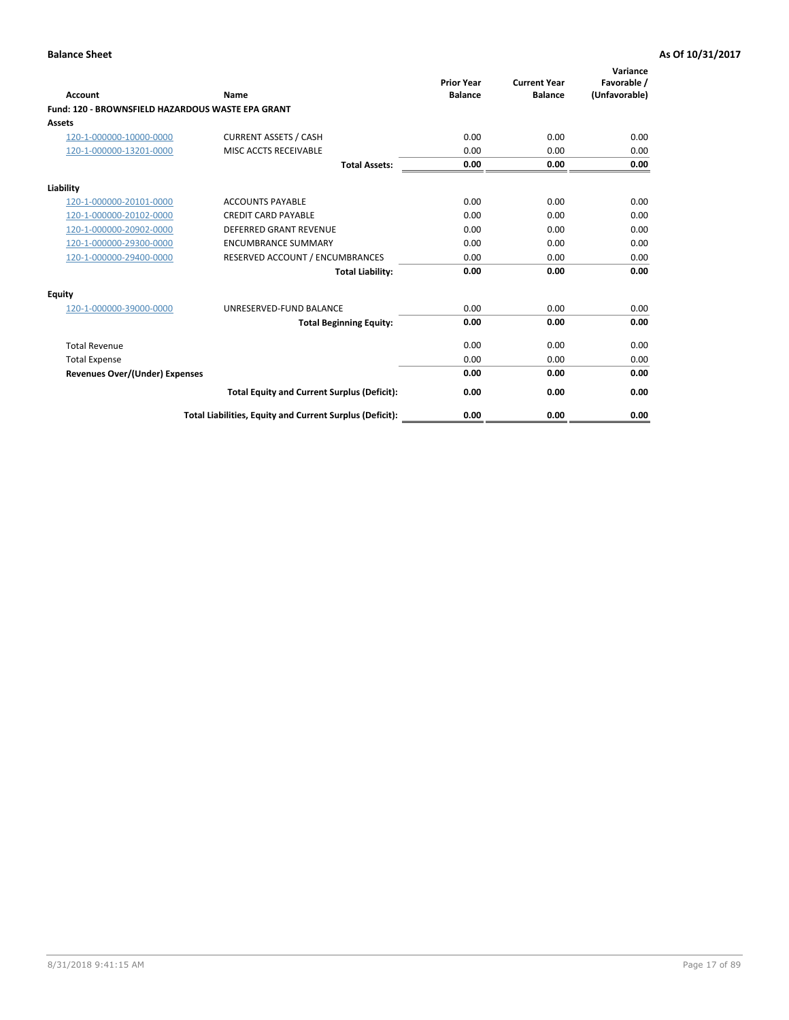| <b>Account</b>                                           | Name                                                     | <b>Prior Year</b><br><b>Balance</b> | <b>Current Year</b><br><b>Balance</b> | Variance<br>Favorable /<br>(Unfavorable) |
|----------------------------------------------------------|----------------------------------------------------------|-------------------------------------|---------------------------------------|------------------------------------------|
| <b>Fund: 120 - BROWNSFIELD HAZARDOUS WASTE EPA GRANT</b> |                                                          |                                     |                                       |                                          |
| <b>Assets</b>                                            |                                                          |                                     |                                       |                                          |
| 120-1-000000-10000-0000                                  | <b>CURRENT ASSETS / CASH</b>                             | 0.00                                | 0.00                                  | 0.00                                     |
| 120-1-000000-13201-0000                                  | MISC ACCTS RECEIVABLE                                    | 0.00                                | 0.00                                  | 0.00                                     |
|                                                          | <b>Total Assets:</b>                                     | 0.00                                | 0.00                                  | 0.00                                     |
| Liability                                                |                                                          |                                     |                                       |                                          |
| 120-1-000000-20101-0000                                  | <b>ACCOUNTS PAYABLE</b>                                  | 0.00                                | 0.00                                  | 0.00                                     |
| 120-1-000000-20102-0000                                  | <b>CREDIT CARD PAYABLE</b>                               | 0.00                                | 0.00                                  | 0.00                                     |
| 120-1-000000-20902-0000                                  | DEFERRED GRANT REVENUE                                   | 0.00                                | 0.00                                  | 0.00                                     |
| 120-1-000000-29300-0000                                  | <b>ENCUMBRANCE SUMMARY</b>                               | 0.00                                | 0.00                                  | 0.00                                     |
| 120-1-000000-29400-0000                                  | RESERVED ACCOUNT / ENCUMBRANCES                          | 0.00                                | 0.00                                  | 0.00                                     |
|                                                          | <b>Total Liability:</b>                                  | 0.00                                | 0.00                                  | 0.00                                     |
| <b>Equity</b>                                            |                                                          |                                     |                                       |                                          |
| 120-1-000000-39000-0000                                  | UNRESERVED-FUND BALANCE                                  | 0.00                                | 0.00                                  | 0.00                                     |
|                                                          | <b>Total Beginning Equity:</b>                           | 0.00                                | 0.00                                  | 0.00                                     |
| <b>Total Revenue</b>                                     |                                                          | 0.00                                | 0.00                                  | 0.00                                     |
| <b>Total Expense</b>                                     |                                                          | 0.00                                | 0.00                                  | 0.00                                     |
| <b>Revenues Over/(Under) Expenses</b>                    |                                                          | 0.00                                | 0.00                                  | 0.00                                     |
|                                                          | <b>Total Equity and Current Surplus (Deficit):</b>       | 0.00                                | 0.00                                  | 0.00                                     |
|                                                          | Total Liabilities, Equity and Current Surplus (Deficit): | 0.00                                | 0.00                                  | 0.00                                     |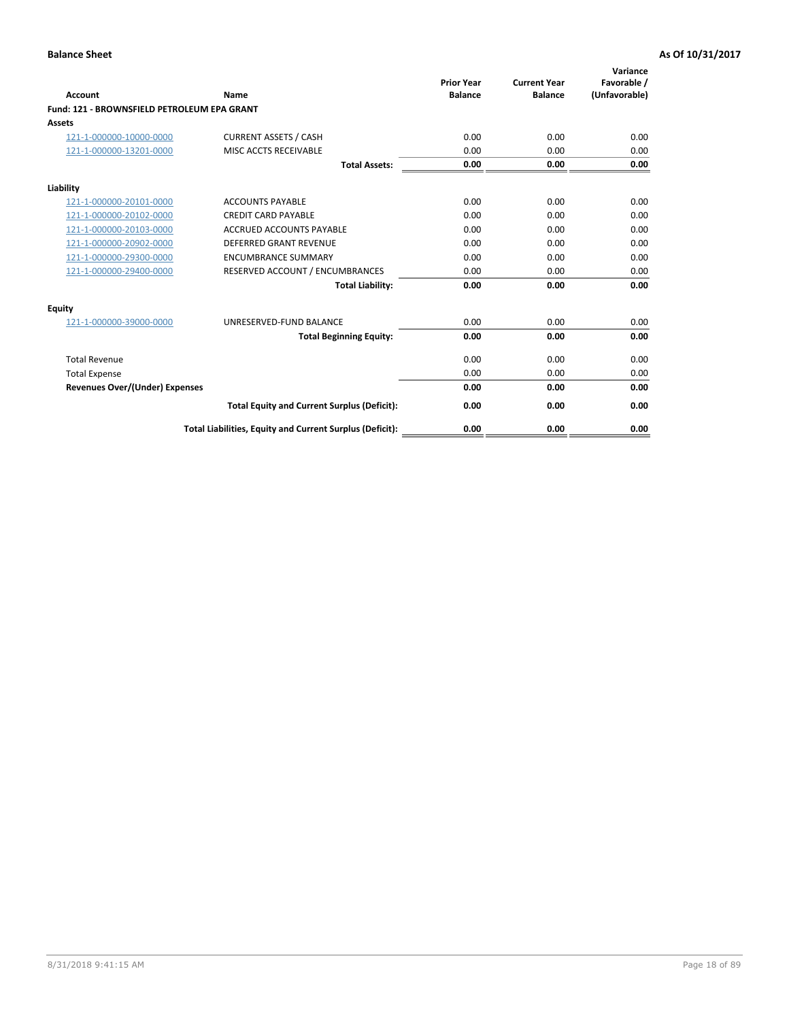| Account                                     | Name                                                     | <b>Prior Year</b><br><b>Balance</b> | <b>Current Year</b><br><b>Balance</b> | Variance<br>Favorable /<br>(Unfavorable) |
|---------------------------------------------|----------------------------------------------------------|-------------------------------------|---------------------------------------|------------------------------------------|
| Fund: 121 - BROWNSFIELD PETROLEUM EPA GRANT |                                                          |                                     |                                       |                                          |
| <b>Assets</b>                               |                                                          |                                     |                                       |                                          |
| 121-1-000000-10000-0000                     | <b>CURRENT ASSETS / CASH</b>                             | 0.00                                | 0.00                                  | 0.00                                     |
| 121-1-000000-13201-0000                     | MISC ACCTS RECEIVABLE                                    | 0.00                                | 0.00                                  | 0.00                                     |
|                                             | <b>Total Assets:</b>                                     | 0.00                                | 0.00                                  | 0.00                                     |
| Liability                                   |                                                          |                                     |                                       |                                          |
| 121-1-000000-20101-0000                     | <b>ACCOUNTS PAYABLE</b>                                  | 0.00                                | 0.00                                  | 0.00                                     |
| 121-1-000000-20102-0000                     | <b>CREDIT CARD PAYABLE</b>                               | 0.00                                | 0.00                                  | 0.00                                     |
| 121-1-000000-20103-0000                     | <b>ACCRUED ACCOUNTS PAYABLE</b>                          | 0.00                                | 0.00                                  | 0.00                                     |
| 121-1-000000-20902-0000                     | <b>DEFERRED GRANT REVENUE</b>                            | 0.00                                | 0.00                                  | 0.00                                     |
| 121-1-000000-29300-0000                     | <b>ENCUMBRANCE SUMMARY</b>                               | 0.00                                | 0.00                                  | 0.00                                     |
| 121-1-000000-29400-0000                     | RESERVED ACCOUNT / ENCUMBRANCES                          | 0.00                                | 0.00                                  | 0.00                                     |
|                                             | <b>Total Liability:</b>                                  | 0.00                                | 0.00                                  | 0.00                                     |
| <b>Equity</b>                               |                                                          |                                     |                                       |                                          |
| 121-1-000000-39000-0000                     | UNRESERVED-FUND BALANCE                                  | 0.00                                | 0.00                                  | 0.00                                     |
|                                             | <b>Total Beginning Equity:</b>                           | 0.00                                | 0.00                                  | 0.00                                     |
| <b>Total Revenue</b>                        |                                                          | 0.00                                | 0.00                                  | 0.00                                     |
| <b>Total Expense</b>                        |                                                          | 0.00                                | 0.00                                  | 0.00                                     |
| <b>Revenues Over/(Under) Expenses</b>       |                                                          | 0.00                                | 0.00                                  | 0.00                                     |
|                                             | <b>Total Equity and Current Surplus (Deficit):</b>       | 0.00                                | 0.00                                  | 0.00                                     |
|                                             | Total Liabilities, Equity and Current Surplus (Deficit): | 0.00                                | 0.00                                  | 0.00                                     |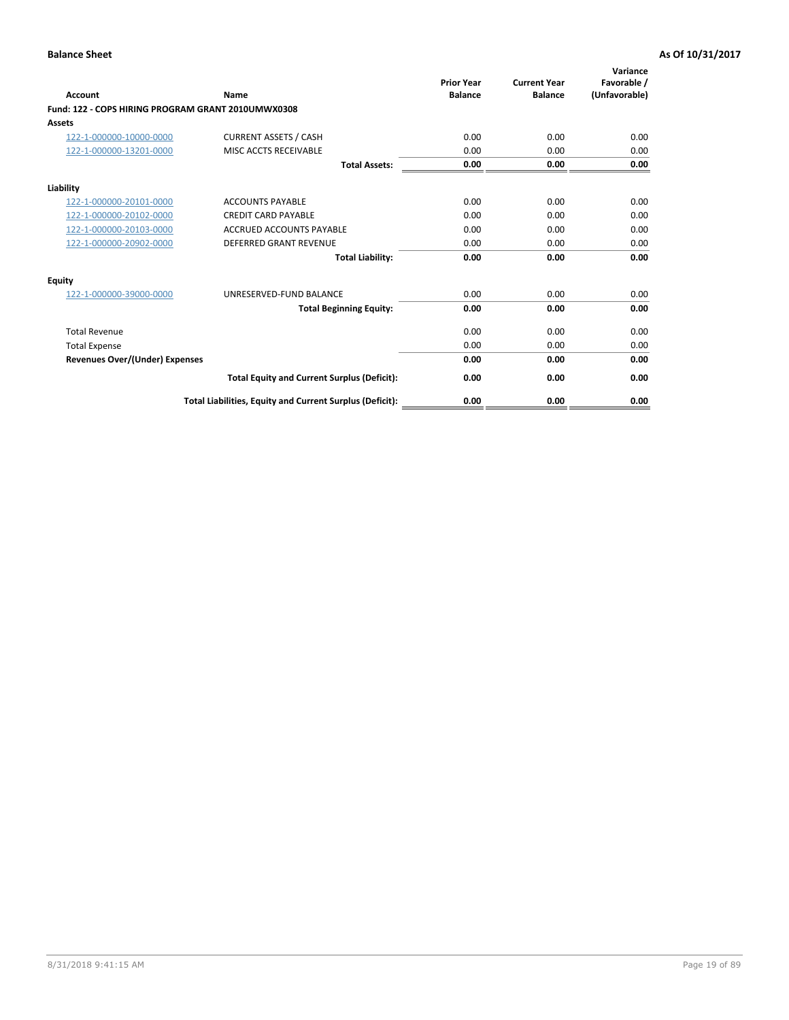| <b>Account</b>                                     | Name                                                     | <b>Prior Year</b><br><b>Balance</b> | <b>Current Year</b><br><b>Balance</b> | Variance<br>Favorable /<br>(Unfavorable) |
|----------------------------------------------------|----------------------------------------------------------|-------------------------------------|---------------------------------------|------------------------------------------|
| Fund: 122 - COPS HIRING PROGRAM GRANT 2010UMWX0308 |                                                          |                                     |                                       |                                          |
| Assets                                             |                                                          |                                     |                                       |                                          |
| 122-1-000000-10000-0000                            | <b>CURRENT ASSETS / CASH</b>                             | 0.00                                | 0.00                                  | 0.00                                     |
| 122-1-000000-13201-0000                            | MISC ACCTS RECEIVABLE                                    | 0.00                                | 0.00                                  | 0.00                                     |
|                                                    | <b>Total Assets:</b>                                     | 0.00                                | 0.00                                  | 0.00                                     |
| Liability                                          |                                                          |                                     |                                       |                                          |
| 122-1-000000-20101-0000                            | <b>ACCOUNTS PAYABLE</b>                                  | 0.00                                | 0.00                                  | 0.00                                     |
| 122-1-000000-20102-0000                            | <b>CREDIT CARD PAYABLE</b>                               | 0.00                                | 0.00                                  | 0.00                                     |
| 122-1-000000-20103-0000                            | <b>ACCRUED ACCOUNTS PAYABLE</b>                          | 0.00                                | 0.00                                  | 0.00                                     |
| 122-1-000000-20902-0000                            | <b>DEFERRED GRANT REVENUE</b>                            | 0.00                                | 0.00                                  | 0.00                                     |
|                                                    | <b>Total Liability:</b>                                  | 0.00                                | 0.00                                  | 0.00                                     |
| Equity                                             |                                                          |                                     |                                       |                                          |
| 122-1-000000-39000-0000                            | UNRESERVED-FUND BALANCE                                  | 0.00                                | 0.00                                  | 0.00                                     |
|                                                    | <b>Total Beginning Equity:</b>                           | 0.00                                | 0.00                                  | 0.00                                     |
| <b>Total Revenue</b>                               |                                                          | 0.00                                | 0.00                                  | 0.00                                     |
| <b>Total Expense</b>                               |                                                          | 0.00                                | 0.00                                  | 0.00                                     |
| <b>Revenues Over/(Under) Expenses</b>              |                                                          | 0.00                                | 0.00                                  | 0.00                                     |
|                                                    | <b>Total Equity and Current Surplus (Deficit):</b>       | 0.00                                | 0.00                                  | 0.00                                     |
|                                                    | Total Liabilities, Equity and Current Surplus (Deficit): | 0.00                                | 0.00                                  | 0.00                                     |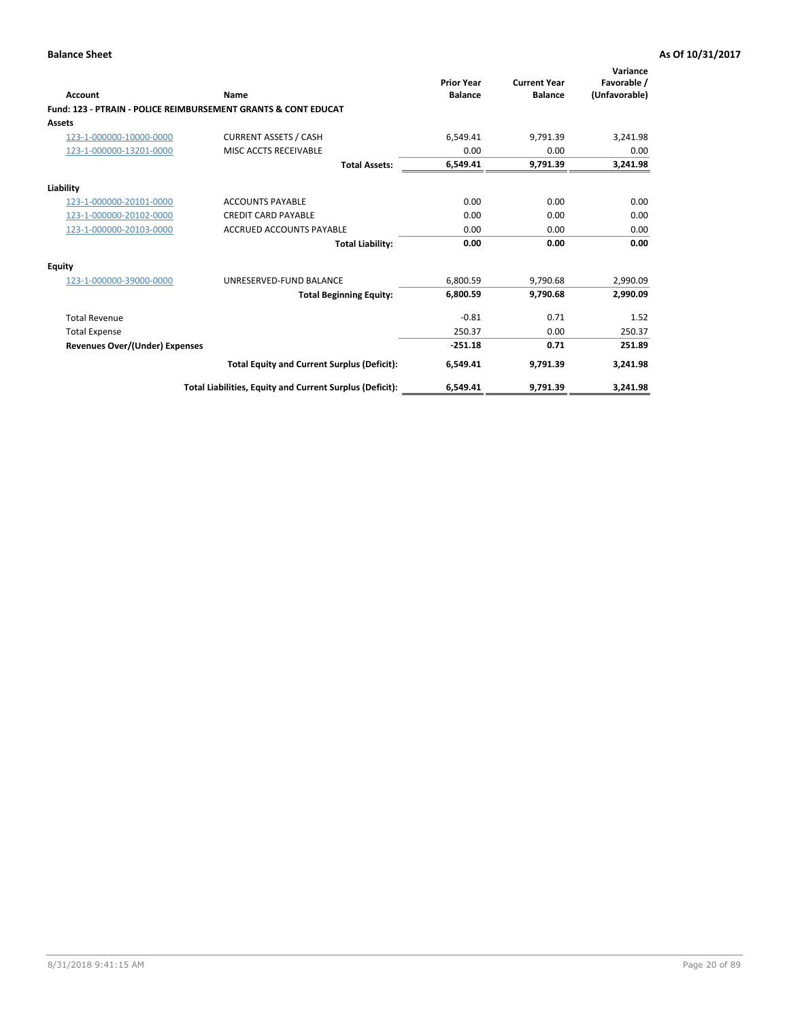| Account                        | Name                                                           | <b>Prior Year</b><br><b>Balance</b> | <b>Current Year</b><br><b>Balance</b> | Variance<br>Favorable /<br>(Unfavorable) |
|--------------------------------|----------------------------------------------------------------|-------------------------------------|---------------------------------------|------------------------------------------|
|                                | Fund: 123 - PTRAIN - POLICE REIMBURSEMENT GRANTS & CONT EDUCAT |                                     |                                       |                                          |
| Assets                         |                                                                |                                     |                                       |                                          |
| 123-1-000000-10000-0000        | <b>CURRENT ASSETS / CASH</b>                                   | 6,549.41                            | 9,791.39                              | 3,241.98                                 |
| 123-1-000000-13201-0000        | MISC ACCTS RECEIVABLE                                          | 0.00                                | 0.00                                  | 0.00                                     |
|                                | <b>Total Assets:</b>                                           | 6,549.41                            | 9,791.39                              | 3,241.98                                 |
| Liability                      |                                                                |                                     |                                       |                                          |
| 123-1-000000-20101-0000        | <b>ACCOUNTS PAYABLE</b>                                        | 0.00                                | 0.00                                  | 0.00                                     |
| 123-1-000000-20102-0000        | <b>CREDIT CARD PAYABLE</b>                                     | 0.00                                | 0.00                                  | 0.00                                     |
| 123-1-000000-20103-0000        | <b>ACCRUED ACCOUNTS PAYABLE</b>                                | 0.00                                | 0.00                                  | 0.00                                     |
|                                | <b>Total Liability:</b>                                        | 0.00                                | 0.00                                  | 0.00                                     |
| Equity                         |                                                                |                                     |                                       |                                          |
| 123-1-000000-39000-0000        | UNRESERVED-FUND BALANCE                                        | 6,800.59                            | 9,790.68                              | 2,990.09                                 |
|                                | <b>Total Beginning Equity:</b>                                 | 6,800.59                            | 9,790.68                              | 2,990.09                                 |
| <b>Total Revenue</b>           |                                                                | $-0.81$                             | 0.71                                  | 1.52                                     |
| <b>Total Expense</b>           |                                                                | 250.37                              | 0.00                                  | 250.37                                   |
| Revenues Over/(Under) Expenses |                                                                | $-251.18$                           | 0.71                                  | 251.89                                   |
|                                | <b>Total Equity and Current Surplus (Deficit):</b>             | 6,549.41                            | 9,791.39                              | 3,241.98                                 |
|                                | Total Liabilities, Equity and Current Surplus (Deficit):       | 6,549.41                            | 9,791.39                              | 3,241.98                                 |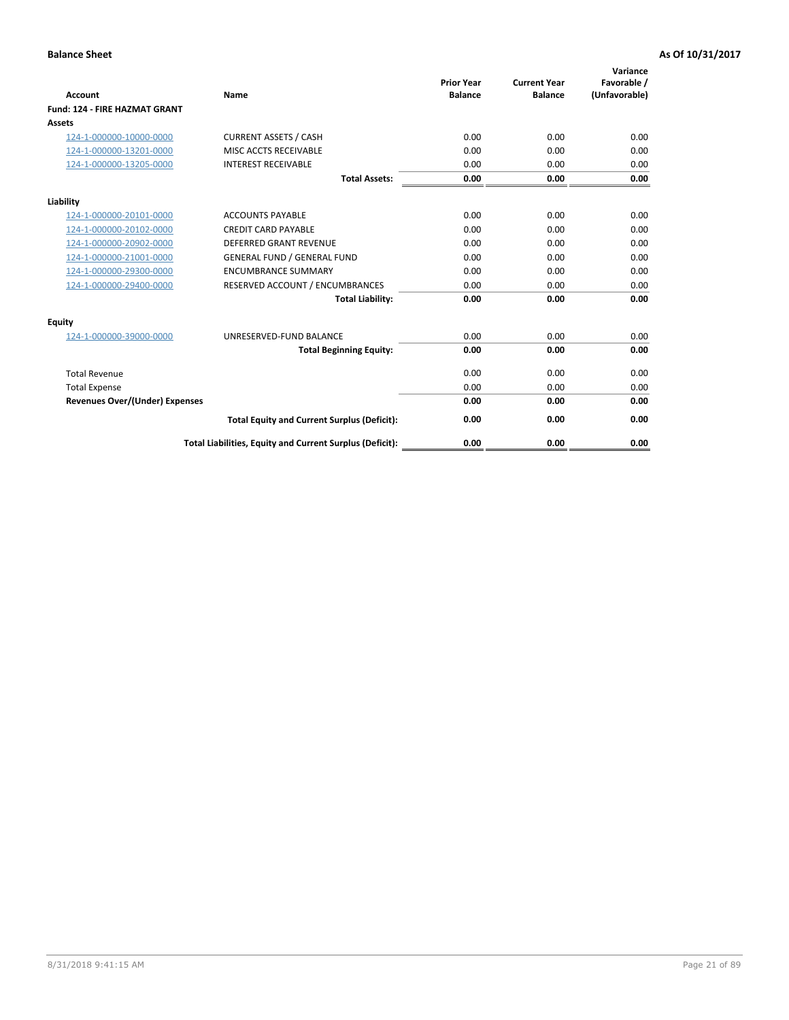|                                       |                                                          | <b>Prior Year</b> | <b>Current Year</b> | Variance<br>Favorable / |
|---------------------------------------|----------------------------------------------------------|-------------------|---------------------|-------------------------|
| <b>Account</b>                        | <b>Name</b>                                              | <b>Balance</b>    | <b>Balance</b>      | (Unfavorable)           |
| <b>Fund: 124 - FIRE HAZMAT GRANT</b>  |                                                          |                   |                     |                         |
| <b>Assets</b>                         |                                                          |                   |                     |                         |
| 124-1-000000-10000-0000               | <b>CURRENT ASSETS / CASH</b>                             | 0.00              | 0.00                | 0.00                    |
| 124-1-000000-13201-0000               | MISC ACCTS RECEIVABLE                                    | 0.00              | 0.00                | 0.00                    |
| 124-1-000000-13205-0000               | <b>INTEREST RECEIVABLE</b>                               | 0.00              | 0.00                | 0.00                    |
|                                       | <b>Total Assets:</b>                                     | 0.00              | 0.00                | 0.00                    |
| Liability                             |                                                          |                   |                     |                         |
| 124-1-000000-20101-0000               | <b>ACCOUNTS PAYABLE</b>                                  | 0.00              | 0.00                | 0.00                    |
| 124-1-000000-20102-0000               | <b>CREDIT CARD PAYABLE</b>                               | 0.00              | 0.00                | 0.00                    |
| 124-1-000000-20902-0000               | <b>DEFERRED GRANT REVENUE</b>                            | 0.00              | 0.00                | 0.00                    |
| 124-1-000000-21001-0000               | <b>GENERAL FUND / GENERAL FUND</b>                       | 0.00              | 0.00                | 0.00                    |
| 124-1-000000-29300-0000               | <b>ENCUMBRANCE SUMMARY</b>                               | 0.00              | 0.00                | 0.00                    |
| 124-1-000000-29400-0000               | RESERVED ACCOUNT / ENCUMBRANCES                          | 0.00              | 0.00                | 0.00                    |
|                                       | <b>Total Liability:</b>                                  | 0.00              | 0.00                | 0.00                    |
| <b>Equity</b>                         |                                                          |                   |                     |                         |
| 124-1-000000-39000-0000               | UNRESERVED-FUND BALANCE                                  | 0.00              | 0.00                | 0.00                    |
|                                       | <b>Total Beginning Equity:</b>                           | 0.00              | 0.00                | 0.00                    |
| <b>Total Revenue</b>                  |                                                          | 0.00              | 0.00                | 0.00                    |
| <b>Total Expense</b>                  |                                                          | 0.00              | 0.00                | 0.00                    |
| <b>Revenues Over/(Under) Expenses</b> |                                                          | 0.00              | 0.00                | 0.00                    |
|                                       | <b>Total Equity and Current Surplus (Deficit):</b>       | 0.00              | 0.00                | 0.00                    |
|                                       | Total Liabilities, Equity and Current Surplus (Deficit): | 0.00              | 0.00                | 0.00                    |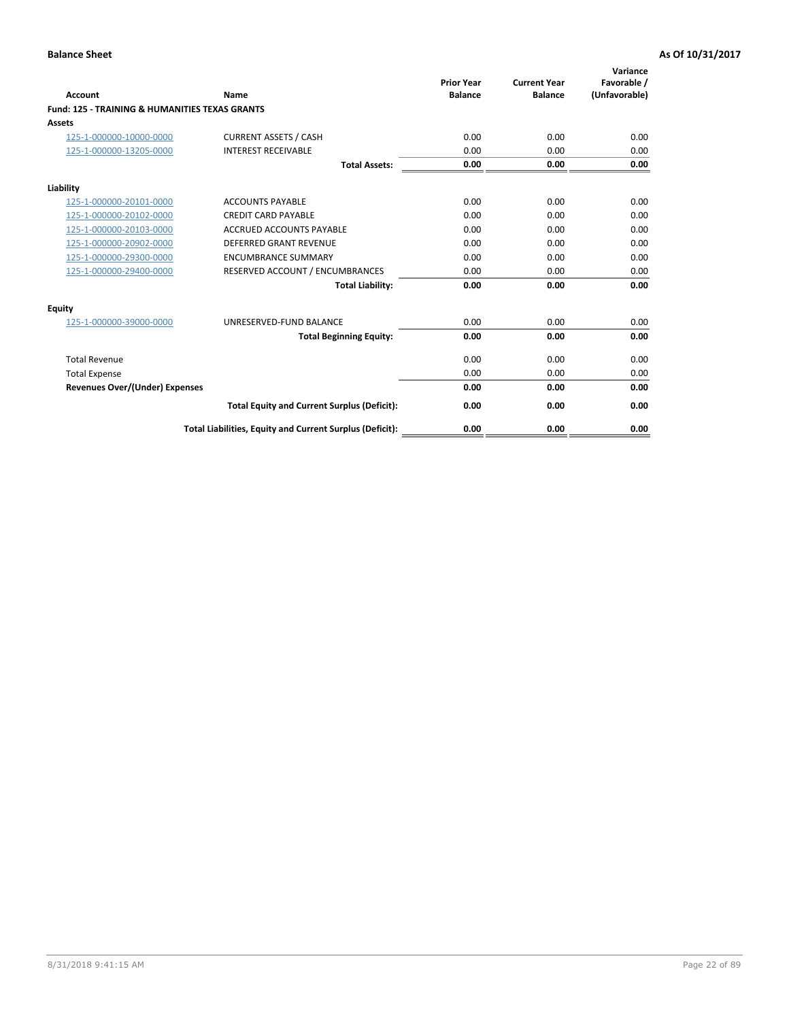| Account                                                   | Name                                                     | <b>Prior Year</b><br><b>Balance</b> | <b>Current Year</b><br><b>Balance</b> | Variance<br>Favorable /<br>(Unfavorable) |
|-----------------------------------------------------------|----------------------------------------------------------|-------------------------------------|---------------------------------------|------------------------------------------|
| <b>Fund: 125 - TRAINING &amp; HUMANITIES TEXAS GRANTS</b> |                                                          |                                     |                                       |                                          |
| <b>Assets</b>                                             |                                                          |                                     |                                       |                                          |
| 125-1-000000-10000-0000                                   | <b>CURRENT ASSETS / CASH</b>                             | 0.00                                | 0.00                                  | 0.00                                     |
| 125-1-000000-13205-0000                                   | <b>INTEREST RECEIVABLE</b>                               | 0.00                                | 0.00                                  | 0.00                                     |
|                                                           | <b>Total Assets:</b>                                     | 0.00                                | 0.00                                  | 0.00                                     |
| Liability                                                 |                                                          |                                     |                                       |                                          |
| 125-1-000000-20101-0000                                   | <b>ACCOUNTS PAYABLE</b>                                  | 0.00                                | 0.00                                  | 0.00                                     |
| 125-1-000000-20102-0000                                   | <b>CREDIT CARD PAYABLE</b>                               | 0.00                                | 0.00                                  | 0.00                                     |
| 125-1-000000-20103-0000                                   | <b>ACCRUED ACCOUNTS PAYABLE</b>                          | 0.00                                | 0.00                                  | 0.00                                     |
| 125-1-000000-20902-0000                                   | DEFERRED GRANT REVENUE                                   | 0.00                                | 0.00                                  | 0.00                                     |
| 125-1-000000-29300-0000                                   | <b>ENCUMBRANCE SUMMARY</b>                               | 0.00                                | 0.00                                  | 0.00                                     |
| 125-1-000000-29400-0000                                   | RESERVED ACCOUNT / ENCUMBRANCES                          | 0.00                                | 0.00                                  | 0.00                                     |
|                                                           | <b>Total Liability:</b>                                  | 0.00                                | 0.00                                  | 0.00                                     |
| <b>Equity</b>                                             |                                                          |                                     |                                       |                                          |
| 125-1-000000-39000-0000                                   | UNRESERVED-FUND BALANCE                                  | 0.00                                | 0.00                                  | 0.00                                     |
|                                                           | <b>Total Beginning Equity:</b>                           | 0.00                                | 0.00                                  | 0.00                                     |
| <b>Total Revenue</b>                                      |                                                          | 0.00                                | 0.00                                  | 0.00                                     |
| <b>Total Expense</b>                                      |                                                          | 0.00                                | 0.00                                  | 0.00                                     |
| <b>Revenues Over/(Under) Expenses</b>                     |                                                          | 0.00                                | 0.00                                  | 0.00                                     |
|                                                           | <b>Total Equity and Current Surplus (Deficit):</b>       | 0.00                                | 0.00                                  | 0.00                                     |
|                                                           | Total Liabilities, Equity and Current Surplus (Deficit): | 0.00                                | 0.00                                  | 0.00                                     |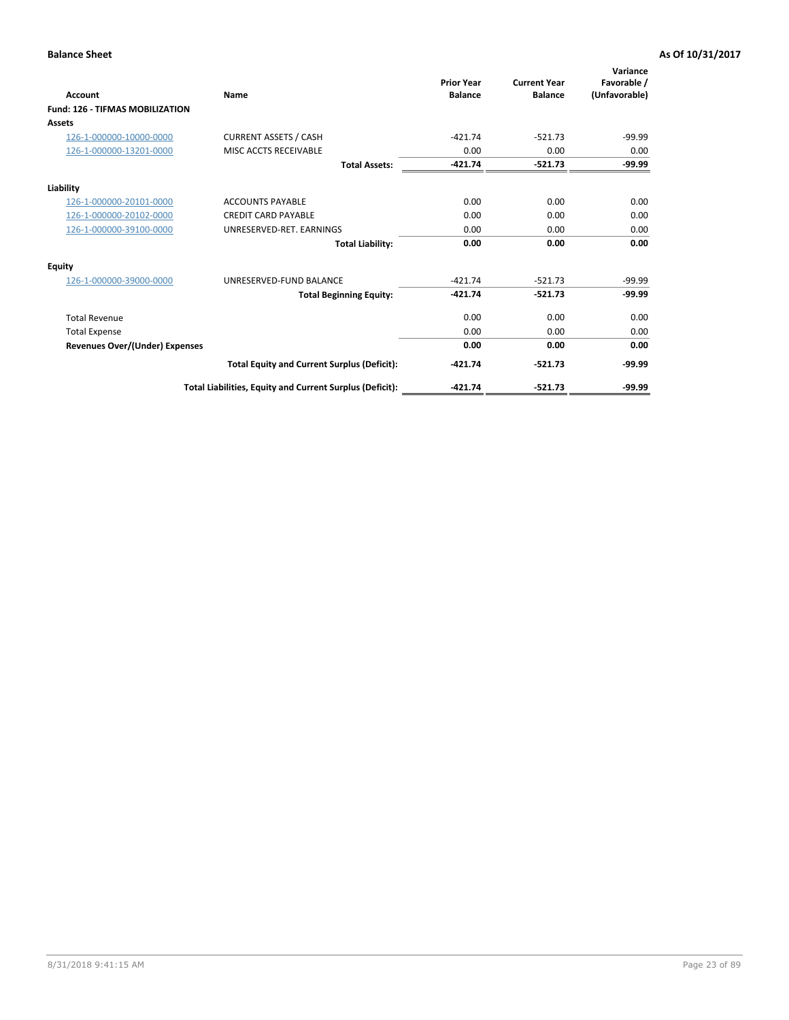| Account                                | Name                                                     | <b>Prior Year</b><br><b>Balance</b> | <b>Current Year</b><br><b>Balance</b> | Variance<br>Favorable /<br>(Unfavorable) |
|----------------------------------------|----------------------------------------------------------|-------------------------------------|---------------------------------------|------------------------------------------|
| <b>Fund: 126 - TIFMAS MOBILIZATION</b> |                                                          |                                     |                                       |                                          |
| Assets                                 |                                                          |                                     |                                       |                                          |
| 126-1-000000-10000-0000                | <b>CURRENT ASSETS / CASH</b>                             | $-421.74$                           | $-521.73$                             | $-99.99$                                 |
| 126-1-000000-13201-0000                | MISC ACCTS RECEIVABLE                                    | 0.00                                | 0.00                                  | 0.00                                     |
|                                        | <b>Total Assets:</b>                                     | $-421.74$                           | $-521.73$                             | $-99.99$                                 |
| Liability                              |                                                          |                                     |                                       |                                          |
| 126-1-000000-20101-0000                | <b>ACCOUNTS PAYABLE</b>                                  | 0.00                                | 0.00                                  | 0.00                                     |
| 126-1-000000-20102-0000                | <b>CREDIT CARD PAYABLE</b>                               | 0.00                                | 0.00                                  | 0.00                                     |
| 126-1-000000-39100-0000                | UNRESERVED-RET. EARNINGS                                 | 0.00                                | 0.00                                  | 0.00                                     |
|                                        | <b>Total Liability:</b>                                  | 0.00                                | 0.00                                  | 0.00                                     |
| Equity                                 |                                                          |                                     |                                       |                                          |
| 126-1-000000-39000-0000                | UNRESERVED-FUND BALANCE                                  | $-421.74$                           | $-521.73$                             | $-99.99$                                 |
|                                        | <b>Total Beginning Equity:</b>                           | $-421.74$                           | $-521.73$                             | $-99.99$                                 |
| <b>Total Revenue</b>                   |                                                          | 0.00                                | 0.00                                  | 0.00                                     |
| <b>Total Expense</b>                   |                                                          | 0.00                                | 0.00                                  | 0.00                                     |
| <b>Revenues Over/(Under) Expenses</b>  |                                                          | 0.00                                | 0.00                                  | 0.00                                     |
|                                        | <b>Total Equity and Current Surplus (Deficit):</b>       | $-421.74$                           | $-521.73$                             | $-99.99$                                 |
|                                        | Total Liabilities, Equity and Current Surplus (Deficit): | $-421.74$                           | $-521.73$                             | $-99.99$                                 |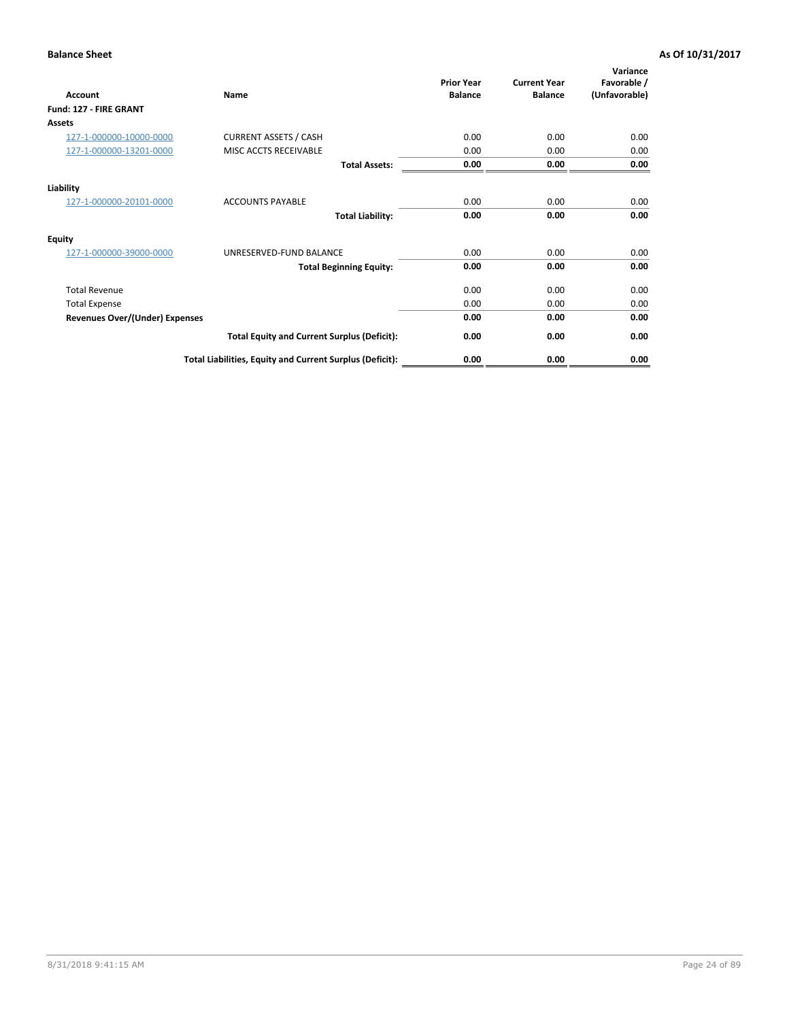| <b>Account</b>                        | Name                                                     | <b>Prior Year</b><br><b>Balance</b> | <b>Current Year</b><br><b>Balance</b> | Variance<br>Favorable /<br>(Unfavorable) |
|---------------------------------------|----------------------------------------------------------|-------------------------------------|---------------------------------------|------------------------------------------|
| Fund: 127 - FIRE GRANT                |                                                          |                                     |                                       |                                          |
| <b>Assets</b>                         |                                                          |                                     |                                       |                                          |
| 127-1-000000-10000-0000               | <b>CURRENT ASSETS / CASH</b>                             | 0.00                                | 0.00                                  | 0.00                                     |
| 127-1-000000-13201-0000               | MISC ACCTS RECEIVABLE                                    | 0.00                                | 0.00                                  | 0.00                                     |
|                                       | <b>Total Assets:</b>                                     | 0.00                                | 0.00                                  | 0.00                                     |
| Liability                             |                                                          |                                     |                                       |                                          |
| 127-1-000000-20101-0000               | <b>ACCOUNTS PAYABLE</b>                                  | 0.00                                | 0.00                                  | 0.00                                     |
|                                       | <b>Total Liability:</b>                                  | 0.00                                | 0.00                                  | 0.00                                     |
| <b>Equity</b>                         |                                                          |                                     |                                       |                                          |
| 127-1-000000-39000-0000               | UNRESERVED-FUND BALANCE                                  | 0.00                                | 0.00                                  | 0.00                                     |
|                                       | <b>Total Beginning Equity:</b>                           | 0.00                                | 0.00                                  | 0.00                                     |
| <b>Total Revenue</b>                  |                                                          | 0.00                                | 0.00                                  | 0.00                                     |
| <b>Total Expense</b>                  |                                                          | 0.00                                | 0.00                                  | 0.00                                     |
| <b>Revenues Over/(Under) Expenses</b> |                                                          | 0.00                                | 0.00                                  | 0.00                                     |
|                                       | <b>Total Equity and Current Surplus (Deficit):</b>       | 0.00                                | 0.00                                  | 0.00                                     |
|                                       | Total Liabilities, Equity and Current Surplus (Deficit): | 0.00                                | 0.00                                  | 0.00                                     |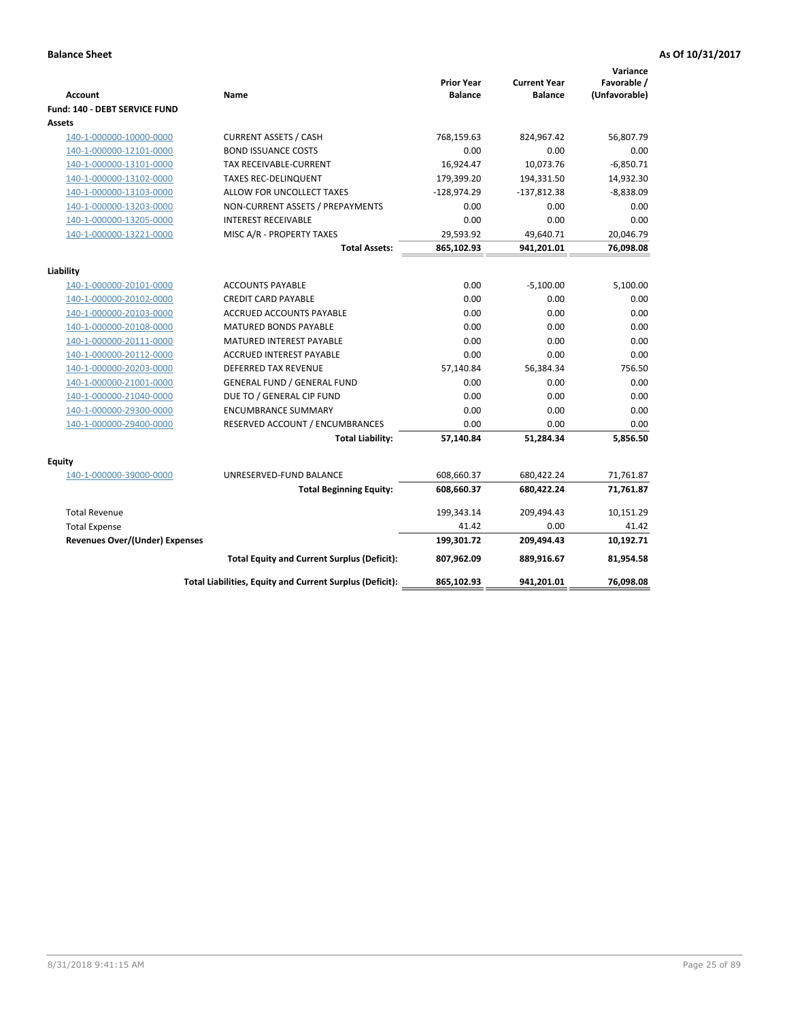| <b>Account</b>                        | Name                                                     | <b>Prior Year</b><br><b>Balance</b> | <b>Current Year</b><br><b>Balance</b> | Variance<br>Favorable /<br>(Unfavorable) |
|---------------------------------------|----------------------------------------------------------|-------------------------------------|---------------------------------------|------------------------------------------|
| Fund: 140 - DEBT SERVICE FUND         |                                                          |                                     |                                       |                                          |
| Assets                                |                                                          |                                     |                                       |                                          |
| 140-1-000000-10000-0000               | <b>CURRENT ASSETS / CASH</b>                             | 768,159.63                          | 824,967.42                            | 56,807.79                                |
| 140-1-000000-12101-0000               | <b>BOND ISSUANCE COSTS</b>                               | 0.00                                | 0.00                                  | 0.00                                     |
| 140-1-000000-13101-0000               | TAX RECEIVABLE-CURRENT                                   | 16,924.47                           | 10,073.76                             | $-6,850.71$                              |
| 140-1-000000-13102-0000               | <b>TAXES REC-DELINQUENT</b>                              | 179,399.20                          | 194,331.50                            | 14,932.30                                |
| 140-1-000000-13103-0000               | ALLOW FOR UNCOLLECT TAXES                                | $-128,974.29$                       | $-137,812.38$                         | $-8,838.09$                              |
| 140-1-000000-13203-0000               | NON-CURRENT ASSETS / PREPAYMENTS                         | 0.00                                | 0.00                                  | 0.00                                     |
| 140-1-000000-13205-0000               | <b>INTEREST RECEIVABLE</b>                               | 0.00                                | 0.00                                  | 0.00                                     |
| 140-1-000000-13221-0000               | MISC A/R - PROPERTY TAXES                                | 29,593.92                           | 49,640.71                             | 20,046.79                                |
|                                       | <b>Total Assets:</b>                                     | 865,102.93                          | 941,201.01                            | 76,098.08                                |
| Liability                             |                                                          |                                     |                                       |                                          |
| 140-1-000000-20101-0000               | <b>ACCOUNTS PAYABLE</b>                                  | 0.00                                | $-5,100.00$                           | 5,100.00                                 |
| 140-1-000000-20102-0000               | <b>CREDIT CARD PAYABLE</b>                               | 0.00                                | 0.00                                  | 0.00                                     |
| 140-1-000000-20103-0000               | ACCRUED ACCOUNTS PAYABLE                                 | 0.00                                | 0.00                                  | 0.00                                     |
| 140-1-000000-20108-0000               | <b>MATURED BONDS PAYABLE</b>                             | 0.00                                | 0.00                                  | 0.00                                     |
| 140-1-000000-20111-0000               | MATURED INTEREST PAYABLE                                 | 0.00                                | 0.00                                  | 0.00                                     |
| 140-1-000000-20112-0000               | <b>ACCRUED INTEREST PAYABLE</b>                          | 0.00                                | 0.00                                  | 0.00                                     |
| 140-1-000000-20203-0000               | <b>DEFERRED TAX REVENUE</b>                              | 57,140.84                           | 56,384.34                             | 756.50                                   |
| 140-1-000000-21001-0000               | <b>GENERAL FUND / GENERAL FUND</b>                       | 0.00                                | 0.00                                  | 0.00                                     |
| 140-1-000000-21040-0000               | DUE TO / GENERAL CIP FUND                                | 0.00                                | 0.00                                  | 0.00                                     |
| 140-1-000000-29300-0000               | <b>ENCUMBRANCE SUMMARY</b>                               | 0.00                                | 0.00                                  | 0.00                                     |
| 140-1-000000-29400-0000               | RESERVED ACCOUNT / ENCUMBRANCES                          | 0.00                                | 0.00                                  | 0.00                                     |
|                                       | <b>Total Liability:</b>                                  | 57,140.84                           | 51,284.34                             | 5,856.50                                 |
| Equity                                |                                                          |                                     |                                       |                                          |
| 140-1-000000-39000-0000               | UNRESERVED-FUND BALANCE                                  | 608,660.37                          | 680,422.24                            | 71,761.87                                |
|                                       | <b>Total Beginning Equity:</b>                           | 608,660.37                          | 680,422.24                            | 71,761.87                                |
|                                       |                                                          |                                     |                                       |                                          |
| <b>Total Revenue</b>                  |                                                          | 199,343.14                          | 209,494.43                            | 10,151.29                                |
| <b>Total Expense</b>                  |                                                          | 41.42                               | 0.00                                  | 41.42                                    |
| <b>Revenues Over/(Under) Expenses</b> |                                                          | 199,301.72                          | 209,494.43                            | 10,192.71                                |
|                                       | <b>Total Equity and Current Surplus (Deficit):</b>       | 807.962.09                          | 889.916.67                            | 81.954.58                                |
|                                       | Total Liabilities, Equity and Current Surplus (Deficit): | 865,102.93                          | 941,201.01                            | 76,098.08                                |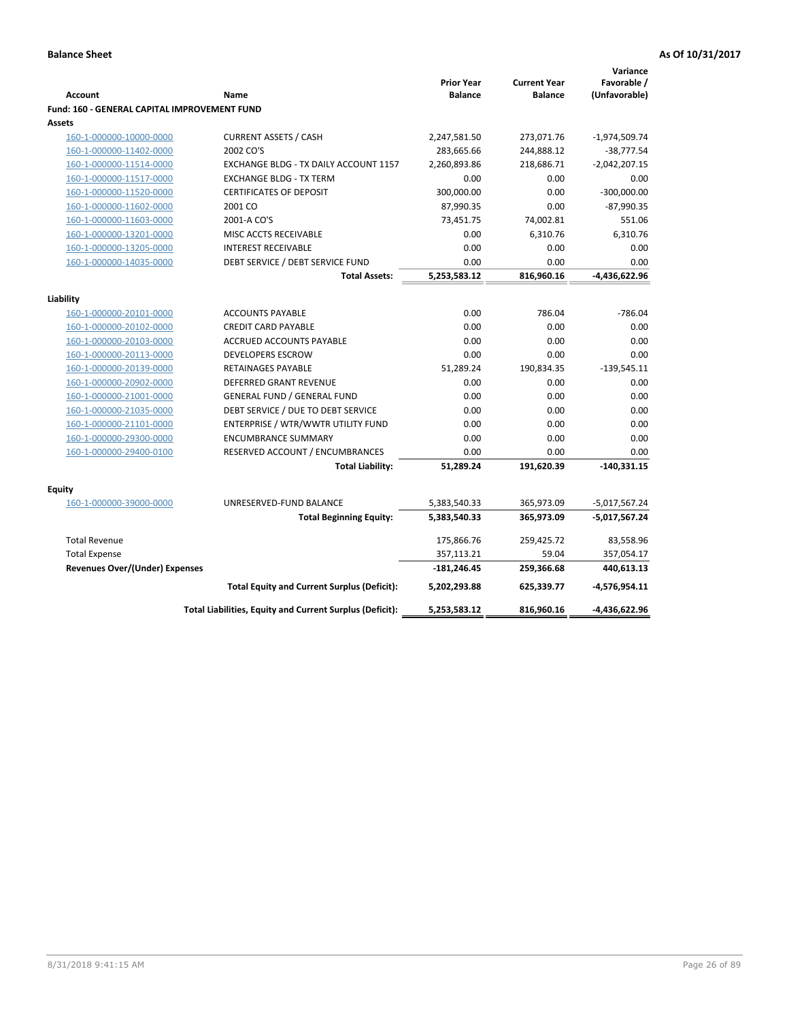|                                              |                                                          |                   |                     | Variance        |
|----------------------------------------------|----------------------------------------------------------|-------------------|---------------------|-----------------|
|                                              |                                                          | <b>Prior Year</b> | <b>Current Year</b> | Favorable /     |
| <b>Account</b>                               | Name                                                     | <b>Balance</b>    | <b>Balance</b>      | (Unfavorable)   |
| Fund: 160 - GENERAL CAPITAL IMPROVEMENT FUND |                                                          |                   |                     |                 |
| Assets                                       |                                                          |                   |                     |                 |
| 160-1-000000-10000-0000                      | <b>CURRENT ASSETS / CASH</b>                             | 2,247,581.50      | 273,071.76          | $-1,974,509.74$ |
| 160-1-000000-11402-0000                      | 2002 CO'S                                                | 283,665.66        | 244,888.12          | $-38,777.54$    |
| 160-1-000000-11514-0000                      | EXCHANGE BLDG - TX DAILY ACCOUNT 1157                    | 2,260,893.86      | 218,686.71          | $-2,042,207.15$ |
| 160-1-000000-11517-0000                      | <b>EXCHANGE BLDG - TX TERM</b>                           | 0.00              | 0.00                | 0.00            |
| 160-1-000000-11520-0000                      | <b>CERTIFICATES OF DEPOSIT</b>                           | 300,000.00        | 0.00                | $-300,000.00$   |
| 160-1-000000-11602-0000                      | 2001 CO                                                  | 87,990.35         | 0.00                | $-87,990.35$    |
| 160-1-000000-11603-0000                      | 2001-A CO'S                                              | 73,451.75         | 74,002.81           | 551.06          |
| 160-1-000000-13201-0000                      | MISC ACCTS RECEIVABLE                                    | 0.00              | 6,310.76            | 6,310.76        |
| 160-1-000000-13205-0000                      | <b>INTEREST RECEIVABLE</b>                               | 0.00              | 0.00                | 0.00            |
| 160-1-000000-14035-0000                      | DEBT SERVICE / DEBT SERVICE FUND                         | 0.00              | 0.00                | 0.00            |
|                                              | <b>Total Assets:</b>                                     | 5,253,583.12      | 816,960.16          | -4,436,622.96   |
| Liability                                    |                                                          |                   |                     |                 |
| 160-1-000000-20101-0000                      | <b>ACCOUNTS PAYABLE</b>                                  | 0.00              | 786.04              | $-786.04$       |
| 160-1-000000-20102-0000                      | <b>CREDIT CARD PAYABLE</b>                               | 0.00              | 0.00                | 0.00            |
| 160-1-000000-20103-0000                      | <b>ACCRUED ACCOUNTS PAYABLE</b>                          | 0.00              | 0.00                | 0.00            |
| 160-1-000000-20113-0000                      | <b>DEVELOPERS ESCROW</b>                                 | 0.00              | 0.00                | 0.00            |
| 160-1-000000-20139-0000                      | <b>RETAINAGES PAYABLE</b>                                | 51,289.24         | 190,834.35          | $-139,545.11$   |
| 160-1-000000-20902-0000                      | <b>DEFERRED GRANT REVENUE</b>                            | 0.00              | 0.00                | 0.00            |
| 160-1-000000-21001-0000                      | <b>GENERAL FUND / GENERAL FUND</b>                       | 0.00              | 0.00                | 0.00            |
| 160-1-000000-21035-0000                      | DEBT SERVICE / DUE TO DEBT SERVICE                       | 0.00              | 0.00                | 0.00            |
| 160-1-000000-21101-0000                      | ENTERPRISE / WTR/WWTR UTILITY FUND                       | 0.00              | 0.00                | 0.00            |
| 160-1-000000-29300-0000                      | <b>ENCUMBRANCE SUMMARY</b>                               | 0.00              | 0.00                | 0.00            |
| 160-1-000000-29400-0100                      | RESERVED ACCOUNT / ENCUMBRANCES                          | 0.00              | 0.00                | 0.00            |
|                                              | <b>Total Liability:</b>                                  | 51,289.24         | 191,620.39          | $-140,331.15$   |
|                                              |                                                          |                   |                     |                 |
| <b>Equity</b>                                |                                                          |                   |                     |                 |
| 160-1-000000-39000-0000                      | UNRESERVED-FUND BALANCE                                  | 5,383,540.33      | 365,973.09          | $-5,017,567.24$ |
|                                              | <b>Total Beginning Equity:</b>                           | 5,383,540.33      | 365,973.09          | -5,017,567.24   |
| <b>Total Revenue</b>                         |                                                          | 175,866.76        | 259,425.72          | 83,558.96       |
| <b>Total Expense</b>                         |                                                          | 357,113.21        | 59.04               | 357,054.17      |
| <b>Revenues Over/(Under) Expenses</b>        |                                                          | $-181,246.45$     | 259,366.68          | 440,613.13      |
|                                              | <b>Total Equity and Current Surplus (Deficit):</b>       | 5,202,293.88      | 625,339.77          | $-4,576,954.11$ |
|                                              | Total Liabilities, Equity and Current Surplus (Deficit): | 5,253,583.12      | 816,960.16          | -4,436,622.96   |
|                                              |                                                          |                   |                     |                 |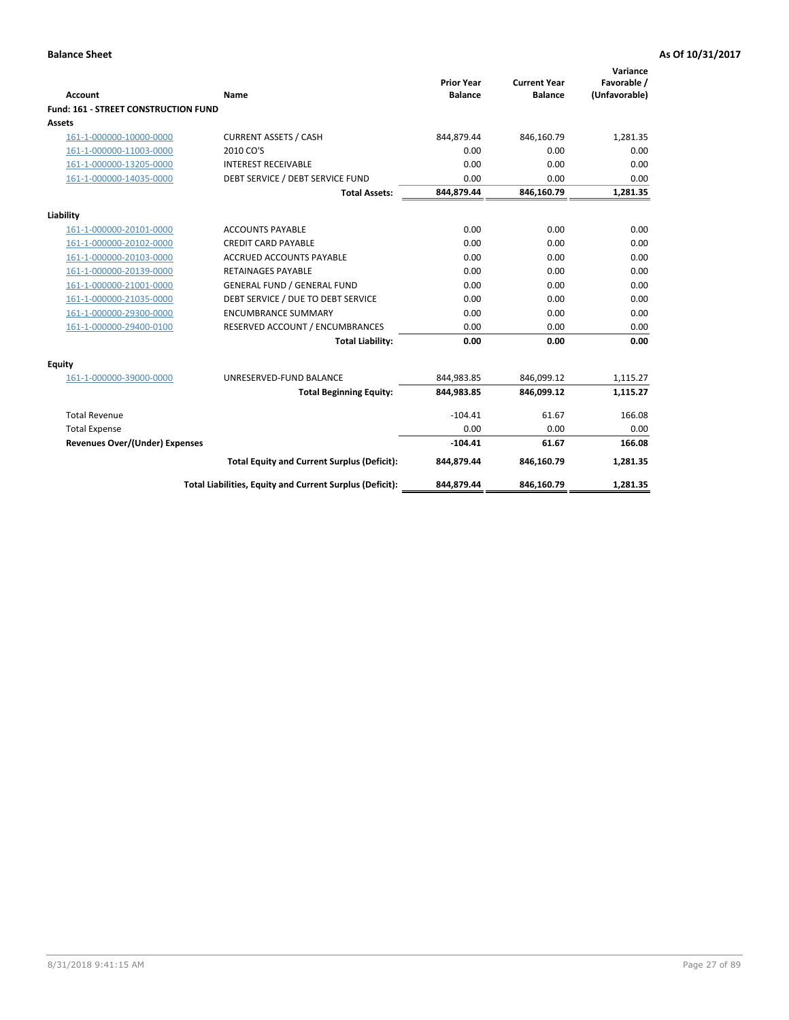| <b>Account</b>                              | Name                                                     | <b>Prior Year</b><br><b>Balance</b> | <b>Current Year</b><br><b>Balance</b> | Variance<br>Favorable /<br>(Unfavorable) |
|---------------------------------------------|----------------------------------------------------------|-------------------------------------|---------------------------------------|------------------------------------------|
| <b>Fund: 161 - STREET CONSTRUCTION FUND</b> |                                                          |                                     |                                       |                                          |
| <b>Assets</b>                               |                                                          |                                     |                                       |                                          |
| 161-1-000000-10000-0000                     | <b>CURRENT ASSETS / CASH</b>                             | 844,879.44                          | 846,160.79                            | 1.281.35                                 |
| 161-1-000000-11003-0000                     | 2010 CO'S                                                | 0.00                                | 0.00                                  | 0.00                                     |
| 161-1-000000-13205-0000                     | <b>INTEREST RECEIVABLE</b>                               | 0.00                                | 0.00                                  | 0.00                                     |
| 161-1-000000-14035-0000                     | DEBT SERVICE / DEBT SERVICE FUND                         | 0.00                                | 0.00                                  | 0.00                                     |
|                                             | <b>Total Assets:</b>                                     | 844,879.44                          | 846,160.79                            | 1,281.35                                 |
| Liability                                   |                                                          |                                     |                                       |                                          |
| 161-1-000000-20101-0000                     | <b>ACCOUNTS PAYABLE</b>                                  | 0.00                                | 0.00                                  | 0.00                                     |
| 161-1-000000-20102-0000                     | <b>CREDIT CARD PAYABLE</b>                               | 0.00                                | 0.00                                  | 0.00                                     |
| 161-1-000000-20103-0000                     | <b>ACCRUED ACCOUNTS PAYABLE</b>                          | 0.00                                | 0.00                                  | 0.00                                     |
| 161-1-000000-20139-0000                     | <b>RETAINAGES PAYABLE</b>                                | 0.00                                | 0.00                                  | 0.00                                     |
| 161-1-000000-21001-0000                     | <b>GENERAL FUND / GENERAL FUND</b>                       | 0.00                                | 0.00                                  | 0.00                                     |
| 161-1-000000-21035-0000                     | DEBT SERVICE / DUE TO DEBT SERVICE                       | 0.00                                | 0.00                                  | 0.00                                     |
| 161-1-000000-29300-0000                     | <b>ENCUMBRANCE SUMMARY</b>                               | 0.00                                | 0.00                                  | 0.00                                     |
| 161-1-000000-29400-0100                     | RESERVED ACCOUNT / ENCUMBRANCES                          | 0.00                                | 0.00                                  | 0.00                                     |
|                                             | <b>Total Liability:</b>                                  | 0.00                                | 0.00                                  | 0.00                                     |
| <b>Equity</b>                               |                                                          |                                     |                                       |                                          |
| 161-1-000000-39000-0000                     | UNRESERVED-FUND BALANCE                                  | 844,983.85                          | 846,099.12                            | 1,115.27                                 |
|                                             | <b>Total Beginning Equity:</b>                           | 844,983.85                          | 846,099.12                            | 1,115.27                                 |
| <b>Total Revenue</b>                        |                                                          | $-104.41$                           | 61.67                                 | 166.08                                   |
| <b>Total Expense</b>                        |                                                          | 0.00                                | 0.00                                  | 0.00                                     |
| <b>Revenues Over/(Under) Expenses</b>       |                                                          | $-104.41$                           | 61.67                                 | 166.08                                   |
|                                             | <b>Total Equity and Current Surplus (Deficit):</b>       | 844,879.44                          | 846,160.79                            | 1,281.35                                 |
|                                             | Total Liabilities, Equity and Current Surplus (Deficit): | 844,879.44                          | 846,160.79                            | 1.281.35                                 |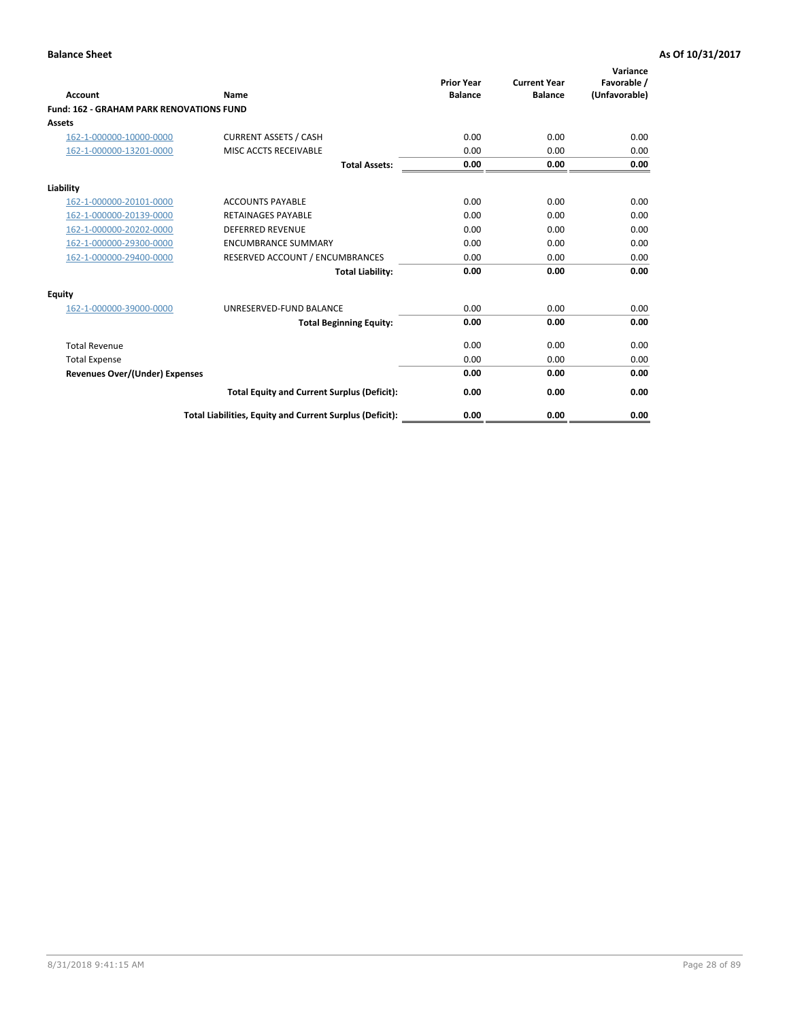|                                                 |                                                          | <b>Prior Year</b><br><b>Balance</b> | <b>Current Year</b> | Variance<br>Favorable / |
|-------------------------------------------------|----------------------------------------------------------|-------------------------------------|---------------------|-------------------------|
| <b>Account</b>                                  | Name                                                     |                                     | <b>Balance</b>      | (Unfavorable)           |
| <b>Fund: 162 - GRAHAM PARK RENOVATIONS FUND</b> |                                                          |                                     |                     |                         |
| <b>Assets</b>                                   |                                                          |                                     |                     |                         |
| 162-1-000000-10000-0000                         | <b>CURRENT ASSETS / CASH</b>                             | 0.00                                | 0.00                | 0.00                    |
| 162-1-000000-13201-0000                         | MISC ACCTS RECEIVABLE                                    | 0.00                                | 0.00                | 0.00                    |
|                                                 | <b>Total Assets:</b>                                     | 0.00                                | 0.00                | 0.00                    |
| Liability                                       |                                                          |                                     |                     |                         |
| 162-1-000000-20101-0000                         | <b>ACCOUNTS PAYABLE</b>                                  | 0.00                                | 0.00                | 0.00                    |
| 162-1-000000-20139-0000                         | <b>RETAINAGES PAYABLE</b>                                | 0.00                                | 0.00                | 0.00                    |
| 162-1-000000-20202-0000                         | <b>DEFERRED REVENUE</b>                                  | 0.00                                | 0.00                | 0.00                    |
| 162-1-000000-29300-0000                         | <b>ENCUMBRANCE SUMMARY</b>                               | 0.00                                | 0.00                | 0.00                    |
| 162-1-000000-29400-0000                         | RESERVED ACCOUNT / ENCUMBRANCES                          | 0.00                                | 0.00                | 0.00                    |
|                                                 | <b>Total Liability:</b>                                  | 0.00                                | 0.00                | 0.00                    |
| Equity                                          |                                                          |                                     |                     |                         |
| 162-1-000000-39000-0000                         | UNRESERVED-FUND BALANCE                                  | 0.00                                | 0.00                | 0.00                    |
|                                                 | <b>Total Beginning Equity:</b>                           | 0.00                                | 0.00                | 0.00                    |
| <b>Total Revenue</b>                            |                                                          | 0.00                                | 0.00                | 0.00                    |
| <b>Total Expense</b>                            |                                                          | 0.00                                | 0.00                | 0.00                    |
| Revenues Over/(Under) Expenses                  |                                                          | 0.00                                | 0.00                | 0.00                    |
|                                                 | <b>Total Equity and Current Surplus (Deficit):</b>       | 0.00                                | 0.00                | 0.00                    |
|                                                 | Total Liabilities, Equity and Current Surplus (Deficit): | 0.00                                | 0.00                | 0.00                    |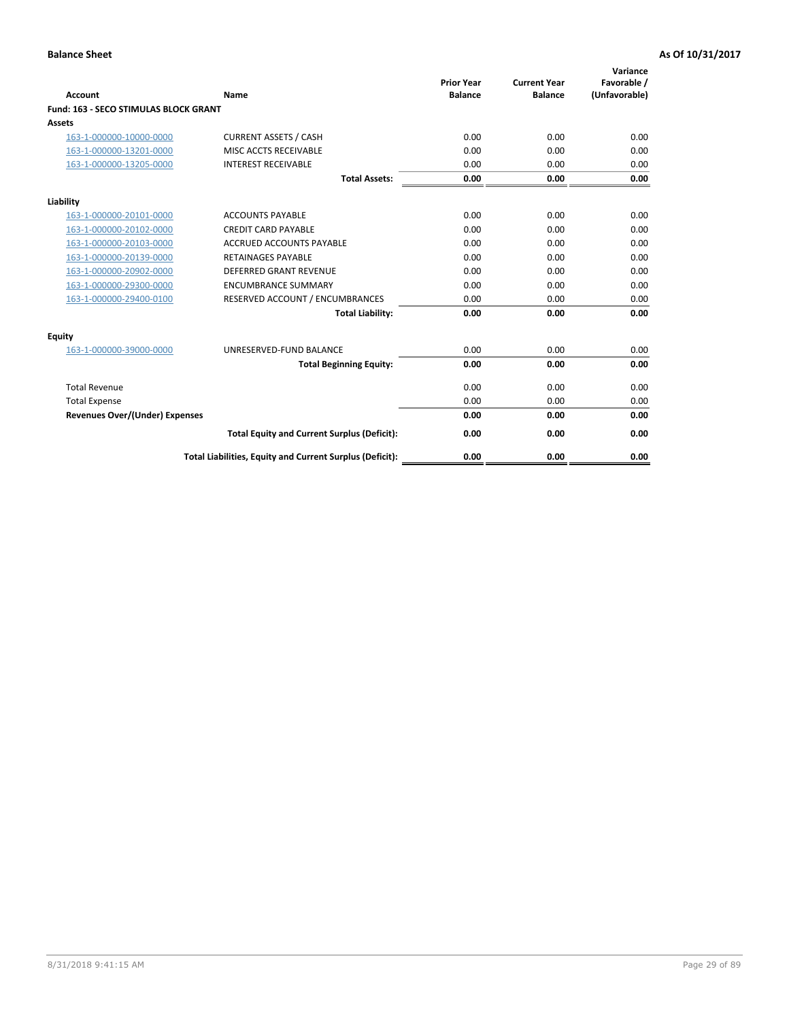|                                              |                                                          | <b>Prior Year</b> | <b>Current Year</b> | Variance<br>Favorable / |
|----------------------------------------------|----------------------------------------------------------|-------------------|---------------------|-------------------------|
| <b>Account</b>                               | Name                                                     | <b>Balance</b>    | <b>Balance</b>      | (Unfavorable)           |
| <b>Fund: 163 - SECO STIMULAS BLOCK GRANT</b> |                                                          |                   |                     |                         |
| Assets                                       |                                                          |                   |                     |                         |
| 163-1-000000-10000-0000                      | <b>CURRENT ASSETS / CASH</b>                             | 0.00              | 0.00                | 0.00                    |
| 163-1-000000-13201-0000                      | MISC ACCTS RECEIVABLE                                    | 0.00              | 0.00                | 0.00                    |
| 163-1-000000-13205-0000                      | <b>INTEREST RECEIVABLE</b>                               | 0.00              | 0.00                | 0.00                    |
|                                              | <b>Total Assets:</b>                                     | 0.00              | 0.00                | 0.00                    |
| Liability                                    |                                                          |                   |                     |                         |
| 163-1-000000-20101-0000                      | <b>ACCOUNTS PAYABLE</b>                                  | 0.00              | 0.00                | 0.00                    |
| 163-1-000000-20102-0000                      | <b>CREDIT CARD PAYABLE</b>                               | 0.00              | 0.00                | 0.00                    |
| 163-1-000000-20103-0000                      | <b>ACCRUED ACCOUNTS PAYABLE</b>                          | 0.00              | 0.00                | 0.00                    |
| 163-1-000000-20139-0000                      | <b>RETAINAGES PAYABLE</b>                                | 0.00              | 0.00                | 0.00                    |
| 163-1-000000-20902-0000                      | <b>DEFERRED GRANT REVENUE</b>                            | 0.00              | 0.00                | 0.00                    |
| 163-1-000000-29300-0000                      | <b>ENCUMBRANCE SUMMARY</b>                               | 0.00              | 0.00                | 0.00                    |
| 163-1-000000-29400-0100                      | RESERVED ACCOUNT / ENCUMBRANCES                          | 0.00              | 0.00                | 0.00                    |
|                                              | <b>Total Liability:</b>                                  | 0.00              | 0.00                | 0.00                    |
| <b>Equity</b>                                |                                                          |                   |                     |                         |
| 163-1-000000-39000-0000                      | UNRESERVED-FUND BALANCE                                  | 0.00              | 0.00                | 0.00                    |
|                                              | <b>Total Beginning Equity:</b>                           | 0.00              | 0.00                | 0.00                    |
| <b>Total Revenue</b>                         |                                                          | 0.00              | 0.00                | 0.00                    |
| <b>Total Expense</b>                         |                                                          | 0.00              | 0.00                | 0.00                    |
| Revenues Over/(Under) Expenses               |                                                          | 0.00              | 0.00                | 0.00                    |
|                                              | <b>Total Equity and Current Surplus (Deficit):</b>       | 0.00              | 0.00                | 0.00                    |
|                                              | Total Liabilities, Equity and Current Surplus (Deficit): | 0.00              | 0.00                | 0.00                    |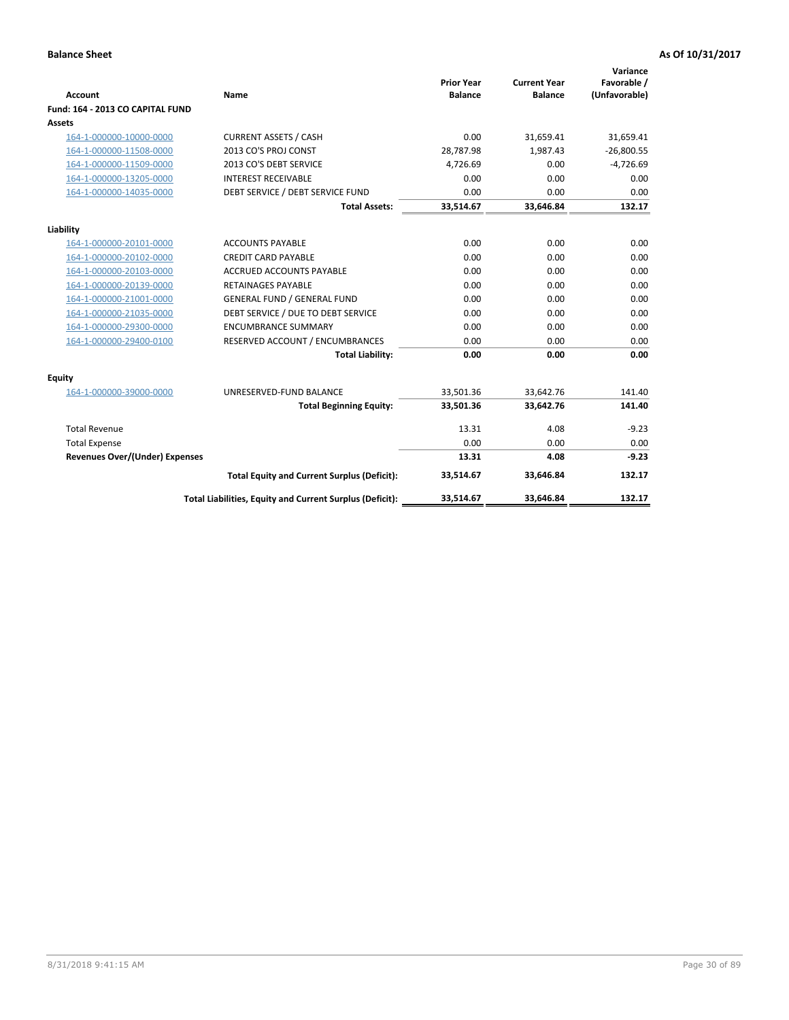| <b>Account</b>                        | <b>Name</b>                                              | <b>Prior Year</b><br><b>Balance</b> | <b>Current Year</b><br><b>Balance</b> | Variance<br>Favorable /<br>(Unfavorable) |
|---------------------------------------|----------------------------------------------------------|-------------------------------------|---------------------------------------|------------------------------------------|
| Fund: 164 - 2013 CO CAPITAL FUND      |                                                          |                                     |                                       |                                          |
| Assets                                |                                                          |                                     |                                       |                                          |
| 164-1-000000-10000-0000               | <b>CURRENT ASSETS / CASH</b>                             | 0.00                                | 31,659.41                             | 31,659.41                                |
| 164-1-000000-11508-0000               | 2013 CO'S PROJ CONST                                     | 28,787.98                           | 1,987.43                              | $-26,800.55$                             |
| 164-1-000000-11509-0000               | 2013 CO'S DEBT SERVICE                                   | 4,726.69                            | 0.00                                  | $-4,726.69$                              |
| 164-1-000000-13205-0000               | <b>INTEREST RECEIVABLE</b>                               | 0.00                                | 0.00                                  | 0.00                                     |
| 164-1-000000-14035-0000               | DEBT SERVICE / DEBT SERVICE FUND                         | 0.00                                | 0.00                                  | 0.00                                     |
|                                       | <b>Total Assets:</b>                                     | 33,514.67                           | 33,646.84                             | 132.17                                   |
| Liability                             |                                                          |                                     |                                       |                                          |
| 164-1-000000-20101-0000               | <b>ACCOUNTS PAYABLE</b>                                  | 0.00                                | 0.00                                  | 0.00                                     |
| 164-1-000000-20102-0000               | <b>CREDIT CARD PAYABLE</b>                               | 0.00                                | 0.00                                  | 0.00                                     |
| 164-1-000000-20103-0000               | <b>ACCRUED ACCOUNTS PAYABLE</b>                          | 0.00                                | 0.00                                  | 0.00                                     |
| 164-1-000000-20139-0000               | <b>RETAINAGES PAYABLE</b>                                | 0.00                                | 0.00                                  | 0.00                                     |
| 164-1-000000-21001-0000               | <b>GENERAL FUND / GENERAL FUND</b>                       | 0.00                                | 0.00                                  | 0.00                                     |
| 164-1-000000-21035-0000               | DEBT SERVICE / DUE TO DEBT SERVICE                       | 0.00                                | 0.00                                  | 0.00                                     |
| 164-1-000000-29300-0000               | <b>ENCUMBRANCE SUMMARY</b>                               | 0.00                                | 0.00                                  | 0.00                                     |
| 164-1-000000-29400-0100               | RESERVED ACCOUNT / ENCUMBRANCES                          | 0.00                                | 0.00                                  | 0.00                                     |
|                                       | <b>Total Liability:</b>                                  | 0.00                                | 0.00                                  | 0.00                                     |
| Equity                                |                                                          |                                     |                                       |                                          |
| 164-1-000000-39000-0000               | UNRESERVED-FUND BALANCE                                  | 33,501.36                           | 33,642.76                             | 141.40                                   |
|                                       | <b>Total Beginning Equity:</b>                           | 33,501.36                           | 33,642.76                             | 141.40                                   |
| <b>Total Revenue</b>                  |                                                          | 13.31                               | 4.08                                  | $-9.23$                                  |
| <b>Total Expense</b>                  |                                                          | 0.00                                | 0.00                                  | 0.00                                     |
| <b>Revenues Over/(Under) Expenses</b> |                                                          | 13.31                               | 4.08                                  | $-9.23$                                  |
|                                       | <b>Total Equity and Current Surplus (Deficit):</b>       | 33,514.67                           | 33,646.84                             | 132.17                                   |
|                                       | Total Liabilities, Equity and Current Surplus (Deficit): | 33,514.67                           | 33,646.84                             | 132.17                                   |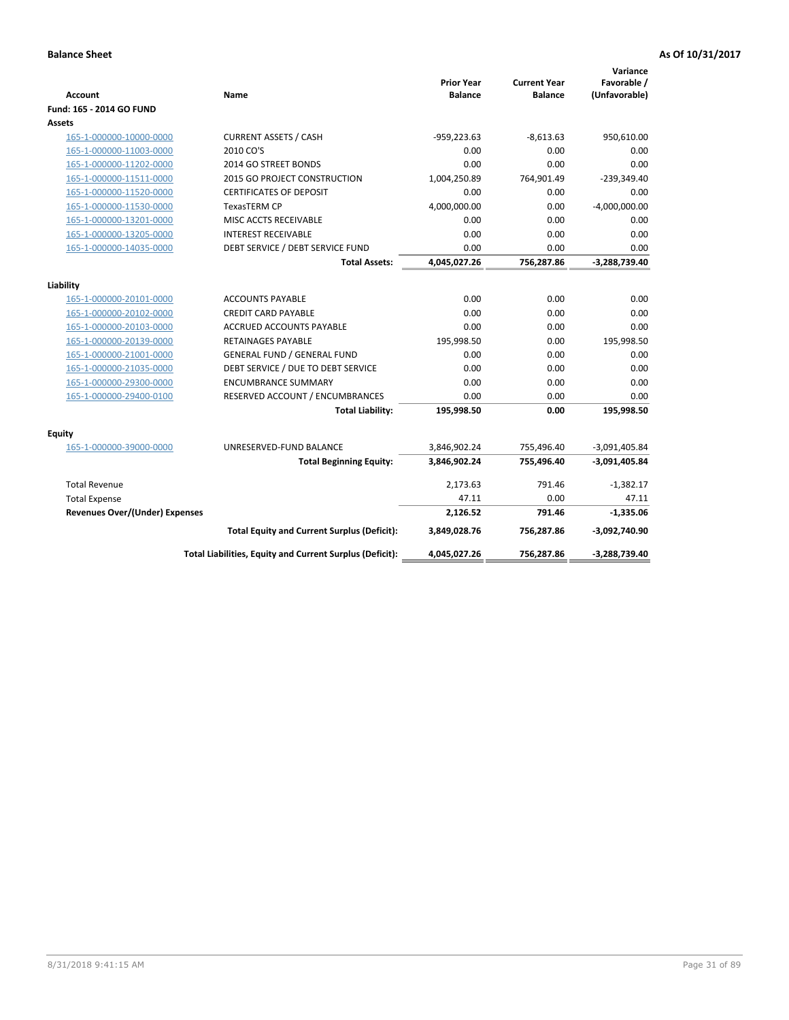| <b>Account</b>                        | Name                                                     | <b>Prior Year</b><br><b>Balance</b> | <b>Current Year</b><br><b>Balance</b> | Variance<br>Favorable /<br>(Unfavorable) |
|---------------------------------------|----------------------------------------------------------|-------------------------------------|---------------------------------------|------------------------------------------|
| Fund: 165 - 2014 GO FUND              |                                                          |                                     |                                       |                                          |
| Assets                                |                                                          |                                     |                                       |                                          |
| 165-1-000000-10000-0000               | <b>CURRENT ASSETS / CASH</b>                             | $-959,223.63$                       | $-8,613.63$                           | 950,610.00                               |
| 165-1-000000-11003-0000               | 2010 CO'S                                                | 0.00                                | 0.00                                  | 0.00                                     |
| 165-1-000000-11202-0000               | 2014 GO STREET BONDS                                     | 0.00                                | 0.00                                  | 0.00                                     |
| 165-1-000000-11511-0000               | <b>2015 GO PROJECT CONSTRUCTION</b>                      | 1,004,250.89                        | 764,901.49                            | $-239,349.40$                            |
| 165-1-000000-11520-0000               | <b>CERTIFICATES OF DEPOSIT</b>                           | 0.00                                | 0.00                                  | 0.00                                     |
| 165-1-000000-11530-0000               | <b>TexasTERM CP</b>                                      | 4,000,000.00                        | 0.00                                  | $-4,000,000.00$                          |
| 165-1-000000-13201-0000               | MISC ACCTS RECEIVABLE                                    | 0.00                                | 0.00                                  | 0.00                                     |
| 165-1-000000-13205-0000               | <b>INTEREST RECEIVABLE</b>                               | 0.00                                | 0.00                                  | 0.00                                     |
| 165-1-000000-14035-0000               | DEBT SERVICE / DEBT SERVICE FUND                         | 0.00                                | 0.00                                  | 0.00                                     |
|                                       | <b>Total Assets:</b>                                     | 4,045,027.26                        | 756,287.86                            | $-3,288,739.40$                          |
| Liability                             |                                                          |                                     |                                       |                                          |
| 165-1-000000-20101-0000               | <b>ACCOUNTS PAYABLE</b>                                  | 0.00                                | 0.00                                  | 0.00                                     |
| 165-1-000000-20102-0000               | <b>CREDIT CARD PAYABLE</b>                               | 0.00                                | 0.00                                  | 0.00                                     |
| 165-1-000000-20103-0000               | <b>ACCRUED ACCOUNTS PAYABLE</b>                          | 0.00                                | 0.00                                  | 0.00                                     |
| 165-1-000000-20139-0000               | RETAINAGES PAYABLE                                       | 195,998.50                          | 0.00                                  | 195,998.50                               |
| 165-1-000000-21001-0000               | <b>GENERAL FUND / GENERAL FUND</b>                       | 0.00                                | 0.00                                  | 0.00                                     |
| 165-1-000000-21035-0000               | DEBT SERVICE / DUE TO DEBT SERVICE                       | 0.00                                | 0.00                                  | 0.00                                     |
| 165-1-000000-29300-0000               | <b>ENCUMBRANCE SUMMARY</b>                               | 0.00                                | 0.00                                  | 0.00                                     |
| 165-1-000000-29400-0100               | RESERVED ACCOUNT / ENCUMBRANCES                          | 0.00                                | 0.00                                  | 0.00                                     |
|                                       | <b>Total Liability:</b>                                  | 195,998.50                          | 0.00                                  | 195,998.50                               |
| <b>Equity</b>                         |                                                          |                                     |                                       |                                          |
| 165-1-000000-39000-0000               | UNRESERVED-FUND BALANCE                                  | 3,846,902.24                        | 755,496.40                            | $-3,091,405.84$                          |
|                                       | <b>Total Beginning Equity:</b>                           | 3,846,902.24                        | 755,496.40                            | $-3,091,405.84$                          |
| <b>Total Revenue</b>                  |                                                          | 2,173.63                            | 791.46                                | $-1,382.17$                              |
| <b>Total Expense</b>                  |                                                          | 47.11                               | 0.00                                  | 47.11                                    |
| <b>Revenues Over/(Under) Expenses</b> |                                                          | 2,126.52                            | 791.46                                | $-1,335.06$                              |
|                                       | <b>Total Equity and Current Surplus (Deficit):</b>       | 3,849,028.76                        | 756,287.86                            | -3,092,740.90                            |
|                                       | Total Liabilities, Equity and Current Surplus (Deficit): | 4,045,027.26                        | 756,287.86                            | -3,288,739.40                            |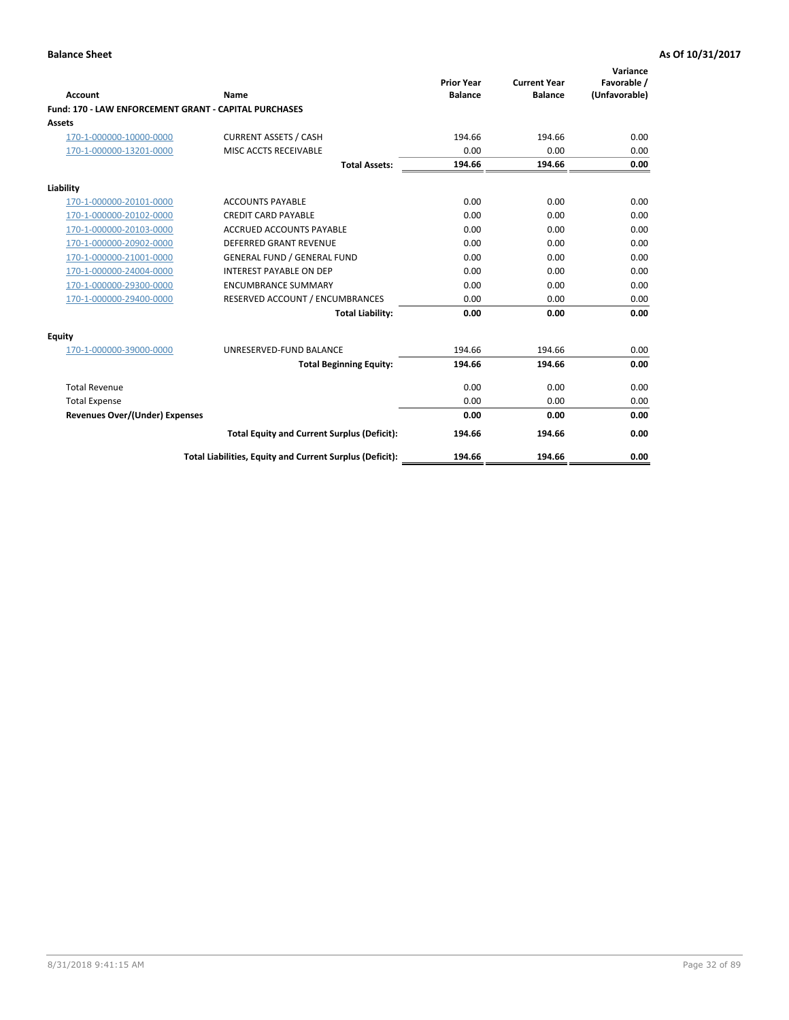|                                                       |                                                          |                                     |                                       | Variance                     |
|-------------------------------------------------------|----------------------------------------------------------|-------------------------------------|---------------------------------------|------------------------------|
| <b>Account</b>                                        | Name                                                     | <b>Prior Year</b><br><b>Balance</b> | <b>Current Year</b><br><b>Balance</b> | Favorable /<br>(Unfavorable) |
| Fund: 170 - LAW ENFORCEMENT GRANT - CAPITAL PURCHASES |                                                          |                                     |                                       |                              |
| Assets                                                |                                                          |                                     |                                       |                              |
| 170-1-000000-10000-0000                               | <b>CURRENT ASSETS / CASH</b>                             | 194.66                              | 194.66                                | 0.00                         |
| 170-1-000000-13201-0000                               | MISC ACCTS RECEIVABLE                                    | 0.00                                | 0.00                                  | 0.00                         |
|                                                       | <b>Total Assets:</b>                                     | 194.66                              | 194.66                                | 0.00                         |
| Liability                                             |                                                          |                                     |                                       |                              |
| 170-1-000000-20101-0000                               | <b>ACCOUNTS PAYABLE</b>                                  | 0.00                                | 0.00                                  | 0.00                         |
| 170-1-000000-20102-0000                               | <b>CREDIT CARD PAYABLE</b>                               | 0.00                                | 0.00                                  | 0.00                         |
| 170-1-000000-20103-0000                               | <b>ACCRUED ACCOUNTS PAYABLE</b>                          | 0.00                                | 0.00                                  | 0.00                         |
| 170-1-000000-20902-0000                               | DEFERRED GRANT REVENUE                                   | 0.00                                | 0.00                                  | 0.00                         |
| 170-1-000000-21001-0000                               | <b>GENERAL FUND / GENERAL FUND</b>                       | 0.00                                | 0.00                                  | 0.00                         |
| 170-1-000000-24004-0000                               | <b>INTEREST PAYABLE ON DEP</b>                           | 0.00                                | 0.00                                  | 0.00                         |
| 170-1-000000-29300-0000                               | <b>ENCUMBRANCE SUMMARY</b>                               | 0.00                                | 0.00                                  | 0.00                         |
| 170-1-000000-29400-0000                               | RESERVED ACCOUNT / ENCUMBRANCES                          | 0.00                                | 0.00                                  | 0.00                         |
|                                                       | <b>Total Liability:</b>                                  | 0.00                                | 0.00                                  | 0.00                         |
| <b>Equity</b>                                         |                                                          |                                     |                                       |                              |
| 170-1-000000-39000-0000                               | UNRESERVED-FUND BALANCE                                  | 194.66                              | 194.66                                | 0.00                         |
|                                                       | <b>Total Beginning Equity:</b>                           | 194.66                              | 194.66                                | 0.00                         |
| <b>Total Revenue</b>                                  |                                                          | 0.00                                | 0.00                                  | 0.00                         |
| <b>Total Expense</b>                                  |                                                          | 0.00                                | 0.00                                  | 0.00                         |
| Revenues Over/(Under) Expenses                        |                                                          | 0.00                                | 0.00                                  | 0.00                         |
|                                                       | <b>Total Equity and Current Surplus (Deficit):</b>       | 194.66                              | 194.66                                | 0.00                         |
|                                                       | Total Liabilities, Equity and Current Surplus (Deficit): | 194.66                              | 194.66                                | 0.00                         |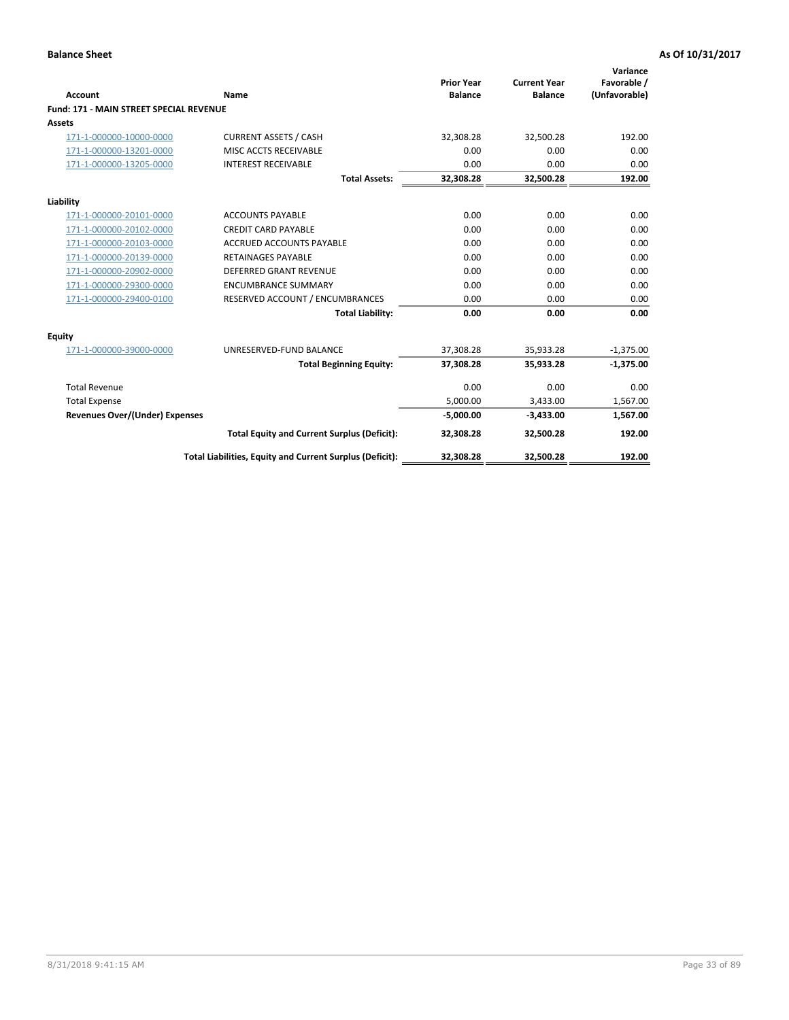|                                                |                                                          | <b>Prior Year</b> | <b>Current Year</b> | Variance<br>Favorable / |
|------------------------------------------------|----------------------------------------------------------|-------------------|---------------------|-------------------------|
| <b>Account</b>                                 | Name                                                     | <b>Balance</b>    | <b>Balance</b>      | (Unfavorable)           |
| <b>Fund: 171 - MAIN STREET SPECIAL REVENUE</b> |                                                          |                   |                     |                         |
| <b>Assets</b>                                  |                                                          |                   |                     |                         |
| 171-1-000000-10000-0000                        | <b>CURRENT ASSETS / CASH</b>                             | 32,308.28         | 32,500.28           | 192.00                  |
| 171-1-000000-13201-0000                        | MISC ACCTS RECEIVABLE                                    | 0.00              | 0.00                | 0.00                    |
| 171-1-000000-13205-0000                        | <b>INTEREST RECEIVABLE</b>                               | 0.00              | 0.00                | 0.00                    |
|                                                | <b>Total Assets:</b>                                     | 32.308.28         | 32.500.28           | 192.00                  |
| Liability                                      |                                                          |                   |                     |                         |
| 171-1-000000-20101-0000                        | <b>ACCOUNTS PAYABLE</b>                                  | 0.00              | 0.00                | 0.00                    |
| 171-1-000000-20102-0000                        | <b>CREDIT CARD PAYABLE</b>                               | 0.00              | 0.00                | 0.00                    |
| 171-1-000000-20103-0000                        | <b>ACCRUED ACCOUNTS PAYABLE</b>                          | 0.00              | 0.00                | 0.00                    |
| 171-1-000000-20139-0000                        | <b>RETAINAGES PAYABLE</b>                                | 0.00              | 0.00                | 0.00                    |
| 171-1-000000-20902-0000                        | DEFERRED GRANT REVENUE                                   | 0.00              | 0.00                | 0.00                    |
| 171-1-000000-29300-0000                        | <b>ENCUMBRANCE SUMMARY</b>                               | 0.00              | 0.00                | 0.00                    |
| 171-1-000000-29400-0100                        | RESERVED ACCOUNT / ENCUMBRANCES                          | 0.00              | 0.00                | 0.00                    |
|                                                | <b>Total Liability:</b>                                  | 0.00              | 0.00                | 0.00                    |
| <b>Equity</b>                                  |                                                          |                   |                     |                         |
| 171-1-000000-39000-0000                        | UNRESERVED-FUND BALANCE                                  | 37,308.28         | 35,933.28           | $-1,375.00$             |
|                                                | <b>Total Beginning Equity:</b>                           | 37,308.28         | 35,933.28           | $-1,375.00$             |
| <b>Total Revenue</b>                           |                                                          | 0.00              | 0.00                | 0.00                    |
| <b>Total Expense</b>                           |                                                          | 5,000.00          | 3,433.00            | 1,567.00                |
| <b>Revenues Over/(Under) Expenses</b>          |                                                          | $-5,000.00$       | $-3,433.00$         | 1,567.00                |
|                                                | <b>Total Equity and Current Surplus (Deficit):</b>       | 32,308.28         | 32,500.28           | 192.00                  |
|                                                | Total Liabilities, Equity and Current Surplus (Deficit): | 32,308.28         | 32,500.28           | 192.00                  |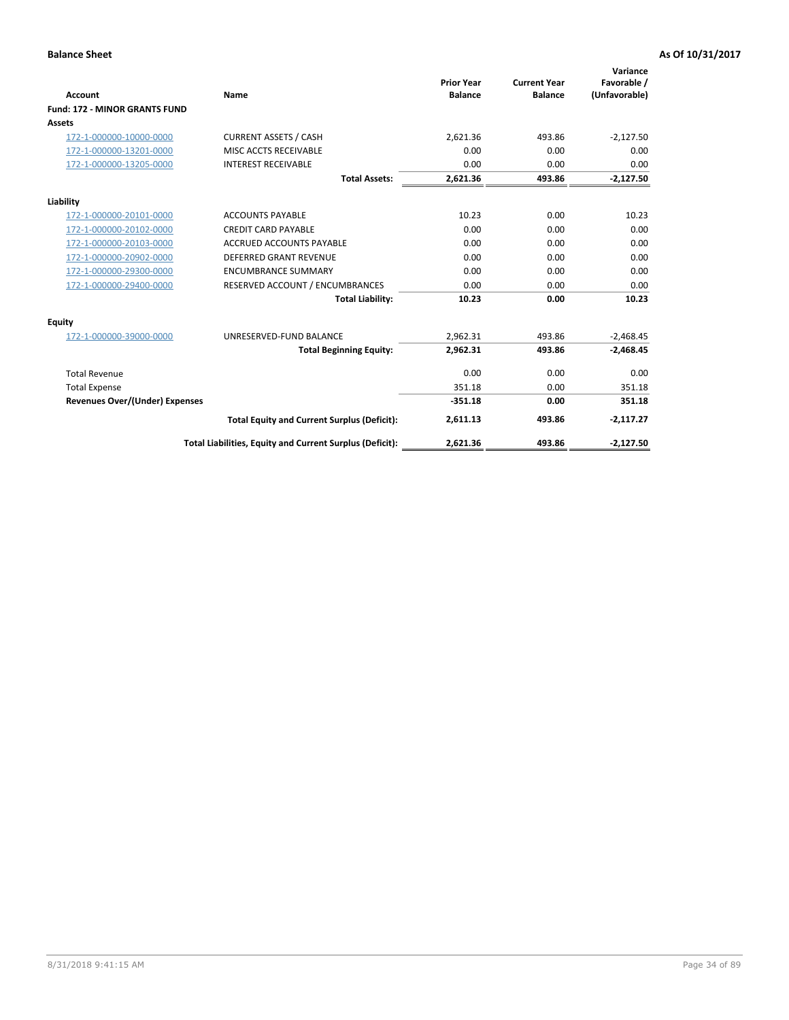|                                      |                                                          | <b>Prior Year</b> | <b>Current Year</b> | Variance<br>Favorable / |
|--------------------------------------|----------------------------------------------------------|-------------------|---------------------|-------------------------|
| <b>Account</b>                       | <b>Name</b>                                              | <b>Balance</b>    | <b>Balance</b>      | (Unfavorable)           |
| <b>Fund: 172 - MINOR GRANTS FUND</b> |                                                          |                   |                     |                         |
| Assets                               |                                                          |                   |                     |                         |
| 172-1-000000-10000-0000              | <b>CURRENT ASSETS / CASH</b>                             | 2,621.36          | 493.86              | $-2,127.50$             |
| 172-1-000000-13201-0000              | MISC ACCTS RECEIVABLE                                    | 0.00              | 0.00                | 0.00                    |
| 172-1-000000-13205-0000              | <b>INTEREST RECEIVABLE</b>                               | 0.00              | 0.00                | 0.00                    |
|                                      | <b>Total Assets:</b>                                     | 2,621.36          | 493.86              | $-2,127.50$             |
| Liability                            |                                                          |                   |                     |                         |
| 172-1-000000-20101-0000              | <b>ACCOUNTS PAYABLE</b>                                  | 10.23             | 0.00                | 10.23                   |
| 172-1-000000-20102-0000              | <b>CREDIT CARD PAYABLE</b>                               | 0.00              | 0.00                | 0.00                    |
| 172-1-000000-20103-0000              | <b>ACCRUED ACCOUNTS PAYABLE</b>                          | 0.00              | 0.00                | 0.00                    |
| 172-1-000000-20902-0000              | <b>DEFERRED GRANT REVENUE</b>                            | 0.00              | 0.00                | 0.00                    |
| 172-1-000000-29300-0000              | <b>ENCUMBRANCE SUMMARY</b>                               | 0.00              | 0.00                | 0.00                    |
| 172-1-000000-29400-0000              | RESERVED ACCOUNT / ENCUMBRANCES                          | 0.00              | 0.00                | 0.00                    |
|                                      | <b>Total Liability:</b>                                  | 10.23             | 0.00                | 10.23                   |
| Equity                               |                                                          |                   |                     |                         |
| 172-1-000000-39000-0000              | UNRESERVED-FUND BALANCE                                  | 2,962.31          | 493.86              | $-2,468.45$             |
|                                      | <b>Total Beginning Equity:</b>                           | 2,962.31          | 493.86              | $-2,468.45$             |
| <b>Total Revenue</b>                 |                                                          | 0.00              | 0.00                | 0.00                    |
| <b>Total Expense</b>                 |                                                          | 351.18            | 0.00                | 351.18                  |
| Revenues Over/(Under) Expenses       |                                                          | $-351.18$         | 0.00                | 351.18                  |
|                                      | <b>Total Equity and Current Surplus (Deficit):</b>       | 2,611.13          | 493.86              | $-2,117.27$             |
|                                      | Total Liabilities, Equity and Current Surplus (Deficit): | 2,621.36          | 493.86              | $-2,127.50$             |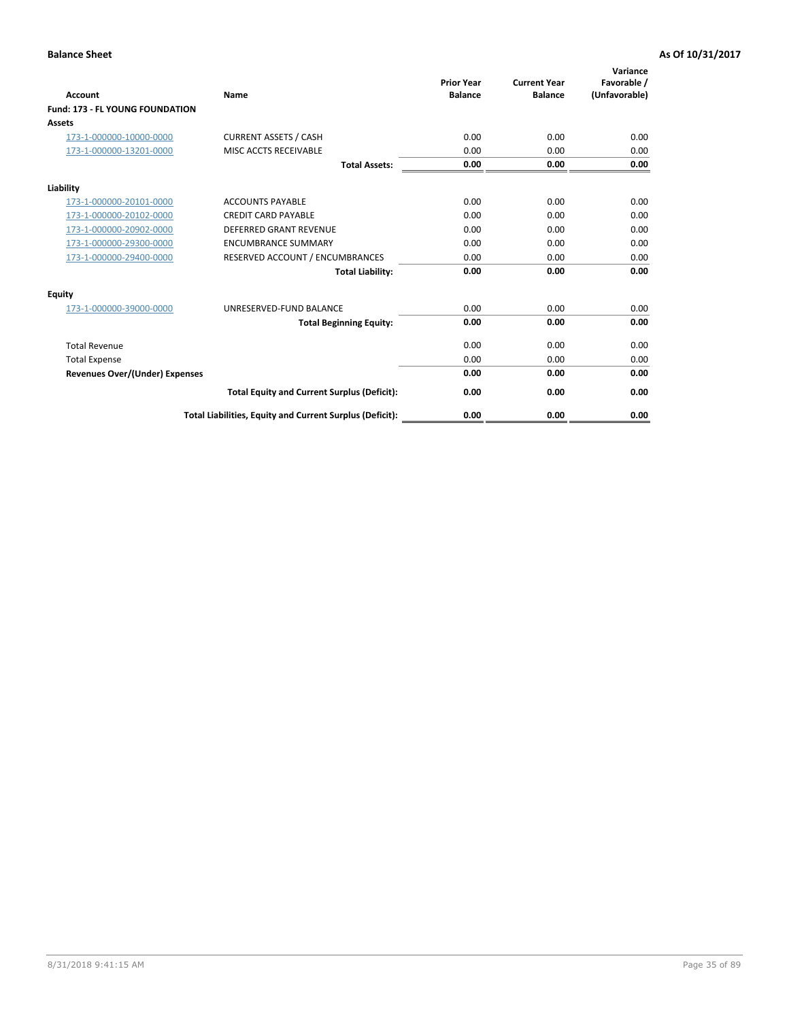| <b>Account</b>                         | <b>Name</b>                                              | <b>Prior Year</b><br><b>Balance</b> | <b>Current Year</b><br><b>Balance</b> | Variance<br>Favorable /<br>(Unfavorable) |
|----------------------------------------|----------------------------------------------------------|-------------------------------------|---------------------------------------|------------------------------------------|
| <b>Fund: 173 - FL YOUNG FOUNDATION</b> |                                                          |                                     |                                       |                                          |
| Assets                                 |                                                          |                                     |                                       |                                          |
| 173-1-000000-10000-0000                | <b>CURRENT ASSETS / CASH</b>                             | 0.00                                | 0.00                                  | 0.00                                     |
| 173-1-000000-13201-0000                | MISC ACCTS RECEIVABLE                                    | 0.00                                | 0.00                                  | 0.00                                     |
|                                        | <b>Total Assets:</b>                                     | 0.00                                | 0.00                                  | 0.00                                     |
| Liability                              |                                                          |                                     |                                       |                                          |
| 173-1-000000-20101-0000                | <b>ACCOUNTS PAYABLE</b>                                  | 0.00                                | 0.00                                  | 0.00                                     |
| 173-1-000000-20102-0000                | <b>CREDIT CARD PAYABLE</b>                               | 0.00                                | 0.00                                  | 0.00                                     |
| 173-1-000000-20902-0000                | <b>DEFERRED GRANT REVENUE</b>                            | 0.00                                | 0.00                                  | 0.00                                     |
| 173-1-000000-29300-0000                | <b>ENCUMBRANCE SUMMARY</b>                               | 0.00                                | 0.00                                  | 0.00                                     |
| 173-1-000000-29400-0000                | RESERVED ACCOUNT / ENCUMBRANCES                          | 0.00                                | 0.00                                  | 0.00                                     |
|                                        | <b>Total Liability:</b>                                  | 0.00                                | 0.00                                  | 0.00                                     |
| Equity                                 |                                                          |                                     |                                       |                                          |
| 173-1-000000-39000-0000                | UNRESERVED-FUND BALANCE                                  | 0.00                                | 0.00                                  | 0.00                                     |
|                                        | <b>Total Beginning Equity:</b>                           | 0.00                                | 0.00                                  | 0.00                                     |
| <b>Total Revenue</b>                   |                                                          | 0.00                                | 0.00                                  | 0.00                                     |
| <b>Total Expense</b>                   |                                                          | 0.00                                | 0.00                                  | 0.00                                     |
| <b>Revenues Over/(Under) Expenses</b>  |                                                          | 0.00                                | 0.00                                  | 0.00                                     |
|                                        | <b>Total Equity and Current Surplus (Deficit):</b>       | 0.00                                | 0.00                                  | 0.00                                     |
|                                        | Total Liabilities, Equity and Current Surplus (Deficit): | 0.00                                | 0.00                                  | 0.00                                     |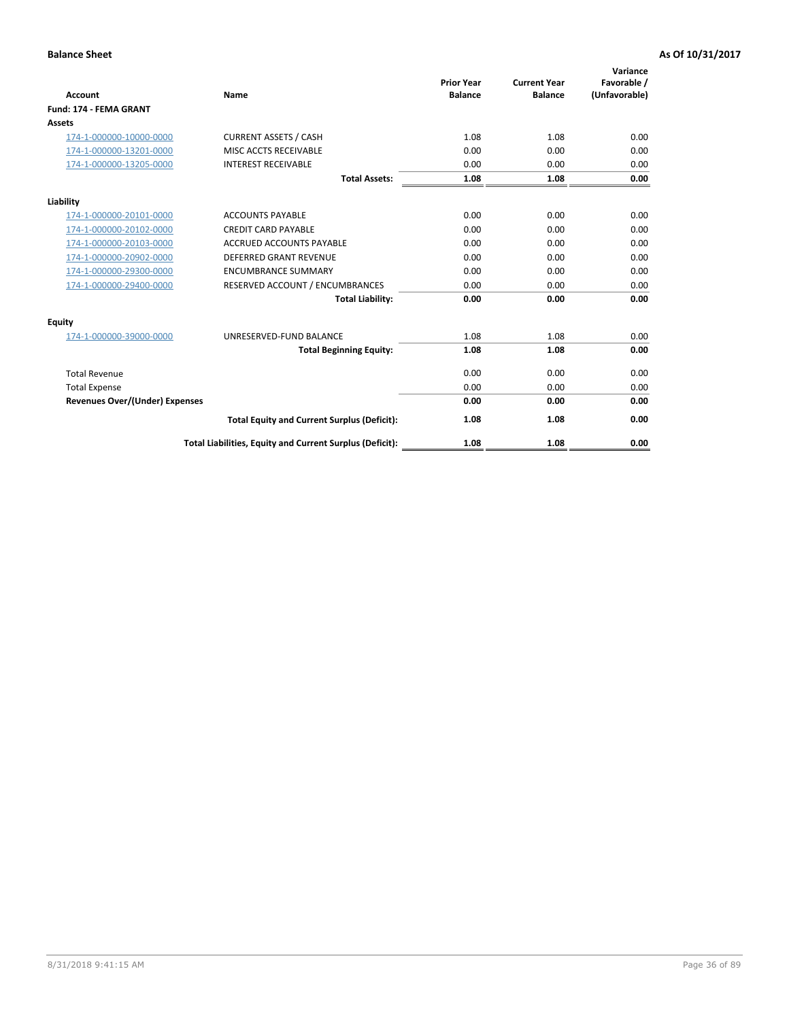| <b>Account</b>                        | Name                                                     | <b>Prior Year</b><br><b>Balance</b> | <b>Current Year</b><br><b>Balance</b> | Variance<br>Favorable /<br>(Unfavorable) |
|---------------------------------------|----------------------------------------------------------|-------------------------------------|---------------------------------------|------------------------------------------|
| Fund: 174 - FEMA GRANT                |                                                          |                                     |                                       |                                          |
| Assets                                |                                                          |                                     |                                       |                                          |
| 174-1-000000-10000-0000               | <b>CURRENT ASSETS / CASH</b>                             | 1.08                                | 1.08                                  | 0.00                                     |
| 174-1-000000-13201-0000               | MISC ACCTS RECEIVABLE                                    | 0.00                                | 0.00                                  | 0.00                                     |
| 174-1-000000-13205-0000               | <b>INTEREST RECEIVABLE</b>                               | 0.00                                | 0.00                                  | 0.00                                     |
|                                       | <b>Total Assets:</b>                                     | 1.08                                | 1.08                                  | 0.00                                     |
| Liability                             |                                                          |                                     |                                       |                                          |
| 174-1-000000-20101-0000               | <b>ACCOUNTS PAYABLE</b>                                  | 0.00                                | 0.00                                  | 0.00                                     |
| 174-1-000000-20102-0000               | <b>CREDIT CARD PAYABLE</b>                               | 0.00                                | 0.00                                  | 0.00                                     |
| 174-1-000000-20103-0000               | <b>ACCRUED ACCOUNTS PAYABLE</b>                          | 0.00                                | 0.00                                  | 0.00                                     |
| 174-1-000000-20902-0000               | <b>DEFERRED GRANT REVENUE</b>                            | 0.00                                | 0.00                                  | 0.00                                     |
| 174-1-000000-29300-0000               | <b>ENCUMBRANCE SUMMARY</b>                               | 0.00                                | 0.00                                  | 0.00                                     |
| 174-1-000000-29400-0000               | RESERVED ACCOUNT / ENCUMBRANCES                          | 0.00                                | 0.00                                  | 0.00                                     |
|                                       | <b>Total Liability:</b>                                  | 0.00                                | 0.00                                  | 0.00                                     |
| <b>Equity</b>                         |                                                          |                                     |                                       |                                          |
| 174-1-000000-39000-0000               | UNRESERVED-FUND BALANCE                                  | 1.08                                | 1.08                                  | 0.00                                     |
|                                       | <b>Total Beginning Equity:</b>                           | 1.08                                | 1.08                                  | 0.00                                     |
| <b>Total Revenue</b>                  |                                                          | 0.00                                | 0.00                                  | 0.00                                     |
| <b>Total Expense</b>                  |                                                          | 0.00                                | 0.00                                  | 0.00                                     |
| <b>Revenues Over/(Under) Expenses</b> |                                                          | 0.00                                | 0.00                                  | 0.00                                     |
|                                       | <b>Total Equity and Current Surplus (Deficit):</b>       | 1.08                                | 1.08                                  | 0.00                                     |
|                                       | Total Liabilities, Equity and Current Surplus (Deficit): | 1.08                                | 1.08                                  | 0.00                                     |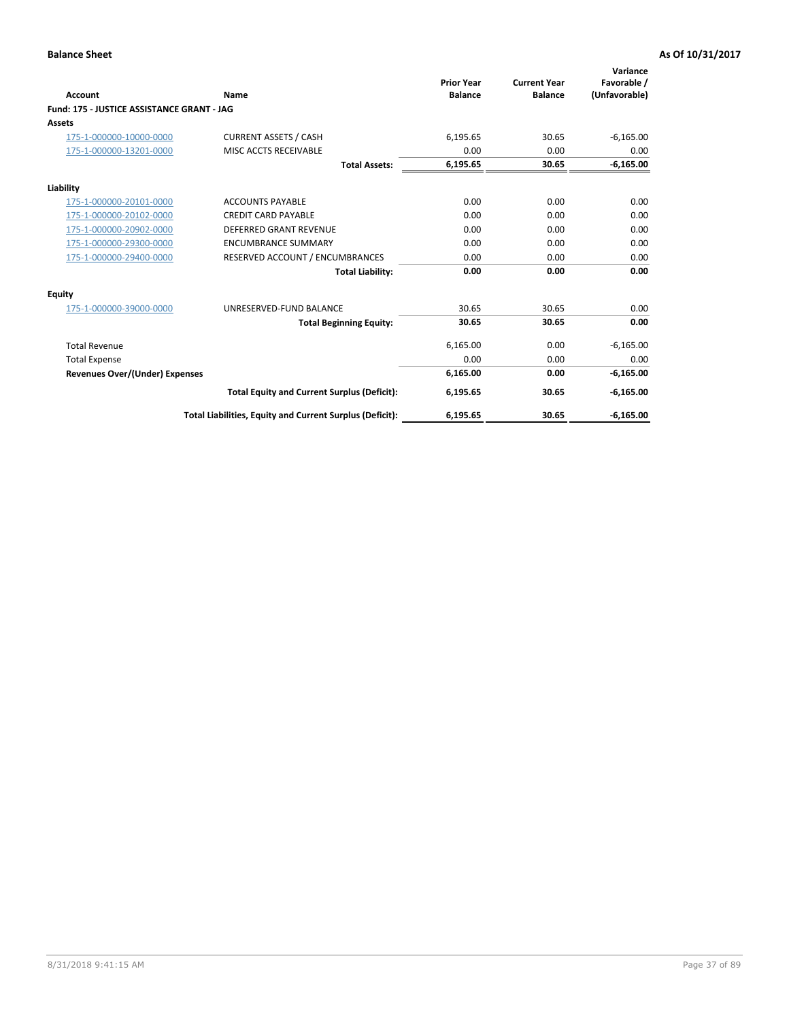| <b>Account</b>                             | Name                                                     | <b>Prior Year</b><br><b>Balance</b> | <b>Current Year</b><br><b>Balance</b> | Variance<br>Favorable /<br>(Unfavorable) |
|--------------------------------------------|----------------------------------------------------------|-------------------------------------|---------------------------------------|------------------------------------------|
| Fund: 175 - JUSTICE ASSISTANCE GRANT - JAG |                                                          |                                     |                                       |                                          |
| <b>Assets</b>                              |                                                          |                                     |                                       |                                          |
| 175-1-000000-10000-0000                    | <b>CURRENT ASSETS / CASH</b>                             | 6,195.65                            | 30.65                                 | $-6,165.00$                              |
| 175-1-000000-13201-0000                    | MISC ACCTS RECEIVABLE                                    | 0.00                                | 0.00                                  | 0.00                                     |
|                                            | <b>Total Assets:</b>                                     | 6,195.65                            | 30.65                                 | $-6,165.00$                              |
| Liability                                  |                                                          |                                     |                                       |                                          |
| 175-1-000000-20101-0000                    | <b>ACCOUNTS PAYABLE</b>                                  | 0.00                                | 0.00                                  | 0.00                                     |
| 175-1-000000-20102-0000                    | <b>CREDIT CARD PAYABLE</b>                               | 0.00                                | 0.00                                  | 0.00                                     |
| 175-1-000000-20902-0000                    | <b>DEFERRED GRANT REVENUE</b>                            | 0.00                                | 0.00                                  | 0.00                                     |
| 175-1-000000-29300-0000                    | <b>ENCUMBRANCE SUMMARY</b>                               | 0.00                                | 0.00                                  | 0.00                                     |
| 175-1-000000-29400-0000                    | RESERVED ACCOUNT / ENCUMBRANCES                          | 0.00                                | 0.00                                  | 0.00                                     |
|                                            | <b>Total Liability:</b>                                  | 0.00                                | 0.00                                  | 0.00                                     |
| Equity                                     |                                                          |                                     |                                       |                                          |
| 175-1-000000-39000-0000                    | UNRESERVED-FUND BALANCE                                  | 30.65                               | 30.65                                 | 0.00                                     |
|                                            | <b>Total Beginning Equity:</b>                           | 30.65                               | 30.65                                 | 0.00                                     |
| <b>Total Revenue</b>                       |                                                          | 6,165.00                            | 0.00                                  | $-6,165.00$                              |
| <b>Total Expense</b>                       |                                                          | 0.00                                | 0.00                                  | 0.00                                     |
| Revenues Over/(Under) Expenses             |                                                          | 6,165.00                            | 0.00                                  | $-6,165.00$                              |
|                                            | <b>Total Equity and Current Surplus (Deficit):</b>       | 6,195.65                            | 30.65                                 | $-6,165.00$                              |
|                                            | Total Liabilities, Equity and Current Surplus (Deficit): | 6,195.65                            | 30.65                                 | $-6,165.00$                              |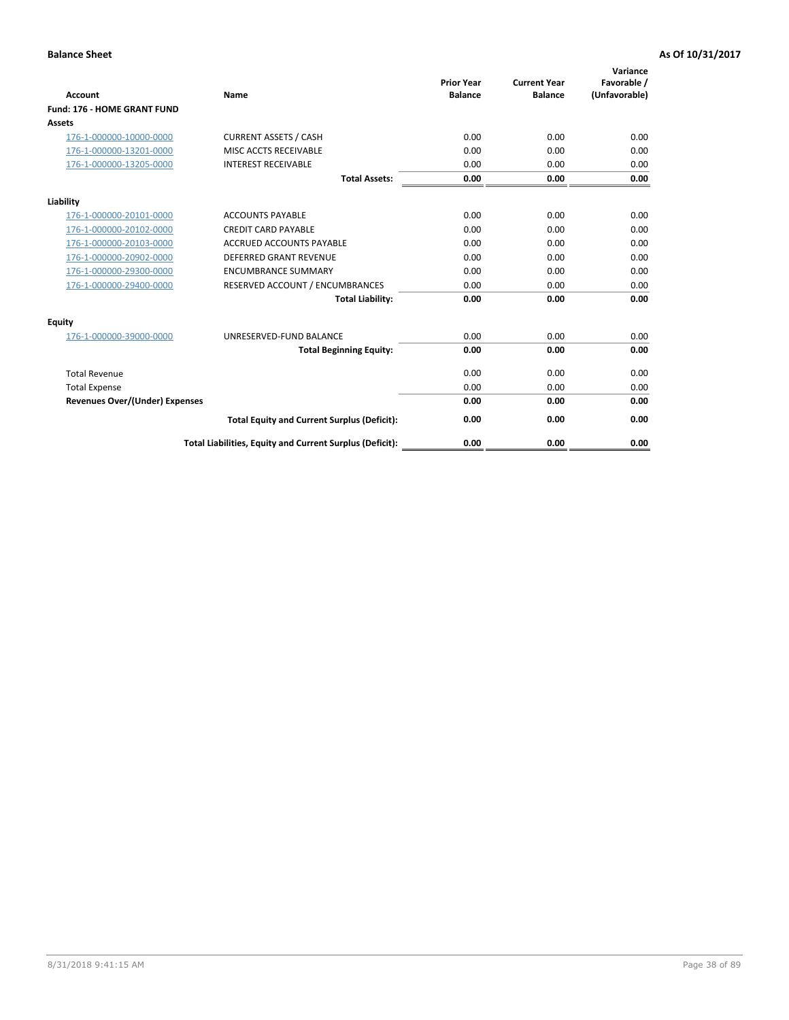|                                       |                                                          | <b>Prior Year</b> | <b>Current Year</b> | Variance<br>Favorable / |
|---------------------------------------|----------------------------------------------------------|-------------------|---------------------|-------------------------|
| <b>Account</b>                        | <b>Name</b>                                              | <b>Balance</b>    | <b>Balance</b>      | (Unfavorable)           |
| Fund: 176 - HOME GRANT FUND           |                                                          |                   |                     |                         |
| <b>Assets</b>                         |                                                          |                   |                     |                         |
| 176-1-000000-10000-0000               | <b>CURRENT ASSETS / CASH</b>                             | 0.00              | 0.00                | 0.00                    |
| 176-1-000000-13201-0000               | MISC ACCTS RECEIVABLE                                    | 0.00              | 0.00                | 0.00                    |
| 176-1-000000-13205-0000               | <b>INTEREST RECEIVABLE</b>                               | 0.00              | 0.00                | 0.00                    |
|                                       | <b>Total Assets:</b>                                     | 0.00              | 0.00                | 0.00                    |
| Liability                             |                                                          |                   |                     |                         |
| 176-1-000000-20101-0000               | <b>ACCOUNTS PAYABLE</b>                                  | 0.00              | 0.00                | 0.00                    |
| 176-1-000000-20102-0000               | <b>CREDIT CARD PAYABLE</b>                               | 0.00              | 0.00                | 0.00                    |
| 176-1-000000-20103-0000               | <b>ACCRUED ACCOUNTS PAYABLE</b>                          | 0.00              | 0.00                | 0.00                    |
| 176-1-000000-20902-0000               | <b>DEFERRED GRANT REVENUE</b>                            | 0.00              | 0.00                | 0.00                    |
| 176-1-000000-29300-0000               | <b>ENCUMBRANCE SUMMARY</b>                               | 0.00              | 0.00                | 0.00                    |
| 176-1-000000-29400-0000               | RESERVED ACCOUNT / ENCUMBRANCES                          | 0.00              | 0.00                | 0.00                    |
|                                       | <b>Total Liability:</b>                                  | 0.00              | 0.00                | 0.00                    |
| Equity                                |                                                          |                   |                     |                         |
| 176-1-000000-39000-0000               | UNRESERVED-FUND BALANCE                                  | 0.00              | 0.00                | 0.00                    |
|                                       | <b>Total Beginning Equity:</b>                           | 0.00              | 0.00                | 0.00                    |
| <b>Total Revenue</b>                  |                                                          | 0.00              | 0.00                | 0.00                    |
| <b>Total Expense</b>                  |                                                          | 0.00              | 0.00                | 0.00                    |
| <b>Revenues Over/(Under) Expenses</b> |                                                          | 0.00              | 0.00                | 0.00                    |
|                                       | <b>Total Equity and Current Surplus (Deficit):</b>       | 0.00              | 0.00                | 0.00                    |
|                                       | Total Liabilities, Equity and Current Surplus (Deficit): | 0.00              | 0.00                | 0.00                    |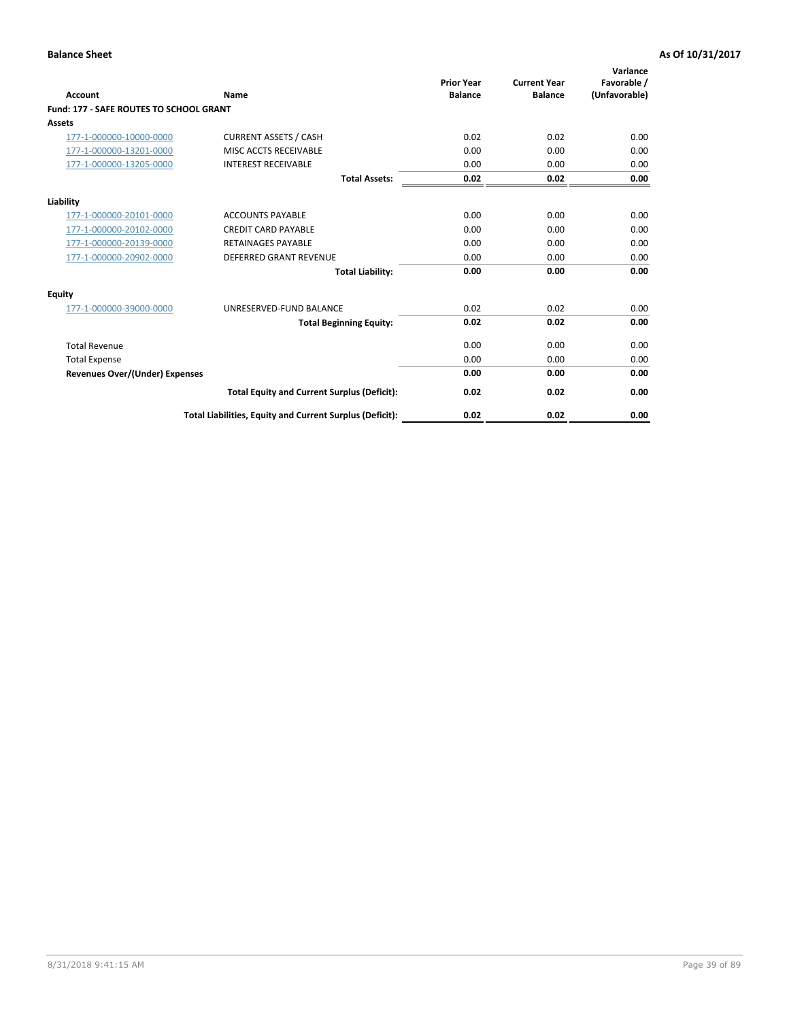| Account                                        | Name                                                     | <b>Prior Year</b><br><b>Balance</b> | <b>Current Year</b><br><b>Balance</b> | Variance<br>Favorable /<br>(Unfavorable) |
|------------------------------------------------|----------------------------------------------------------|-------------------------------------|---------------------------------------|------------------------------------------|
| <b>Fund: 177 - SAFE ROUTES TO SCHOOL GRANT</b> |                                                          |                                     |                                       |                                          |
| <b>Assets</b>                                  |                                                          |                                     |                                       |                                          |
| 177-1-000000-10000-0000                        | <b>CURRENT ASSETS / CASH</b>                             | 0.02                                | 0.02                                  | 0.00                                     |
| 177-1-000000-13201-0000                        | MISC ACCTS RECEIVABLE                                    | 0.00                                | 0.00                                  | 0.00                                     |
| 177-1-000000-13205-0000                        | <b>INTEREST RECEIVABLE</b>                               | 0.00                                | 0.00                                  | 0.00                                     |
|                                                | <b>Total Assets:</b>                                     | 0.02                                | 0.02                                  | 0.00                                     |
| Liability                                      |                                                          |                                     |                                       |                                          |
| 177-1-000000-20101-0000                        | <b>ACCOUNTS PAYABLE</b>                                  | 0.00                                | 0.00                                  | 0.00                                     |
| 177-1-000000-20102-0000                        | <b>CREDIT CARD PAYABLE</b>                               | 0.00                                | 0.00                                  | 0.00                                     |
| 177-1-000000-20139-0000                        | <b>RETAINAGES PAYABLE</b>                                | 0.00                                | 0.00                                  | 0.00                                     |
| 177-1-000000-20902-0000                        | <b>DEFERRED GRANT REVENUE</b>                            | 0.00                                | 0.00                                  | 0.00                                     |
|                                                | <b>Total Liability:</b>                                  | 0.00                                | 0.00                                  | 0.00                                     |
| Equity                                         |                                                          |                                     |                                       |                                          |
| 177-1-000000-39000-0000                        | UNRESERVED-FUND BALANCE                                  | 0.02                                | 0.02                                  | 0.00                                     |
|                                                | <b>Total Beginning Equity:</b>                           | 0.02                                | 0.02                                  | 0.00                                     |
| <b>Total Revenue</b>                           |                                                          | 0.00                                | 0.00                                  | 0.00                                     |
| <b>Total Expense</b>                           |                                                          | 0.00                                | 0.00                                  | 0.00                                     |
| Revenues Over/(Under) Expenses                 |                                                          | 0.00                                | 0.00                                  | 0.00                                     |
|                                                | <b>Total Equity and Current Surplus (Deficit):</b>       | 0.02                                | 0.02                                  | 0.00                                     |
|                                                | Total Liabilities, Equity and Current Surplus (Deficit): | 0.02                                | 0.02                                  | 0.00                                     |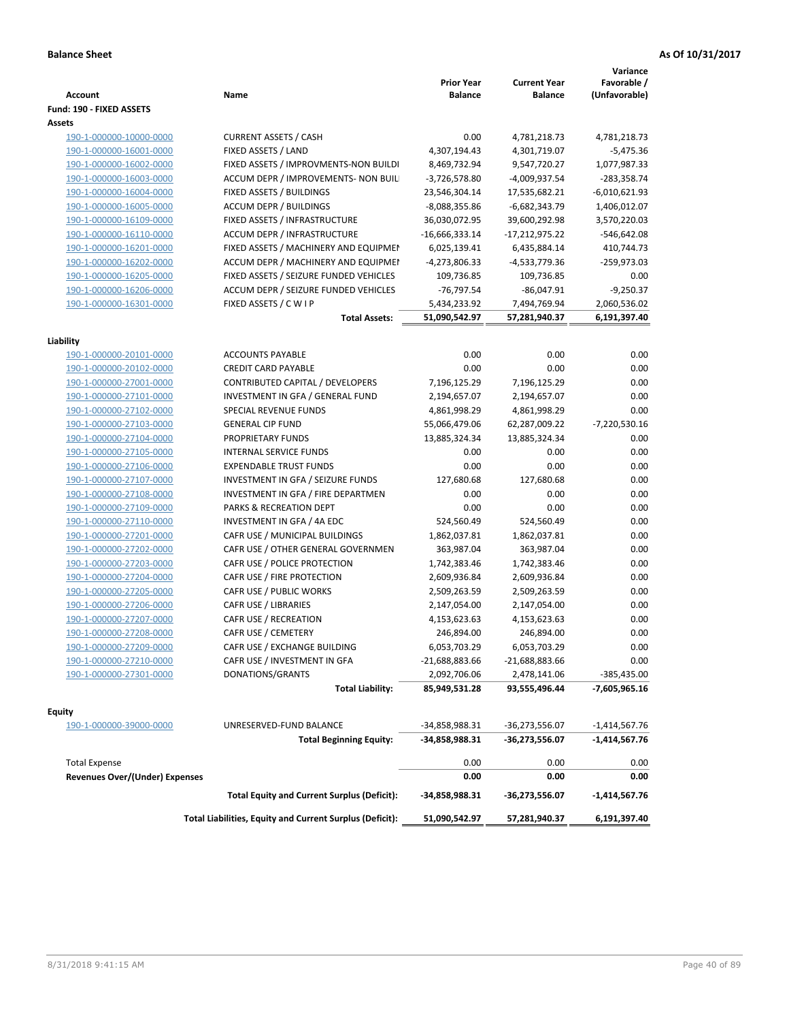| Account                               | Name                                                     | <b>Prior Year</b><br><b>Balance</b> | <b>Current Year</b><br><b>Balance</b> | Variance<br>Favorable /<br>(Unfavorable) |
|---------------------------------------|----------------------------------------------------------|-------------------------------------|---------------------------------------|------------------------------------------|
| Fund: 190 - FIXED ASSETS              |                                                          |                                     |                                       |                                          |
| Assets                                |                                                          |                                     |                                       |                                          |
| 190-1-000000-10000-0000               | <b>CURRENT ASSETS / CASH</b>                             | 0.00                                | 4,781,218.73                          | 4,781,218.73                             |
| 190-1-000000-16001-0000               | FIXED ASSETS / LAND                                      | 4,307,194.43                        | 4,301,719.07                          | $-5,475.36$                              |
| 190-1-000000-16002-0000               | FIXED ASSETS / IMPROVMENTS-NON BUILDI                    | 8,469,732.94                        | 9,547,720.27                          | 1,077,987.33                             |
| 190-1-000000-16003-0000               | ACCUM DEPR / IMPROVEMENTS- NON BUIL                      | $-3,726,578.80$                     | -4,009,937.54                         | -283,358.74                              |
| 190-1-000000-16004-0000               | FIXED ASSETS / BUILDINGS                                 | 23,546,304.14                       | 17,535,682.21                         | $-6,010,621.93$                          |
| 190-1-000000-16005-0000               | <b>ACCUM DEPR / BUILDINGS</b>                            | -8,088,355.86                       | $-6,682,343.79$                       | 1,406,012.07                             |
| 190-1-000000-16109-0000               | FIXED ASSETS / INFRASTRUCTURE                            | 36,030,072.95                       | 39,600,292.98                         | 3,570,220.03                             |
| 190-1-000000-16110-0000               | ACCUM DEPR / INFRASTRUCTURE                              | $-16,666,333.14$                    | -17,212,975.22                        | $-546,642.08$                            |
| 190-1-000000-16201-0000               | FIXED ASSETS / MACHINERY AND EQUIPMEN                    | 6,025,139.41                        | 6,435,884.14                          | 410,744.73                               |
| 190-1-000000-16202-0000               | ACCUM DEPR / MACHINERY AND EQUIPMEI                      | -4,273,806.33                       | -4,533,779.36                         | $-259,973.03$                            |
| 190-1-000000-16205-0000               | FIXED ASSETS / SEIZURE FUNDED VEHICLES                   | 109,736.85                          | 109,736.85                            | 0.00                                     |
| 190-1-000000-16206-0000               | ACCUM DEPR / SEIZURE FUNDED VEHICLES                     | $-76,797.54$                        | $-86,047.91$                          | $-9,250.37$                              |
| 190-1-000000-16301-0000               | FIXED ASSETS / C W I P                                   | 5,434,233.92                        | 7,494,769.94                          | 2,060,536.02                             |
|                                       | <b>Total Assets:</b>                                     | 51,090,542.97                       | 57,281,940.37                         | 6,191,397.40                             |
| Liability                             |                                                          |                                     |                                       |                                          |
| 190-1-000000-20101-0000               | <b>ACCOUNTS PAYABLE</b>                                  | 0.00                                | 0.00                                  | 0.00                                     |
| 190-1-000000-20102-0000               | <b>CREDIT CARD PAYABLE</b>                               | 0.00                                | 0.00                                  | 0.00                                     |
| 190-1-000000-27001-0000               | CONTRIBUTED CAPITAL / DEVELOPERS                         | 7,196,125.29                        | 7,196,125.29                          | 0.00                                     |
| 190-1-000000-27101-0000               | INVESTMENT IN GFA / GENERAL FUND                         | 2,194,657.07                        | 2,194,657.07                          | 0.00                                     |
| 190-1-000000-27102-0000               | SPECIAL REVENUE FUNDS                                    | 4,861,998.29                        | 4,861,998.29                          | 0.00                                     |
| 190-1-000000-27103-0000               | <b>GENERAL CIP FUND</b>                                  | 55,066,479.06                       | 62,287,009.22                         | $-7,220,530.16$                          |
| 190-1-000000-27104-0000               | PROPRIETARY FUNDS                                        | 13,885,324.34                       | 13,885,324.34                         | 0.00                                     |
| 190-1-000000-27105-0000               | <b>INTERNAL SERVICE FUNDS</b>                            | 0.00                                | 0.00                                  | 0.00                                     |
| 190-1-000000-27106-0000               | <b>EXPENDABLE TRUST FUNDS</b>                            | 0.00                                | 0.00                                  | 0.00                                     |
| 190-1-000000-27107-0000               | INVESTMENT IN GFA / SEIZURE FUNDS                        | 127,680.68                          | 127,680.68                            | 0.00                                     |
| 190-1-000000-27108-0000               | INVESTMENT IN GFA / FIRE DEPARTMEN                       | 0.00                                | 0.00                                  | 0.00                                     |
| 190-1-000000-27109-0000               | PARKS & RECREATION DEPT                                  | 0.00                                | 0.00                                  | 0.00                                     |
| 190-1-000000-27110-0000               | INVESTMENT IN GFA / 4A EDC                               | 524,560.49                          | 524,560.49                            | 0.00                                     |
| 190-1-000000-27201-0000               | CAFR USE / MUNICIPAL BUILDINGS                           | 1,862,037.81                        | 1,862,037.81                          | 0.00                                     |
| 190-1-000000-27202-0000               | CAFR USE / OTHER GENERAL GOVERNMEN                       | 363,987.04                          | 363,987.04                            | 0.00                                     |
| 190-1-000000-27203-0000               | CAFR USE / POLICE PROTECTION                             | 1,742,383.46                        | 1,742,383.46                          | 0.00                                     |
| 190-1-000000-27204-0000               | CAFR USE / FIRE PROTECTION                               |                                     | 2,609,936.84                          | 0.00                                     |
| 190-1-000000-27205-0000               | CAFR USE / PUBLIC WORKS                                  | 2,609,936.84<br>2,509,263.59        |                                       | 0.00                                     |
| 190-1-000000-27206-0000               | CAFR USE / LIBRARIES                                     | 2,147,054.00                        | 2,509,263.59<br>2,147,054.00          | 0.00                                     |
| 190-1-000000-27207-0000               | CAFR USE / RECREATION                                    | 4,153,623.63                        | 4,153,623.63                          | 0.00                                     |
| 190-1-000000-27208-0000               | CAFR USE / CEMETERY                                      | 246,894.00                          | 246,894.00                            | 0.00                                     |
| 190-1-000000-27209-0000               | CAFR USE / EXCHANGE BUILDING                             | 6,053,703.29                        | 6,053,703.29                          | 0.00                                     |
|                                       | CAFR USE / INVESTMENT IN GFA                             |                                     |                                       | 0.00                                     |
| 190-1-000000-27210-0000               | DONATIONS/GRANTS                                         | -21,688,883.66                      | -21,688,883.66                        | $-385,435.00$                            |
| 190-1-000000-27301-0000               | <b>Total Liability:</b>                                  | 2,092,706.06<br>85,949,531.28       | 2,478,141.06<br>93,555,496.44         | -7,605,965.16                            |
|                                       |                                                          |                                     |                                       |                                          |
| <b>Equity</b>                         |                                                          |                                     |                                       |                                          |
| 190-1-000000-39000-0000               | UNRESERVED-FUND BALANCE                                  | -34,858,988.31                      | -36,273,556.07                        | $-1,414,567.76$                          |
|                                       | <b>Total Beginning Equity:</b>                           | -34,858,988.31                      | -36,273,556.07                        | $-1,414,567.76$                          |
| <b>Total Expense</b>                  |                                                          | 0.00                                | 0.00                                  | 0.00                                     |
| <b>Revenues Over/(Under) Expenses</b> |                                                          | 0.00                                | 0.00                                  | 0.00                                     |
|                                       | <b>Total Equity and Current Surplus (Deficit):</b>       | -34,858,988.31                      | -36,273,556.07                        | $-1,414,567.76$                          |
|                                       | Total Liabilities, Equity and Current Surplus (Deficit): | 51,090,542.97                       | 57,281,940.37                         | 6,191,397.40                             |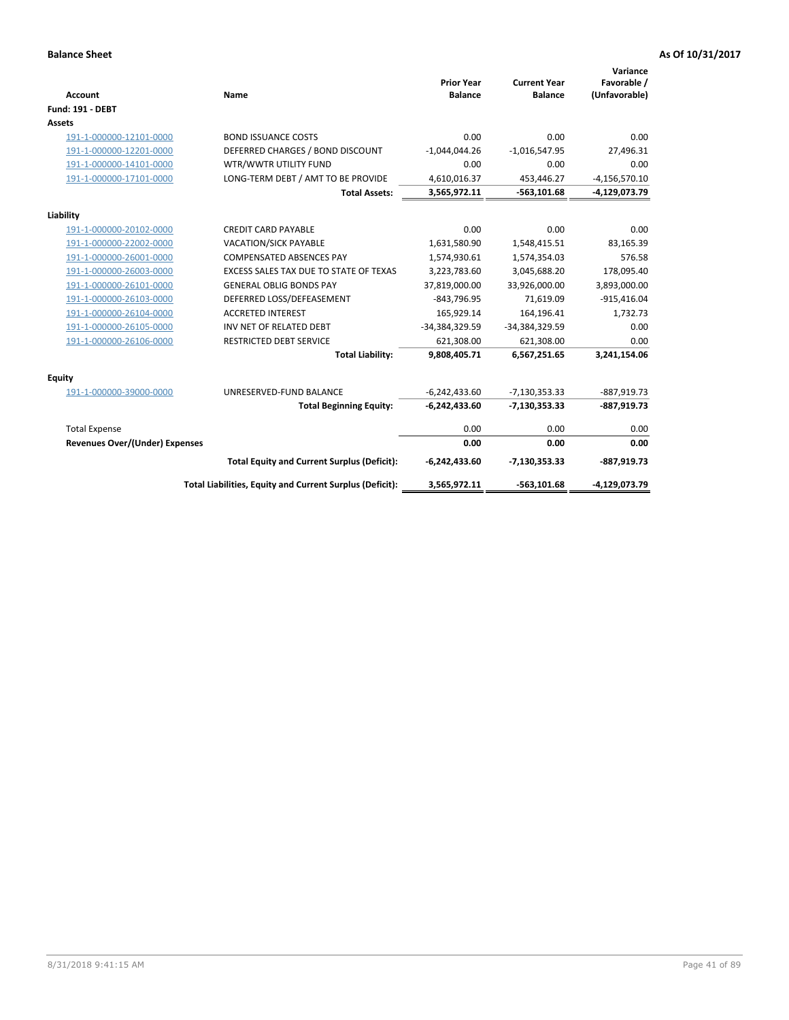| <b>Account</b>                 | Name                                                     | <b>Prior Year</b><br><b>Balance</b> | <b>Current Year</b><br><b>Balance</b> | Variance<br>Favorable /<br>(Unfavorable) |
|--------------------------------|----------------------------------------------------------|-------------------------------------|---------------------------------------|------------------------------------------|
| <b>Fund: 191 - DEBT</b>        |                                                          |                                     |                                       |                                          |
| <b>Assets</b>                  |                                                          |                                     |                                       |                                          |
| 191-1-000000-12101-0000        | <b>BOND ISSUANCE COSTS</b>                               | 0.00                                | 0.00                                  | 0.00                                     |
| 191-1-000000-12201-0000        | DEFERRED CHARGES / BOND DISCOUNT                         | $-1,044,044.26$                     | $-1,016,547.95$                       | 27,496.31                                |
| 191-1-000000-14101-0000        | WTR/WWTR UTILITY FUND                                    | 0.00                                | 0.00                                  | 0.00                                     |
| 191-1-000000-17101-0000        | LONG-TERM DEBT / AMT TO BE PROVIDE                       | 4,610,016.37                        | 453,446.27                            | $-4,156,570.10$                          |
|                                | <b>Total Assets:</b>                                     | 3,565,972.11                        | $-563, 101.68$                        | -4,129,073.79                            |
| Liability                      |                                                          |                                     |                                       |                                          |
| 191-1-000000-20102-0000        | <b>CREDIT CARD PAYABLE</b>                               | 0.00                                | 0.00                                  | 0.00                                     |
| 191-1-000000-22002-0000        | VACATION/SICK PAYABLE                                    | 1,631,580.90                        | 1,548,415.51                          | 83,165.39                                |
| 191-1-000000-26001-0000        | <b>COMPENSATED ABSENCES PAY</b>                          | 1,574,930.61                        | 1,574,354.03                          | 576.58                                   |
| 191-1-000000-26003-0000        | EXCESS SALES TAX DUE TO STATE OF TEXAS                   | 3,223,783.60                        | 3,045,688.20                          | 178,095.40                               |
| 191-1-000000-26101-0000        | <b>GENERAL OBLIG BONDS PAY</b>                           | 37,819,000.00                       | 33,926,000.00                         | 3,893,000.00                             |
| 191-1-000000-26103-0000        | DEFERRED LOSS/DEFEASEMENT                                | $-843,796.95$                       | 71,619.09                             | $-915,416.04$                            |
| 191-1-000000-26104-0000        | <b>ACCRETED INTEREST</b>                                 | 165,929.14                          | 164,196.41                            | 1,732.73                                 |
| 191-1-000000-26105-0000        | INV NET OF RELATED DEBT                                  | -34,384,329.59                      | -34,384,329.59                        | 0.00                                     |
| 191-1-000000-26106-0000        | <b>RESTRICTED DEBT SERVICE</b>                           | 621,308.00                          | 621,308.00                            | 0.00                                     |
|                                | <b>Total Liability:</b>                                  | 9,808,405.71                        | 6,567,251.65                          | 3,241,154.06                             |
| Equity                         |                                                          |                                     |                                       |                                          |
| 191-1-000000-39000-0000        | UNRESERVED-FUND BALANCE                                  | $-6,242,433.60$                     | $-7,130,353.33$                       | -887,919.73                              |
|                                | <b>Total Beginning Equity:</b>                           | $-6,242,433.60$                     | $-7,130,353.33$                       | $-887,919.73$                            |
| <b>Total Expense</b>           |                                                          | 0.00                                | 0.00                                  | 0.00                                     |
| Revenues Over/(Under) Expenses |                                                          | 0.00                                | 0.00                                  | 0.00                                     |
|                                | <b>Total Equity and Current Surplus (Deficit):</b>       | $-6,242,433.60$                     | $-7,130,353.33$                       | -887,919.73                              |
|                                | Total Liabilities, Equity and Current Surplus (Deficit): | 3,565,972.11                        | $-563,101.68$                         | $-4,129,073.79$                          |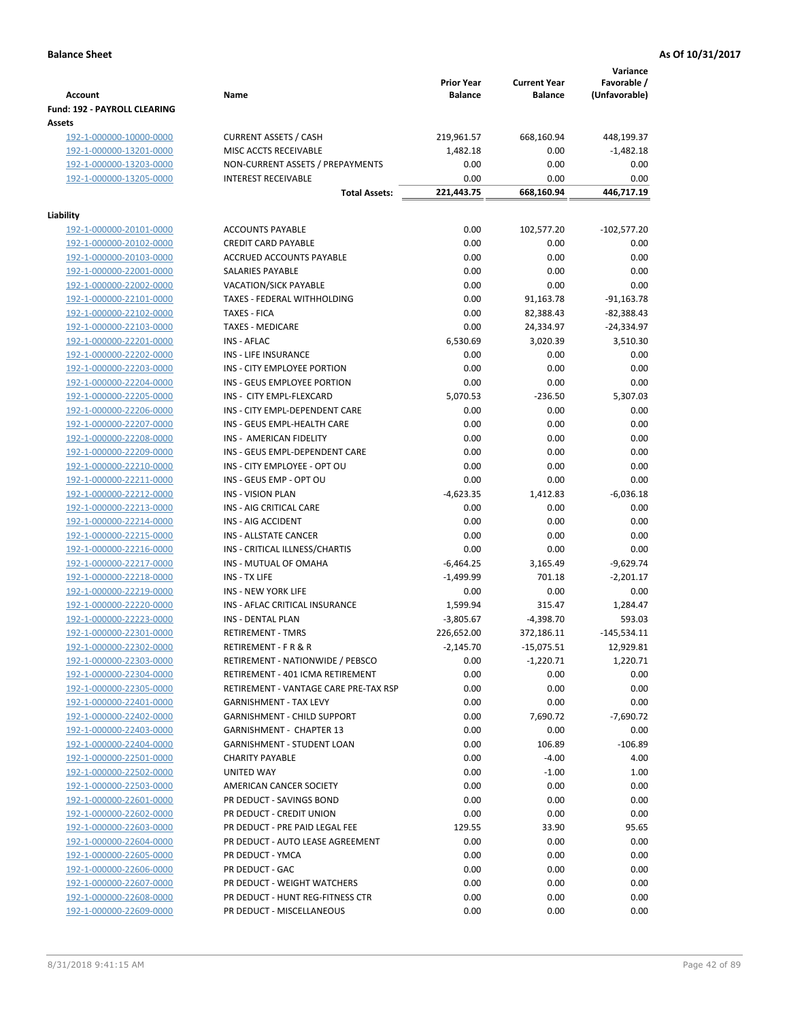|                                                    |                                                            | <b>Prior Year</b> | <b>Current Year</b> | Variance<br>Favorable / |
|----------------------------------------------------|------------------------------------------------------------|-------------------|---------------------|-------------------------|
| <b>Account</b>                                     | Name                                                       | <b>Balance</b>    | <b>Balance</b>      | (Unfavorable)           |
| Fund: 192 - PAYROLL CLEARING                       |                                                            |                   |                     |                         |
| Assets                                             |                                                            |                   |                     | 448,199.37              |
| 192-1-000000-10000-0000<br>192-1-000000-13201-0000 | <b>CURRENT ASSETS / CASH</b><br>MISC ACCTS RECEIVABLE      | 219,961.57        | 668,160.94<br>0.00  | $-1,482.18$             |
| 192-1-000000-13203-0000                            | NON-CURRENT ASSETS / PREPAYMENTS                           | 1,482.18<br>0.00  | 0.00                | 0.00                    |
| 192-1-000000-13205-0000                            | <b>INTEREST RECEIVABLE</b>                                 | 0.00              | 0.00                | 0.00                    |
|                                                    | <b>Total Assets:</b>                                       | 221,443.75        | 668,160.94          | 446,717.19              |
|                                                    |                                                            |                   |                     |                         |
| Liability                                          |                                                            |                   |                     |                         |
| 192-1-000000-20101-0000                            | <b>ACCOUNTS PAYABLE</b>                                    | 0.00              | 102,577.20          | $-102,577.20$           |
| 192-1-000000-20102-0000                            | <b>CREDIT CARD PAYABLE</b>                                 | 0.00              | 0.00                | 0.00                    |
| 192-1-000000-20103-0000                            | ACCRUED ACCOUNTS PAYABLE                                   | 0.00              | 0.00                | 0.00                    |
| 192-1-000000-22001-0000                            | SALARIES PAYABLE                                           | 0.00              | 0.00                | 0.00                    |
| 192-1-000000-22002-0000                            | <b>VACATION/SICK PAYABLE</b>                               | 0.00              | 0.00                | 0.00                    |
| 192-1-000000-22101-0000                            | TAXES - FEDERAL WITHHOLDING                                | 0.00              | 91,163.78           | $-91,163.78$            |
| 192-1-000000-22102-0000                            | <b>TAXES - FICA</b>                                        | 0.00              | 82,388.43           | $-82,388.43$            |
| 192-1-000000-22103-0000                            | <b>TAXES - MEDICARE</b>                                    | 0.00              | 24,334.97           | $-24,334.97$            |
| 192-1-000000-22201-0000                            | <b>INS - AFLAC</b>                                         | 6,530.69          | 3,020.39            | 3,510.30                |
| 192-1-000000-22202-0000                            | <b>INS - LIFE INSURANCE</b>                                | 0.00              | 0.00                | 0.00                    |
| 192-1-000000-22203-0000                            | INS - CITY EMPLOYEE PORTION<br>INS - GEUS EMPLOYEE PORTION | 0.00<br>0.00      | 0.00<br>0.00        | 0.00<br>0.00            |
| 192-1-000000-22204-0000<br>192-1-000000-22205-0000 | INS - CITY EMPL-FLEXCARD                                   | 5,070.53          | $-236.50$           | 5,307.03                |
| 192-1-000000-22206-0000                            | INS - CITY EMPL-DEPENDENT CARE                             | 0.00              | 0.00                | 0.00                    |
| 192-1-000000-22207-0000                            | INS - GEUS EMPL-HEALTH CARE                                | 0.00              | 0.00                | 0.00                    |
| 192-1-000000-22208-0000                            | INS - AMERICAN FIDELITY                                    | 0.00              | 0.00                | 0.00                    |
| 192-1-000000-22209-0000                            | INS - GEUS EMPL-DEPENDENT CARE                             | 0.00              | 0.00                | 0.00                    |
| 192-1-000000-22210-0000                            | INS - CITY EMPLOYEE - OPT OU                               | 0.00              | 0.00                | 0.00                    |
| 192-1-000000-22211-0000                            | INS - GEUS EMP - OPT OU                                    | 0.00              | 0.00                | 0.00                    |
| 192-1-000000-22212-0000                            | <b>INS - VISION PLAN</b>                                   | $-4,623.35$       | 1,412.83            | $-6,036.18$             |
| 192-1-000000-22213-0000                            | INS - AIG CRITICAL CARE                                    | 0.00              | 0.00                | 0.00                    |
| 192-1-000000-22214-0000                            | INS - AIG ACCIDENT                                         | 0.00              | 0.00                | 0.00                    |
| 192-1-000000-22215-0000                            | INS - ALLSTATE CANCER                                      | 0.00              | 0.00                | 0.00                    |
| 192-1-000000-22216-0000                            | INS - CRITICAL ILLNESS/CHARTIS                             | 0.00              | 0.00                | 0.00                    |
| 192-1-000000-22217-0000                            | INS - MUTUAL OF OMAHA                                      | $-6,464.25$       | 3,165.49            | $-9,629.74$             |
| 192-1-000000-22218-0000                            | INS - TX LIFE                                              | $-1,499.99$       | 701.18              | $-2,201.17$             |
| 192-1-000000-22219-0000                            | <b>INS - NEW YORK LIFE</b>                                 | 0.00              | 0.00                | 0.00                    |
| 192-1-000000-22220-0000                            | INS - AFLAC CRITICAL INSURANCE                             | 1,599.94          | 315.47              | 1,284.47                |
| 192-1-000000-22223-0000                            | <b>INS - DENTAL PLAN</b>                                   | $-3,805.67$       | $-4,398.70$         | 593.03                  |
| 192-1-000000-22301-0000                            | <b>RETIREMENT - TMRS</b>                                   | 226,652.00        | 372,186.11          | $-145,534.11$           |
| 192-1-000000-22302-0000                            | RETIREMENT - F R & R                                       | $-2,145.70$       | $-15,075.51$        | 12,929.81               |
| 192-1-000000-22303-0000                            | RETIREMENT - NATIONWIDE / PEBSCO                           | 0.00              | $-1,220.71$         | 1,220.71                |
| 192-1-000000-22304-0000                            | RETIREMENT - 401 ICMA RETIREMENT                           | 0.00              | 0.00                | 0.00                    |
| 192-1-000000-22305-0000                            | RETIREMENT - VANTAGE CARE PRE-TAX RSP                      | 0.00              | 0.00                | 0.00                    |
| 192-1-000000-22401-0000                            | <b>GARNISHMENT - TAX LEVY</b>                              | 0.00              | 0.00                | 0.00                    |
| 192-1-000000-22402-0000                            | <b>GARNISHMENT - CHILD SUPPORT</b>                         | 0.00              | 7,690.72            | $-7,690.72$             |
| 192-1-000000-22403-0000                            | <b>GARNISHMENT - CHAPTER 13</b>                            | 0.00              | 0.00                | 0.00                    |
| 192-1-000000-22404-0000                            | <b>GARNISHMENT - STUDENT LOAN</b>                          | 0.00              | 106.89              | $-106.89$               |
| 192-1-000000-22501-0000                            | <b>CHARITY PAYABLE</b>                                     | 0.00              | $-4.00$             | 4.00                    |
| 192-1-000000-22502-0000                            | UNITED WAY                                                 | 0.00              | $-1.00$             | 1.00                    |
| 192-1-000000-22503-0000                            | AMERICAN CANCER SOCIETY                                    | 0.00              | 0.00                | 0.00                    |
| 192-1-000000-22601-0000                            | PR DEDUCT - SAVINGS BOND                                   | 0.00              | 0.00                | 0.00                    |
| 192-1-000000-22602-0000                            | PR DEDUCT - CREDIT UNION                                   | 0.00              | 0.00                | 0.00                    |
| 192-1-000000-22603-0000                            | PR DEDUCT - PRE PAID LEGAL FEE                             | 129.55            | 33.90               | 95.65                   |
| 192-1-000000-22604-0000                            | PR DEDUCT - AUTO LEASE AGREEMENT                           | 0.00              | 0.00                | 0.00                    |
| 192-1-000000-22605-0000                            | PR DEDUCT - YMCA                                           | 0.00              | 0.00                | 0.00                    |
| 192-1-000000-22606-0000<br>192-1-000000-22607-0000 | PR DEDUCT - GAC<br>PR DEDUCT - WEIGHT WATCHERS             | 0.00<br>0.00      | 0.00<br>0.00        | 0.00<br>0.00            |
| 192-1-000000-22608-0000                            | PR DEDUCT - HUNT REG-FITNESS CTR                           | 0.00              | 0.00                | 0.00                    |
| 192-1-000000-22609-0000                            | PR DEDUCT - MISCELLANEOUS                                  | 0.00              | 0.00                | 0.00                    |
|                                                    |                                                            |                   |                     |                         |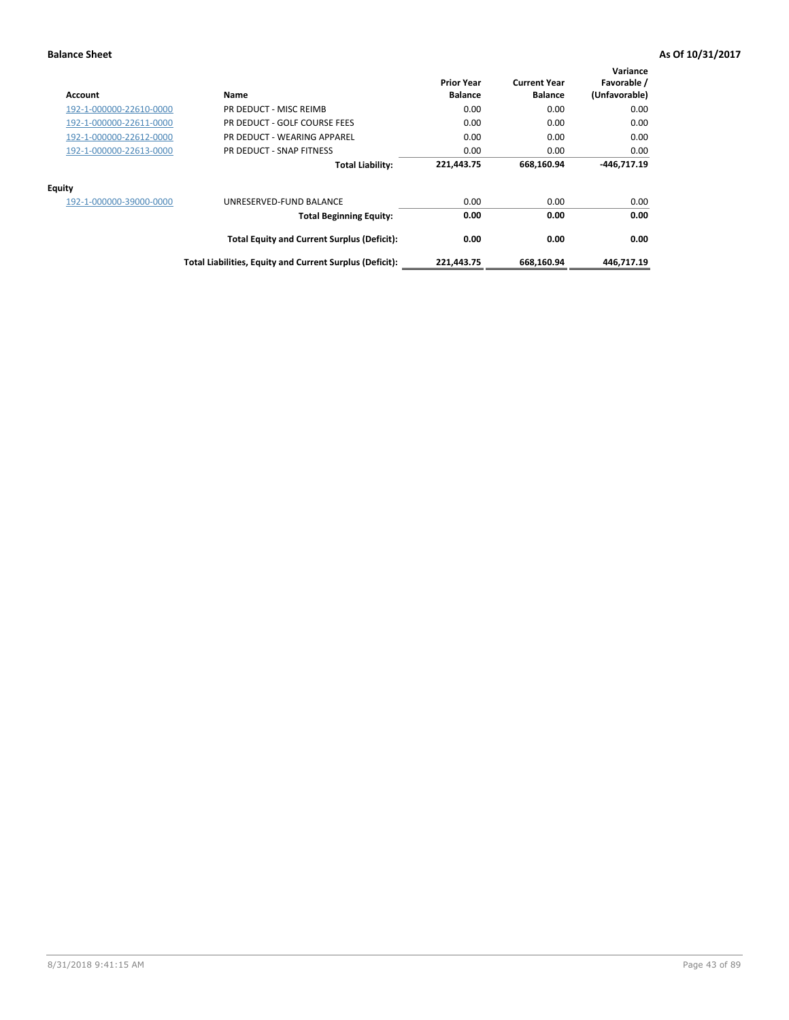| <b>Account</b>          | Name                                                     | <b>Prior Year</b><br><b>Balance</b> | <b>Current Year</b><br><b>Balance</b> | Variance<br>Favorable /<br>(Unfavorable) |
|-------------------------|----------------------------------------------------------|-------------------------------------|---------------------------------------|------------------------------------------|
| 192-1-000000-22610-0000 | PR DEDUCT - MISC REIMB                                   | 0.00                                | 0.00                                  | 0.00                                     |
| 192-1-000000-22611-0000 | PR DEDUCT - GOLF COURSE FEES                             | 0.00                                | 0.00                                  | 0.00                                     |
| 192-1-000000-22612-0000 | PR DEDUCT - WEARING APPAREL                              | 0.00                                | 0.00                                  | 0.00                                     |
| 192-1-000000-22613-0000 | PR DEDUCT - SNAP FITNESS                                 | 0.00                                | 0.00                                  | 0.00                                     |
|                         | <b>Total Liability:</b>                                  | 221,443.75                          | 668,160.94                            | $-446.717.19$                            |
| <b>Equity</b>           |                                                          |                                     |                                       |                                          |
| 192-1-000000-39000-0000 | UNRESERVED-FUND BALANCE                                  | 0.00                                | 0.00                                  | 0.00                                     |
|                         | <b>Total Beginning Equity:</b>                           | 0.00                                | 0.00                                  | 0.00                                     |
|                         | <b>Total Equity and Current Surplus (Deficit):</b>       | 0.00                                | 0.00                                  | 0.00                                     |
|                         | Total Liabilities, Equity and Current Surplus (Deficit): | 221,443.75                          | 668,160.94                            | 446.717.19                               |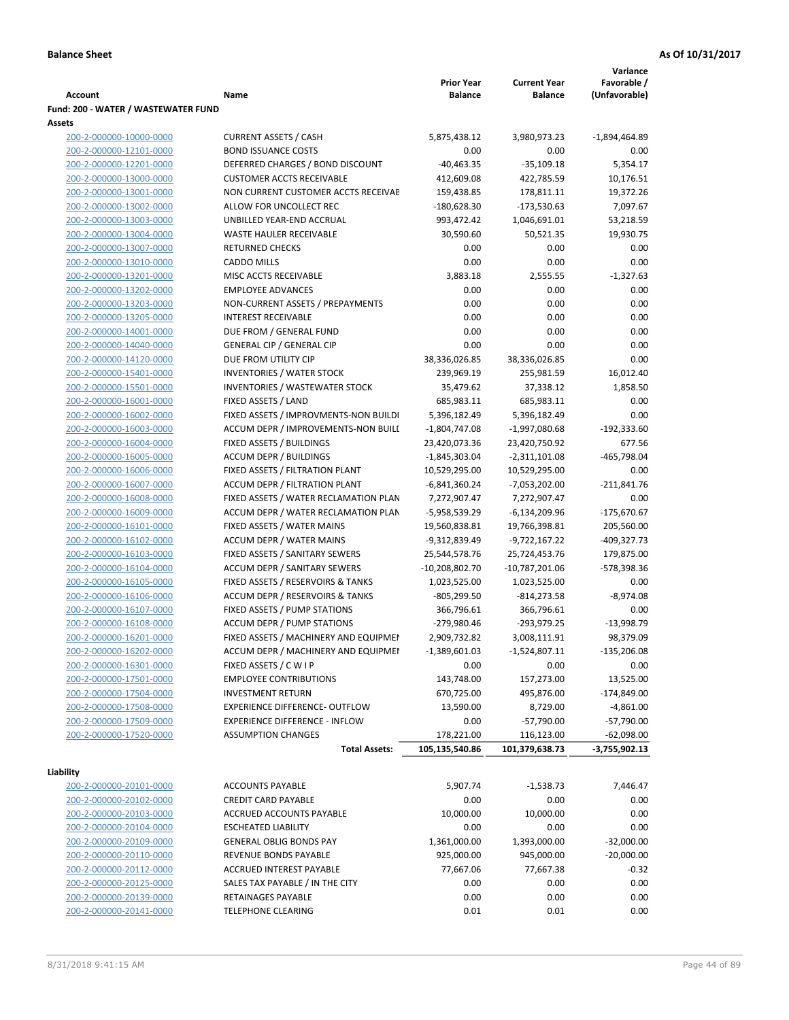|                                                    |                                                                              |                                     |                                       | Variance                     |
|----------------------------------------------------|------------------------------------------------------------------------------|-------------------------------------|---------------------------------------|------------------------------|
| Account                                            | Name                                                                         | <b>Prior Year</b><br><b>Balance</b> | <b>Current Year</b><br><b>Balance</b> | Favorable /<br>(Unfavorable) |
| Fund: 200 - WATER / WASTEWATER FUND                |                                                                              |                                     |                                       |                              |
| Assets                                             |                                                                              |                                     |                                       |                              |
| 200-2-000000-10000-0000                            | <b>CURRENT ASSETS / CASH</b>                                                 | 5,875,438.12                        | 3,980,973.23                          | $-1,894,464.89$              |
| 200-2-000000-12101-0000                            | <b>BOND ISSUANCE COSTS</b>                                                   | 0.00                                | 0.00                                  | 0.00                         |
| 200-2-000000-12201-0000                            | DEFERRED CHARGES / BOND DISCOUNT                                             | $-40,463.35$                        | $-35,109.18$                          | 5,354.17                     |
| 200-2-000000-13000-0000                            | <b>CUSTOMER ACCTS RECEIVABLE</b>                                             | 412,609.08                          | 422,785.59                            | 10,176.51                    |
| 200-2-000000-13001-0000                            | NON CURRENT CUSTOMER ACCTS RECEIVAE                                          | 159,438.85                          | 178,811.11                            | 19,372.26                    |
| 200-2-000000-13002-0000                            | ALLOW FOR UNCOLLECT REC                                                      | $-180,628.30$                       | $-173,530.63$                         | 7,097.67                     |
| 200-2-000000-13003-0000                            | UNBILLED YEAR-END ACCRUAL                                                    | 993,472.42                          | 1,046,691.01                          | 53,218.59                    |
| 200-2-000000-13004-0000                            | <b>WASTE HAULER RECEIVABLE</b>                                               | 30,590.60                           | 50,521.35                             | 19,930.75                    |
| 200-2-000000-13007-0000                            | <b>RETURNED CHECKS</b>                                                       | 0.00                                | 0.00                                  | 0.00                         |
| 200-2-000000-13010-0000                            | <b>CADDO MILLS</b>                                                           | 0.00                                | 0.00                                  | 0.00                         |
| 200-2-000000-13201-0000                            | MISC ACCTS RECEIVABLE                                                        | 3,883.18                            | 2,555.55                              | $-1,327.63$                  |
| 200-2-000000-13202-0000                            | <b>EMPLOYEE ADVANCES</b>                                                     | 0.00                                | 0.00                                  | 0.00                         |
| 200-2-000000-13203-0000                            | NON-CURRENT ASSETS / PREPAYMENTS                                             | 0.00                                | 0.00                                  | 0.00                         |
| 200-2-000000-13205-0000                            | <b>INTEREST RECEIVABLE</b>                                                   | 0.00                                | 0.00                                  | 0.00                         |
| 200-2-000000-14001-0000                            | DUE FROM / GENERAL FUND                                                      | 0.00                                | 0.00                                  | 0.00                         |
| 200-2-000000-14040-0000                            | <b>GENERAL CIP / GENERAL CIP</b>                                             | 0.00                                | 0.00                                  | 0.00                         |
| 200-2-000000-14120-0000                            | DUE FROM UTILITY CIP                                                         | 38,336,026.85                       | 38,336,026.85                         | 0.00                         |
| 200-2-000000-15401-0000                            | <b>INVENTORIES / WATER STOCK</b>                                             | 239,969.19                          | 255,981.59                            | 16,012.40                    |
| 200-2-000000-15501-0000                            | <b>INVENTORIES / WASTEWATER STOCK</b>                                        | 35,479.62                           | 37,338.12                             | 1,858.50                     |
| 200-2-000000-16001-0000                            | FIXED ASSETS / LAND                                                          | 685,983.11                          | 685,983.11                            | 0.00<br>0.00                 |
| 200-2-000000-16002-0000<br>200-2-000000-16003-0000 | FIXED ASSETS / IMPROVMENTS-NON BUILDI<br>ACCUM DEPR / IMPROVEMENTS-NON BUILI | 5,396,182.49<br>$-1,804,747.08$     | 5,396,182.49                          |                              |
| 200-2-000000-16004-0000                            | FIXED ASSETS / BUILDINGS                                                     | 23,420,073.36                       | $-1,997,080.68$<br>23,420,750.92      | -192,333.60<br>677.56        |
| 200-2-000000-16005-0000                            | <b>ACCUM DEPR / BUILDINGS</b>                                                | $-1,845,303.04$                     | $-2,311,101.08$                       | $-465,798.04$                |
| 200-2-000000-16006-0000                            | FIXED ASSETS / FILTRATION PLANT                                              | 10,529,295.00                       | 10,529,295.00                         | 0.00                         |
| 200-2-000000-16007-0000                            | ACCUM DEPR / FILTRATION PLANT                                                | -6,841,360.24                       | $-7,053,202.00$                       | $-211,841.76$                |
| 200-2-000000-16008-0000                            | FIXED ASSETS / WATER RECLAMATION PLAN                                        | 7,272,907.47                        | 7,272,907.47                          | 0.00                         |
| 200-2-000000-16009-0000                            | ACCUM DEPR / WATER RECLAMATION PLAN                                          | -5,958,539.29                       | $-6,134,209.96$                       | -175,670.67                  |
| 200-2-000000-16101-0000                            | FIXED ASSETS / WATER MAINS                                                   | 19,560,838.81                       | 19,766,398.81                         | 205,560.00                   |
| 200-2-000000-16102-0000                            | <b>ACCUM DEPR / WATER MAINS</b>                                              | -9,312,839.49                       | -9,722,167.22                         | -409,327.73                  |
| 200-2-000000-16103-0000                            | FIXED ASSETS / SANITARY SEWERS                                               | 25,544,578.76                       | 25,724,453.76                         | 179,875.00                   |
| 200-2-000000-16104-0000                            | <b>ACCUM DEPR / SANITARY SEWERS</b>                                          | -10,208,802.70                      | $-10,787,201.06$                      | -578,398.36                  |
| 200-2-000000-16105-0000                            | FIXED ASSETS / RESERVOIRS & TANKS                                            | 1,023,525.00                        | 1,023,525.00                          | 0.00                         |
| 200-2-000000-16106-0000                            | <b>ACCUM DEPR / RESERVOIRS &amp; TANKS</b>                                   | $-805,299.50$                       | $-814,273.58$                         | $-8,974.08$                  |
| 200-2-000000-16107-0000                            | FIXED ASSETS / PUMP STATIONS                                                 | 366,796.61                          | 366,796.61                            | 0.00                         |
| 200-2-000000-16108-0000                            | <b>ACCUM DEPR / PUMP STATIONS</b>                                            | $-279,980.46$                       | -293,979.25                           | $-13,998.79$                 |
| 200-2-000000-16201-0000                            | FIXED ASSETS / MACHINERY AND EQUIPMEN                                        | 2,909,732.82                        | 3,008,111.91                          | 98,379.09                    |
| 200-2-000000-16202-0000                            | ACCUM DEPR / MACHINERY AND EQUIPMEI                                          | $-1,389,601.03$                     | $-1,524,807.11$                       | $-135,206.08$                |
| 200-2-000000-16301-0000                            | FIXED ASSETS / C W I P                                                       | 0.00                                | 0.00                                  | 0.00                         |
| 200-2-000000-17501-0000                            | <b>EMPLOYEE CONTRIBUTIONS</b>                                                | 143,748.00                          | 157,273.00                            | 13,525.00                    |
| 200-2-000000-17504-0000                            | <b>INVESTMENT RETURN</b>                                                     | 670,725.00                          | 495,876.00                            | $-174,849.00$                |
| 200-2-000000-17508-0000                            | EXPERIENCE DIFFERENCE- OUTFLOW                                               | 13,590.00                           | 8,729.00                              | $-4,861.00$                  |
| 200-2-000000-17509-0000                            | <b>EXPERIENCE DIFFERENCE - INFLOW</b>                                        | 0.00                                | $-57,790.00$                          | $-57,790.00$                 |
| 200-2-000000-17520-0000                            | <b>ASSUMPTION CHANGES</b>                                                    | 178,221.00                          | 116,123.00                            | $-62,098.00$                 |
|                                                    | <b>Total Assets:</b>                                                         | 105,135,540.86                      | 101,379,638.73                        | $-3,755,902.13$              |
|                                                    |                                                                              |                                     |                                       |                              |
| Liability                                          |                                                                              |                                     |                                       |                              |
| 200-2-000000-20101-0000                            | <b>ACCOUNTS PAYABLE</b>                                                      | 5,907.74                            | $-1,538.73$                           | 7,446.47                     |
| 200-2-000000-20102-0000                            | <b>CREDIT CARD PAYABLE</b>                                                   | 0.00                                | 0.00                                  | 0.00                         |
| 200-2-000000-20103-0000                            | ACCRUED ACCOUNTS PAYABLE                                                     | 10,000.00                           | 10,000.00                             | 0.00                         |
| 200-2-000000-20104-0000<br>200-2-000000-20109-0000 | <b>ESCHEATED LIABILITY</b><br><b>GENERAL OBLIG BONDS PAY</b>                 | 0.00<br>1,361,000.00                | 0.00<br>1,393,000.00                  | 0.00<br>$-32,000.00$         |
| 200-2-000000-20110-0000                            | REVENUE BONDS PAYABLE                                                        | 925,000.00                          | 945,000.00                            | $-20,000.00$                 |
| 200-2-000000-20112-0000                            | ACCRUED INTEREST PAYABLE                                                     | 77,667.06                           | 77,667.38                             | $-0.32$                      |
| 200-2-000000-20125-0000                            | SALES TAX PAYABLE / IN THE CITY                                              | 0.00                                | 0.00                                  | 0.00                         |
| 200-2-000000-20139-0000                            | RETAINAGES PAYABLE                                                           | 0.00                                | 0.00                                  | 0.00                         |
| 200-2-000000-20141-0000                            | <b>TELEPHONE CLEARING</b>                                                    | 0.01                                | 0.01                                  | 0.00                         |
|                                                    |                                                                              |                                     |                                       |                              |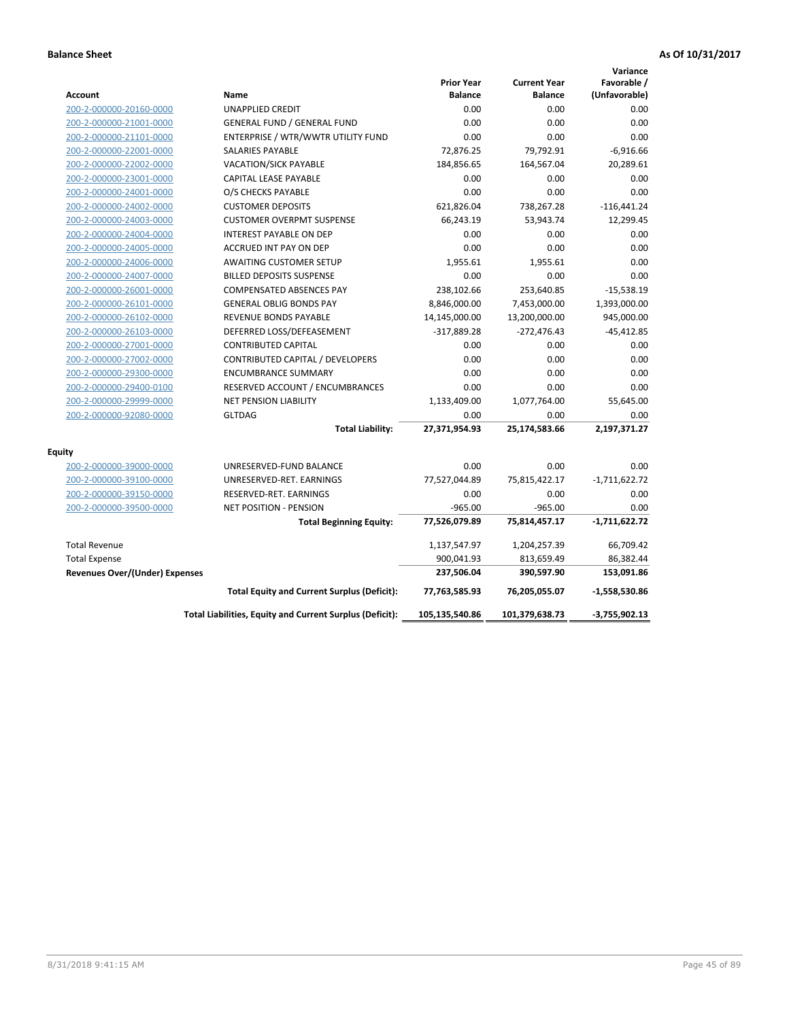|                                       |                                                          |                                     |                                       | Variance                     |
|---------------------------------------|----------------------------------------------------------|-------------------------------------|---------------------------------------|------------------------------|
| <b>Account</b>                        | Name                                                     | <b>Prior Year</b><br><b>Balance</b> | <b>Current Year</b><br><b>Balance</b> | Favorable /<br>(Unfavorable) |
| 200-2-000000-20160-0000               | <b>UNAPPLIED CREDIT</b>                                  | 0.00                                | 0.00                                  | 0.00                         |
| 200-2-000000-21001-0000               | <b>GENERAL FUND / GENERAL FUND</b>                       | 0.00                                | 0.00                                  | 0.00                         |
| 200-2-000000-21101-0000               | ENTERPRISE / WTR/WWTR UTILITY FUND                       | 0.00                                | 0.00                                  | 0.00                         |
| 200-2-000000-22001-0000               | <b>SALARIES PAYABLE</b>                                  | 72,876.25                           | 79,792.91                             | $-6,916.66$                  |
| 200-2-000000-22002-0000               | <b>VACATION/SICK PAYABLE</b>                             | 184,856.65                          | 164,567.04                            | 20,289.61                    |
| 200-2-000000-23001-0000               | <b>CAPITAL LEASE PAYABLE</b>                             | 0.00                                | 0.00                                  | 0.00                         |
| 200-2-000000-24001-0000               | O/S CHECKS PAYABLE                                       | 0.00                                | 0.00                                  | 0.00                         |
| 200-2-000000-24002-0000               | <b>CUSTOMER DEPOSITS</b>                                 | 621,826.04                          | 738,267.28                            | $-116,441.24$                |
| 200-2-000000-24003-0000               | <b>CUSTOMER OVERPMT SUSPENSE</b>                         | 66,243.19                           | 53,943.74                             | 12,299.45                    |
| 200-2-000000-24004-0000               | <b>INTEREST PAYABLE ON DEP</b>                           | 0.00                                | 0.00                                  | 0.00                         |
| 200-2-000000-24005-0000               | ACCRUED INT PAY ON DEP                                   | 0.00                                | 0.00                                  | 0.00                         |
| 200-2-000000-24006-0000               | <b>AWAITING CUSTOMER SETUP</b>                           | 1,955.61                            | 1,955.61                              | 0.00                         |
| 200-2-000000-24007-0000               | <b>BILLED DEPOSITS SUSPENSE</b>                          | 0.00                                | 0.00                                  | 0.00                         |
| 200-2-000000-26001-0000               | <b>COMPENSATED ABSENCES PAY</b>                          | 238,102.66                          | 253,640.85                            | $-15,538.19$                 |
| 200-2-000000-26101-0000               | <b>GENERAL OBLIG BONDS PAY</b>                           | 8,846,000.00                        | 7,453,000.00                          | 1,393,000.00                 |
| 200-2-000000-26102-0000               | REVENUE BONDS PAYABLE                                    | 14,145,000.00                       | 13,200,000.00                         | 945,000.00                   |
| 200-2-000000-26103-0000               | DEFERRED LOSS/DEFEASEMENT                                | $-317,889.28$                       | $-272,476.43$                         | $-45,412.85$                 |
| 200-2-000000-27001-0000               | <b>CONTRIBUTED CAPITAL</b>                               | 0.00                                | 0.00                                  | 0.00                         |
| 200-2-000000-27002-0000               | CONTRIBUTED CAPITAL / DEVELOPERS                         | 0.00                                | 0.00                                  | 0.00                         |
| 200-2-000000-29300-0000               | <b>ENCUMBRANCE SUMMARY</b>                               | 0.00                                | 0.00                                  | 0.00                         |
| 200-2-000000-29400-0100               | RESERVED ACCOUNT / ENCUMBRANCES                          | 0.00                                | 0.00                                  | 0.00                         |
| 200-2-000000-29999-0000               | NET PENSION LIABILITY                                    | 1,133,409.00                        | 1,077,764.00                          | 55,645.00                    |
| 200-2-000000-92080-0000               | <b>GLTDAG</b>                                            | 0.00                                | 0.00                                  | 0.00                         |
|                                       | <b>Total Liability:</b>                                  | 27,371,954.93                       | 25,174,583.66                         | 2,197,371.27                 |
| <b>Equity</b>                         |                                                          |                                     |                                       |                              |
| 200-2-000000-39000-0000               | UNRESERVED-FUND BALANCE                                  | 0.00                                | 0.00                                  | 0.00                         |
| 200-2-000000-39100-0000               | UNRESERVED-RET. EARNINGS                                 | 77,527,044.89                       | 75,815,422.17                         | $-1,711,622.72$              |
| 200-2-000000-39150-0000               | RESERVED-RET. EARNINGS                                   | 0.00                                | 0.00                                  | 0.00                         |
| 200-2-000000-39500-0000               | <b>NET POSITION - PENSION</b>                            | $-965.00$                           | $-965.00$                             | 0.00                         |
|                                       | <b>Total Beginning Equity:</b>                           | 77,526,079.89                       | 75,814,457.17                         | $-1,711,622.72$              |
| <b>Total Revenue</b>                  |                                                          | 1,137,547.97                        | 1,204,257.39                          | 66,709.42                    |
| <b>Total Expense</b>                  |                                                          | 900,041.93                          | 813,659.49                            | 86,382.44                    |
| <b>Revenues Over/(Under) Expenses</b> |                                                          | 237,506.04                          | 390,597.90                            | 153,091.86                   |
|                                       | <b>Total Equity and Current Surplus (Deficit):</b>       | 77,763,585.93                       | 76,205,055.07                         | $-1,558,530.86$              |
|                                       | Total Liabilities, Equity and Current Surplus (Deficit): | 105,135,540.86                      | 101,379,638.73                        | $-3,755,902.13$              |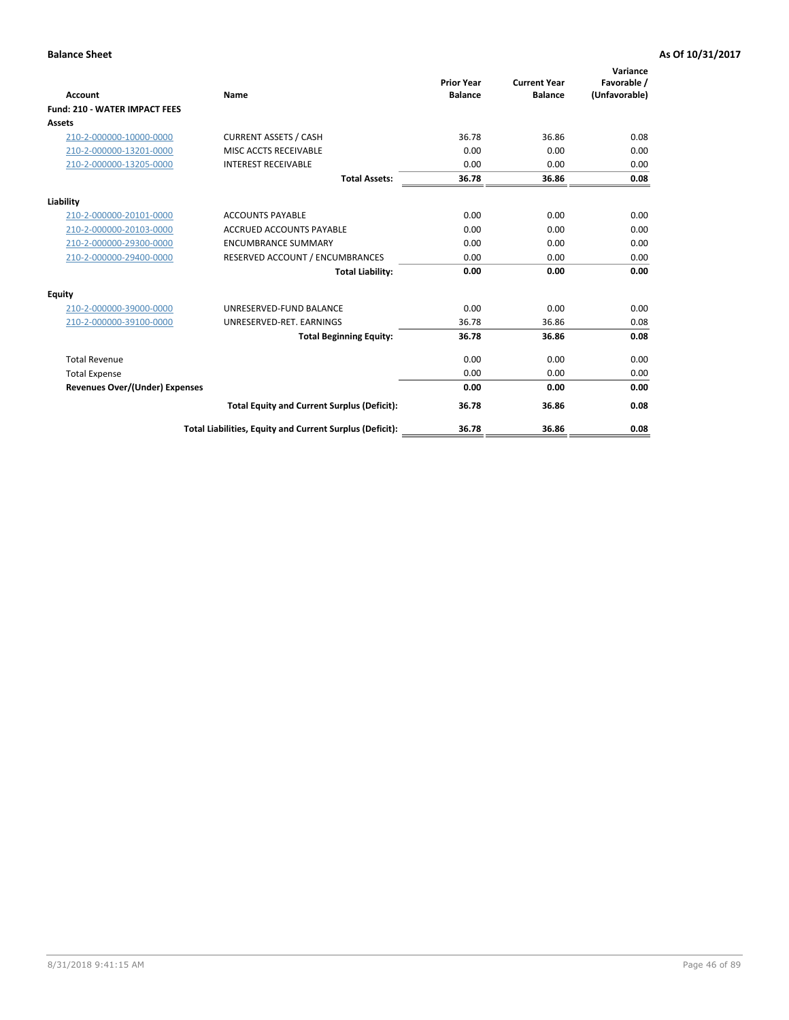| <b>Account</b>                        | Name                                                     | <b>Prior Year</b><br><b>Balance</b> | <b>Current Year</b><br><b>Balance</b> | Variance<br>Favorable /<br>(Unfavorable) |
|---------------------------------------|----------------------------------------------------------|-------------------------------------|---------------------------------------|------------------------------------------|
| <b>Fund: 210 - WATER IMPACT FEES</b>  |                                                          |                                     |                                       |                                          |
| <b>Assets</b>                         |                                                          |                                     |                                       |                                          |
| 210-2-000000-10000-0000               | <b>CURRENT ASSETS / CASH</b>                             | 36.78                               | 36.86                                 | 0.08                                     |
| 210-2-000000-13201-0000               | MISC ACCTS RECEIVABLE                                    | 0.00                                | 0.00                                  | 0.00                                     |
| 210-2-000000-13205-0000               | <b>INTEREST RECEIVABLE</b>                               | 0.00                                | 0.00                                  | 0.00                                     |
|                                       | <b>Total Assets:</b>                                     | 36.78                               | 36.86                                 | 0.08                                     |
| Liability                             |                                                          |                                     |                                       |                                          |
| 210-2-000000-20101-0000               | <b>ACCOUNTS PAYABLE</b>                                  | 0.00                                | 0.00                                  | 0.00                                     |
| 210-2-000000-20103-0000               | <b>ACCRUED ACCOUNTS PAYABLE</b>                          | 0.00                                | 0.00                                  | 0.00                                     |
| 210-2-000000-29300-0000               | <b>ENCUMBRANCE SUMMARY</b>                               | 0.00                                | 0.00                                  | 0.00                                     |
| 210-2-000000-29400-0000               | RESERVED ACCOUNT / ENCUMBRANCES                          | 0.00                                | 0.00                                  | 0.00                                     |
|                                       | <b>Total Liability:</b>                                  | 0.00                                | 0.00                                  | 0.00                                     |
| <b>Equity</b>                         |                                                          |                                     |                                       |                                          |
| 210-2-000000-39000-0000               | UNRESERVED-FUND BALANCE                                  | 0.00                                | 0.00                                  | 0.00                                     |
| 210-2-000000-39100-0000               | UNRESERVED-RET. EARNINGS                                 | 36.78                               | 36.86                                 | 0.08                                     |
|                                       | <b>Total Beginning Equity:</b>                           | 36.78                               | 36.86                                 | 0.08                                     |
| <b>Total Revenue</b>                  |                                                          | 0.00                                | 0.00                                  | 0.00                                     |
| <b>Total Expense</b>                  |                                                          | 0.00                                | 0.00                                  | 0.00                                     |
| <b>Revenues Over/(Under) Expenses</b> |                                                          | 0.00                                | 0.00                                  | 0.00                                     |
|                                       | <b>Total Equity and Current Surplus (Deficit):</b>       | 36.78                               | 36.86                                 | 0.08                                     |
|                                       | Total Liabilities, Equity and Current Surplus (Deficit): | 36.78                               | 36.86                                 | 0.08                                     |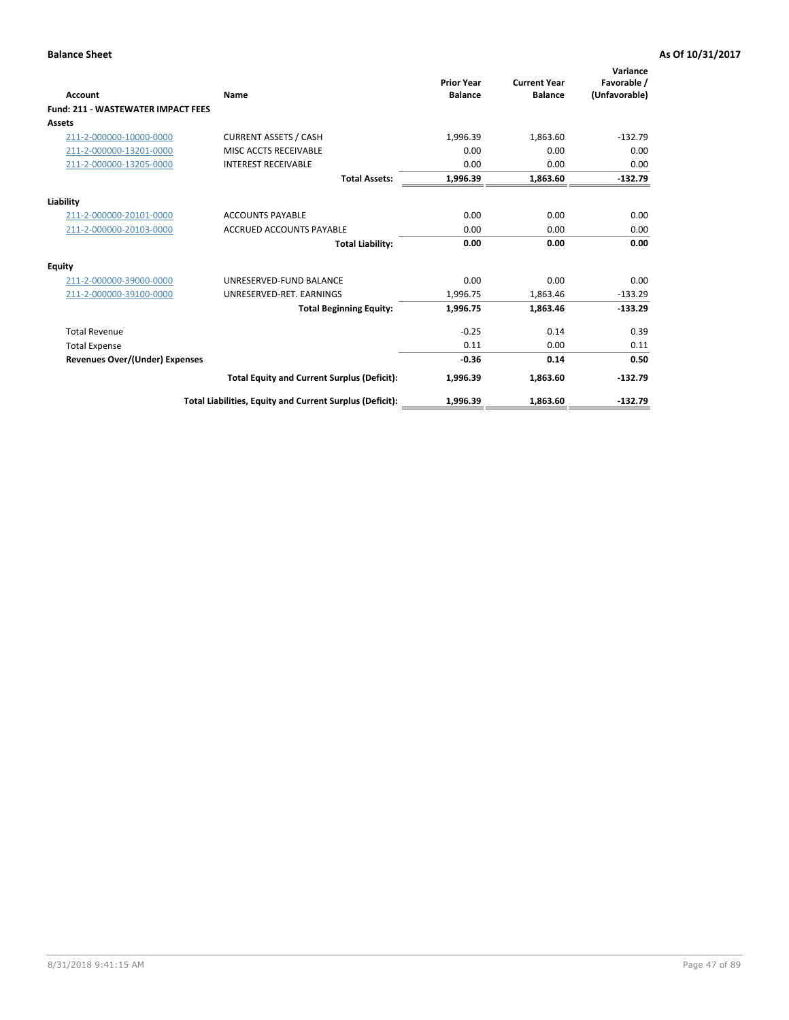| <b>Account</b>                            | Name                                                     | <b>Prior Year</b><br><b>Balance</b> | <b>Current Year</b><br><b>Balance</b> | Variance<br>Favorable /<br>(Unfavorable) |
|-------------------------------------------|----------------------------------------------------------|-------------------------------------|---------------------------------------|------------------------------------------|
| <b>Fund: 211 - WASTEWATER IMPACT FEES</b> |                                                          |                                     |                                       |                                          |
| <b>Assets</b>                             |                                                          |                                     |                                       |                                          |
| 211-2-000000-10000-0000                   | <b>CURRENT ASSETS / CASH</b>                             | 1,996.39                            | 1,863.60                              | $-132.79$                                |
| 211-2-000000-13201-0000                   | MISC ACCTS RECEIVABLE                                    | 0.00                                | 0.00                                  | 0.00                                     |
| 211-2-000000-13205-0000                   | <b>INTEREST RECEIVABLE</b>                               | 0.00                                | 0.00                                  | 0.00                                     |
|                                           | <b>Total Assets:</b>                                     | 1,996.39                            | 1,863.60                              | $-132.79$                                |
| Liability                                 |                                                          |                                     |                                       |                                          |
| 211-2-000000-20101-0000                   | <b>ACCOUNTS PAYABLE</b>                                  | 0.00                                | 0.00                                  | 0.00                                     |
| 211-2-000000-20103-0000                   | <b>ACCRUED ACCOUNTS PAYABLE</b>                          | 0.00                                | 0.00                                  | 0.00                                     |
|                                           | <b>Total Liability:</b>                                  | 0.00                                | 0.00                                  | 0.00                                     |
| <b>Equity</b>                             |                                                          |                                     |                                       |                                          |
| 211-2-000000-39000-0000                   | UNRESERVED-FUND BALANCE                                  | 0.00                                | 0.00                                  | 0.00                                     |
| 211-2-000000-39100-0000                   | UNRESERVED-RET. EARNINGS                                 | 1,996.75                            | 1,863.46                              | $-133.29$                                |
|                                           | <b>Total Beginning Equity:</b>                           | 1,996.75                            | 1.863.46                              | $-133.29$                                |
| <b>Total Revenue</b>                      |                                                          | $-0.25$                             | 0.14                                  | 0.39                                     |
| <b>Total Expense</b>                      |                                                          | 0.11                                | 0.00                                  | 0.11                                     |
| <b>Revenues Over/(Under) Expenses</b>     |                                                          | $-0.36$                             | 0.14                                  | 0.50                                     |
|                                           | <b>Total Equity and Current Surplus (Deficit):</b>       | 1,996.39                            | 1,863.60                              | $-132.79$                                |
|                                           | Total Liabilities, Equity and Current Surplus (Deficit): | 1,996.39                            | 1,863.60                              | $-132.79$                                |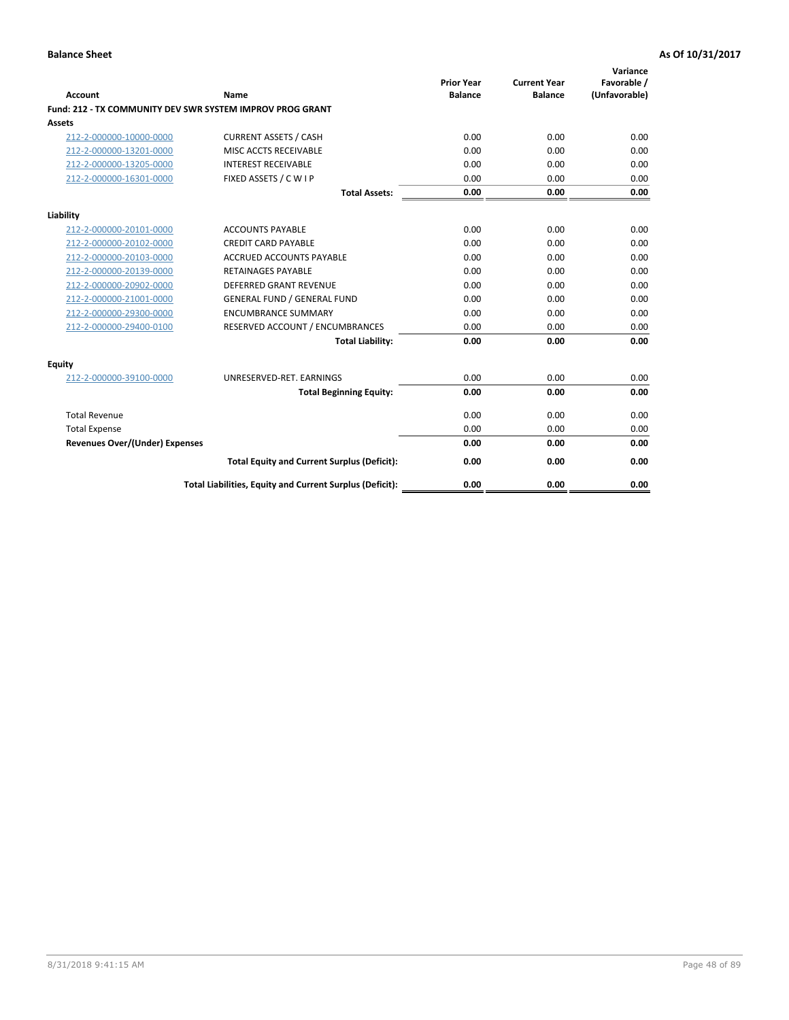| <b>Account</b>                        | Name                                                             | <b>Prior Year</b><br><b>Balance</b> | <b>Current Year</b><br><b>Balance</b> | Variance<br>Favorable /<br>(Unfavorable) |
|---------------------------------------|------------------------------------------------------------------|-------------------------------------|---------------------------------------|------------------------------------------|
|                                       | <b>Fund: 212 - TX COMMUNITY DEV SWR SYSTEM IMPROV PROG GRANT</b> |                                     |                                       |                                          |
| <b>Assets</b>                         |                                                                  |                                     |                                       |                                          |
| 212-2-000000-10000-0000               | <b>CURRENT ASSETS / CASH</b>                                     | 0.00                                | 0.00                                  | 0.00                                     |
| 212-2-000000-13201-0000               | MISC ACCTS RECEIVABLE                                            | 0.00                                | 0.00                                  | 0.00                                     |
| 212-2-000000-13205-0000               | <b>INTEREST RECEIVABLE</b>                                       | 0.00                                | 0.00                                  | 0.00                                     |
| 212-2-000000-16301-0000               | FIXED ASSETS / C W I P                                           | 0.00                                | 0.00                                  | 0.00                                     |
|                                       | <b>Total Assets:</b>                                             | 0.00                                | 0.00                                  | 0.00                                     |
| Liability                             |                                                                  |                                     |                                       |                                          |
| 212-2-000000-20101-0000               | <b>ACCOUNTS PAYABLE</b>                                          | 0.00                                | 0.00                                  | 0.00                                     |
| 212-2-000000-20102-0000               | <b>CREDIT CARD PAYABLE</b>                                       | 0.00                                | 0.00                                  | 0.00                                     |
| 212-2-000000-20103-0000               | <b>ACCRUED ACCOUNTS PAYABLE</b>                                  | 0.00                                | 0.00                                  | 0.00                                     |
| 212-2-000000-20139-0000               | <b>RETAINAGES PAYABLE</b>                                        | 0.00                                | 0.00                                  | 0.00                                     |
| 212-2-000000-20902-0000               | <b>DEFERRED GRANT REVENUE</b>                                    | 0.00                                | 0.00                                  | 0.00                                     |
| 212-2-000000-21001-0000               | <b>GENERAL FUND / GENERAL FUND</b>                               | 0.00                                | 0.00                                  | 0.00                                     |
| 212-2-000000-29300-0000               | <b>ENCUMBRANCE SUMMARY</b>                                       | 0.00                                | 0.00                                  | 0.00                                     |
| 212-2-000000-29400-0100               | RESERVED ACCOUNT / ENCUMBRANCES                                  | 0.00                                | 0.00                                  | 0.00                                     |
|                                       | <b>Total Liability:</b>                                          | 0.00                                | 0.00                                  | 0.00                                     |
| <b>Equity</b>                         |                                                                  |                                     |                                       |                                          |
| 212-2-000000-39100-0000               | UNRESERVED-RET. EARNINGS                                         | 0.00                                | 0.00                                  | 0.00                                     |
|                                       | <b>Total Beginning Equity:</b>                                   | 0.00                                | 0.00                                  | 0.00                                     |
| <b>Total Revenue</b>                  |                                                                  | 0.00                                | 0.00                                  | 0.00                                     |
| <b>Total Expense</b>                  |                                                                  | 0.00                                | 0.00                                  | 0.00                                     |
| <b>Revenues Over/(Under) Expenses</b> |                                                                  | 0.00                                | 0.00                                  | 0.00                                     |
|                                       | <b>Total Equity and Current Surplus (Deficit):</b>               | 0.00                                | 0.00                                  | 0.00                                     |
|                                       | Total Liabilities, Equity and Current Surplus (Deficit):         | 0.00                                | 0.00                                  | 0.00                                     |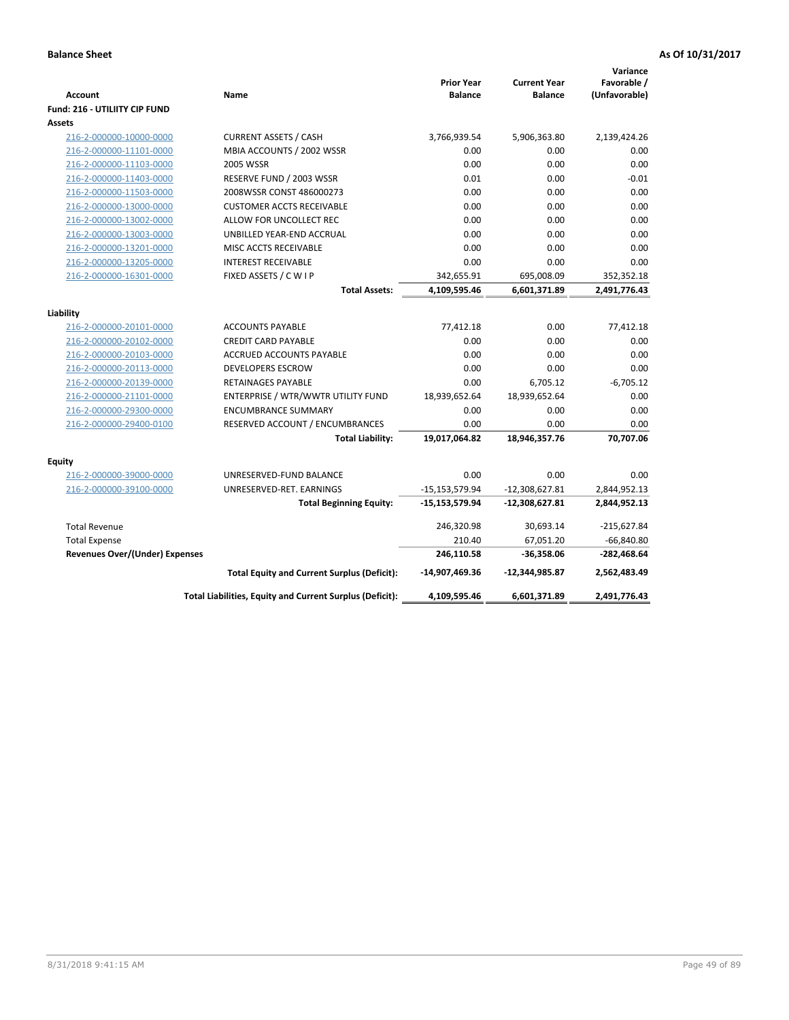| Favorable /<br><b>Prior Year</b><br><b>Current Year</b><br>(Unfavorable)<br>Name<br><b>Balance</b><br><b>Balance</b><br><b>Account</b><br><b>Fund: 216 - UTILIITY CIP FUND</b><br><b>Assets</b><br><b>CURRENT ASSETS / CASH</b><br>3,766,939.54<br>5,906,363.80<br>2,139,424.26<br>216-2-000000-10000-0000<br>MBIA ACCOUNTS / 2002 WSSR<br>0.00<br>0.00<br>0.00<br>216-2-000000-11101-0000<br>216-2-000000-11103-0000<br><b>2005 WSSR</b><br>0.00<br>0.00<br>0.00<br>RESERVE FUND / 2003 WSSR<br>0.01<br>0.00<br>$-0.01$<br>216-2-000000-11403-0000<br>2008WSSR CONST 486000273<br>0.00<br>0.00<br>0.00<br>216-2-000000-11503-0000<br>0.00<br>0.00<br>216-2-000000-13000-0000<br><b>CUSTOMER ACCTS RECEIVABLE</b><br>0.00<br>0.00<br>216-2-000000-13002-0000<br>ALLOW FOR UNCOLLECT REC<br>0.00<br>0.00<br>0.00<br>0.00<br>0.00<br>216-2-000000-13003-0000<br>UNBILLED YEAR-END ACCRUAL<br>216-2-000000-13201-0000<br>0.00<br>0.00<br>0.00<br>MISC ACCTS RECEIVABLE<br>0.00<br>0.00<br>216-2-000000-13205-0000<br><b>INTEREST RECEIVABLE</b><br>0.00<br>FIXED ASSETS / C W I P<br>695,008.09<br>352,352.18<br>216-2-000000-16301-0000<br>342,655.91<br><b>Total Assets:</b><br>4,109,595.46<br>6,601,371.89<br>2,491,776.43<br>Liability<br><b>ACCOUNTS PAYABLE</b><br>77,412.18<br>0.00<br>77,412.18<br>216-2-000000-20101-0000<br>216-2-000000-20102-0000<br><b>CREDIT CARD PAYABLE</b><br>0.00<br>0.00<br>0.00<br>0.00<br>0.00<br>0.00<br>216-2-000000-20103-0000<br><b>ACCRUED ACCOUNTS PAYABLE</b><br>0.00<br>0.00<br>216-2-000000-20113-0000<br><b>DEVELOPERS ESCROW</b><br>0.00<br>0.00<br>6,705.12<br>$-6,705.12$<br>216-2-000000-20139-0000<br><b>RETAINAGES PAYABLE</b><br>18,939,652.64<br>18,939,652.64<br>0.00<br>216-2-000000-21101-0000<br>ENTERPRISE / WTR/WWTR UTILITY FUND<br>216-2-000000-29300-0000<br>0.00<br>0.00<br>0.00<br><b>ENCUMBRANCE SUMMARY</b><br>0.00<br>216-2-000000-29400-0100<br>RESERVED ACCOUNT / ENCUMBRANCES<br>0.00<br>0.00<br>70,707.06<br><b>Total Liability:</b><br>19,017,064.82<br>18,946,357.76<br><b>Equity</b><br>216-2-000000-39000-0000<br>0.00<br>0.00<br>0.00<br>UNRESERVED-FUND BALANCE<br>216-2-000000-39100-0000<br>UNRESERVED-RET. EARNINGS<br>$-15,153,579.94$<br>$-12,308,627.81$<br>2,844,952.13<br><b>Total Beginning Equity:</b><br>-15,153,579.94<br>$-12,308,627.81$<br>2,844,952.13<br><b>Total Revenue</b><br>246,320.98<br>30,693.14<br>$-215,627.84$<br>210.40<br>67,051.20<br>$-66,840.80$<br><b>Total Expense</b><br>$-282,468.64$<br>246,110.58<br><b>Revenues Over/(Under) Expenses</b><br>$-36,358.06$<br>2,562,483.49<br><b>Total Equity and Current Surplus (Deficit):</b><br>-14,907,469.36<br>$-12,344,985.87$<br>Total Liabilities, Equity and Current Surplus (Deficit):<br>4,109,595.46<br>6,601,371.89<br>2,491,776.43 |  |  | Variance |
|--------------------------------------------------------------------------------------------------------------------------------------------------------------------------------------------------------------------------------------------------------------------------------------------------------------------------------------------------------------------------------------------------------------------------------------------------------------------------------------------------------------------------------------------------------------------------------------------------------------------------------------------------------------------------------------------------------------------------------------------------------------------------------------------------------------------------------------------------------------------------------------------------------------------------------------------------------------------------------------------------------------------------------------------------------------------------------------------------------------------------------------------------------------------------------------------------------------------------------------------------------------------------------------------------------------------------------------------------------------------------------------------------------------------------------------------------------------------------------------------------------------------------------------------------------------------------------------------------------------------------------------------------------------------------------------------------------------------------------------------------------------------------------------------------------------------------------------------------------------------------------------------------------------------------------------------------------------------------------------------------------------------------------------------------------------------------------------------------------------------------------------------------------------------------------------------------------------------------------------------------------------------------------------------------------------------------------------------------------------------------------------------------------------------------------------------------------------------------------------------------------------------------------------------------------------------------------------------------------------------------------------------------------------------------------------------------------------------------------------------------------------------------------------------------------|--|--|----------|
|                                                                                                                                                                                                                                                                                                                                                                                                                                                                                                                                                                                                                                                                                                                                                                                                                                                                                                                                                                                                                                                                                                                                                                                                                                                                                                                                                                                                                                                                                                                                                                                                                                                                                                                                                                                                                                                                                                                                                                                                                                                                                                                                                                                                                                                                                                                                                                                                                                                                                                                                                                                                                                                                                                                                                                                                        |  |  |          |
|                                                                                                                                                                                                                                                                                                                                                                                                                                                                                                                                                                                                                                                                                                                                                                                                                                                                                                                                                                                                                                                                                                                                                                                                                                                                                                                                                                                                                                                                                                                                                                                                                                                                                                                                                                                                                                                                                                                                                                                                                                                                                                                                                                                                                                                                                                                                                                                                                                                                                                                                                                                                                                                                                                                                                                                                        |  |  |          |
|                                                                                                                                                                                                                                                                                                                                                                                                                                                                                                                                                                                                                                                                                                                                                                                                                                                                                                                                                                                                                                                                                                                                                                                                                                                                                                                                                                                                                                                                                                                                                                                                                                                                                                                                                                                                                                                                                                                                                                                                                                                                                                                                                                                                                                                                                                                                                                                                                                                                                                                                                                                                                                                                                                                                                                                                        |  |  |          |
|                                                                                                                                                                                                                                                                                                                                                                                                                                                                                                                                                                                                                                                                                                                                                                                                                                                                                                                                                                                                                                                                                                                                                                                                                                                                                                                                                                                                                                                                                                                                                                                                                                                                                                                                                                                                                                                                                                                                                                                                                                                                                                                                                                                                                                                                                                                                                                                                                                                                                                                                                                                                                                                                                                                                                                                                        |  |  |          |
|                                                                                                                                                                                                                                                                                                                                                                                                                                                                                                                                                                                                                                                                                                                                                                                                                                                                                                                                                                                                                                                                                                                                                                                                                                                                                                                                                                                                                                                                                                                                                                                                                                                                                                                                                                                                                                                                                                                                                                                                                                                                                                                                                                                                                                                                                                                                                                                                                                                                                                                                                                                                                                                                                                                                                                                                        |  |  |          |
|                                                                                                                                                                                                                                                                                                                                                                                                                                                                                                                                                                                                                                                                                                                                                                                                                                                                                                                                                                                                                                                                                                                                                                                                                                                                                                                                                                                                                                                                                                                                                                                                                                                                                                                                                                                                                                                                                                                                                                                                                                                                                                                                                                                                                                                                                                                                                                                                                                                                                                                                                                                                                                                                                                                                                                                                        |  |  |          |
|                                                                                                                                                                                                                                                                                                                                                                                                                                                                                                                                                                                                                                                                                                                                                                                                                                                                                                                                                                                                                                                                                                                                                                                                                                                                                                                                                                                                                                                                                                                                                                                                                                                                                                                                                                                                                                                                                                                                                                                                                                                                                                                                                                                                                                                                                                                                                                                                                                                                                                                                                                                                                                                                                                                                                                                                        |  |  |          |
|                                                                                                                                                                                                                                                                                                                                                                                                                                                                                                                                                                                                                                                                                                                                                                                                                                                                                                                                                                                                                                                                                                                                                                                                                                                                                                                                                                                                                                                                                                                                                                                                                                                                                                                                                                                                                                                                                                                                                                                                                                                                                                                                                                                                                                                                                                                                                                                                                                                                                                                                                                                                                                                                                                                                                                                                        |  |  |          |
|                                                                                                                                                                                                                                                                                                                                                                                                                                                                                                                                                                                                                                                                                                                                                                                                                                                                                                                                                                                                                                                                                                                                                                                                                                                                                                                                                                                                                                                                                                                                                                                                                                                                                                                                                                                                                                                                                                                                                                                                                                                                                                                                                                                                                                                                                                                                                                                                                                                                                                                                                                                                                                                                                                                                                                                                        |  |  |          |
|                                                                                                                                                                                                                                                                                                                                                                                                                                                                                                                                                                                                                                                                                                                                                                                                                                                                                                                                                                                                                                                                                                                                                                                                                                                                                                                                                                                                                                                                                                                                                                                                                                                                                                                                                                                                                                                                                                                                                                                                                                                                                                                                                                                                                                                                                                                                                                                                                                                                                                                                                                                                                                                                                                                                                                                                        |  |  |          |
|                                                                                                                                                                                                                                                                                                                                                                                                                                                                                                                                                                                                                                                                                                                                                                                                                                                                                                                                                                                                                                                                                                                                                                                                                                                                                                                                                                                                                                                                                                                                                                                                                                                                                                                                                                                                                                                                                                                                                                                                                                                                                                                                                                                                                                                                                                                                                                                                                                                                                                                                                                                                                                                                                                                                                                                                        |  |  |          |
|                                                                                                                                                                                                                                                                                                                                                                                                                                                                                                                                                                                                                                                                                                                                                                                                                                                                                                                                                                                                                                                                                                                                                                                                                                                                                                                                                                                                                                                                                                                                                                                                                                                                                                                                                                                                                                                                                                                                                                                                                                                                                                                                                                                                                                                                                                                                                                                                                                                                                                                                                                                                                                                                                                                                                                                                        |  |  |          |
|                                                                                                                                                                                                                                                                                                                                                                                                                                                                                                                                                                                                                                                                                                                                                                                                                                                                                                                                                                                                                                                                                                                                                                                                                                                                                                                                                                                                                                                                                                                                                                                                                                                                                                                                                                                                                                                                                                                                                                                                                                                                                                                                                                                                                                                                                                                                                                                                                                                                                                                                                                                                                                                                                                                                                                                                        |  |  |          |
|                                                                                                                                                                                                                                                                                                                                                                                                                                                                                                                                                                                                                                                                                                                                                                                                                                                                                                                                                                                                                                                                                                                                                                                                                                                                                                                                                                                                                                                                                                                                                                                                                                                                                                                                                                                                                                                                                                                                                                                                                                                                                                                                                                                                                                                                                                                                                                                                                                                                                                                                                                                                                                                                                                                                                                                                        |  |  |          |
|                                                                                                                                                                                                                                                                                                                                                                                                                                                                                                                                                                                                                                                                                                                                                                                                                                                                                                                                                                                                                                                                                                                                                                                                                                                                                                                                                                                                                                                                                                                                                                                                                                                                                                                                                                                                                                                                                                                                                                                                                                                                                                                                                                                                                                                                                                                                                                                                                                                                                                                                                                                                                                                                                                                                                                                                        |  |  |          |
|                                                                                                                                                                                                                                                                                                                                                                                                                                                                                                                                                                                                                                                                                                                                                                                                                                                                                                                                                                                                                                                                                                                                                                                                                                                                                                                                                                                                                                                                                                                                                                                                                                                                                                                                                                                                                                                                                                                                                                                                                                                                                                                                                                                                                                                                                                                                                                                                                                                                                                                                                                                                                                                                                                                                                                                                        |  |  |          |
|                                                                                                                                                                                                                                                                                                                                                                                                                                                                                                                                                                                                                                                                                                                                                                                                                                                                                                                                                                                                                                                                                                                                                                                                                                                                                                                                                                                                                                                                                                                                                                                                                                                                                                                                                                                                                                                                                                                                                                                                                                                                                                                                                                                                                                                                                                                                                                                                                                                                                                                                                                                                                                                                                                                                                                                                        |  |  |          |
|                                                                                                                                                                                                                                                                                                                                                                                                                                                                                                                                                                                                                                                                                                                                                                                                                                                                                                                                                                                                                                                                                                                                                                                                                                                                                                                                                                                                                                                                                                                                                                                                                                                                                                                                                                                                                                                                                                                                                                                                                                                                                                                                                                                                                                                                                                                                                                                                                                                                                                                                                                                                                                                                                                                                                                                                        |  |  |          |
|                                                                                                                                                                                                                                                                                                                                                                                                                                                                                                                                                                                                                                                                                                                                                                                                                                                                                                                                                                                                                                                                                                                                                                                                                                                                                                                                                                                                                                                                                                                                                                                                                                                                                                                                                                                                                                                                                                                                                                                                                                                                                                                                                                                                                                                                                                                                                                                                                                                                                                                                                                                                                                                                                                                                                                                                        |  |  |          |
|                                                                                                                                                                                                                                                                                                                                                                                                                                                                                                                                                                                                                                                                                                                                                                                                                                                                                                                                                                                                                                                                                                                                                                                                                                                                                                                                                                                                                                                                                                                                                                                                                                                                                                                                                                                                                                                                                                                                                                                                                                                                                                                                                                                                                                                                                                                                                                                                                                                                                                                                                                                                                                                                                                                                                                                                        |  |  |          |
|                                                                                                                                                                                                                                                                                                                                                                                                                                                                                                                                                                                                                                                                                                                                                                                                                                                                                                                                                                                                                                                                                                                                                                                                                                                                                                                                                                                                                                                                                                                                                                                                                                                                                                                                                                                                                                                                                                                                                                                                                                                                                                                                                                                                                                                                                                                                                                                                                                                                                                                                                                                                                                                                                                                                                                                                        |  |  |          |
|                                                                                                                                                                                                                                                                                                                                                                                                                                                                                                                                                                                                                                                                                                                                                                                                                                                                                                                                                                                                                                                                                                                                                                                                                                                                                                                                                                                                                                                                                                                                                                                                                                                                                                                                                                                                                                                                                                                                                                                                                                                                                                                                                                                                                                                                                                                                                                                                                                                                                                                                                                                                                                                                                                                                                                                                        |  |  |          |
|                                                                                                                                                                                                                                                                                                                                                                                                                                                                                                                                                                                                                                                                                                                                                                                                                                                                                                                                                                                                                                                                                                                                                                                                                                                                                                                                                                                                                                                                                                                                                                                                                                                                                                                                                                                                                                                                                                                                                                                                                                                                                                                                                                                                                                                                                                                                                                                                                                                                                                                                                                                                                                                                                                                                                                                                        |  |  |          |
|                                                                                                                                                                                                                                                                                                                                                                                                                                                                                                                                                                                                                                                                                                                                                                                                                                                                                                                                                                                                                                                                                                                                                                                                                                                                                                                                                                                                                                                                                                                                                                                                                                                                                                                                                                                                                                                                                                                                                                                                                                                                                                                                                                                                                                                                                                                                                                                                                                                                                                                                                                                                                                                                                                                                                                                                        |  |  |          |
|                                                                                                                                                                                                                                                                                                                                                                                                                                                                                                                                                                                                                                                                                                                                                                                                                                                                                                                                                                                                                                                                                                                                                                                                                                                                                                                                                                                                                                                                                                                                                                                                                                                                                                                                                                                                                                                                                                                                                                                                                                                                                                                                                                                                                                                                                                                                                                                                                                                                                                                                                                                                                                                                                                                                                                                                        |  |  |          |
|                                                                                                                                                                                                                                                                                                                                                                                                                                                                                                                                                                                                                                                                                                                                                                                                                                                                                                                                                                                                                                                                                                                                                                                                                                                                                                                                                                                                                                                                                                                                                                                                                                                                                                                                                                                                                                                                                                                                                                                                                                                                                                                                                                                                                                                                                                                                                                                                                                                                                                                                                                                                                                                                                                                                                                                                        |  |  |          |
|                                                                                                                                                                                                                                                                                                                                                                                                                                                                                                                                                                                                                                                                                                                                                                                                                                                                                                                                                                                                                                                                                                                                                                                                                                                                                                                                                                                                                                                                                                                                                                                                                                                                                                                                                                                                                                                                                                                                                                                                                                                                                                                                                                                                                                                                                                                                                                                                                                                                                                                                                                                                                                                                                                                                                                                                        |  |  |          |
|                                                                                                                                                                                                                                                                                                                                                                                                                                                                                                                                                                                                                                                                                                                                                                                                                                                                                                                                                                                                                                                                                                                                                                                                                                                                                                                                                                                                                                                                                                                                                                                                                                                                                                                                                                                                                                                                                                                                                                                                                                                                                                                                                                                                                                                                                                                                                                                                                                                                                                                                                                                                                                                                                                                                                                                                        |  |  |          |
|                                                                                                                                                                                                                                                                                                                                                                                                                                                                                                                                                                                                                                                                                                                                                                                                                                                                                                                                                                                                                                                                                                                                                                                                                                                                                                                                                                                                                                                                                                                                                                                                                                                                                                                                                                                                                                                                                                                                                                                                                                                                                                                                                                                                                                                                                                                                                                                                                                                                                                                                                                                                                                                                                                                                                                                                        |  |  |          |
|                                                                                                                                                                                                                                                                                                                                                                                                                                                                                                                                                                                                                                                                                                                                                                                                                                                                                                                                                                                                                                                                                                                                                                                                                                                                                                                                                                                                                                                                                                                                                                                                                                                                                                                                                                                                                                                                                                                                                                                                                                                                                                                                                                                                                                                                                                                                                                                                                                                                                                                                                                                                                                                                                                                                                                                                        |  |  |          |
|                                                                                                                                                                                                                                                                                                                                                                                                                                                                                                                                                                                                                                                                                                                                                                                                                                                                                                                                                                                                                                                                                                                                                                                                                                                                                                                                                                                                                                                                                                                                                                                                                                                                                                                                                                                                                                                                                                                                                                                                                                                                                                                                                                                                                                                                                                                                                                                                                                                                                                                                                                                                                                                                                                                                                                                                        |  |  |          |
|                                                                                                                                                                                                                                                                                                                                                                                                                                                                                                                                                                                                                                                                                                                                                                                                                                                                                                                                                                                                                                                                                                                                                                                                                                                                                                                                                                                                                                                                                                                                                                                                                                                                                                                                                                                                                                                                                                                                                                                                                                                                                                                                                                                                                                                                                                                                                                                                                                                                                                                                                                                                                                                                                                                                                                                                        |  |  |          |
|                                                                                                                                                                                                                                                                                                                                                                                                                                                                                                                                                                                                                                                                                                                                                                                                                                                                                                                                                                                                                                                                                                                                                                                                                                                                                                                                                                                                                                                                                                                                                                                                                                                                                                                                                                                                                                                                                                                                                                                                                                                                                                                                                                                                                                                                                                                                                                                                                                                                                                                                                                                                                                                                                                                                                                                                        |  |  |          |
|                                                                                                                                                                                                                                                                                                                                                                                                                                                                                                                                                                                                                                                                                                                                                                                                                                                                                                                                                                                                                                                                                                                                                                                                                                                                                                                                                                                                                                                                                                                                                                                                                                                                                                                                                                                                                                                                                                                                                                                                                                                                                                                                                                                                                                                                                                                                                                                                                                                                                                                                                                                                                                                                                                                                                                                                        |  |  |          |
|                                                                                                                                                                                                                                                                                                                                                                                                                                                                                                                                                                                                                                                                                                                                                                                                                                                                                                                                                                                                                                                                                                                                                                                                                                                                                                                                                                                                                                                                                                                                                                                                                                                                                                                                                                                                                                                                                                                                                                                                                                                                                                                                                                                                                                                                                                                                                                                                                                                                                                                                                                                                                                                                                                                                                                                                        |  |  |          |
|                                                                                                                                                                                                                                                                                                                                                                                                                                                                                                                                                                                                                                                                                                                                                                                                                                                                                                                                                                                                                                                                                                                                                                                                                                                                                                                                                                                                                                                                                                                                                                                                                                                                                                                                                                                                                                                                                                                                                                                                                                                                                                                                                                                                                                                                                                                                                                                                                                                                                                                                                                                                                                                                                                                                                                                                        |  |  |          |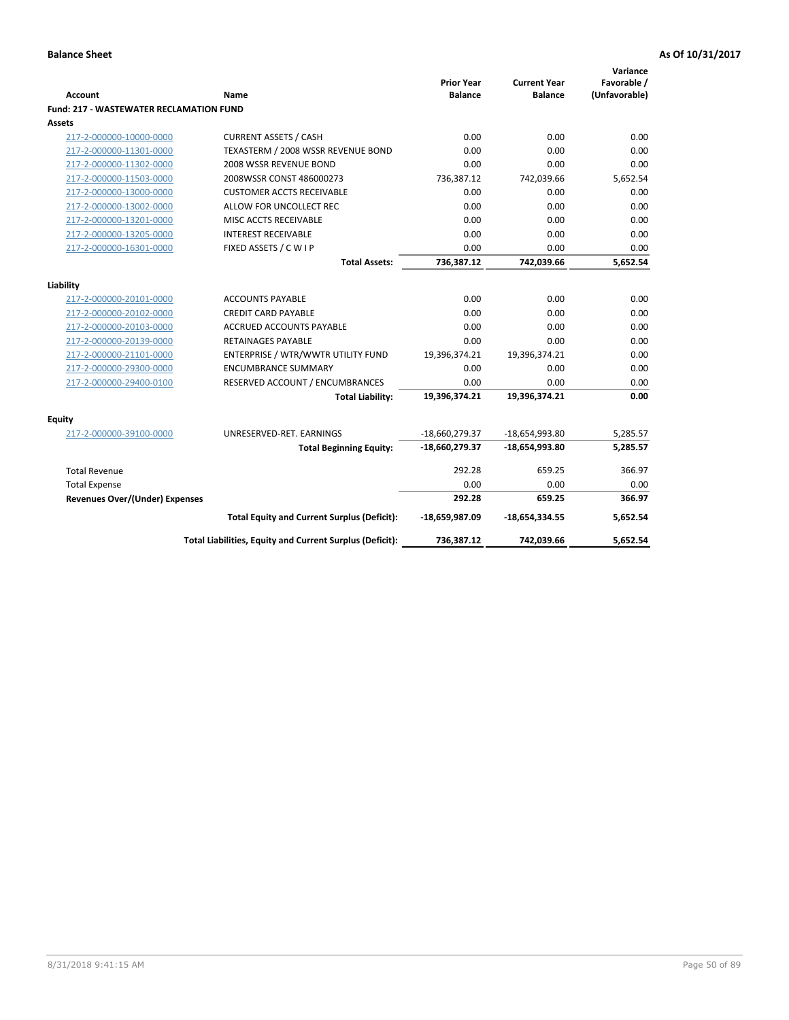| <b>Account</b>                                 | Name                                                     | <b>Prior Year</b><br><b>Balance</b> | <b>Current Year</b><br><b>Balance</b> | Variance<br>Favorable /<br>(Unfavorable) |
|------------------------------------------------|----------------------------------------------------------|-------------------------------------|---------------------------------------|------------------------------------------|
| <b>Fund: 217 - WASTEWATER RECLAMATION FUND</b> |                                                          |                                     |                                       |                                          |
| <b>Assets</b>                                  |                                                          |                                     |                                       |                                          |
| 217-2-000000-10000-0000                        | <b>CURRENT ASSETS / CASH</b>                             | 0.00                                | 0.00                                  | 0.00                                     |
| 217-2-000000-11301-0000                        | TEXASTERM / 2008 WSSR REVENUE BOND                       | 0.00                                | 0.00                                  | 0.00                                     |
| 217-2-000000-11302-0000                        | 2008 WSSR REVENUE BOND                                   | 0.00                                | 0.00                                  | 0.00                                     |
| 217-2-000000-11503-0000                        | 2008WSSR CONST 486000273                                 | 736,387.12                          | 742,039.66                            | 5,652.54                                 |
| 217-2-000000-13000-0000                        | <b>CUSTOMER ACCTS RECEIVABLE</b>                         | 0.00                                | 0.00                                  | 0.00                                     |
| 217-2-000000-13002-0000                        | ALLOW FOR UNCOLLECT REC                                  | 0.00                                | 0.00                                  | 0.00                                     |
| 217-2-000000-13201-0000                        | MISC ACCTS RECEIVABLE                                    | 0.00                                | 0.00                                  | 0.00                                     |
| 217-2-000000-13205-0000                        | <b>INTEREST RECEIVABLE</b>                               | 0.00                                | 0.00                                  | 0.00                                     |
| 217-2-000000-16301-0000                        | FIXED ASSETS / C W I P                                   | 0.00                                | 0.00                                  | 0.00                                     |
|                                                | <b>Total Assets:</b>                                     | 736,387.12                          | 742,039.66                            | 5,652.54                                 |
|                                                |                                                          |                                     |                                       |                                          |
| Liability                                      |                                                          |                                     |                                       |                                          |
| 217-2-000000-20101-0000                        | <b>ACCOUNTS PAYABLE</b>                                  | 0.00                                | 0.00                                  | 0.00                                     |
| 217-2-000000-20102-0000                        | <b>CREDIT CARD PAYABLE</b>                               | 0.00                                | 0.00                                  | 0.00                                     |
| 217-2-000000-20103-0000                        | <b>ACCRUED ACCOUNTS PAYABLE</b>                          | 0.00                                | 0.00                                  | 0.00                                     |
| 217-2-000000-20139-0000                        | <b>RETAINAGES PAYABLE</b>                                | 0.00                                | 0.00                                  | 0.00                                     |
| 217-2-000000-21101-0000                        | ENTERPRISE / WTR/WWTR UTILITY FUND                       | 19,396,374.21                       | 19,396,374.21                         | 0.00                                     |
| 217-2-000000-29300-0000                        | <b>ENCUMBRANCE SUMMARY</b>                               | 0.00                                | 0.00                                  | 0.00                                     |
| 217-2-000000-29400-0100                        | RESERVED ACCOUNT / ENCUMBRANCES                          | 0.00                                | 0.00                                  | 0.00                                     |
|                                                | <b>Total Liability:</b>                                  | 19,396,374.21                       | 19,396,374.21                         | 0.00                                     |
| <b>Equity</b>                                  |                                                          |                                     |                                       |                                          |
| 217-2-000000-39100-0000                        | UNRESERVED-RET. EARNINGS                                 | -18,660,279.37                      | $-18,654,993.80$                      | 5,285.57                                 |
|                                                | <b>Total Beginning Equity:</b>                           | $-18,660,279.37$                    | $-18,654,993.80$                      | 5,285.57                                 |
|                                                |                                                          |                                     |                                       |                                          |
| <b>Total Revenue</b>                           |                                                          | 292.28                              | 659.25                                | 366.97                                   |
| <b>Total Expense</b>                           |                                                          | 0.00                                | 0.00                                  | 0.00                                     |
| <b>Revenues Over/(Under) Expenses</b>          |                                                          | 292.28                              | 659.25                                | 366.97                                   |
|                                                | <b>Total Equity and Current Surplus (Deficit):</b>       | -18,659,987.09                      | $-18,654,334.55$                      | 5,652.54                                 |
|                                                | Total Liabilities, Equity and Current Surplus (Deficit): | 736,387.12                          | 742,039.66                            | 5,652.54                                 |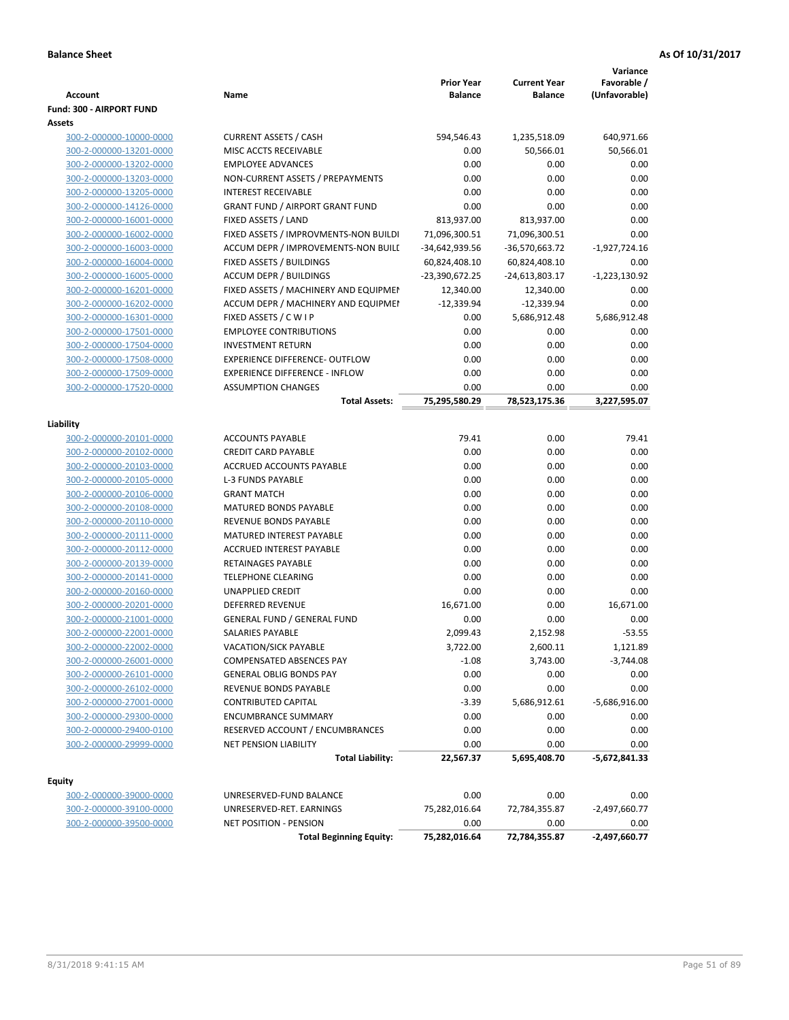|                                                    |                                                       | <b>Prior Year</b>  | <b>Current Year</b> | Variance<br>Favorable / |
|----------------------------------------------------|-------------------------------------------------------|--------------------|---------------------|-------------------------|
| <b>Account</b>                                     | Name                                                  | <b>Balance</b>     | <b>Balance</b>      | (Unfavorable)           |
| Fund: 300 - AIRPORT FUND                           |                                                       |                    |                     |                         |
| Assets                                             |                                                       |                    |                     |                         |
| 300-2-000000-10000-0000                            | <b>CURRENT ASSETS / CASH</b><br>MISC ACCTS RECEIVABLE | 594,546.43<br>0.00 | 1,235,518.09        | 640,971.66              |
| 300-2-000000-13201-0000<br>300-2-000000-13202-0000 | <b>EMPLOYEE ADVANCES</b>                              | 0.00               | 50,566.01<br>0.00   | 50,566.01<br>0.00       |
| 300-2-000000-13203-0000                            | NON-CURRENT ASSETS / PREPAYMENTS                      | 0.00               | 0.00                | 0.00                    |
| 300-2-000000-13205-0000                            | <b>INTEREST RECEIVABLE</b>                            | 0.00               | 0.00                | 0.00                    |
| 300-2-000000-14126-0000                            | <b>GRANT FUND / AIRPORT GRANT FUND</b>                | 0.00               | 0.00                | 0.00                    |
| 300-2-000000-16001-0000                            | FIXED ASSETS / LAND                                   | 813,937.00         | 813,937.00          | 0.00                    |
| 300-2-000000-16002-0000                            | FIXED ASSETS / IMPROVMENTS-NON BUILDI                 | 71,096,300.51      | 71,096,300.51       | 0.00                    |
| 300-2-000000-16003-0000                            | ACCUM DEPR / IMPROVEMENTS-NON BUILI                   | -34,642,939.56     | -36,570,663.72      | $-1,927,724.16$         |
| 300-2-000000-16004-0000                            | FIXED ASSETS / BUILDINGS                              | 60,824,408.10      | 60,824,408.10       | 0.00                    |
| 300-2-000000-16005-0000                            | <b>ACCUM DEPR / BUILDINGS</b>                         | -23,390,672.25     | -24,613,803.17      | $-1,223,130.92$         |
| 300-2-000000-16201-0000                            | FIXED ASSETS / MACHINERY AND EQUIPMEN                 | 12,340.00          | 12,340.00           | 0.00                    |
| 300-2-000000-16202-0000                            | ACCUM DEPR / MACHINERY AND EQUIPMEI                   | $-12,339.94$       | $-12,339.94$        | 0.00                    |
| 300-2-000000-16301-0000                            | FIXED ASSETS / C W I P                                | 0.00               | 5,686,912.48        | 5,686,912.48            |
| 300-2-000000-17501-0000                            | <b>EMPLOYEE CONTRIBUTIONS</b>                         | 0.00               | 0.00                | 0.00                    |
| 300-2-000000-17504-0000                            | <b>INVESTMENT RETURN</b>                              | 0.00               | 0.00                | 0.00                    |
| 300-2-000000-17508-0000                            | <b>EXPERIENCE DIFFERENCE- OUTFLOW</b>                 | 0.00               | 0.00                | 0.00                    |
| 300-2-000000-17509-0000                            | <b>EXPERIENCE DIFFERENCE - INFLOW</b>                 | 0.00               | 0.00                | 0.00                    |
| 300-2-000000-17520-0000                            | <b>ASSUMPTION CHANGES</b>                             | 0.00               | 0.00                | 0.00                    |
|                                                    | <b>Total Assets:</b>                                  | 75,295,580.29      | 78,523,175.36       | 3,227,595.07            |
|                                                    |                                                       |                    |                     |                         |
| Liability                                          |                                                       |                    |                     |                         |
| 300-2-000000-20101-0000                            | <b>ACCOUNTS PAYABLE</b>                               | 79.41              | 0.00                | 79.41                   |
| 300-2-000000-20102-0000                            | <b>CREDIT CARD PAYABLE</b>                            | 0.00               | 0.00                | 0.00                    |
| 300-2-000000-20103-0000                            | ACCRUED ACCOUNTS PAYABLE                              | 0.00               | 0.00                | 0.00                    |
| 300-2-000000-20105-0000                            | <b>L-3 FUNDS PAYABLE</b>                              | 0.00               | 0.00                | 0.00                    |
| 300-2-000000-20106-0000                            | <b>GRANT MATCH</b>                                    | 0.00               | 0.00                | 0.00                    |
| 300-2-000000-20108-0000                            | <b>MATURED BONDS PAYABLE</b>                          | 0.00               | 0.00                | 0.00                    |
| 300-2-000000-20110-0000                            | REVENUE BONDS PAYABLE                                 | 0.00               | 0.00                | 0.00                    |
| 300-2-000000-20111-0000                            | MATURED INTEREST PAYABLE                              | 0.00               | 0.00                | 0.00                    |
| 300-2-000000-20112-0000                            | <b>ACCRUED INTEREST PAYABLE</b>                       | 0.00               | 0.00                | 0.00                    |
| 300-2-000000-20139-0000                            | RETAINAGES PAYABLE                                    | 0.00               | 0.00                | 0.00                    |
| 300-2-000000-20141-0000                            | <b>TELEPHONE CLEARING</b>                             | 0.00               | 0.00                | 0.00                    |
| 300-2-000000-20160-0000                            | <b>UNAPPLIED CREDIT</b>                               | 0.00               | 0.00                | 0.00                    |
| 300-2-000000-20201-0000                            | <b>DEFERRED REVENUE</b>                               | 16,671.00          | 0.00                | 16,671.00               |
| 300-2-000000-21001-0000                            | <b>GENERAL FUND / GENERAL FUND</b>                    | 0.00               | 0.00                | 0.00                    |
| 300-2-000000-22001-0000                            | SALARIES PAYABLE                                      | 2,099.43           | 2,152.98            | $-53.55$                |
| 300-2-000000-22002-0000                            | VACATION/SICK PAYABLE                                 | 3,722.00           | 2,600.11            | 1,121.89                |
| 300-2-000000-26001-0000                            | <b>COMPENSATED ABSENCES PAY</b>                       | $-1.08$            | 3,743.00            | $-3,744.08$             |
| 300-2-000000-26101-0000                            | <b>GENERAL OBLIG BONDS PAY</b>                        | 0.00               | 0.00                | 0.00                    |
| 300-2-000000-26102-0000                            | REVENUE BONDS PAYABLE                                 | 0.00               | 0.00                | 0.00                    |
| 300-2-000000-27001-0000                            | <b>CONTRIBUTED CAPITAL</b>                            | $-3.39$            | 5,686,912.61        | -5,686,916.00           |
| 300-2-000000-29300-0000                            | <b>ENCUMBRANCE SUMMARY</b>                            | 0.00               | 0.00                | 0.00                    |
| 300-2-000000-29400-0100                            | RESERVED ACCOUNT / ENCUMBRANCES                       | 0.00               | 0.00                | 0.00                    |
| 300-2-000000-29999-0000                            | NET PENSION LIABILITY                                 | 0.00               | 0.00                | 0.00                    |
|                                                    | <b>Total Liability:</b>                               | 22,567.37          | 5,695,408.70        | -5,672,841.33           |
| <b>Equity</b>                                      |                                                       |                    |                     |                         |
| 300-2-000000-39000-0000                            | UNRESERVED-FUND BALANCE                               | 0.00               | 0.00                | 0.00                    |
| 300-2-000000-39100-0000                            | UNRESERVED-RET. EARNINGS                              | 75,282,016.64      | 72,784,355.87       | $-2,497,660.77$         |
| 300-2-000000-39500-0000                            | NET POSITION - PENSION                                | 0.00               | 0.00                | 0.00                    |
|                                                    | <b>Total Beginning Equity:</b>                        | 75,282,016.64      | 72,784,355.87       | $-2,497,660.77$         |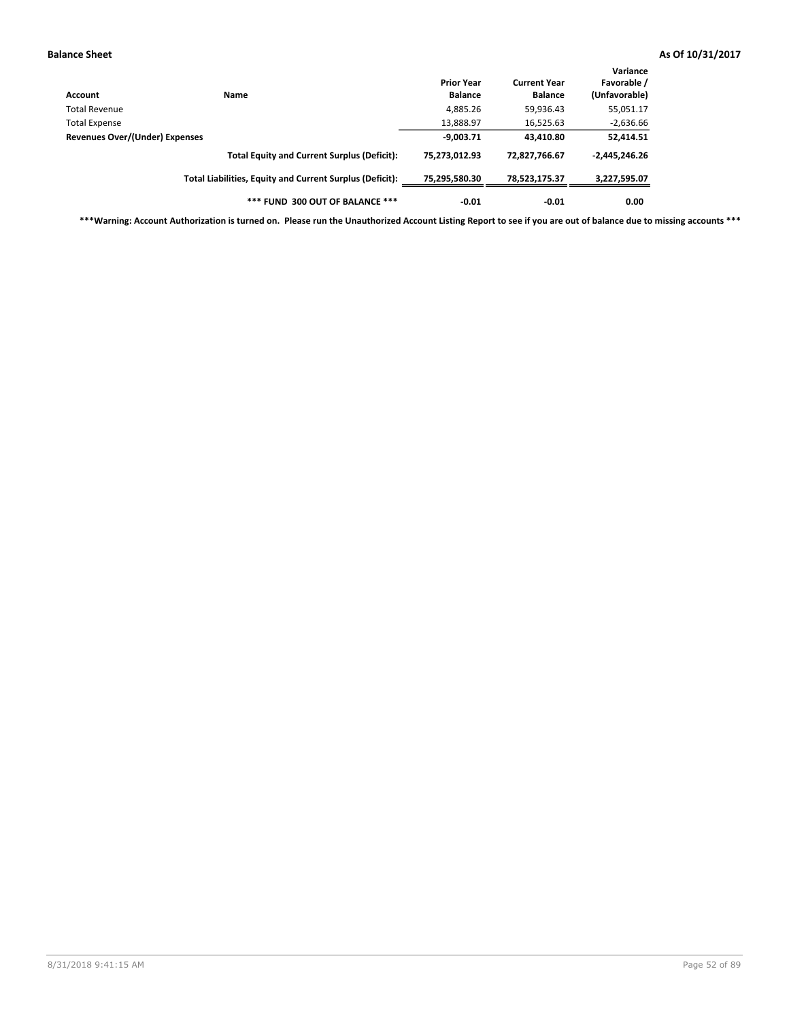| Account                        | Name                                                     | <b>Prior Year</b><br><b>Balance</b> | <b>Current Year</b><br><b>Balance</b> | Variance<br>Favorable /<br>(Unfavorable) |
|--------------------------------|----------------------------------------------------------|-------------------------------------|---------------------------------------|------------------------------------------|
| <b>Total Revenue</b>           |                                                          | 4,885.26                            | 59,936.43                             | 55,051.17                                |
| <b>Total Expense</b>           |                                                          | 13,888.97                           | 16,525.63                             | $-2,636.66$                              |
| Revenues Over/(Under) Expenses |                                                          | $-9,003.71$                         | 43,410.80                             | 52,414.51                                |
|                                | <b>Total Equity and Current Surplus (Deficit):</b>       | 75.273.012.93                       | 72,827,766.67                         | $-2,445,246.26$                          |
|                                | Total Liabilities, Equity and Current Surplus (Deficit): | 75,295,580.30                       | 78.523.175.37                         | 3,227,595.07                             |
|                                | *** FUND 300 OUT OF BALANCE ***                          | $-0.01$                             | $-0.01$                               | 0.00                                     |

**\*\*\*Warning: Account Authorization is turned on. Please run the Unauthorized Account Listing Report to see if you are out of balance due to missing accounts \*\*\***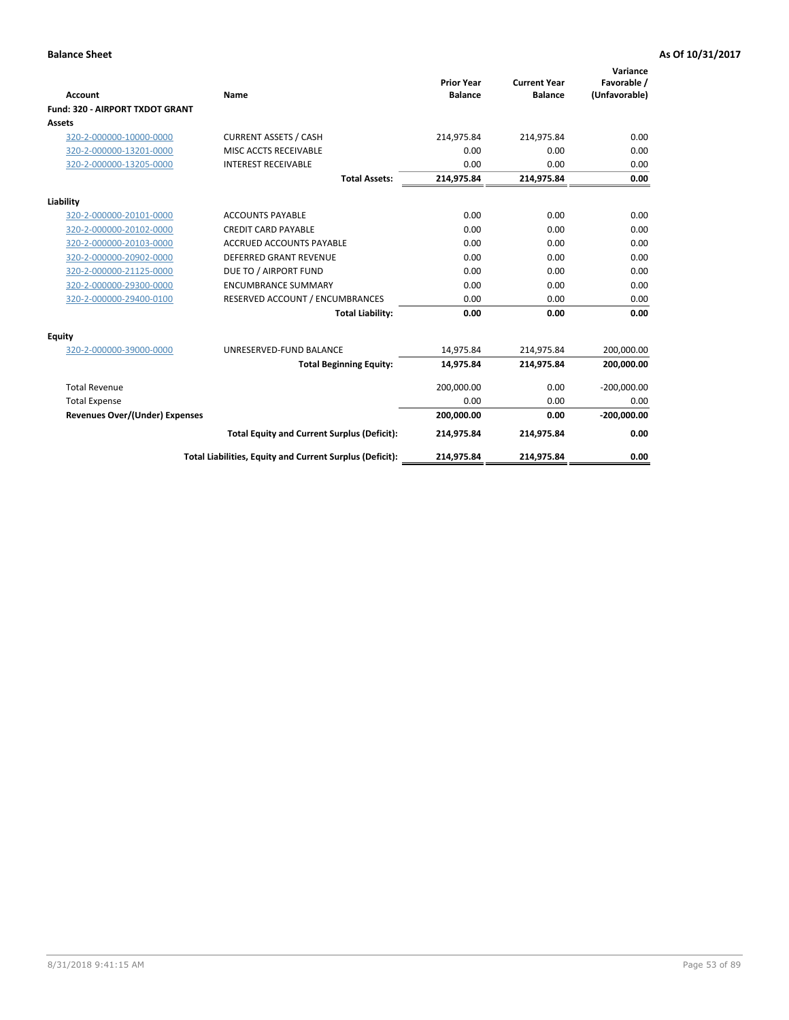|                                        |                                                          | <b>Prior Year</b> | <b>Current Year</b> | Variance<br>Favorable / |
|----------------------------------------|----------------------------------------------------------|-------------------|---------------------|-------------------------|
| Account                                | <b>Name</b>                                              | <b>Balance</b>    | <b>Balance</b>      | (Unfavorable)           |
| <b>Fund: 320 - AIRPORT TXDOT GRANT</b> |                                                          |                   |                     |                         |
| Assets                                 |                                                          |                   |                     |                         |
| 320-2-000000-10000-0000                | <b>CURRENT ASSETS / CASH</b>                             | 214,975.84        | 214,975.84          | 0.00                    |
| 320-2-000000-13201-0000                | MISC ACCTS RECEIVABLE                                    | 0.00              | 0.00                | 0.00                    |
| 320-2-000000-13205-0000                | <b>INTEREST RECEIVABLE</b>                               | 0.00              | 0.00                | 0.00                    |
|                                        | <b>Total Assets:</b>                                     | 214,975.84        | 214,975.84          | 0.00                    |
| Liability                              |                                                          |                   |                     |                         |
| 320-2-000000-20101-0000                | <b>ACCOUNTS PAYABLE</b>                                  | 0.00              | 0.00                | 0.00                    |
| 320-2-000000-20102-0000                | <b>CREDIT CARD PAYABLE</b>                               | 0.00              | 0.00                | 0.00                    |
| 320-2-000000-20103-0000                | <b>ACCRUED ACCOUNTS PAYABLE</b>                          | 0.00              | 0.00                | 0.00                    |
| 320-2-000000-20902-0000                | <b>DEFERRED GRANT REVENUE</b>                            | 0.00              | 0.00                | 0.00                    |
| 320-2-000000-21125-0000                | DUE TO / AIRPORT FUND                                    | 0.00              | 0.00                | 0.00                    |
| 320-2-000000-29300-0000                | <b>ENCUMBRANCE SUMMARY</b>                               | 0.00              | 0.00                | 0.00                    |
| 320-2-000000-29400-0100                | RESERVED ACCOUNT / ENCUMBRANCES                          | 0.00              | 0.00                | 0.00                    |
|                                        | <b>Total Liability:</b>                                  | 0.00              | 0.00                | 0.00                    |
| Equity                                 |                                                          |                   |                     |                         |
| 320-2-000000-39000-0000                | UNRESERVED-FUND BALANCE                                  | 14,975.84         | 214,975.84          | 200,000.00              |
|                                        | <b>Total Beginning Equity:</b>                           | 14,975.84         | 214,975.84          | 200,000.00              |
| <b>Total Revenue</b>                   |                                                          | 200,000.00        | 0.00                | $-200,000.00$           |
| <b>Total Expense</b>                   |                                                          | 0.00              | 0.00                | 0.00                    |
| <b>Revenues Over/(Under) Expenses</b>  |                                                          | 200,000.00        | 0.00                | $-200,000.00$           |
|                                        | <b>Total Equity and Current Surplus (Deficit):</b>       | 214,975.84        | 214,975.84          | 0.00                    |
|                                        | Total Liabilities, Equity and Current Surplus (Deficit): | 214,975.84        | 214,975.84          | 0.00                    |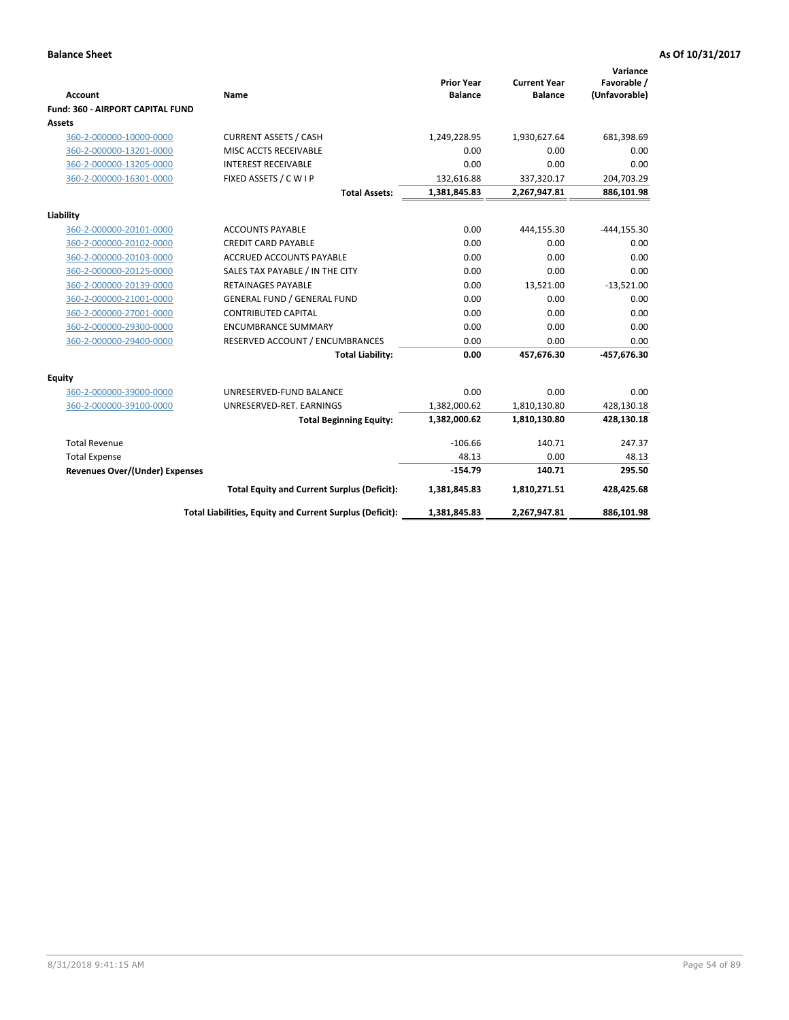| <b>Account</b><br>Fund: 360 - AIRPORT CAPITAL FUND | Name                                                     | <b>Prior Year</b><br><b>Balance</b> | <b>Current Year</b><br><b>Balance</b> | Variance<br>Favorable /<br>(Unfavorable) |
|----------------------------------------------------|----------------------------------------------------------|-------------------------------------|---------------------------------------|------------------------------------------|
| Assets                                             |                                                          |                                     |                                       |                                          |
| 360-2-000000-10000-0000                            | <b>CURRENT ASSETS / CASH</b>                             | 1,249,228.95                        | 1,930,627.64                          | 681,398.69                               |
| 360-2-000000-13201-0000                            | MISC ACCTS RECEIVABLE                                    | 0.00                                | 0.00                                  | 0.00                                     |
| 360-2-000000-13205-0000                            | <b>INTEREST RECEIVABLE</b>                               | 0.00                                | 0.00                                  | 0.00                                     |
| 360-2-000000-16301-0000                            | FIXED ASSETS / C W I P                                   | 132,616.88                          | 337,320.17                            | 204,703.29                               |
|                                                    | <b>Total Assets:</b>                                     | 1,381,845.83                        | 2,267,947.81                          | 886,101.98                               |
| Liability                                          |                                                          |                                     |                                       |                                          |
| 360-2-000000-20101-0000                            | <b>ACCOUNTS PAYABLE</b>                                  | 0.00                                | 444,155.30                            | $-444, 155.30$                           |
| 360-2-000000-20102-0000                            | <b>CREDIT CARD PAYABLE</b>                               | 0.00                                | 0.00                                  | 0.00                                     |
| 360-2-000000-20103-0000                            | <b>ACCRUED ACCOUNTS PAYABLE</b>                          | 0.00                                | 0.00                                  | 0.00                                     |
| 360-2-000000-20125-0000                            | SALES TAX PAYABLE / IN THE CITY                          | 0.00                                | 0.00                                  | 0.00                                     |
| 360-2-000000-20139-0000                            | <b>RETAINAGES PAYABLE</b>                                | 0.00                                | 13,521.00                             | $-13,521.00$                             |
| 360-2-000000-21001-0000                            | <b>GENERAL FUND / GENERAL FUND</b>                       | 0.00                                | 0.00                                  | 0.00                                     |
| 360-2-000000-27001-0000                            | <b>CONTRIBUTED CAPITAL</b>                               | 0.00                                | 0.00                                  | 0.00                                     |
| 360-2-000000-29300-0000                            | <b>ENCUMBRANCE SUMMARY</b>                               | 0.00                                | 0.00                                  | 0.00                                     |
| 360-2-000000-29400-0000                            | RESERVED ACCOUNT / ENCUMBRANCES                          | 0.00                                | 0.00                                  | 0.00                                     |
|                                                    | <b>Total Liability:</b>                                  | 0.00                                | 457,676.30                            | -457,676.30                              |
| Equity                                             |                                                          |                                     |                                       |                                          |
| 360-2-000000-39000-0000                            | UNRESERVED-FUND BALANCE                                  | 0.00                                | 0.00                                  | 0.00                                     |
| 360-2-000000-39100-0000                            | UNRESERVED-RET. EARNINGS                                 | 1,382,000.62                        | 1,810,130.80                          | 428,130.18                               |
|                                                    | <b>Total Beginning Equity:</b>                           | 1,382,000.62                        | 1,810,130.80                          | 428,130.18                               |
| <b>Total Revenue</b>                               |                                                          | $-106.66$                           | 140.71                                | 247.37                                   |
| <b>Total Expense</b>                               |                                                          | 48.13                               | 0.00                                  | 48.13                                    |
| <b>Revenues Over/(Under) Expenses</b>              |                                                          | $-154.79$                           | 140.71                                | 295.50                                   |
|                                                    | <b>Total Equity and Current Surplus (Deficit):</b>       | 1,381,845.83                        | 1,810,271.51                          | 428,425.68                               |
|                                                    | Total Liabilities, Equity and Current Surplus (Deficit): | 1,381,845.83                        | 2,267,947.81                          | 886,101.98                               |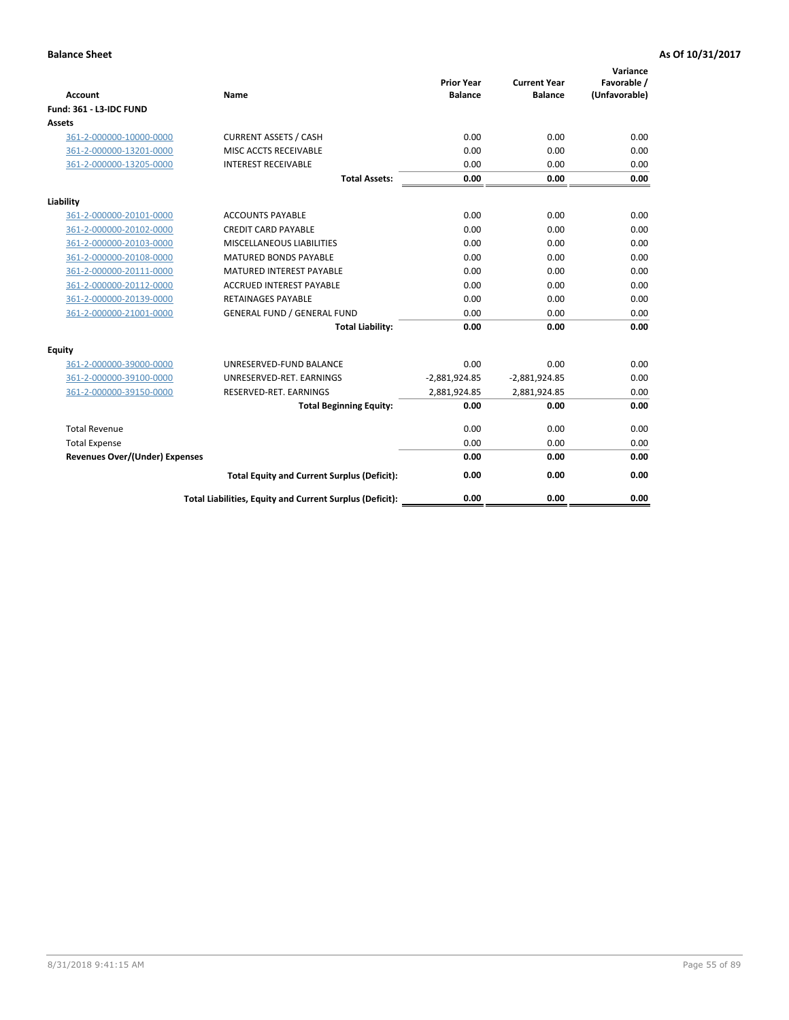| <b>Account</b>                        | Name                                                     | <b>Prior Year</b><br><b>Balance</b> | <b>Current Year</b><br><b>Balance</b> | Variance<br>Favorable /<br>(Unfavorable) |
|---------------------------------------|----------------------------------------------------------|-------------------------------------|---------------------------------------|------------------------------------------|
| Fund: 361 - L3-IDC FUND               |                                                          |                                     |                                       |                                          |
| <b>Assets</b>                         |                                                          |                                     |                                       |                                          |
| 361-2-000000-10000-0000               | <b>CURRENT ASSETS / CASH</b>                             | 0.00                                | 0.00                                  | 0.00                                     |
| 361-2-000000-13201-0000               | MISC ACCTS RECEIVABLE                                    | 0.00                                | 0.00                                  | 0.00                                     |
| 361-2-000000-13205-0000               | <b>INTEREST RECEIVABLE</b>                               | 0.00                                | 0.00                                  | 0.00                                     |
|                                       | <b>Total Assets:</b>                                     | 0.00                                | 0.00                                  | 0.00                                     |
| Liability                             |                                                          |                                     |                                       |                                          |
| 361-2-000000-20101-0000               | <b>ACCOUNTS PAYABLE</b>                                  | 0.00                                | 0.00                                  | 0.00                                     |
| 361-2-000000-20102-0000               | <b>CREDIT CARD PAYABLE</b>                               | 0.00                                | 0.00                                  | 0.00                                     |
| 361-2-000000-20103-0000               | MISCELLANEOUS LIABILITIES                                | 0.00                                | 0.00                                  | 0.00                                     |
| 361-2-000000-20108-0000               | <b>MATURED BONDS PAYABLE</b>                             | 0.00                                | 0.00                                  | 0.00                                     |
| 361-2-000000-20111-0000               | <b>MATURED INTEREST PAYABLE</b>                          | 0.00                                | 0.00                                  | 0.00                                     |
| 361-2-000000-20112-0000               | <b>ACCRUED INTEREST PAYABLE</b>                          | 0.00                                | 0.00                                  | 0.00                                     |
| 361-2-000000-20139-0000               | <b>RETAINAGES PAYABLE</b>                                | 0.00                                | 0.00                                  | 0.00                                     |
| 361-2-000000-21001-0000               | <b>GENERAL FUND / GENERAL FUND</b>                       | 0.00                                | 0.00                                  | 0.00                                     |
|                                       | <b>Total Liability:</b>                                  | 0.00                                | 0.00                                  | 0.00                                     |
| Equity                                |                                                          |                                     |                                       |                                          |
| 361-2-000000-39000-0000               | UNRESERVED-FUND BALANCE                                  | 0.00                                | 0.00                                  | 0.00                                     |
| 361-2-000000-39100-0000               | UNRESERVED-RET. EARNINGS                                 | $-2,881,924.85$                     | $-2,881,924.85$                       | 0.00                                     |
| 361-2-000000-39150-0000               | RESERVED-RET. EARNINGS                                   | 2,881,924.85                        | 2,881,924.85                          | 0.00                                     |
|                                       | <b>Total Beginning Equity:</b>                           | 0.00                                | 0.00                                  | 0.00                                     |
| <b>Total Revenue</b>                  |                                                          | 0.00                                | 0.00                                  | 0.00                                     |
| <b>Total Expense</b>                  |                                                          | 0.00                                | 0.00                                  | 0.00                                     |
| <b>Revenues Over/(Under) Expenses</b> |                                                          | 0.00                                | 0.00                                  | 0.00                                     |
|                                       | <b>Total Equity and Current Surplus (Deficit):</b>       | 0.00                                | 0.00                                  | 0.00                                     |
|                                       | Total Liabilities, Equity and Current Surplus (Deficit): | 0.00                                | 0.00                                  | 0.00                                     |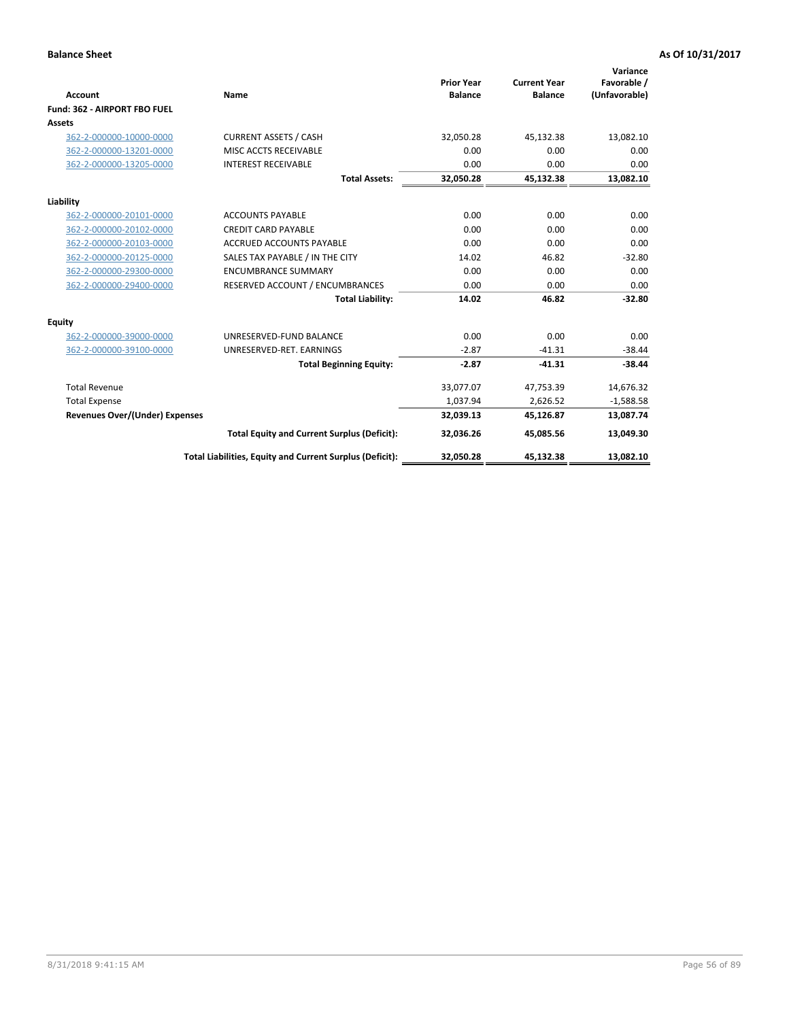|                                       |                                                          |                                     |                                       | Variance                     |
|---------------------------------------|----------------------------------------------------------|-------------------------------------|---------------------------------------|------------------------------|
| <b>Account</b>                        | Name                                                     | <b>Prior Year</b><br><b>Balance</b> | <b>Current Year</b><br><b>Balance</b> | Favorable /<br>(Unfavorable) |
| Fund: 362 - AIRPORT FBO FUEL          |                                                          |                                     |                                       |                              |
| <b>Assets</b>                         |                                                          |                                     |                                       |                              |
| 362-2-000000-10000-0000               | <b>CURRENT ASSETS / CASH</b>                             | 32.050.28                           | 45,132.38                             | 13,082.10                    |
| 362-2-000000-13201-0000               | MISC ACCTS RECEIVABLE                                    | 0.00                                | 0.00                                  | 0.00                         |
| 362-2-000000-13205-0000               | <b>INTEREST RECEIVABLE</b>                               | 0.00                                | 0.00                                  | 0.00                         |
|                                       | <b>Total Assets:</b>                                     | 32,050.28                           | 45,132.38                             | 13,082.10                    |
| Liability                             |                                                          |                                     |                                       |                              |
| 362-2-000000-20101-0000               | <b>ACCOUNTS PAYABLE</b>                                  | 0.00                                | 0.00                                  | 0.00                         |
| 362-2-000000-20102-0000               | <b>CREDIT CARD PAYABLE</b>                               | 0.00                                | 0.00                                  | 0.00                         |
| 362-2-000000-20103-0000               | <b>ACCRUED ACCOUNTS PAYABLE</b>                          | 0.00                                | 0.00                                  | 0.00                         |
| 362-2-000000-20125-0000               | SALES TAX PAYABLE / IN THE CITY                          | 14.02                               | 46.82                                 | $-32.80$                     |
| 362-2-000000-29300-0000               | <b>ENCUMBRANCE SUMMARY</b>                               | 0.00                                | 0.00                                  | 0.00                         |
| 362-2-000000-29400-0000               | RESERVED ACCOUNT / ENCUMBRANCES                          | 0.00                                | 0.00                                  | 0.00                         |
|                                       | <b>Total Liability:</b>                                  | 14.02                               | 46.82                                 | $-32.80$                     |
| <b>Equity</b>                         |                                                          |                                     |                                       |                              |
| 362-2-000000-39000-0000               | UNRESERVED-FUND BALANCE                                  | 0.00                                | 0.00                                  | 0.00                         |
| 362-2-000000-39100-0000               | UNRESERVED-RET. EARNINGS                                 | $-2.87$                             | $-41.31$                              | $-38.44$                     |
|                                       | <b>Total Beginning Equity:</b>                           | $-2.87$                             | $-41.31$                              | $-38.44$                     |
| <b>Total Revenue</b>                  |                                                          | 33,077.07                           | 47,753.39                             | 14,676.32                    |
| <b>Total Expense</b>                  |                                                          | 1,037.94                            | 2,626.52                              | $-1,588.58$                  |
| <b>Revenues Over/(Under) Expenses</b> |                                                          | 32,039.13                           | 45,126.87                             | 13,087.74                    |
|                                       | <b>Total Equity and Current Surplus (Deficit):</b>       | 32,036.26                           | 45,085.56                             | 13,049.30                    |
|                                       | Total Liabilities, Equity and Current Surplus (Deficit): | 32,050.28                           | 45,132.38                             | 13,082.10                    |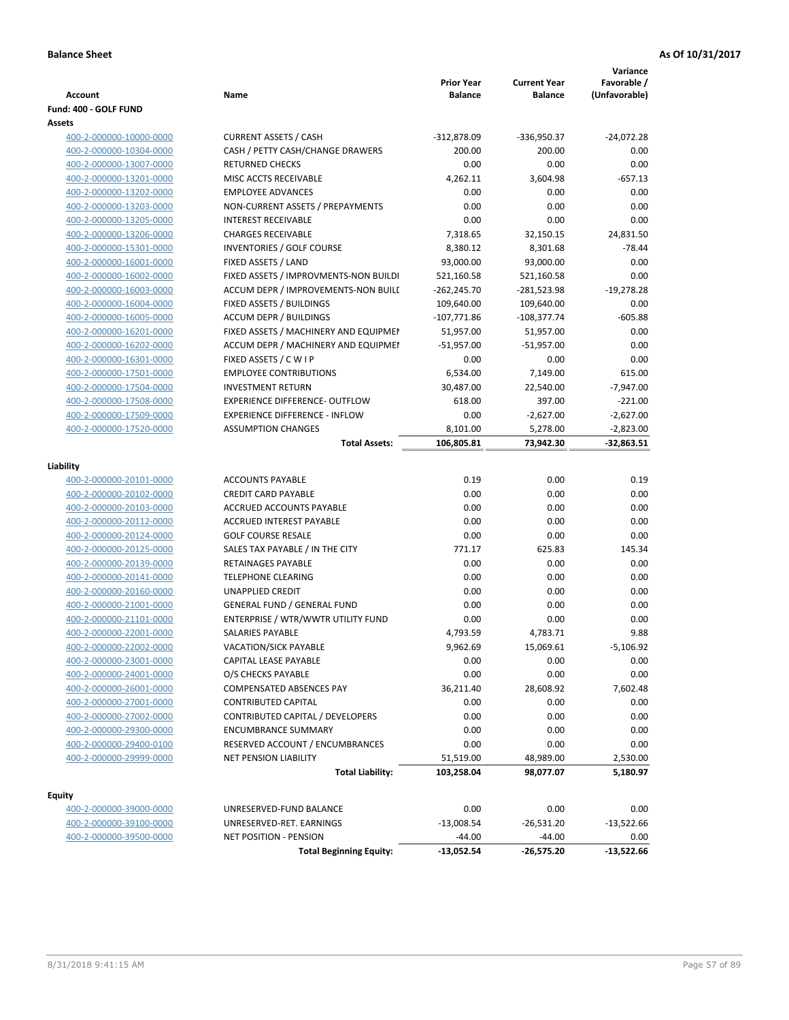| Account                                            | Name                                            | <b>Prior Year</b><br><b>Balance</b> | <b>Current Year</b><br><b>Balance</b> | Variance<br>Favorable /<br>(Unfavorable) |
|----------------------------------------------------|-------------------------------------------------|-------------------------------------|---------------------------------------|------------------------------------------|
| Fund: 400 - GOLF FUND<br>Assets                    |                                                 |                                     |                                       |                                          |
| 400-2-000000-10000-0000                            | <b>CURRENT ASSETS / CASH</b>                    | $-312,878.09$                       | -336,950.37                           | $-24,072.28$                             |
| 400-2-000000-10304-0000                            | CASH / PETTY CASH/CHANGE DRAWERS                | 200.00                              | 200.00                                | 0.00                                     |
| 400-2-000000-13007-0000                            | <b>RETURNED CHECKS</b>                          | 0.00                                | 0.00                                  | 0.00                                     |
| 400-2-000000-13201-0000                            | MISC ACCTS RECEIVABLE                           | 4,262.11                            | 3,604.98                              | $-657.13$                                |
| 400-2-000000-13202-0000                            | <b>EMPLOYEE ADVANCES</b>                        | 0.00                                | 0.00                                  | 0.00                                     |
| 400-2-000000-13203-0000                            | NON-CURRENT ASSETS / PREPAYMENTS                | 0.00                                | 0.00                                  | 0.00                                     |
| 400-2-000000-13205-0000                            | <b>INTEREST RECEIVABLE</b>                      | 0.00                                | 0.00                                  | 0.00                                     |
| 400-2-000000-13206-0000                            | <b>CHARGES RECEIVABLE</b>                       | 7,318.65                            | 32,150.15                             | 24,831.50                                |
| 400-2-000000-15301-0000                            | INVENTORIES / GOLF COURSE                       | 8,380.12                            | 8,301.68                              | $-78.44$                                 |
| 400-2-000000-16001-0000                            | FIXED ASSETS / LAND                             | 93,000.00                           | 93,000.00                             | 0.00                                     |
| 400-2-000000-16002-0000                            | FIXED ASSETS / IMPROVMENTS-NON BUILDI           | 521,160.58                          | 521,160.58                            | 0.00                                     |
| 400-2-000000-16003-0000                            | ACCUM DEPR / IMPROVEMENTS-NON BUILI             | $-262,245.70$                       | -281,523.98                           | $-19,278.28$                             |
| 400-2-000000-16004-0000                            | FIXED ASSETS / BUILDINGS                        | 109,640.00                          | 109,640.00                            | 0.00                                     |
| 400-2-000000-16005-0000                            | <b>ACCUM DEPR / BUILDINGS</b>                   | $-107,771.86$                       | $-108,377.74$                         | $-605.88$                                |
| 400-2-000000-16201-0000                            | FIXED ASSETS / MACHINERY AND EQUIPMEN           | 51,957.00                           | 51,957.00                             | 0.00                                     |
| 400-2-000000-16202-0000                            | ACCUM DEPR / MACHINERY AND EQUIPMEI             | -51,957.00                          | $-51,957.00$                          | 0.00                                     |
| 400-2-000000-16301-0000                            | FIXED ASSETS / C W I P                          | 0.00                                | 0.00                                  | 0.00                                     |
| 400-2-000000-17501-0000                            | <b>EMPLOYEE CONTRIBUTIONS</b>                   | 6,534.00                            | 7,149.00                              | 615.00                                   |
| 400-2-000000-17504-0000                            | <b>INVESTMENT RETURN</b>                        | 30,487.00                           | 22,540.00                             | $-7,947.00$                              |
| 400-2-000000-17508-0000                            | <b>EXPERIENCE DIFFERENCE- OUTFLOW</b>           | 618.00                              | 397.00                                | $-221.00$                                |
| 400-2-000000-17509-0000                            | <b>EXPERIENCE DIFFERENCE - INFLOW</b>           | 0.00                                | $-2,627.00$                           | $-2,627.00$                              |
| 400-2-000000-17520-0000                            | <b>ASSUMPTION CHANGES</b>                       | 8,101.00                            | 5,278.00                              | $-2,823.00$                              |
|                                                    | <b>Total Assets:</b>                            | 106,805.81                          | 73,942.30                             | $-32,863.51$                             |
|                                                    |                                                 |                                     |                                       |                                          |
| Liability                                          |                                                 |                                     |                                       |                                          |
| 400-2-000000-20101-0000                            | <b>ACCOUNTS PAYABLE</b>                         | 0.19                                | 0.00                                  | 0.19                                     |
| 400-2-000000-20102-0000                            | <b>CREDIT CARD PAYABLE</b>                      | 0.00                                | 0.00                                  | 0.00                                     |
| 400-2-000000-20103-0000                            | ACCRUED ACCOUNTS PAYABLE                        | 0.00                                | 0.00                                  | 0.00                                     |
| 400-2-000000-20112-0000                            | <b>ACCRUED INTEREST PAYABLE</b>                 | 0.00                                | 0.00                                  | 0.00                                     |
| 400-2-000000-20124-0000                            | <b>GOLF COURSE RESALE</b>                       | 0.00                                | 0.00                                  | 0.00                                     |
| 400-2-000000-20125-0000                            | SALES TAX PAYABLE / IN THE CITY                 | 771.17                              | 625.83                                | 145.34                                   |
| 400-2-000000-20139-0000                            | RETAINAGES PAYABLE<br><b>TELEPHONE CLEARING</b> | 0.00<br>0.00                        | 0.00                                  | 0.00                                     |
| 400-2-000000-20141-0000<br>400-2-000000-20160-0000 | <b>UNAPPLIED CREDIT</b>                         | 0.00                                | 0.00<br>0.00                          | 0.00<br>0.00                             |
|                                                    | <b>GENERAL FUND / GENERAL FUND</b>              | 0.00                                |                                       | 0.00                                     |
| 400-2-000000-21001-0000<br>400-2-000000-21101-0000 | ENTERPRISE / WTR/WWTR UTILITY FUND              | 0.00                                | 0.00<br>0.00                          | 0.00                                     |
| 400-2-000000-22001-0000                            | SALARIES PAYABLE                                | 4,793.59                            | 4,783.71                              | 9.88                                     |
| 400-2-000000-22002-0000                            | VACATION/SICK PAYABLE                           | 9,962.69                            | 15,069.61                             | $-5,106.92$                              |
| 400-2-000000-23001-0000                            | CAPITAL LEASE PAYABLE                           | 0.00                                | 0.00                                  | 0.00                                     |
| 400-2-000000-24001-0000                            | O/S CHECKS PAYABLE                              | 0.00                                | 0.00                                  | 0.00                                     |
| 400-2-000000-26001-0000                            | <b>COMPENSATED ABSENCES PAY</b>                 | 36,211.40                           | 28,608.92                             | 7,602.48                                 |
| 400-2-000000-27001-0000                            | <b>CONTRIBUTED CAPITAL</b>                      | 0.00                                | 0.00                                  | 0.00                                     |
| 400-2-000000-27002-0000                            | CONTRIBUTED CAPITAL / DEVELOPERS                | 0.00                                | 0.00                                  | 0.00                                     |
| 400-2-000000-29300-0000                            | <b>ENCUMBRANCE SUMMARY</b>                      | 0.00                                | 0.00                                  | 0.00                                     |
| 400-2-000000-29400-0100                            | RESERVED ACCOUNT / ENCUMBRANCES                 | 0.00                                | 0.00                                  | 0.00                                     |
| 400-2-000000-29999-0000                            | NET PENSION LIABILITY                           | 51,519.00                           | 48,989.00                             | 2,530.00                                 |
|                                                    | <b>Total Liability:</b>                         | 103,258.04                          | 98,077.07                             | 5,180.97                                 |
|                                                    |                                                 |                                     |                                       |                                          |
| <b>Equity</b>                                      |                                                 |                                     |                                       |                                          |
| 400-2-000000-39000-0000                            | UNRESERVED-FUND BALANCE                         | 0.00                                | 0.00                                  | 0.00                                     |
| 400-2-000000-39100-0000                            | UNRESERVED-RET. EARNINGS                        | $-13,008.54$                        | $-26,531.20$                          | $-13,522.66$                             |
| 400-2-000000-39500-0000                            | <b>NET POSITION - PENSION</b>                   | $-44.00$                            | $-44.00$                              | 0.00                                     |
|                                                    | <b>Total Beginning Equity:</b>                  | $-13,052.54$                        | -26,575.20                            | $-13,522.66$                             |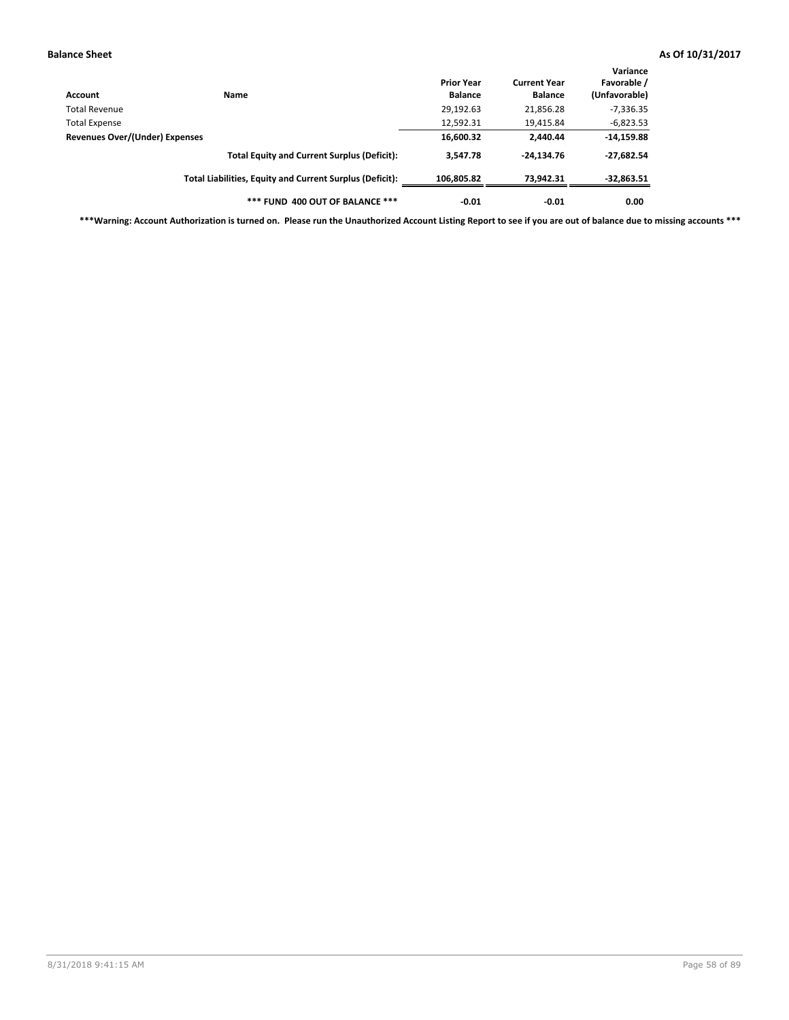| Account                        | Name                                                     | <b>Prior Year</b><br><b>Balance</b> | <b>Current Year</b><br><b>Balance</b> | Variance<br>Favorable /<br>(Unfavorable) |
|--------------------------------|----------------------------------------------------------|-------------------------------------|---------------------------------------|------------------------------------------|
| Total Revenue                  |                                                          | 29,192.63                           | 21,856.28                             | $-7,336.35$                              |
| <b>Total Expense</b>           |                                                          | 12,592.31                           | 19,415.84                             | $-6,823.53$                              |
| Revenues Over/(Under) Expenses |                                                          | 16,600.32                           | 2.440.44                              | $-14,159.88$                             |
|                                | <b>Total Equity and Current Surplus (Deficit):</b>       | 3.547.78                            | $-24.134.76$                          | $-27,682.54$                             |
|                                | Total Liabilities, Equity and Current Surplus (Deficit): | 106,805.82                          | 73,942.31                             | $-32,863.51$                             |
|                                | *** FUND 400 OUT OF BALANCE ***                          | $-0.01$                             | $-0.01$                               | 0.00                                     |

**\*\*\*Warning: Account Authorization is turned on. Please run the Unauthorized Account Listing Report to see if you are out of balance due to missing accounts \*\*\***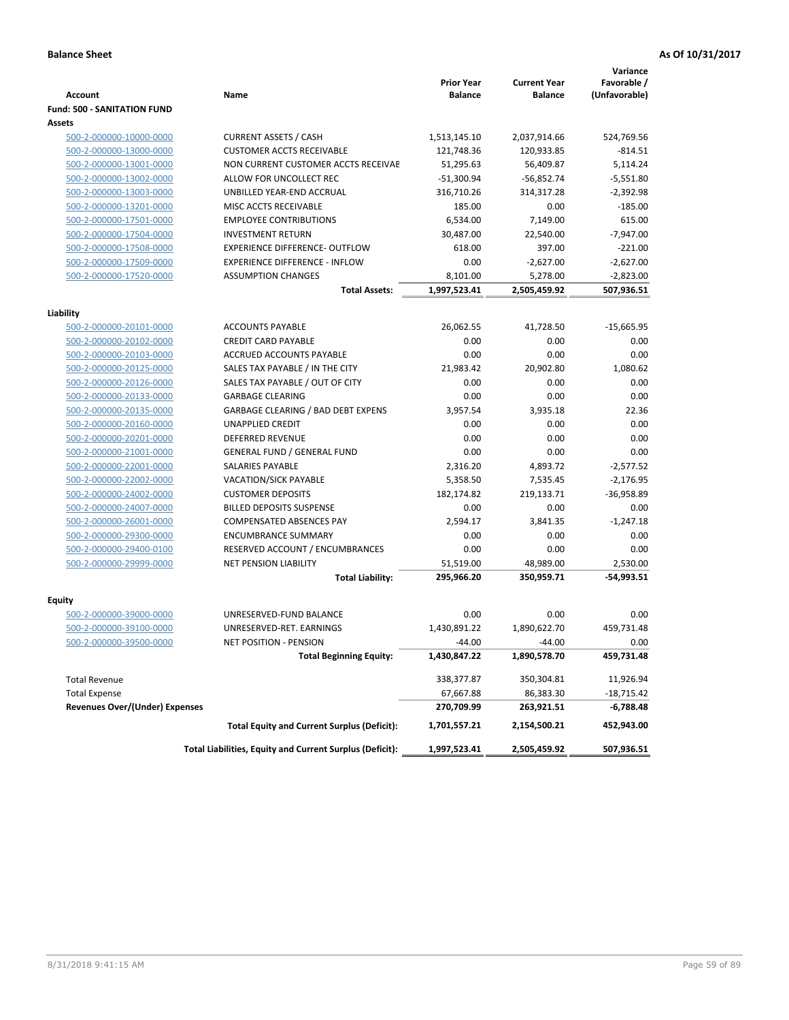|                                       |                                                          | <b>Prior Year</b> | <b>Current Year</b> | Variance<br>Favorable / |
|---------------------------------------|----------------------------------------------------------|-------------------|---------------------|-------------------------|
| <b>Account</b>                        | Name                                                     | <b>Balance</b>    | <b>Balance</b>      | (Unfavorable)           |
| <b>Fund: 500 - SANITATION FUND</b>    |                                                          |                   |                     |                         |
| <b>Assets</b>                         |                                                          |                   |                     |                         |
| 500-2-000000-10000-0000               | <b>CURRENT ASSETS / CASH</b>                             | 1,513,145.10      | 2,037,914.66        | 524,769.56              |
| 500-2-000000-13000-0000               | <b>CUSTOMER ACCTS RECEIVABLE</b>                         | 121,748.36        | 120,933.85          | $-814.51$               |
| 500-2-000000-13001-0000               | NON CURRENT CUSTOMER ACCTS RECEIVAE                      | 51,295.63         | 56,409.87           | 5,114.24                |
| 500-2-000000-13002-0000               | ALLOW FOR UNCOLLECT REC                                  | $-51,300.94$      | $-56,852.74$        | $-5,551.80$             |
| 500-2-000000-13003-0000               | UNBILLED YEAR-END ACCRUAL                                | 316,710.26        | 314,317.28          | $-2,392.98$             |
| 500-2-000000-13201-0000               | MISC ACCTS RECEIVABLE                                    | 185.00            | 0.00                | $-185.00$               |
| 500-2-000000-17501-0000               | <b>EMPLOYEE CONTRIBUTIONS</b>                            | 6,534.00          | 7,149.00            | 615.00                  |
| 500-2-000000-17504-0000               | <b>INVESTMENT RETURN</b>                                 | 30,487.00         | 22,540.00           | $-7,947.00$             |
| 500-2-000000-17508-0000               | <b>EXPERIENCE DIFFERENCE- OUTFLOW</b>                    | 618.00            | 397.00              | $-221.00$               |
| 500-2-000000-17509-0000               | <b>EXPERIENCE DIFFERENCE - INFLOW</b>                    | 0.00              | $-2,627.00$         | $-2,627.00$             |
| 500-2-000000-17520-0000               | <b>ASSUMPTION CHANGES</b>                                | 8,101.00          | 5,278.00            | $-2,823.00$             |
|                                       | <b>Total Assets:</b>                                     | 1,997,523.41      | 2,505,459.92        | 507,936.51              |
|                                       |                                                          |                   |                     |                         |
| Liability                             |                                                          |                   |                     |                         |
| 500-2-000000-20101-0000               | <b>ACCOUNTS PAYABLE</b>                                  | 26,062.55         | 41,728.50           | $-15,665.95$            |
| 500-2-000000-20102-0000               | <b>CREDIT CARD PAYABLE</b>                               | 0.00              | 0.00                | 0.00                    |
| 500-2-000000-20103-0000               | <b>ACCRUED ACCOUNTS PAYABLE</b>                          | 0.00              | 0.00                | 0.00                    |
| 500-2-000000-20125-0000               | SALES TAX PAYABLE / IN THE CITY                          | 21,983.42         | 20,902.80           | 1,080.62                |
| 500-2-000000-20126-0000               | SALES TAX PAYABLE / OUT OF CITY                          | 0.00              | 0.00                | 0.00                    |
| 500-2-000000-20133-0000               | <b>GARBAGE CLEARING</b>                                  | 0.00              | 0.00                | 0.00                    |
| 500-2-000000-20135-0000               | GARBAGE CLEARING / BAD DEBT EXPENS                       | 3,957.54          | 3,935.18            | 22.36                   |
| 500-2-000000-20160-0000               | <b>UNAPPLIED CREDIT</b>                                  | 0.00              | 0.00                | 0.00                    |
| 500-2-000000-20201-0000               | <b>DEFERRED REVENUE</b>                                  | 0.00              | 0.00                | 0.00                    |
| 500-2-000000-21001-0000               | <b>GENERAL FUND / GENERAL FUND</b>                       | 0.00              | 0.00                | 0.00                    |
| 500-2-000000-22001-0000               | SALARIES PAYABLE                                         | 2,316.20          | 4,893.72            | $-2,577.52$             |
| 500-2-000000-22002-0000               | <b>VACATION/SICK PAYABLE</b>                             | 5,358.50          | 7,535.45            | $-2,176.95$             |
| 500-2-000000-24002-0000               | <b>CUSTOMER DEPOSITS</b>                                 | 182,174.82        | 219,133.71          | $-36,958.89$            |
| 500-2-000000-24007-0000               | <b>BILLED DEPOSITS SUSPENSE</b>                          | 0.00              | 0.00                | 0.00                    |
| 500-2-000000-26001-0000               | <b>COMPENSATED ABSENCES PAY</b>                          | 2,594.17          | 3,841.35            | $-1,247.18$             |
| 500-2-000000-29300-0000               | <b>ENCUMBRANCE SUMMARY</b>                               | 0.00              | 0.00                | 0.00                    |
| 500-2-000000-29400-0100               | RESERVED ACCOUNT / ENCUMBRANCES                          | 0.00              | 0.00                | 0.00                    |
| 500-2-000000-29999-0000               | NET PENSION LIABILITY                                    | 51,519.00         | 48,989.00           | 2.530.00                |
|                                       | <b>Total Liability:</b>                                  | 295,966.20        | 350,959.71          | -54,993.51              |
| Equity                                |                                                          |                   |                     |                         |
| 500-2-000000-39000-0000               | UNRESERVED-FUND BALANCE                                  | 0.00              | 0.00                | 0.00                    |
| 500-2-000000-39100-0000               | UNRESERVED-RET. EARNINGS                                 | 1,430,891.22      | 1,890,622.70        | 459,731.48              |
| 500-2-000000-39500-0000               | NET POSITION - PENSION                                   | $-44.00$          | $-44.00$            | 0.00                    |
|                                       | <b>Total Beginning Equity:</b>                           | 1,430,847.22      | 1,890,578.70        | 459,731.48              |
|                                       |                                                          |                   |                     |                         |
| <b>Total Revenue</b>                  |                                                          | 338,377.87        | 350,304.81          | 11,926.94               |
| <b>Total Expense</b>                  |                                                          | 67,667.88         | 86,383.30           | $-18,715.42$            |
| <b>Revenues Over/(Under) Expenses</b> |                                                          | 270,709.99        | 263,921.51          | -6,788.48               |
|                                       | <b>Total Equity and Current Surplus (Deficit):</b>       | 1,701,557.21      | 2,154,500.21        | 452,943.00              |
|                                       | Total Liabilities, Equity and Current Surplus (Deficit): | 1,997,523.41      | 2,505,459.92        | 507,936.51              |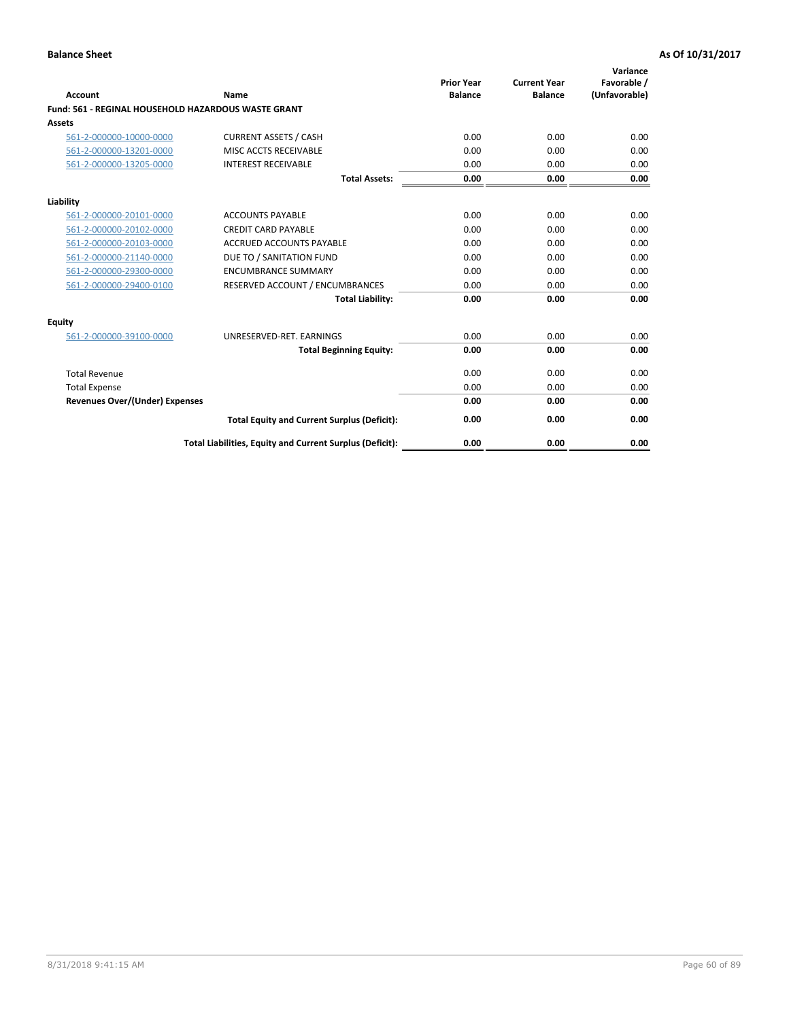| <b>Account</b>                                      | Name                                                     | <b>Prior Year</b><br><b>Balance</b> | <b>Current Year</b><br><b>Balance</b> | Variance<br>Favorable /<br>(Unfavorable) |
|-----------------------------------------------------|----------------------------------------------------------|-------------------------------------|---------------------------------------|------------------------------------------|
| Fund: 561 - REGINAL HOUSEHOLD HAZARDOUS WASTE GRANT |                                                          |                                     |                                       |                                          |
| <b>Assets</b>                                       |                                                          |                                     |                                       |                                          |
| 561-2-000000-10000-0000                             | <b>CURRENT ASSETS / CASH</b>                             | 0.00                                | 0.00                                  | 0.00                                     |
| 561-2-000000-13201-0000                             | MISC ACCTS RECEIVABLE                                    | 0.00                                | 0.00                                  | 0.00                                     |
| 561-2-000000-13205-0000                             | <b>INTEREST RECEIVABLE</b>                               | 0.00                                | 0.00                                  | 0.00                                     |
|                                                     | <b>Total Assets:</b>                                     | 0.00                                | 0.00                                  | 0.00                                     |
| Liability                                           |                                                          |                                     |                                       |                                          |
| 561-2-000000-20101-0000                             | <b>ACCOUNTS PAYABLE</b>                                  | 0.00                                | 0.00                                  | 0.00                                     |
| 561-2-000000-20102-0000                             | <b>CREDIT CARD PAYABLE</b>                               | 0.00                                | 0.00                                  | 0.00                                     |
| 561-2-000000-20103-0000                             | <b>ACCRUED ACCOUNTS PAYABLE</b>                          | 0.00                                | 0.00                                  | 0.00                                     |
| 561-2-000000-21140-0000                             | DUE TO / SANITATION FUND                                 | 0.00                                | 0.00                                  | 0.00                                     |
| 561-2-000000-29300-0000                             | <b>ENCUMBRANCE SUMMARY</b>                               | 0.00                                | 0.00                                  | 0.00                                     |
| 561-2-000000-29400-0100                             | RESERVED ACCOUNT / ENCUMBRANCES                          | 0.00                                | 0.00                                  | 0.00                                     |
|                                                     | <b>Total Liability:</b>                                  | 0.00                                | 0.00                                  | 0.00                                     |
| <b>Equity</b>                                       |                                                          |                                     |                                       |                                          |
| 561-2-000000-39100-0000                             | UNRESERVED-RET. EARNINGS                                 | 0.00                                | 0.00                                  | 0.00                                     |
|                                                     | <b>Total Beginning Equity:</b>                           | 0.00                                | 0.00                                  | 0.00                                     |
| <b>Total Revenue</b>                                |                                                          | 0.00                                | 0.00                                  | 0.00                                     |
| <b>Total Expense</b>                                |                                                          | 0.00                                | 0.00                                  | 0.00                                     |
| <b>Revenues Over/(Under) Expenses</b>               |                                                          | 0.00                                | 0.00                                  | 0.00                                     |
|                                                     | <b>Total Equity and Current Surplus (Deficit):</b>       | 0.00                                | 0.00                                  | 0.00                                     |
|                                                     | Total Liabilities, Equity and Current Surplus (Deficit): | 0.00                                | 0.00                                  | 0.00                                     |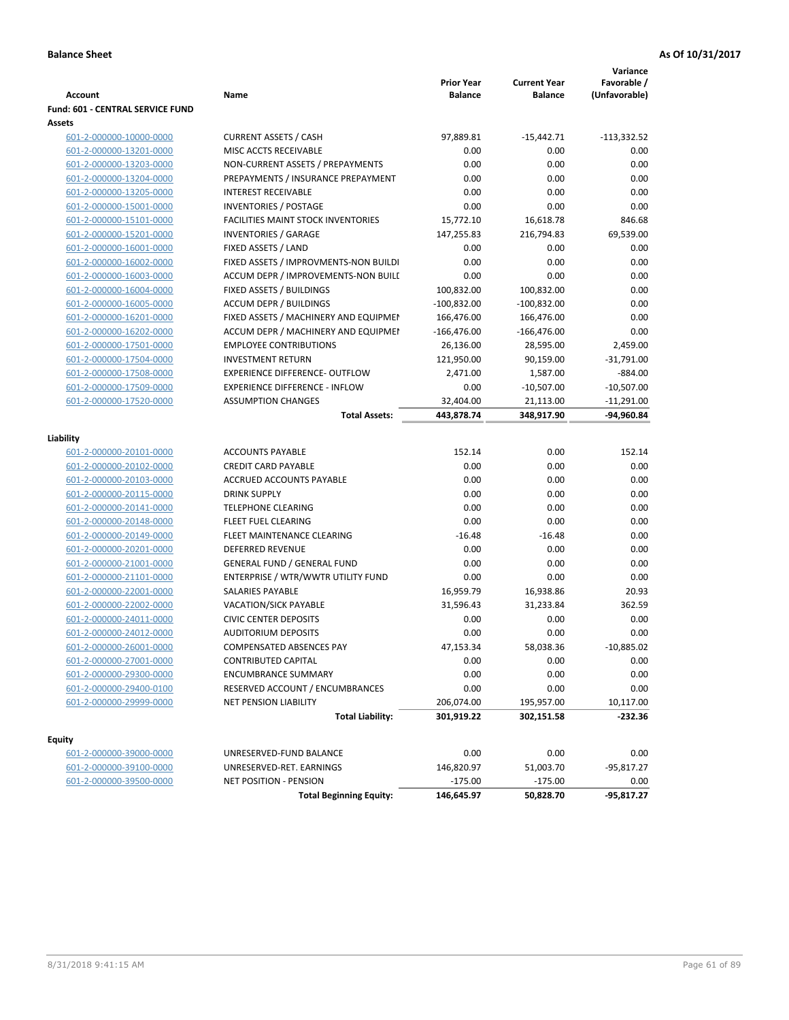|                                                    |                                                               |                   |                        | Variance      |
|----------------------------------------------------|---------------------------------------------------------------|-------------------|------------------------|---------------|
|                                                    |                                                               | <b>Prior Year</b> | <b>Current Year</b>    | Favorable /   |
| <b>Account</b>                                     | Name                                                          | <b>Balance</b>    | <b>Balance</b>         | (Unfavorable) |
| Fund: 601 - CENTRAL SERVICE FUND                   |                                                               |                   |                        |               |
| Assets                                             |                                                               |                   |                        |               |
| 601-2-000000-10000-0000                            | <b>CURRENT ASSETS / CASH</b><br>MISC ACCTS RECEIVABLE         | 97,889.81         | $-15,442.71$           | $-113,332.52$ |
| 601-2-000000-13201-0000                            |                                                               | 0.00              | 0.00                   | 0.00          |
| 601-2-000000-13203-0000                            | NON-CURRENT ASSETS / PREPAYMENTS                              | 0.00              | 0.00                   | 0.00          |
| 601-2-000000-13204-0000                            | PREPAYMENTS / INSURANCE PREPAYMENT                            | 0.00              | 0.00                   | 0.00          |
| 601-2-000000-13205-0000                            | <b>INTEREST RECEIVABLE</b>                                    | 0.00              | 0.00                   | 0.00          |
| 601-2-000000-15001-0000                            | <b>INVENTORIES / POSTAGE</b>                                  | 0.00              | 0.00                   | 0.00          |
| 601-2-000000-15101-0000                            | <b>FACILITIES MAINT STOCK INVENTORIES</b>                     | 15,772.10         | 16,618.78              | 846.68        |
| 601-2-000000-15201-0000                            | <b>INVENTORIES / GARAGE</b>                                   | 147,255.83        | 216,794.83             | 69,539.00     |
| 601-2-000000-16001-0000                            | FIXED ASSETS / LAND                                           | 0.00              | 0.00                   | 0.00          |
| 601-2-000000-16002-0000                            | FIXED ASSETS / IMPROVMENTS-NON BUILDI                         | 0.00              | 0.00                   | 0.00          |
| 601-2-000000-16003-0000                            | ACCUM DEPR / IMPROVEMENTS-NON BUILI                           | 0.00              | 0.00                   | 0.00          |
| 601-2-000000-16004-0000                            | FIXED ASSETS / BUILDINGS                                      | 100,832.00        | 100,832.00             | 0.00          |
| 601-2-000000-16005-0000                            | <b>ACCUM DEPR / BUILDINGS</b>                                 | $-100,832.00$     | $-100,832.00$          | 0.00          |
| 601-2-000000-16201-0000                            | FIXED ASSETS / MACHINERY AND EQUIPMEN                         | 166,476.00        | 166,476.00             | 0.00          |
| 601-2-000000-16202-0000                            | ACCUM DEPR / MACHINERY AND EQUIPMEI                           | $-166,476.00$     | $-166,476.00$          | 0.00          |
| 601-2-000000-17501-0000                            | <b>EMPLOYEE CONTRIBUTIONS</b>                                 | 26,136.00         | 28,595.00              | 2,459.00      |
| 601-2-000000-17504-0000                            | <b>INVESTMENT RETURN</b>                                      | 121,950.00        | 90,159.00              | $-31,791.00$  |
| 601-2-000000-17508-0000                            | <b>EXPERIENCE DIFFERENCE- OUTFLOW</b>                         | 2,471.00          | 1,587.00               | $-884.00$     |
| 601-2-000000-17509-0000                            | <b>EXPERIENCE DIFFERENCE - INFLOW</b>                         | 0.00              | $-10,507.00$           | $-10,507.00$  |
| 601-2-000000-17520-0000                            | <b>ASSUMPTION CHANGES</b>                                     | 32,404.00         | 21,113.00              | $-11,291.00$  |
|                                                    | <b>Total Assets:</b>                                          | 443,878.74        | 348,917.90             | -94,960.84    |
| Liability                                          |                                                               |                   |                        |               |
| 601-2-000000-20101-0000                            | <b>ACCOUNTS PAYABLE</b>                                       | 152.14            | 0.00                   | 152.14        |
| 601-2-000000-20102-0000                            | <b>CREDIT CARD PAYABLE</b>                                    | 0.00              | 0.00                   | 0.00          |
| 601-2-000000-20103-0000                            | ACCRUED ACCOUNTS PAYABLE                                      | 0.00              | 0.00                   | 0.00          |
| 601-2-000000-20115-0000                            | <b>DRINK SUPPLY</b>                                           | 0.00              | 0.00                   | 0.00          |
| 601-2-000000-20141-0000                            | <b>TELEPHONE CLEARING</b>                                     | 0.00              | 0.00                   | 0.00          |
|                                                    | FLEET FUEL CLEARING                                           | 0.00              | 0.00                   | 0.00          |
| 601-2-000000-20148-0000<br>601-2-000000-20149-0000 | FLEET MAINTENANCE CLEARING                                    | $-16.48$          | $-16.48$               | 0.00          |
|                                                    | <b>DEFERRED REVENUE</b>                                       | 0.00              | 0.00                   | 0.00          |
| 601-2-000000-20201-0000                            | <b>GENERAL FUND / GENERAL FUND</b>                            | 0.00              | 0.00                   | 0.00          |
| 601-2-000000-21001-0000                            |                                                               |                   | 0.00                   |               |
| 601-2-000000-21101-0000                            | ENTERPRISE / WTR/WWTR UTILITY FUND<br><b>SALARIES PAYABLE</b> | 0.00              |                        | 0.00<br>20.93 |
| 601-2-000000-22001-0000                            |                                                               | 16,959.79         | 16,938.86<br>31,233.84 | 362.59        |
| 601-2-000000-22002-0000                            | VACATION/SICK PAYABLE                                         | 31,596.43         |                        |               |
| 601-2-000000-24011-0000                            | <b>CIVIC CENTER DEPOSITS</b>                                  | 0.00              | 0.00                   | 0.00          |
| 601-2-000000-24012-0000                            | <b>AUDITORIUM DEPOSITS</b>                                    | 0.00              | 0.00                   | 0.00          |
| 601-2-000000-26001-0000                            | COMPENSATED ABSENCES PAY                                      | 47,153.34         | 58,038.36              | $-10,885.02$  |
| 601-2-000000-27001-0000                            | CONTRIBUTED CAPITAL                                           | 0.00              | 0.00                   | 0.00          |
| 601-2-000000-29300-0000                            | <b>ENCUMBRANCE SUMMARY</b>                                    | 0.00              | 0.00                   | 0.00          |
| 601-2-000000-29400-0100                            | RESERVED ACCOUNT / ENCUMBRANCES                               | 0.00              | 0.00                   | 0.00          |
| 601-2-000000-29999-0000                            | NET PENSION LIABILITY                                         | 206,074.00        | 195,957.00             | 10,117.00     |
|                                                    | <b>Total Liability:</b>                                       | 301,919.22        | 302,151.58             | -232.36       |
| <b>Equity</b>                                      |                                                               |                   |                        |               |
| 601-2-000000-39000-0000                            | UNRESERVED-FUND BALANCE                                       | 0.00              | 0.00                   | 0.00          |
| 601-2-000000-39100-0000                            | UNRESERVED-RET. EARNINGS                                      | 146,820.97        | 51,003.70              | -95,817.27    |
| 601-2-000000-39500-0000                            | NET POSITION - PENSION                                        | $-175.00$         | $-175.00$              | 0.00          |
|                                                    | <b>Total Beginning Equity:</b>                                | 146,645.97        | 50,828.70              | $-95,817.27$  |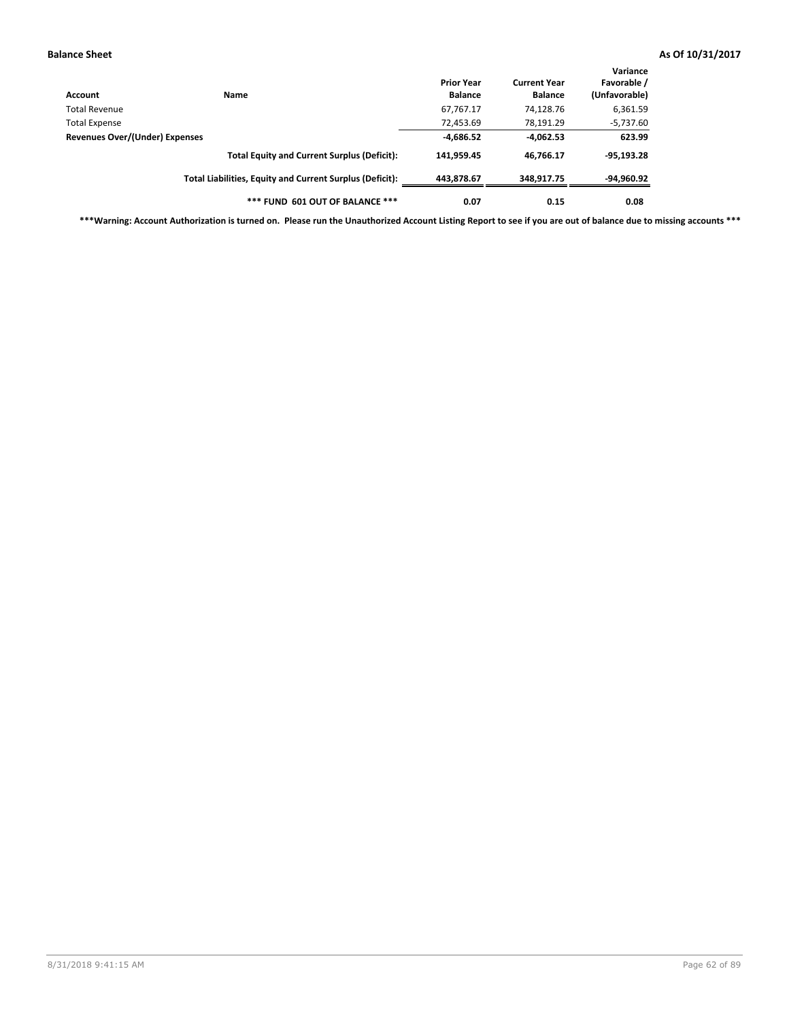| Account                        | Name                                                     | <b>Prior Year</b><br><b>Balance</b> | <b>Current Year</b><br><b>Balance</b> | Variance<br>Favorable /<br>(Unfavorable) |
|--------------------------------|----------------------------------------------------------|-------------------------------------|---------------------------------------|------------------------------------------|
| Total Revenue                  |                                                          | 67,767.17                           | 74,128.76                             | 6,361.59                                 |
| Total Expense                  |                                                          | 72,453.69                           | 78,191.29                             | $-5,737.60$                              |
| Revenues Over/(Under) Expenses |                                                          | $-4,686.52$                         | $-4,062.53$                           | 623.99                                   |
|                                | <b>Total Equity and Current Surplus (Deficit):</b>       | 141,959.45                          | 46.766.17                             | $-95,193.28$                             |
|                                | Total Liabilities, Equity and Current Surplus (Deficit): | 443.878.67                          | 348.917.75                            | -94,960.92                               |
|                                | *** FUND 601 OUT OF BALANCE ***                          | 0.07                                | 0.15                                  | 0.08                                     |

**\*\*\*Warning: Account Authorization is turned on. Please run the Unauthorized Account Listing Report to see if you are out of balance due to missing accounts \*\*\***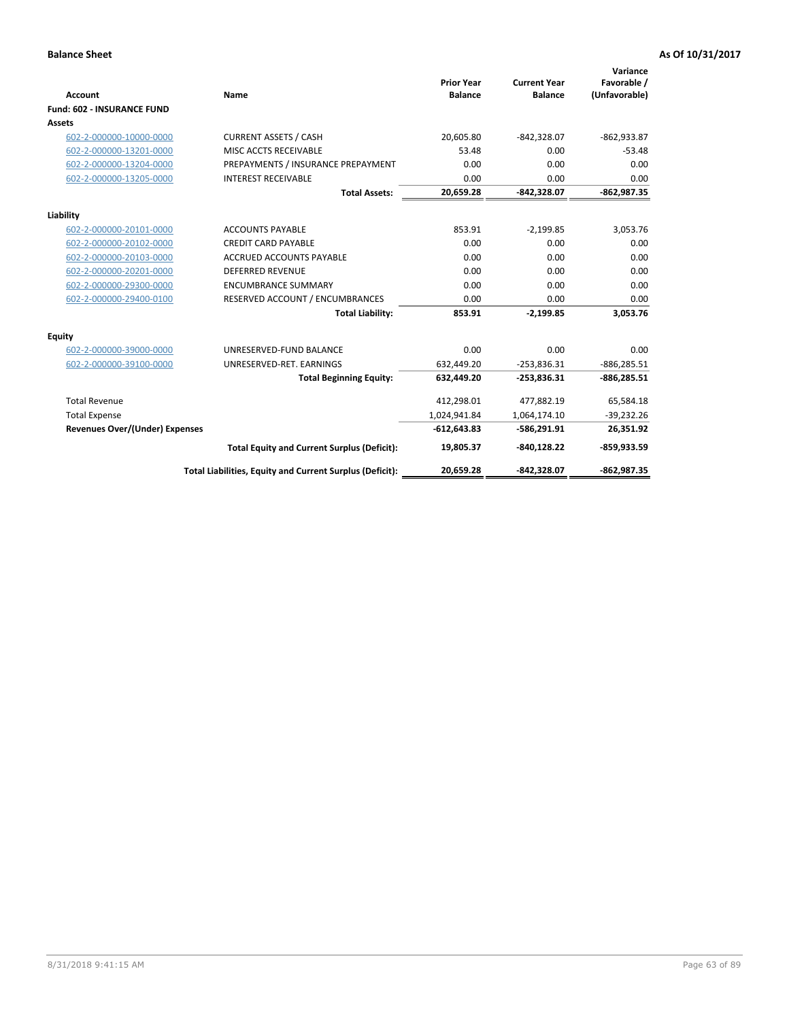|                                       |                                                          |                                     |                                       | Variance                     |
|---------------------------------------|----------------------------------------------------------|-------------------------------------|---------------------------------------|------------------------------|
| <b>Account</b>                        | <b>Name</b>                                              | <b>Prior Year</b><br><b>Balance</b> | <b>Current Year</b><br><b>Balance</b> | Favorable /<br>(Unfavorable) |
| <b>Fund: 602 - INSURANCE FUND</b>     |                                                          |                                     |                                       |                              |
| <b>Assets</b>                         |                                                          |                                     |                                       |                              |
| 602-2-000000-10000-0000               | <b>CURRENT ASSETS / CASH</b>                             | 20,605.80                           | $-842,328.07$                         | $-862,933.87$                |
| 602-2-000000-13201-0000               | MISC ACCTS RECEIVABLE                                    | 53.48                               | 0.00                                  | $-53.48$                     |
| 602-2-000000-13204-0000               | PREPAYMENTS / INSURANCE PREPAYMENT                       | 0.00                                | 0.00                                  | 0.00                         |
| 602-2-000000-13205-0000               | <b>INTEREST RECEIVABLE</b>                               | 0.00                                | 0.00                                  | 0.00                         |
|                                       | <b>Total Assets:</b>                                     | 20,659.28                           | $-842,328.07$                         | $-862,987.35$                |
| Liability                             |                                                          |                                     |                                       |                              |
| 602-2-000000-20101-0000               | <b>ACCOUNTS PAYABLE</b>                                  | 853.91                              | $-2,199.85$                           | 3,053.76                     |
| 602-2-000000-20102-0000               | <b>CREDIT CARD PAYABLE</b>                               | 0.00                                | 0.00                                  | 0.00                         |
| 602-2-000000-20103-0000               | <b>ACCRUED ACCOUNTS PAYABLE</b>                          | 0.00                                | 0.00                                  | 0.00                         |
| 602-2-000000-20201-0000               | <b>DEFERRED REVENUE</b>                                  | 0.00                                | 0.00                                  | 0.00                         |
| 602-2-000000-29300-0000               | <b>ENCUMBRANCE SUMMARY</b>                               | 0.00                                | 0.00                                  | 0.00                         |
| 602-2-000000-29400-0100               | RESERVED ACCOUNT / ENCUMBRANCES                          | 0.00                                | 0.00                                  | 0.00                         |
|                                       | <b>Total Liability:</b>                                  | 853.91                              | $-2.199.85$                           | 3,053.76                     |
| Equity                                |                                                          |                                     |                                       |                              |
| 602-2-000000-39000-0000               | UNRESERVED-FUND BALANCE                                  | 0.00                                | 0.00                                  | 0.00                         |
| 602-2-000000-39100-0000               | UNRESERVED-RET. EARNINGS                                 | 632,449.20                          | $-253,836.31$                         | $-886, 285.51$               |
|                                       | <b>Total Beginning Equity:</b>                           | 632,449.20                          | $-253,836.31$                         | $-886,285.51$                |
| <b>Total Revenue</b>                  |                                                          | 412,298.01                          | 477,882.19                            | 65,584.18                    |
| <b>Total Expense</b>                  |                                                          | 1,024,941.84                        | 1,064,174.10                          | $-39,232.26$                 |
| <b>Revenues Over/(Under) Expenses</b> |                                                          | $-612,643.83$                       | $-586,291.91$                         | 26,351.92                    |
|                                       | <b>Total Equity and Current Surplus (Deficit):</b>       | 19,805.37                           | $-840, 128.22$                        | $-859,933.59$                |
|                                       | Total Liabilities, Equity and Current Surplus (Deficit): | 20,659.28                           | -842.328.07                           | $-862,987.35$                |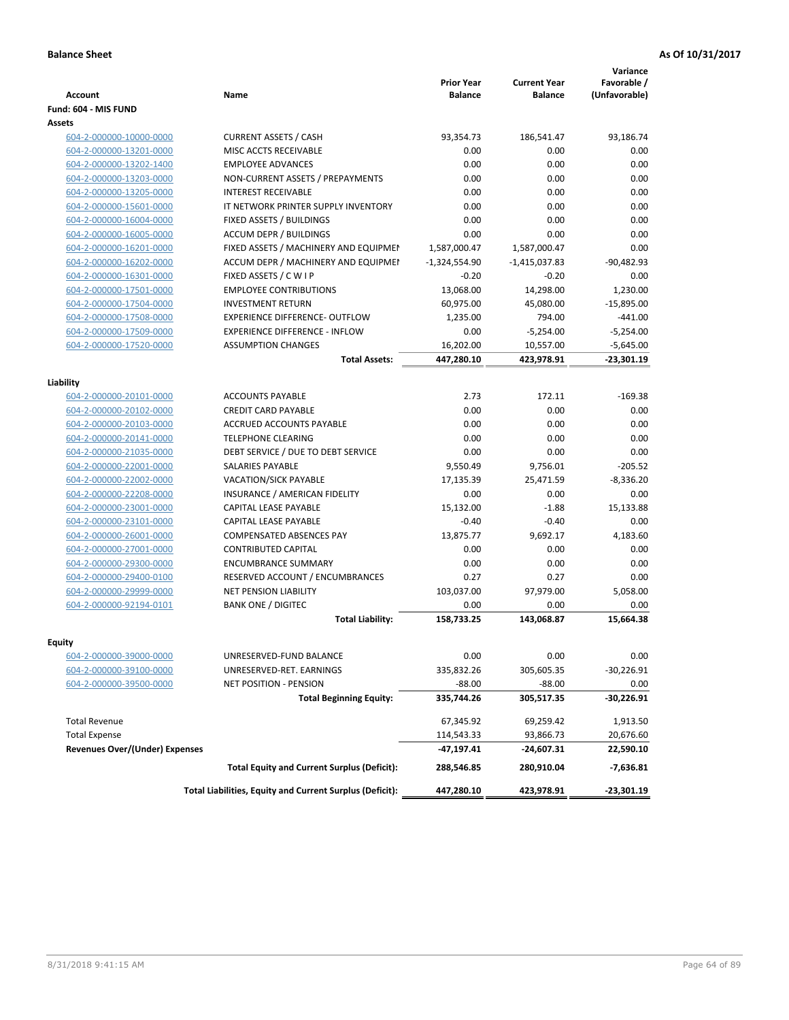| <b>Account</b>                        | Name                                                     | <b>Prior Year</b><br><b>Balance</b> | <b>Current Year</b><br><b>Balance</b> | Variance<br>Favorable /<br>(Unfavorable) |
|---------------------------------------|----------------------------------------------------------|-------------------------------------|---------------------------------------|------------------------------------------|
| Fund: 604 - MIS FUND                  |                                                          |                                     |                                       |                                          |
| Assets                                |                                                          |                                     |                                       |                                          |
| 604-2-000000-10000-0000               | <b>CURRENT ASSETS / CASH</b>                             | 93,354.73                           | 186,541.47                            | 93,186.74                                |
| 604-2-000000-13201-0000               | MISC ACCTS RECEIVABLE                                    | 0.00                                | 0.00                                  | 0.00                                     |
| 604-2-000000-13202-1400               | <b>EMPLOYEE ADVANCES</b>                                 | 0.00                                | 0.00                                  | 0.00                                     |
| 604-2-000000-13203-0000               | NON-CURRENT ASSETS / PREPAYMENTS                         | 0.00                                | 0.00                                  | 0.00                                     |
| 604-2-000000-13205-0000               | <b>INTEREST RECEIVABLE</b>                               | 0.00                                | 0.00                                  | 0.00                                     |
| 604-2-000000-15601-0000               | IT NETWORK PRINTER SUPPLY INVENTORY                      | 0.00                                | 0.00                                  | 0.00                                     |
| 604-2-000000-16004-0000               | FIXED ASSETS / BUILDINGS                                 | 0.00                                | 0.00                                  | 0.00                                     |
| 604-2-000000-16005-0000               | <b>ACCUM DEPR / BUILDINGS</b>                            | 0.00                                | 0.00                                  | 0.00                                     |
| 604-2-000000-16201-0000               | FIXED ASSETS / MACHINERY AND EQUIPMEN                    | 1,587,000.47                        | 1,587,000.47                          | 0.00                                     |
| 604-2-000000-16202-0000               | ACCUM DEPR / MACHINERY AND EQUIPMEI                      | $-1,324,554.90$                     | $-1,415,037.83$                       | $-90,482.93$                             |
| 604-2-000000-16301-0000               | FIXED ASSETS / C W I P                                   | $-0.20$                             | $-0.20$                               | 0.00                                     |
| 604-2-000000-17501-0000               | <b>EMPLOYEE CONTRIBUTIONS</b>                            | 13,068.00                           | 14,298.00                             | 1,230.00                                 |
| 604-2-000000-17504-0000               | <b>INVESTMENT RETURN</b>                                 | 60,975.00                           | 45,080.00                             | $-15,895.00$                             |
| 604-2-000000-17508-0000               | <b>EXPERIENCE DIFFERENCE- OUTFLOW</b>                    | 1,235.00                            | 794.00                                | $-441.00$                                |
| 604-2-000000-17509-0000               | <b>EXPERIENCE DIFFERENCE - INFLOW</b>                    | 0.00                                | $-5,254.00$                           | $-5,254.00$                              |
| 604-2-000000-17520-0000               | <b>ASSUMPTION CHANGES</b>                                | 16,202.00                           | 10,557.00                             | $-5,645.00$                              |
|                                       | <b>Total Assets:</b>                                     | 447,280.10                          | 423,978.91                            | $-23,301.19$                             |
|                                       |                                                          |                                     |                                       |                                          |
| Liability                             |                                                          |                                     |                                       |                                          |
| 604-2-000000-20101-0000               | <b>ACCOUNTS PAYABLE</b>                                  | 2.73                                | 172.11                                | $-169.38$                                |
| 604-2-000000-20102-0000               | <b>CREDIT CARD PAYABLE</b>                               | 0.00                                | 0.00                                  | 0.00                                     |
| 604-2-000000-20103-0000               | <b>ACCRUED ACCOUNTS PAYABLE</b>                          | 0.00                                | 0.00                                  | 0.00                                     |
| 604-2-000000-20141-0000               | <b>TELEPHONE CLEARING</b>                                | 0.00                                | 0.00                                  | 0.00                                     |
| 604-2-000000-21035-0000               | DEBT SERVICE / DUE TO DEBT SERVICE                       | 0.00                                | 0.00                                  | 0.00                                     |
| 604-2-000000-22001-0000               | <b>SALARIES PAYABLE</b>                                  | 9,550.49                            | 9,756.01                              | $-205.52$                                |
| 604-2-000000-22002-0000               | <b>VACATION/SICK PAYABLE</b>                             | 17,135.39                           | 25,471.59                             | $-8,336.20$                              |
| 604-2-000000-22208-0000               | INSURANCE / AMERICAN FIDELITY                            | 0.00                                | 0.00                                  | 0.00                                     |
| 604-2-000000-23001-0000               | CAPITAL LEASE PAYABLE                                    | 15,132.00                           | $-1.88$                               | 15,133.88                                |
| 604-2-000000-23101-0000               | CAPITAL LEASE PAYABLE                                    | $-0.40$                             | $-0.40$                               | 0.00                                     |
| 604-2-000000-26001-0000               | <b>COMPENSATED ABSENCES PAY</b>                          | 13,875.77                           | 9,692.17                              | 4,183.60                                 |
| 604-2-000000-27001-0000               | <b>CONTRIBUTED CAPITAL</b>                               | 0.00                                | 0.00                                  | 0.00                                     |
| 604-2-000000-29300-0000               | <b>ENCUMBRANCE SUMMARY</b>                               | 0.00                                | 0.00                                  | 0.00                                     |
| 604-2-000000-29400-0100               | <b>RESERVED ACCOUNT / ENCUMBRANCES</b>                   | 0.27                                | 0.27                                  | 0.00                                     |
| 604-2-000000-29999-0000               | <b>NET PENSION LIABILITY</b>                             | 103,037.00                          | 97,979.00                             | 5,058.00                                 |
| 604-2-000000-92194-0101               | <b>BANK ONE / DIGITEC</b>                                | 0.00                                | 0.00                                  | 0.00                                     |
|                                       | <b>Total Liability:</b>                                  | 158,733.25                          | 143.068.87                            | 15,664.38                                |
|                                       |                                                          |                                     |                                       |                                          |
| Equity                                |                                                          |                                     |                                       |                                          |
| 604-2-000000-39000-0000               | UNRESERVED-FUND BALANCE                                  | 0.00                                | 0.00                                  | 0.00                                     |
| 604-2-000000-39100-0000               | UNRESERVED-RET. EARNINGS                                 | 335,832.26                          | 305,605.35                            | $-30,226.91$                             |
| 604-2-000000-39500-0000               | NET POSITION - PENSION                                   | $-88.00$                            | $-88.00$                              | 0.00                                     |
|                                       | <b>Total Beginning Equity:</b>                           | 335,744.26                          | 305,517.35                            | -30,226.91                               |
| <b>Total Revenue</b>                  |                                                          | 67,345.92                           | 69,259.42                             | 1,913.50                                 |
| <b>Total Expense</b>                  |                                                          | 114,543.33                          | 93,866.73                             | 20,676.60                                |
| <b>Revenues Over/(Under) Expenses</b> |                                                          | -47,197.41                          | -24,607.31                            | 22,590.10                                |
|                                       | <b>Total Equity and Current Surplus (Deficit):</b>       | 288,546.85                          | 280,910.04                            | $-7,636.81$                              |
|                                       | Total Liabilities, Equity and Current Surplus (Deficit): | 447,280.10                          | 423,978.91                            | -23,301.19                               |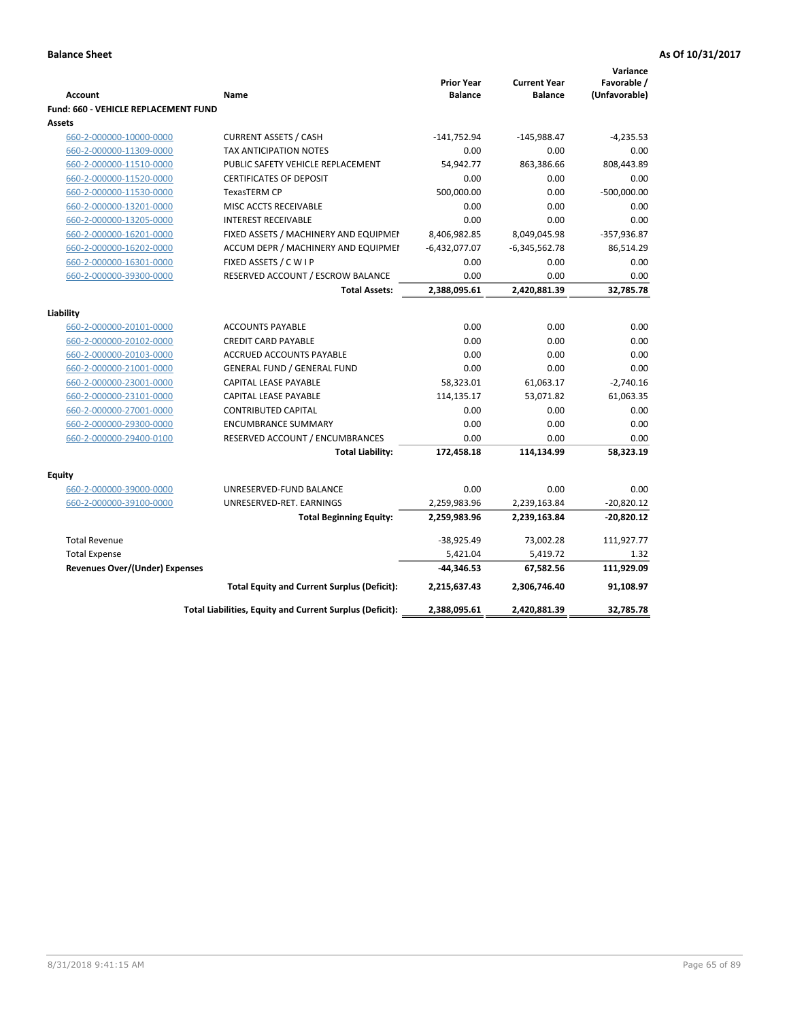| <b>Account</b>                        | Name                                                     | <b>Prior Year</b><br><b>Balance</b> | <b>Current Year</b><br><b>Balance</b> | Variance<br>Favorable /<br>(Unfavorable) |
|---------------------------------------|----------------------------------------------------------|-------------------------------------|---------------------------------------|------------------------------------------|
| Fund: 660 - VEHICLE REPLACEMENT FUND  |                                                          |                                     |                                       |                                          |
| Assets                                |                                                          |                                     |                                       |                                          |
| 660-2-000000-10000-0000               | <b>CURRENT ASSETS / CASH</b>                             | $-141,752.94$                       | $-145,988.47$                         | $-4,235.53$                              |
| 660-2-000000-11309-0000               | <b>TAX ANTICIPATION NOTES</b>                            | 0.00                                | 0.00                                  | 0.00                                     |
| 660-2-000000-11510-0000               | PUBLIC SAFETY VEHICLE REPLACEMENT                        | 54,942.77                           | 863,386.66                            | 808,443.89                               |
| 660-2-000000-11520-0000               | <b>CERTIFICATES OF DEPOSIT</b>                           | 0.00                                | 0.00                                  | 0.00                                     |
| 660-2-000000-11530-0000               | <b>TexasTERM CP</b>                                      | 500,000.00                          | 0.00                                  | $-500,000.00$                            |
| 660-2-000000-13201-0000               | MISC ACCTS RECEIVABLE                                    | 0.00                                | 0.00                                  | 0.00                                     |
| 660-2-000000-13205-0000               | <b>INTEREST RECEIVABLE</b>                               | 0.00                                | 0.00                                  | 0.00                                     |
| 660-2-000000-16201-0000               | FIXED ASSETS / MACHINERY AND EQUIPMEN                    | 8,406,982.85                        | 8,049,045.98                          | -357,936.87                              |
| 660-2-000000-16202-0000               | ACCUM DEPR / MACHINERY AND EQUIPMEI                      | $-6,432,077.07$                     | $-6,345,562.78$                       | 86,514.29                                |
| 660-2-000000-16301-0000               | FIXED ASSETS / C W I P                                   | 0.00                                | 0.00                                  | 0.00                                     |
| 660-2-000000-39300-0000               | RESERVED ACCOUNT / ESCROW BALANCE                        | 0.00                                | 0.00                                  | 0.00                                     |
|                                       | <b>Total Assets:</b>                                     | 2,388,095.61                        | 2,420,881.39                          | 32.785.78                                |
|                                       |                                                          |                                     |                                       |                                          |
| Liability<br>660-2-000000-20101-0000  | <b>ACCOUNTS PAYABLE</b>                                  | 0.00                                | 0.00                                  | 0.00                                     |
| 660-2-000000-20102-0000               | <b>CREDIT CARD PAYABLE</b>                               | 0.00                                | 0.00                                  | 0.00                                     |
| 660-2-000000-20103-0000               | ACCRUED ACCOUNTS PAYABLE                                 | 0.00                                | 0.00                                  | 0.00                                     |
| 660-2-000000-21001-0000               | <b>GENERAL FUND / GENERAL FUND</b>                       | 0.00                                | 0.00                                  | 0.00                                     |
| 660-2-000000-23001-0000               | CAPITAL LEASE PAYABLE                                    | 58,323.01                           | 61,063.17                             | $-2,740.16$                              |
| 660-2-000000-23101-0000               | CAPITAL LEASE PAYABLE                                    | 114,135.17                          | 53,071.82                             | 61,063.35                                |
| 660-2-000000-27001-0000               | <b>CONTRIBUTED CAPITAL</b>                               | 0.00                                | 0.00                                  | 0.00                                     |
| 660-2-000000-29300-0000               | <b>ENCUMBRANCE SUMMARY</b>                               | 0.00                                | 0.00                                  | 0.00                                     |
| 660-2-000000-29400-0100               | RESERVED ACCOUNT / ENCUMBRANCES                          | 0.00                                | 0.00                                  | 0.00                                     |
|                                       | <b>Total Liability:</b>                                  | 172,458.18                          | 114,134.99                            | 58,323.19                                |
|                                       |                                                          |                                     |                                       |                                          |
| <b>Equity</b>                         |                                                          |                                     |                                       |                                          |
| 660-2-000000-39000-0000               | UNRESERVED-FUND BALANCE                                  | 0.00                                | 0.00                                  | 0.00                                     |
| 660-2-000000-39100-0000               | UNRESERVED-RET. EARNINGS                                 | 2,259,983.96                        | 2,239,163.84                          | $-20,820.12$                             |
|                                       | <b>Total Beginning Equity:</b>                           | 2,259,983.96                        | 2,239,163.84                          | $-20,820.12$                             |
| <b>Total Revenue</b>                  |                                                          | $-38,925.49$                        | 73,002.28                             | 111,927.77                               |
| <b>Total Expense</b>                  |                                                          | 5,421.04                            | 5,419.72                              | 1.32                                     |
| <b>Revenues Over/(Under) Expenses</b> |                                                          | $-44,346.53$                        | 67,582.56                             | 111,929.09                               |
|                                       | <b>Total Equity and Current Surplus (Deficit):</b>       | 2,215,637.43                        | 2,306,746.40                          | 91,108.97                                |
|                                       | Total Liabilities, Equity and Current Surplus (Deficit): | 2,388,095.61                        | 2,420,881.39                          | 32,785.78                                |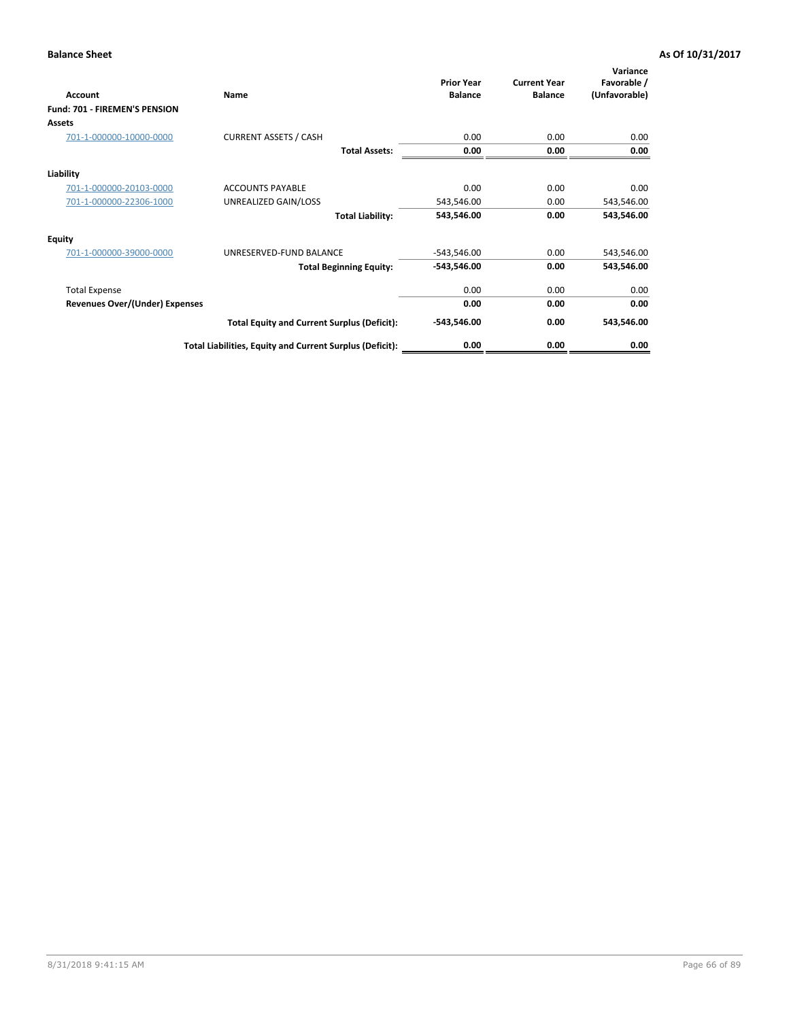| <b>Account</b>                 | Name                                                     | <b>Prior Year</b><br><b>Balance</b> | <b>Current Year</b><br><b>Balance</b> | Variance<br>Favorable /<br>(Unfavorable) |
|--------------------------------|----------------------------------------------------------|-------------------------------------|---------------------------------------|------------------------------------------|
| Fund: 701 - FIREMEN'S PENSION  |                                                          |                                     |                                       |                                          |
| <b>Assets</b>                  |                                                          |                                     |                                       |                                          |
| 701-1-000000-10000-0000        | <b>CURRENT ASSETS / CASH</b>                             | 0.00                                | 0.00                                  | 0.00                                     |
|                                | <b>Total Assets:</b>                                     | 0.00                                | 0.00                                  | 0.00                                     |
| Liability                      |                                                          |                                     |                                       |                                          |
| 701-1-000000-20103-0000        | <b>ACCOUNTS PAYABLE</b>                                  | 0.00                                | 0.00                                  | 0.00                                     |
| 701-1-000000-22306-1000        | UNREALIZED GAIN/LOSS                                     | 543,546.00                          | 0.00                                  | 543,546.00                               |
|                                | <b>Total Liability:</b>                                  | 543,546.00                          | 0.00                                  | 543,546.00                               |
| <b>Equity</b>                  |                                                          |                                     |                                       |                                          |
| 701-1-000000-39000-0000        | UNRESERVED-FUND BALANCE                                  | $-543,546.00$                       | 0.00                                  | 543,546.00                               |
|                                | <b>Total Beginning Equity:</b>                           | $-543,546.00$                       | 0.00                                  | 543,546.00                               |
| <b>Total Expense</b>           |                                                          | 0.00                                | 0.00                                  | 0.00                                     |
| Revenues Over/(Under) Expenses |                                                          | 0.00                                | 0.00                                  | 0.00                                     |
|                                | <b>Total Equity and Current Surplus (Deficit):</b>       | $-543,546.00$                       | 0.00                                  | 543,546.00                               |
|                                | Total Liabilities, Equity and Current Surplus (Deficit): | 0.00                                | 0.00                                  | 0.00                                     |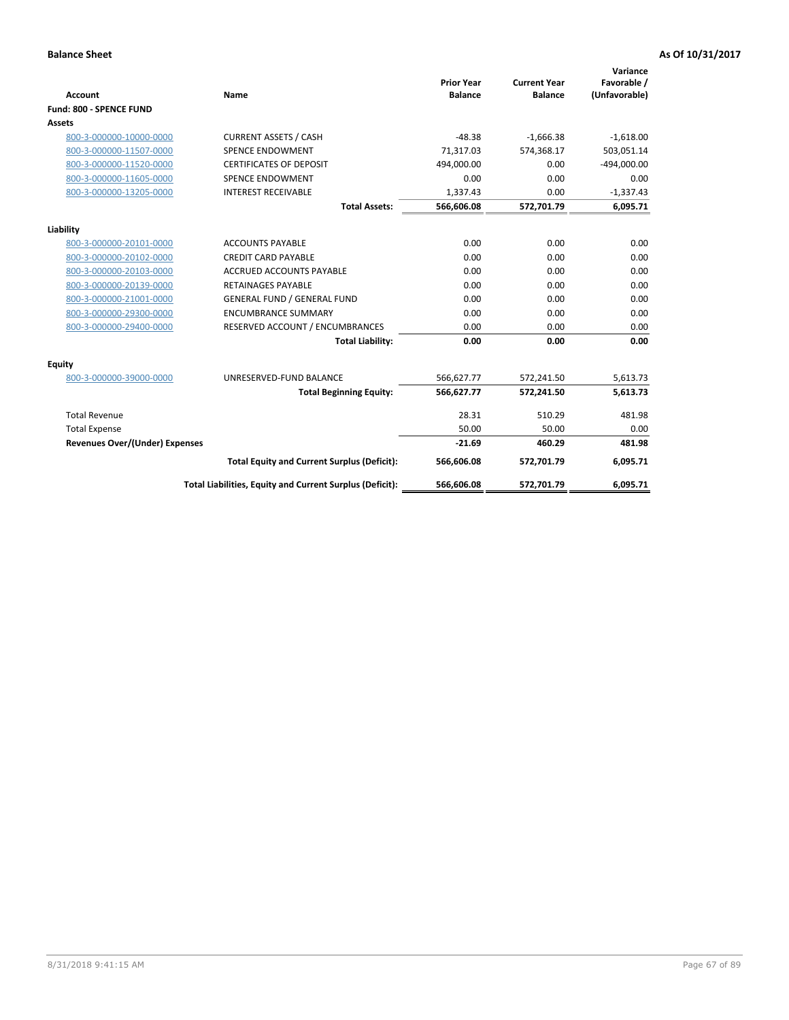|                                       |                                                          |                                     |                                       | Variance                     |
|---------------------------------------|----------------------------------------------------------|-------------------------------------|---------------------------------------|------------------------------|
| <b>Account</b>                        | <b>Name</b>                                              | <b>Prior Year</b><br><b>Balance</b> | <b>Current Year</b><br><b>Balance</b> | Favorable /<br>(Unfavorable) |
| <b>Fund: 800 - SPENCE FUND</b>        |                                                          |                                     |                                       |                              |
| Assets                                |                                                          |                                     |                                       |                              |
| 800-3-000000-10000-0000               | <b>CURRENT ASSETS / CASH</b>                             | $-48.38$                            | $-1,666.38$                           | $-1,618.00$                  |
| 800-3-000000-11507-0000               | <b>SPENCE ENDOWMENT</b>                                  | 71,317.03                           | 574.368.17                            | 503,051.14                   |
| 800-3-000000-11520-0000               | <b>CERTIFICATES OF DEPOSIT</b>                           | 494,000.00                          | 0.00                                  | $-494,000.00$                |
| 800-3-000000-11605-0000               | SPENCE ENDOWMENT                                         | 0.00                                | 0.00                                  | 0.00                         |
| 800-3-000000-13205-0000               | <b>INTEREST RECEIVABLE</b>                               | 1,337.43                            | 0.00                                  | $-1,337.43$                  |
|                                       | <b>Total Assets:</b>                                     | 566,606.08                          | 572,701.79                            | 6,095.71                     |
|                                       |                                                          |                                     |                                       |                              |
| Liability                             |                                                          |                                     |                                       |                              |
| 800-3-000000-20101-0000               | <b>ACCOUNTS PAYABLE</b>                                  | 0.00                                | 0.00                                  | 0.00                         |
| 800-3-000000-20102-0000               | <b>CREDIT CARD PAYABLE</b>                               | 0.00                                | 0.00                                  | 0.00                         |
| 800-3-000000-20103-0000               | <b>ACCRUED ACCOUNTS PAYABLE</b>                          | 0.00                                | 0.00                                  | 0.00                         |
| 800-3-000000-20139-0000               | <b>RETAINAGES PAYABLE</b>                                | 0.00                                | 0.00                                  | 0.00                         |
| 800-3-000000-21001-0000               | <b>GENERAL FUND / GENERAL FUND</b>                       | 0.00                                | 0.00                                  | 0.00                         |
| 800-3-000000-29300-0000               | <b>ENCUMBRANCE SUMMARY</b>                               | 0.00                                | 0.00                                  | 0.00                         |
| 800-3-000000-29400-0000               | RESERVED ACCOUNT / ENCUMBRANCES                          | 0.00                                | 0.00                                  | 0.00                         |
|                                       | <b>Total Liability:</b>                                  | 0.00                                | 0.00                                  | 0.00                         |
| Equity                                |                                                          |                                     |                                       |                              |
| 800-3-000000-39000-0000               | UNRESERVED-FUND BALANCE                                  | 566,627.77                          | 572,241.50                            | 5,613.73                     |
|                                       | <b>Total Beginning Equity:</b>                           | 566,627.77                          | 572,241.50                            | 5,613.73                     |
| <b>Total Revenue</b>                  |                                                          | 28.31                               | 510.29                                | 481.98                       |
| <b>Total Expense</b>                  |                                                          | 50.00                               | 50.00                                 | 0.00                         |
| <b>Revenues Over/(Under) Expenses</b> |                                                          | $-21.69$                            | 460.29                                | 481.98                       |
|                                       | <b>Total Equity and Current Surplus (Deficit):</b>       | 566,606.08                          | 572,701.79                            | 6,095.71                     |
|                                       | Total Liabilities, Equity and Current Surplus (Deficit): | 566,606.08                          | 572,701.79                            | 6,095.71                     |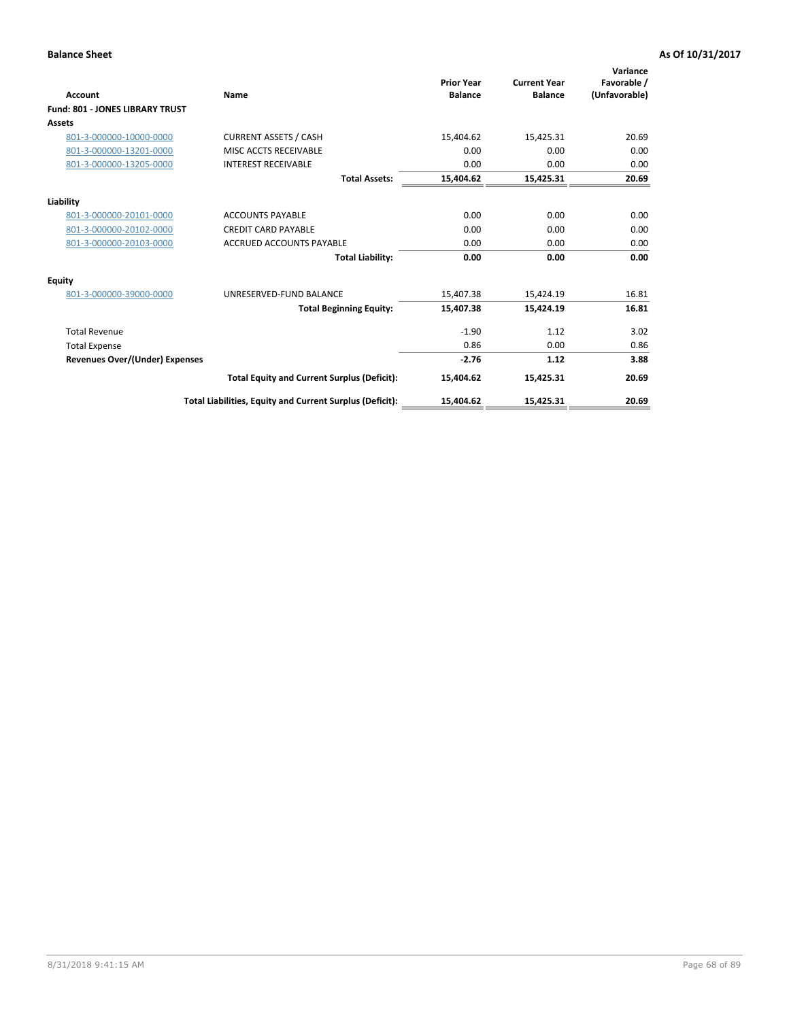| <b>Account</b>                         | Name                                                     | <b>Prior Year</b><br><b>Balance</b> | <b>Current Year</b><br><b>Balance</b> | Variance<br>Favorable /<br>(Unfavorable) |
|----------------------------------------|----------------------------------------------------------|-------------------------------------|---------------------------------------|------------------------------------------|
| <b>Fund: 801 - JONES LIBRARY TRUST</b> |                                                          |                                     |                                       |                                          |
| Assets                                 |                                                          |                                     |                                       |                                          |
| 801-3-000000-10000-0000                | <b>CURRENT ASSETS / CASH</b>                             | 15,404.62                           | 15,425.31                             | 20.69                                    |
| 801-3-000000-13201-0000                | MISC ACCTS RECEIVABLE                                    | 0.00                                | 0.00                                  | 0.00                                     |
| 801-3-000000-13205-0000                | <b>INTEREST RECEIVABLE</b>                               | 0.00                                | 0.00                                  | 0.00                                     |
|                                        | <b>Total Assets:</b>                                     | 15,404.62                           | 15,425.31                             | 20.69                                    |
| Liability                              |                                                          |                                     |                                       |                                          |
| 801-3-000000-20101-0000                | <b>ACCOUNTS PAYABLE</b>                                  | 0.00                                | 0.00                                  | 0.00                                     |
| 801-3-000000-20102-0000                | <b>CREDIT CARD PAYABLE</b>                               | 0.00                                | 0.00                                  | 0.00                                     |
| 801-3-000000-20103-0000                | <b>ACCRUED ACCOUNTS PAYABLE</b>                          | 0.00                                | 0.00                                  | 0.00                                     |
|                                        | <b>Total Liability:</b>                                  | 0.00                                | 0.00                                  | 0.00                                     |
| Equity                                 |                                                          |                                     |                                       |                                          |
| 801-3-000000-39000-0000                | UNRESERVED-FUND BALANCE                                  | 15,407.38                           | 15,424.19                             | 16.81                                    |
|                                        | <b>Total Beginning Equity:</b>                           | 15,407.38                           | 15,424.19                             | 16.81                                    |
| <b>Total Revenue</b>                   |                                                          | $-1.90$                             | 1.12                                  | 3.02                                     |
| <b>Total Expense</b>                   |                                                          | 0.86                                | 0.00                                  | 0.86                                     |
| <b>Revenues Over/(Under) Expenses</b>  |                                                          | $-2.76$                             | 1.12                                  | 3.88                                     |
|                                        | <b>Total Equity and Current Surplus (Deficit):</b>       | 15,404.62                           | 15,425.31                             | 20.69                                    |
|                                        | Total Liabilities, Equity and Current Surplus (Deficit): | 15,404.62                           | 15,425.31                             | 20.69                                    |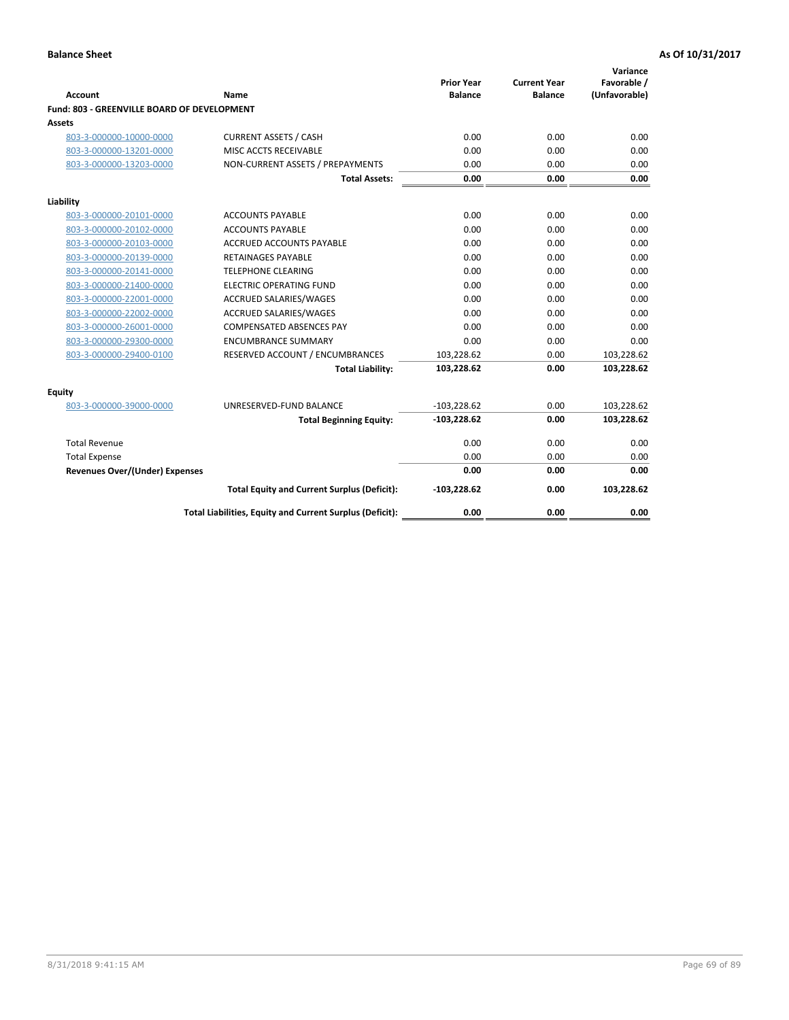| <b>Account</b>                              | Name                                                     | <b>Prior Year</b><br><b>Balance</b> | <b>Current Year</b><br><b>Balance</b> | Variance<br>Favorable /<br>(Unfavorable) |
|---------------------------------------------|----------------------------------------------------------|-------------------------------------|---------------------------------------|------------------------------------------|
| Fund: 803 - GREENVILLE BOARD OF DEVELOPMENT |                                                          |                                     |                                       |                                          |
| Assets                                      |                                                          |                                     |                                       |                                          |
| 803-3-000000-10000-0000                     | <b>CURRENT ASSETS / CASH</b>                             | 0.00                                | 0.00                                  | 0.00                                     |
| 803-3-000000-13201-0000                     | MISC ACCTS RECEIVABLE                                    | 0.00                                | 0.00                                  | 0.00                                     |
| 803-3-000000-13203-0000                     | NON-CURRENT ASSETS / PREPAYMENTS                         | 0.00                                | 0.00                                  | 0.00                                     |
|                                             | <b>Total Assets:</b>                                     | 0.00                                | 0.00                                  | 0.00                                     |
| Liability                                   |                                                          |                                     |                                       |                                          |
| 803-3-000000-20101-0000                     | <b>ACCOUNTS PAYABLE</b>                                  | 0.00                                | 0.00                                  | 0.00                                     |
| 803-3-000000-20102-0000                     | <b>ACCOUNTS PAYABLE</b>                                  | 0.00                                | 0.00                                  | 0.00                                     |
| 803-3-000000-20103-0000                     | ACCRUED ACCOUNTS PAYABLE                                 | 0.00                                | 0.00                                  | 0.00                                     |
| 803-3-000000-20139-0000                     | <b>RETAINAGES PAYABLE</b>                                | 0.00                                | 0.00                                  | 0.00                                     |
| 803-3-000000-20141-0000                     | <b>TELEPHONE CLEARING</b>                                | 0.00                                | 0.00                                  | 0.00                                     |
| 803-3-000000-21400-0000                     | <b>ELECTRIC OPERATING FUND</b>                           | 0.00                                | 0.00                                  | 0.00                                     |
| 803-3-000000-22001-0000                     | ACCRUED SALARIES/WAGES                                   | 0.00                                | 0.00                                  | 0.00                                     |
| 803-3-000000-22002-0000                     | <b>ACCRUED SALARIES/WAGES</b>                            | 0.00                                | 0.00                                  | 0.00                                     |
| 803-3-000000-26001-0000                     | <b>COMPENSATED ABSENCES PAY</b>                          | 0.00                                | 0.00                                  | 0.00                                     |
| 803-3-000000-29300-0000                     | <b>ENCUMBRANCE SUMMARY</b>                               | 0.00                                | 0.00                                  | 0.00                                     |
| 803-3-000000-29400-0100                     | RESERVED ACCOUNT / ENCUMBRANCES                          | 103,228.62                          | 0.00                                  | 103,228.62                               |
|                                             | <b>Total Liability:</b>                                  | 103,228.62                          | 0.00                                  | 103,228.62                               |
| Equity                                      |                                                          |                                     |                                       |                                          |
| 803-3-000000-39000-0000                     | UNRESERVED-FUND BALANCE                                  | $-103,228.62$                       | 0.00                                  | 103,228.62                               |
|                                             | <b>Total Beginning Equity:</b>                           | $-103,228.62$                       | 0.00                                  | 103,228.62                               |
| <b>Total Revenue</b>                        |                                                          | 0.00                                | 0.00                                  | 0.00                                     |
| <b>Total Expense</b>                        |                                                          | 0.00                                | 0.00                                  | 0.00                                     |
| <b>Revenues Over/(Under) Expenses</b>       |                                                          | 0.00                                | 0.00                                  | 0.00                                     |
|                                             | <b>Total Equity and Current Surplus (Deficit):</b>       | $-103,228.62$                       | 0.00                                  | 103,228.62                               |
|                                             | Total Liabilities, Equity and Current Surplus (Deficit): | 0.00                                | 0.00                                  | 0.00                                     |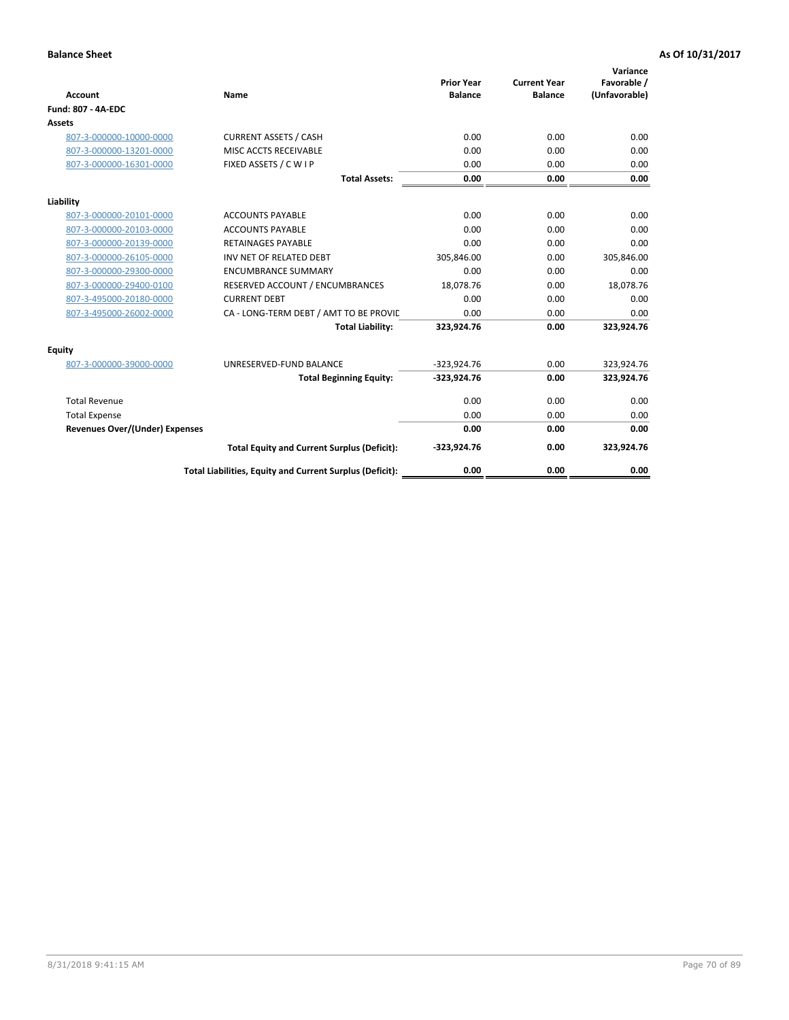| <b>Account</b>                        | Name                                                     | <b>Prior Year</b><br><b>Balance</b> | <b>Current Year</b><br><b>Balance</b> | Variance<br>Favorable /<br>(Unfavorable) |
|---------------------------------------|----------------------------------------------------------|-------------------------------------|---------------------------------------|------------------------------------------|
| <b>Fund: 807 - 4A-EDC</b>             |                                                          |                                     |                                       |                                          |
| <b>Assets</b>                         |                                                          |                                     |                                       |                                          |
| 807-3-000000-10000-0000               | <b>CURRENT ASSETS / CASH</b>                             | 0.00                                | 0.00                                  | 0.00                                     |
| 807-3-000000-13201-0000               | MISC ACCTS RECEIVABLE                                    | 0.00                                | 0.00                                  | 0.00                                     |
| 807-3-000000-16301-0000               | FIXED ASSETS / C W I P                                   | 0.00                                | 0.00                                  | 0.00                                     |
|                                       | <b>Total Assets:</b>                                     | 0.00                                | 0.00                                  | 0.00                                     |
| Liability                             |                                                          |                                     |                                       |                                          |
| 807-3-000000-20101-0000               | <b>ACCOUNTS PAYABLE</b>                                  | 0.00                                | 0.00                                  | 0.00                                     |
| 807-3-000000-20103-0000               | <b>ACCOUNTS PAYABLE</b>                                  | 0.00                                | 0.00                                  | 0.00                                     |
| 807-3-000000-20139-0000               | <b>RETAINAGES PAYABLE</b>                                | 0.00                                | 0.00                                  | 0.00                                     |
| 807-3-000000-26105-0000               | INV NET OF RELATED DEBT                                  | 305,846.00                          | 0.00                                  | 305,846.00                               |
| 807-3-000000-29300-0000               | <b>ENCUMBRANCE SUMMARY</b>                               | 0.00                                | 0.00                                  | 0.00                                     |
| 807-3-000000-29400-0100               | RESERVED ACCOUNT / ENCUMBRANCES                          | 18,078.76                           | 0.00                                  | 18,078.76                                |
| 807-3-495000-20180-0000               | <b>CURRENT DEBT</b>                                      | 0.00                                | 0.00                                  | 0.00                                     |
| 807-3-495000-26002-0000               | CA - LONG-TERM DEBT / AMT TO BE PROVIL                   | 0.00                                | 0.00                                  | 0.00                                     |
|                                       | <b>Total Liability:</b>                                  | 323,924.76                          | 0.00                                  | 323,924.76                               |
| Equity                                |                                                          |                                     |                                       |                                          |
| 807-3-000000-39000-0000               | UNRESERVED-FUND BALANCE                                  | $-323,924.76$                       | 0.00                                  | 323,924.76                               |
|                                       | <b>Total Beginning Equity:</b>                           | $-323,924.76$                       | 0.00                                  | 323,924.76                               |
| <b>Total Revenue</b>                  |                                                          | 0.00                                | 0.00                                  | 0.00                                     |
| <b>Total Expense</b>                  |                                                          | 0.00                                | 0.00                                  | 0.00                                     |
| <b>Revenues Over/(Under) Expenses</b> |                                                          | 0.00                                | 0.00                                  | 0.00                                     |
|                                       | <b>Total Equity and Current Surplus (Deficit):</b>       | $-323,924.76$                       | 0.00                                  | 323,924.76                               |
|                                       | Total Liabilities, Equity and Current Surplus (Deficit): | 0.00                                | 0.00                                  | 0.00                                     |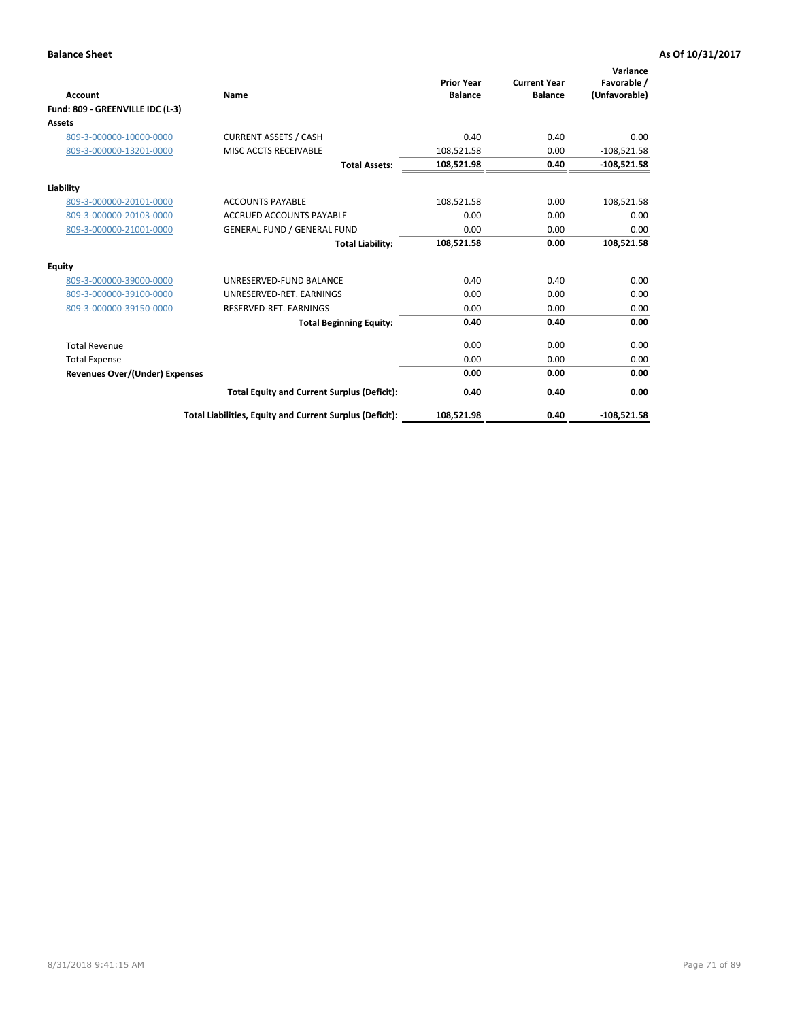|                                       |                                                          |                                     |                                       | Variance                     |
|---------------------------------------|----------------------------------------------------------|-------------------------------------|---------------------------------------|------------------------------|
| Account                               | Name                                                     | <b>Prior Year</b><br><b>Balance</b> | <b>Current Year</b><br><b>Balance</b> | Favorable /<br>(Unfavorable) |
| Fund: 809 - GREENVILLE IDC (L-3)      |                                                          |                                     |                                       |                              |
| <b>Assets</b>                         |                                                          |                                     |                                       |                              |
| 809-3-000000-10000-0000               | <b>CURRENT ASSETS / CASH</b>                             | 0.40                                | 0.40                                  | 0.00                         |
| 809-3-000000-13201-0000               | MISC ACCTS RECEIVABLE                                    | 108,521.58                          | 0.00                                  | $-108,521.58$                |
|                                       | <b>Total Assets:</b>                                     | 108,521.98                          | 0.40                                  | $-108,521.58$                |
| Liability                             |                                                          |                                     |                                       |                              |
| 809-3-000000-20101-0000               | <b>ACCOUNTS PAYABLE</b>                                  | 108,521.58                          | 0.00                                  | 108,521.58                   |
| 809-3-000000-20103-0000               | <b>ACCRUED ACCOUNTS PAYABLE</b>                          | 0.00                                | 0.00                                  | 0.00                         |
| 809-3-000000-21001-0000               | <b>GENERAL FUND / GENERAL FUND</b>                       | 0.00                                | 0.00                                  | 0.00                         |
|                                       | <b>Total Liability:</b>                                  | 108,521.58                          | 0.00                                  | 108,521.58                   |
| <b>Equity</b>                         |                                                          |                                     |                                       |                              |
| 809-3-000000-39000-0000               | UNRESERVED-FUND BALANCE                                  | 0.40                                | 0.40                                  | 0.00                         |
| 809-3-000000-39100-0000               | UNRESERVED-RET, EARNINGS                                 | 0.00                                | 0.00                                  | 0.00                         |
| 809-3-000000-39150-0000               | RESERVED-RET. EARNINGS                                   | 0.00                                | 0.00                                  | 0.00                         |
|                                       | <b>Total Beginning Equity:</b>                           | 0.40                                | 0.40                                  | 0.00                         |
| <b>Total Revenue</b>                  |                                                          | 0.00                                | 0.00                                  | 0.00                         |
| <b>Total Expense</b>                  |                                                          | 0.00                                | 0.00                                  | 0.00                         |
| <b>Revenues Over/(Under) Expenses</b> |                                                          | 0.00                                | 0.00                                  | 0.00                         |
|                                       | <b>Total Equity and Current Surplus (Deficit):</b>       | 0.40                                | 0.40                                  | 0.00                         |
|                                       | Total Liabilities, Equity and Current Surplus (Deficit): | 108,521.98                          | 0.40                                  | $-108.521.58$                |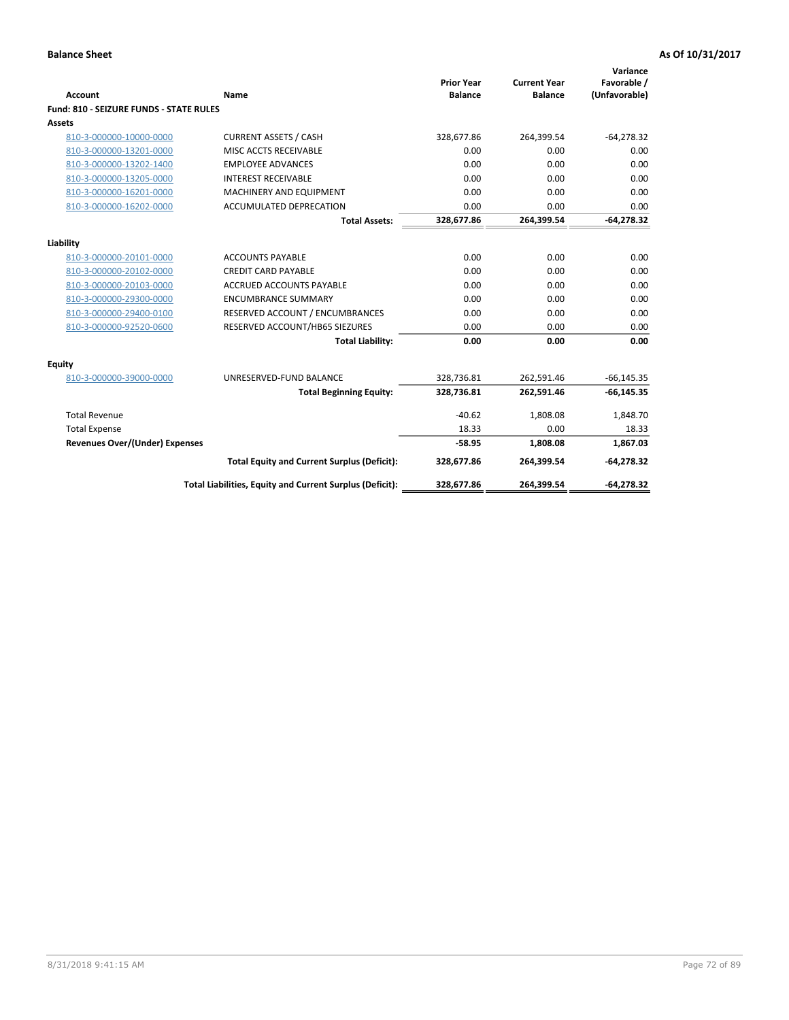| <b>Account</b>                                 | <b>Name</b>                                              | <b>Prior Year</b><br><b>Balance</b> | <b>Current Year</b><br><b>Balance</b> | Variance<br>Favorable /<br>(Unfavorable) |
|------------------------------------------------|----------------------------------------------------------|-------------------------------------|---------------------------------------|------------------------------------------|
| <b>Fund: 810 - SEIZURE FUNDS - STATE RULES</b> |                                                          |                                     |                                       |                                          |
| <b>Assets</b>                                  |                                                          |                                     |                                       |                                          |
| 810-3-000000-10000-0000                        | <b>CURRENT ASSETS / CASH</b>                             | 328,677.86                          | 264,399.54                            | $-64,278.32$                             |
| 810-3-000000-13201-0000                        | MISC ACCTS RECEIVABLE                                    | 0.00                                | 0.00                                  | 0.00                                     |
| 810-3-000000-13202-1400                        | <b>EMPLOYEE ADVANCES</b>                                 | 0.00                                | 0.00                                  | 0.00                                     |
| 810-3-000000-13205-0000                        | <b>INTEREST RECEIVABLE</b>                               | 0.00                                | 0.00                                  | 0.00                                     |
| 810-3-000000-16201-0000                        | MACHINERY AND EQUIPMENT                                  | 0.00                                | 0.00                                  | 0.00                                     |
| 810-3-000000-16202-0000                        | ACCUMULATED DEPRECATION                                  | 0.00                                | 0.00                                  | 0.00                                     |
|                                                | <b>Total Assets:</b>                                     | 328,677.86                          | 264,399.54                            | $-64,278.32$                             |
|                                                |                                                          |                                     |                                       |                                          |
| Liability                                      |                                                          |                                     |                                       |                                          |
| 810-3-000000-20101-0000                        | <b>ACCOUNTS PAYABLE</b>                                  | 0.00                                | 0.00                                  | 0.00                                     |
| 810-3-000000-20102-0000                        | <b>CREDIT CARD PAYABLE</b>                               | 0.00                                | 0.00                                  | 0.00                                     |
| 810-3-000000-20103-0000                        | <b>ACCRUED ACCOUNTS PAYABLE</b>                          | 0.00                                | 0.00                                  | 0.00                                     |
| 810-3-000000-29300-0000                        | <b>ENCUMBRANCE SUMMARY</b>                               | 0.00                                | 0.00                                  | 0.00                                     |
| 810-3-000000-29400-0100                        | RESERVED ACCOUNT / ENCUMBRANCES                          | 0.00                                | 0.00                                  | 0.00                                     |
| 810-3-000000-92520-0600                        | RESERVED ACCOUNT/HB65 SIEZURES                           | 0.00                                | 0.00                                  | 0.00                                     |
|                                                | <b>Total Liability:</b>                                  | 0.00                                | 0.00                                  | 0.00                                     |
| Equity                                         |                                                          |                                     |                                       |                                          |
| 810-3-000000-39000-0000                        | UNRESERVED-FUND BALANCE                                  | 328,736.81                          | 262,591.46                            | $-66, 145.35$                            |
|                                                | <b>Total Beginning Equity:</b>                           | 328,736.81                          | 262,591.46                            | $-66, 145.35$                            |
| <b>Total Revenue</b>                           |                                                          | $-40.62$                            | 1,808.08                              | 1,848.70                                 |
| <b>Total Expense</b>                           |                                                          | 18.33                               | 0.00                                  | 18.33                                    |
| Revenues Over/(Under) Expenses                 |                                                          | $-58.95$                            | 1,808.08                              | 1,867.03                                 |
|                                                | <b>Total Equity and Current Surplus (Deficit):</b>       | 328,677.86                          | 264,399.54                            | $-64,278.32$                             |
|                                                | Total Liabilities, Equity and Current Surplus (Deficit): | 328,677.86                          | 264,399.54                            | $-64,278.32$                             |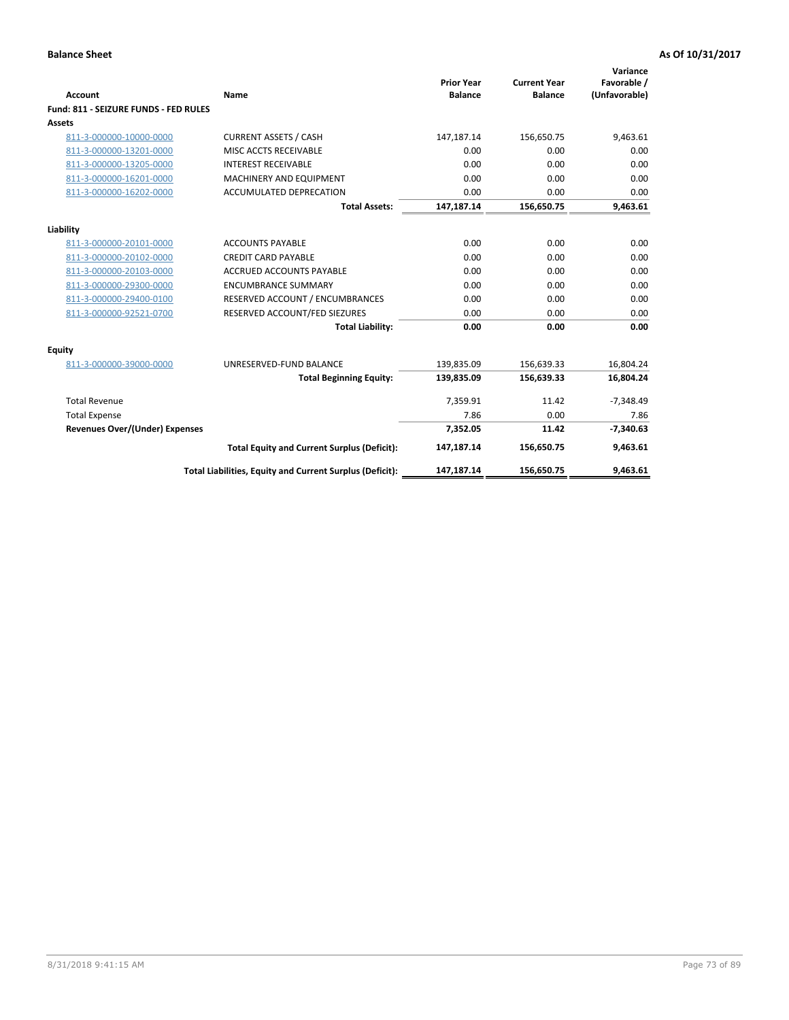| Account                               | Name                                                     | <b>Prior Year</b><br><b>Balance</b> | <b>Current Year</b><br><b>Balance</b> | Variance<br>Favorable /<br>(Unfavorable) |
|---------------------------------------|----------------------------------------------------------|-------------------------------------|---------------------------------------|------------------------------------------|
| Fund: 811 - SEIZURE FUNDS - FED RULES |                                                          |                                     |                                       |                                          |
| <b>Assets</b>                         |                                                          |                                     |                                       |                                          |
| 811-3-000000-10000-0000               | <b>CURRENT ASSETS / CASH</b>                             | 147,187.14                          | 156,650.75                            | 9,463.61                                 |
| 811-3-000000-13201-0000               | MISC ACCTS RECEIVABLE                                    | 0.00                                | 0.00                                  | 0.00                                     |
| 811-3-000000-13205-0000               | <b>INTEREST RECEIVABLE</b>                               | 0.00                                | 0.00                                  | 0.00                                     |
| 811-3-000000-16201-0000               | MACHINERY AND EQUIPMENT                                  | 0.00                                | 0.00                                  | 0.00                                     |
| 811-3-000000-16202-0000               | ACCUMULATED DEPRECATION                                  | 0.00                                | 0.00                                  | 0.00                                     |
|                                       | <b>Total Assets:</b>                                     | 147,187.14                          | 156,650.75                            | 9,463.61                                 |
| Liability                             |                                                          |                                     |                                       |                                          |
| 811-3-000000-20101-0000               | <b>ACCOUNTS PAYABLE</b>                                  | 0.00                                | 0.00                                  | 0.00                                     |
| 811-3-000000-20102-0000               | <b>CREDIT CARD PAYABLE</b>                               | 0.00                                | 0.00                                  | 0.00                                     |
| 811-3-000000-20103-0000               | <b>ACCRUED ACCOUNTS PAYABLE</b>                          | 0.00                                | 0.00                                  | 0.00                                     |
| 811-3-000000-29300-0000               | <b>ENCUMBRANCE SUMMARY</b>                               | 0.00                                | 0.00                                  | 0.00                                     |
| 811-3-000000-29400-0100               | RESERVED ACCOUNT / ENCUMBRANCES                          | 0.00                                | 0.00                                  | 0.00                                     |
| 811-3-000000-92521-0700               | RESERVED ACCOUNT/FED SIEZURES                            | 0.00                                | 0.00                                  | 0.00                                     |
|                                       | <b>Total Liability:</b>                                  | 0.00                                | 0.00                                  | 0.00                                     |
| Equity                                |                                                          |                                     |                                       |                                          |
| 811-3-000000-39000-0000               | UNRESERVED-FUND BALANCE                                  | 139,835.09                          | 156,639.33                            | 16,804.24                                |
|                                       | <b>Total Beginning Equity:</b>                           | 139,835.09                          | 156,639.33                            | 16,804.24                                |
| <b>Total Revenue</b>                  |                                                          | 7.359.91                            | 11.42                                 | $-7.348.49$                              |
| <b>Total Expense</b>                  |                                                          | 7.86                                | 0.00                                  | 7.86                                     |
| <b>Revenues Over/(Under) Expenses</b> |                                                          | 7,352.05                            | 11.42                                 | $-7,340.63$                              |
|                                       | <b>Total Equity and Current Surplus (Deficit):</b>       | 147,187.14                          | 156,650.75                            | 9,463.61                                 |
|                                       | Total Liabilities, Equity and Current Surplus (Deficit): | 147,187.14                          | 156,650.75                            | 9,463.61                                 |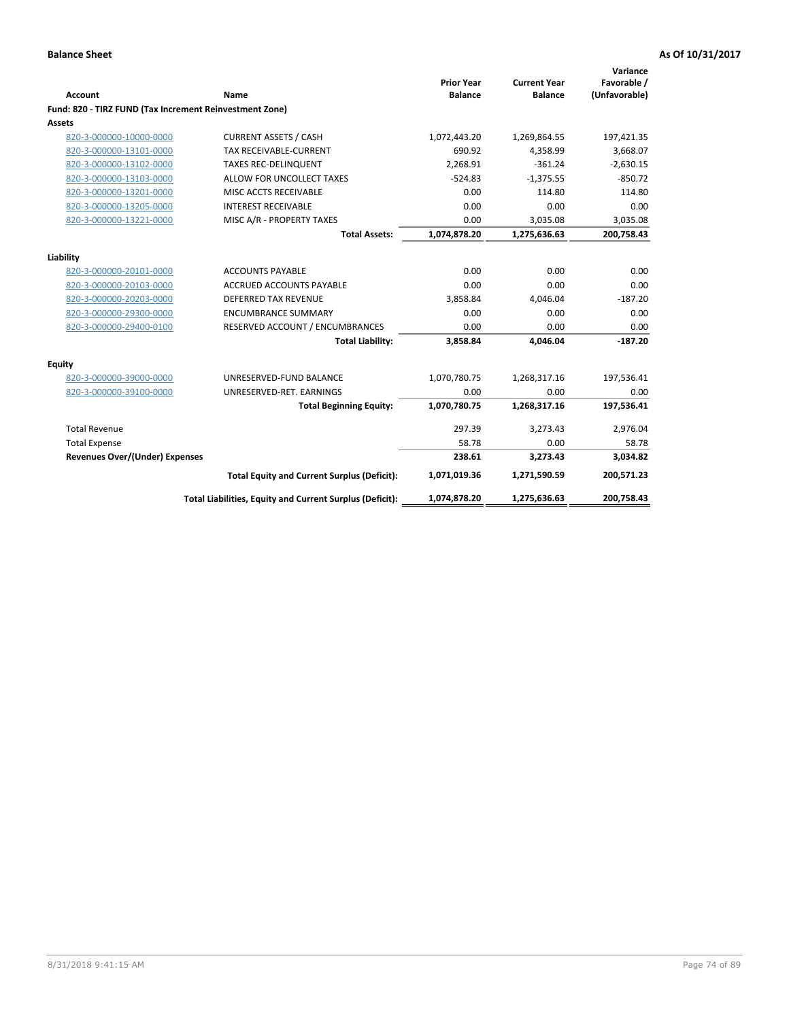| <b>Account</b>                                          | Name                                                     | <b>Prior Year</b><br><b>Balance</b> | <b>Current Year</b><br><b>Balance</b> | Variance<br>Favorable /<br>(Unfavorable) |
|---------------------------------------------------------|----------------------------------------------------------|-------------------------------------|---------------------------------------|------------------------------------------|
| Fund: 820 - TIRZ FUND (Tax Increment Reinvestment Zone) |                                                          |                                     |                                       |                                          |
| <b>Assets</b>                                           |                                                          |                                     |                                       |                                          |
| 820-3-000000-10000-0000                                 | <b>CURRENT ASSETS / CASH</b>                             | 1,072,443.20                        | 1,269,864.55                          | 197,421.35                               |
| 820-3-000000-13101-0000                                 | <b>TAX RECEIVABLE-CURRENT</b>                            | 690.92                              | 4,358.99                              | 3,668.07                                 |
| 820-3-000000-13102-0000                                 | <b>TAXES REC-DELINQUENT</b>                              | 2.268.91                            | $-361.24$                             | $-2,630.15$                              |
| 820-3-000000-13103-0000                                 | ALLOW FOR UNCOLLECT TAXES                                | $-524.83$                           | $-1.375.55$                           | $-850.72$                                |
| 820-3-000000-13201-0000                                 | MISC ACCTS RECEIVABLE                                    | 0.00                                | 114.80                                | 114.80                                   |
| 820-3-000000-13205-0000                                 | <b>INTEREST RECEIVABLE</b>                               | 0.00                                | 0.00                                  | 0.00                                     |
| 820-3-000000-13221-0000                                 | MISC A/R - PROPERTY TAXES                                | 0.00                                | 3,035.08                              | 3,035.08                                 |
|                                                         | <b>Total Assets:</b>                                     | 1,074,878.20                        | 1,275,636.63                          | 200,758.43                               |
| Liability                                               |                                                          |                                     |                                       |                                          |
| 820-3-000000-20101-0000                                 | <b>ACCOUNTS PAYABLE</b>                                  | 0.00                                | 0.00                                  | 0.00                                     |
| 820-3-000000-20103-0000                                 | ACCRUED ACCOUNTS PAYABLE                                 | 0.00                                | 0.00                                  | 0.00                                     |
| 820-3-000000-20203-0000                                 | <b>DEFERRED TAX REVENUE</b>                              | 3,858.84                            | 4,046.04                              | $-187.20$                                |
| 820-3-000000-29300-0000                                 | <b>ENCUMBRANCE SUMMARY</b>                               | 0.00                                | 0.00                                  | 0.00                                     |
| 820-3-000000-29400-0100                                 | RESERVED ACCOUNT / ENCUMBRANCES                          | 0.00                                | 0.00                                  | 0.00                                     |
|                                                         | <b>Total Liability:</b>                                  | 3,858.84                            | 4,046.04                              | $-187.20$                                |
| Equity                                                  |                                                          |                                     |                                       |                                          |
| 820-3-000000-39000-0000                                 | UNRESERVED-FUND BALANCE                                  | 1,070,780.75                        | 1,268,317.16                          | 197,536.41                               |
| 820-3-000000-39100-0000                                 | UNRESERVED-RET. EARNINGS                                 | 0.00                                | 0.00                                  | 0.00                                     |
|                                                         | <b>Total Beginning Equity:</b>                           | 1,070,780.75                        | 1,268,317.16                          | 197,536.41                               |
| <b>Total Revenue</b>                                    |                                                          | 297.39                              | 3,273.43                              | 2,976.04                                 |
| <b>Total Expense</b>                                    |                                                          | 58.78                               | 0.00                                  | 58.78                                    |
| Revenues Over/(Under) Expenses                          |                                                          | 238.61                              | 3,273.43                              | 3,034.82                                 |
|                                                         | <b>Total Equity and Current Surplus (Deficit):</b>       | 1,071,019.36                        | 1,271,590.59                          | 200,571.23                               |
|                                                         | Total Liabilities, Equity and Current Surplus (Deficit): | 1,074,878.20                        | 1,275,636.63                          | 200,758.43                               |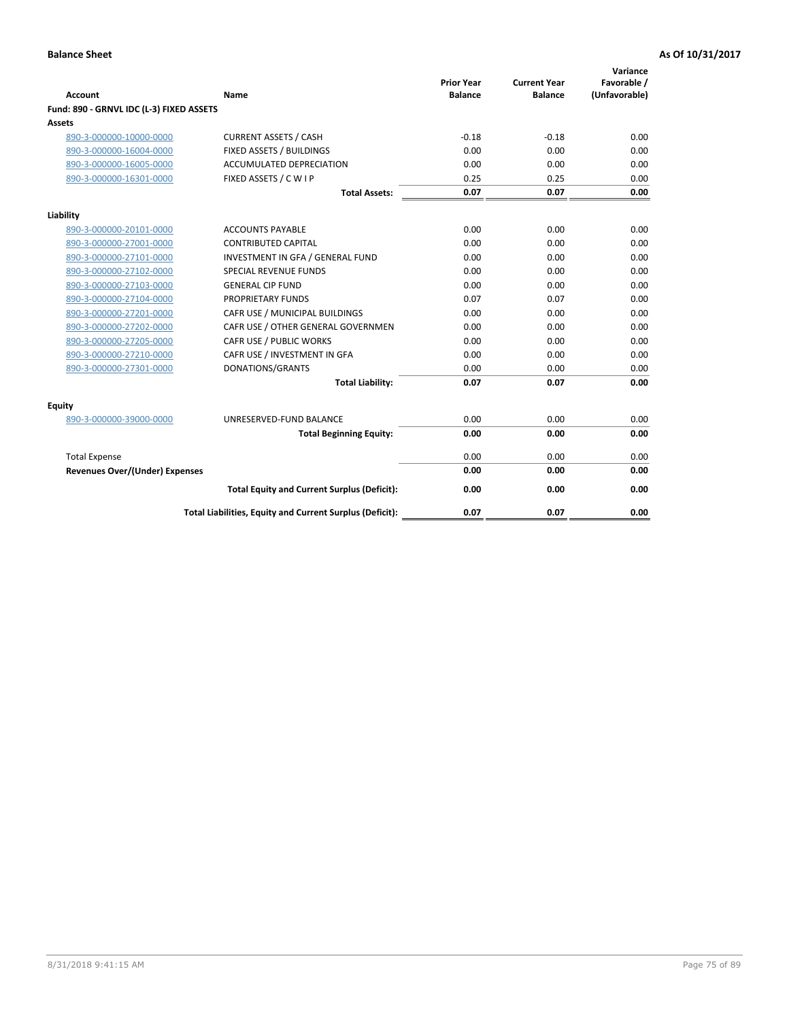| <b>Account</b>                           | Name                                                     | <b>Prior Year</b><br><b>Balance</b> | <b>Current Year</b><br><b>Balance</b> | Variance<br>Favorable /<br>(Unfavorable) |
|------------------------------------------|----------------------------------------------------------|-------------------------------------|---------------------------------------|------------------------------------------|
| Fund: 890 - GRNVL IDC (L-3) FIXED ASSETS |                                                          |                                     |                                       |                                          |
| <b>Assets</b>                            |                                                          |                                     |                                       |                                          |
| 890-3-000000-10000-0000                  | <b>CURRENT ASSETS / CASH</b>                             | $-0.18$                             | $-0.18$                               | 0.00                                     |
| 890-3-000000-16004-0000                  | FIXED ASSETS / BUILDINGS                                 | 0.00                                | 0.00                                  | 0.00                                     |
| 890-3-000000-16005-0000                  | <b>ACCUMULATED DEPRECIATION</b>                          | 0.00                                | 0.00                                  | 0.00                                     |
| 890-3-000000-16301-0000                  | FIXED ASSETS / C W I P                                   | 0.25                                | 0.25                                  | 0.00                                     |
|                                          | <b>Total Assets:</b>                                     | 0.07                                | 0.07                                  | 0.00                                     |
| Liability                                |                                                          |                                     |                                       |                                          |
| 890-3-000000-20101-0000                  | <b>ACCOUNTS PAYABLE</b>                                  | 0.00                                | 0.00                                  | 0.00                                     |
| 890-3-000000-27001-0000                  | <b>CONTRIBUTED CAPITAL</b>                               | 0.00                                | 0.00                                  | 0.00                                     |
| 890-3-000000-27101-0000                  | INVESTMENT IN GFA / GENERAL FUND                         | 0.00                                | 0.00                                  | 0.00                                     |
| 890-3-000000-27102-0000                  | SPECIAL REVENUE FUNDS                                    | 0.00                                | 0.00                                  | 0.00                                     |
| 890-3-000000-27103-0000                  | <b>GENERAL CIP FUND</b>                                  | 0.00                                | 0.00                                  | 0.00                                     |
| 890-3-000000-27104-0000                  | PROPRIETARY FUNDS                                        | 0.07                                | 0.07                                  | 0.00                                     |
| 890-3-000000-27201-0000                  | CAFR USE / MUNICIPAL BUILDINGS                           | 0.00                                | 0.00                                  | 0.00                                     |
| 890-3-000000-27202-0000                  | CAFR USE / OTHER GENERAL GOVERNMEN                       | 0.00                                | 0.00                                  | 0.00                                     |
| 890-3-000000-27205-0000                  | CAFR USE / PUBLIC WORKS                                  | 0.00                                | 0.00                                  | 0.00                                     |
| 890-3-000000-27210-0000                  | CAFR USE / INVESTMENT IN GFA                             | 0.00                                | 0.00                                  | 0.00                                     |
| 890-3-000000-27301-0000                  | DONATIONS/GRANTS                                         | 0.00                                | 0.00                                  | 0.00                                     |
|                                          | <b>Total Liability:</b>                                  | 0.07                                | 0.07                                  | 0.00                                     |
| Equity                                   |                                                          |                                     |                                       |                                          |
| 890-3-000000-39000-0000                  | UNRESERVED-FUND BALANCE                                  | 0.00                                | 0.00                                  | 0.00                                     |
|                                          | <b>Total Beginning Equity:</b>                           | 0.00                                | 0.00                                  | 0.00                                     |
| <b>Total Expense</b>                     |                                                          | 0.00                                | 0.00                                  | 0.00                                     |
| Revenues Over/(Under) Expenses           |                                                          | 0.00                                | 0.00                                  | 0.00                                     |
|                                          | <b>Total Equity and Current Surplus (Deficit):</b>       | 0.00                                | 0.00                                  | 0.00                                     |
|                                          | Total Liabilities, Equity and Current Surplus (Deficit): | 0.07                                | 0.07                                  | 0.00                                     |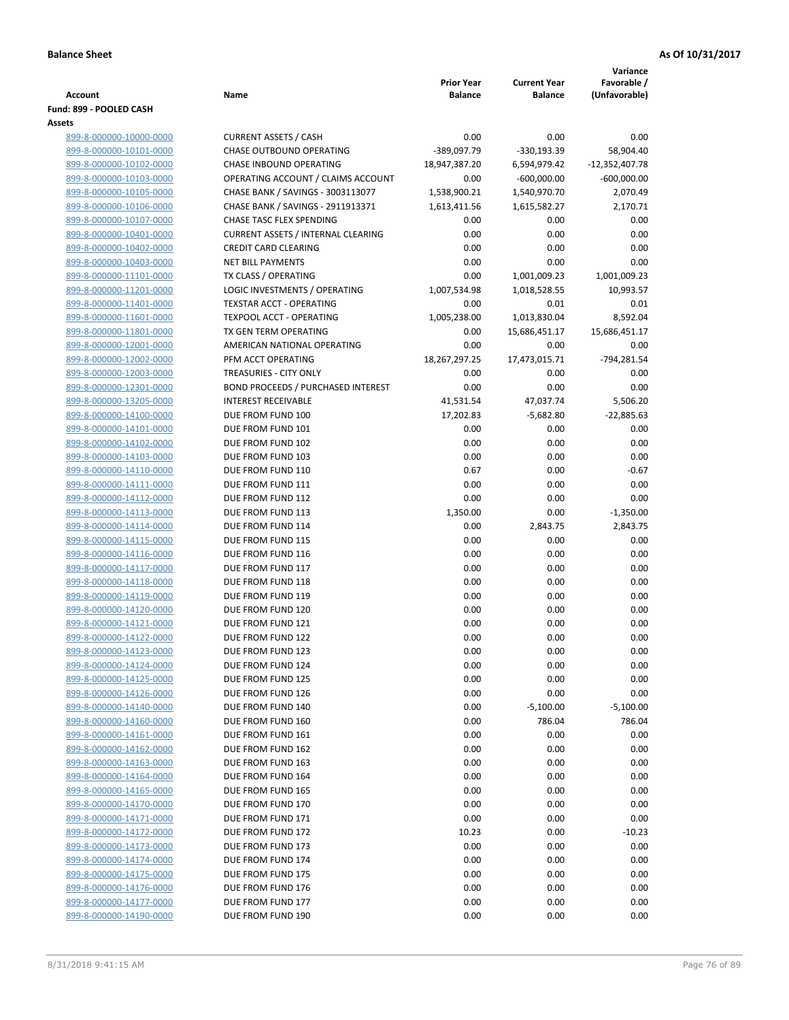|                         |                                           |                   |                     | Variance         |
|-------------------------|-------------------------------------------|-------------------|---------------------|------------------|
|                         |                                           | <b>Prior Year</b> | <b>Current Year</b> | Favorable /      |
| Account                 | Name                                      | <b>Balance</b>    | <b>Balance</b>      | (Unfavorable)    |
| Fund: 899 - POOLED CASH |                                           |                   |                     |                  |
| <b>Assets</b>           |                                           |                   |                     |                  |
| 899-8-000000-10000-0000 | <b>CURRENT ASSETS / CASH</b>              | 0.00              | 0.00                | 0.00             |
| 899-8-000000-10101-0000 | CHASE OUTBOUND OPERATING                  | -389,097.79       | $-330,193.39$       | 58,904.40        |
| 899-8-000000-10102-0000 | CHASE INBOUND OPERATING                   | 18,947,387.20     | 6,594,979.42        | $-12,352,407.78$ |
| 899-8-000000-10103-0000 | OPERATING ACCOUNT / CLAIMS ACCOUNT        | 0.00              | $-600,000.00$       | $-600,000.00$    |
| 899-8-000000-10105-0000 | CHASE BANK / SAVINGS - 3003113077         | 1,538,900.21      | 1,540,970.70        | 2,070.49         |
| 899-8-000000-10106-0000 | CHASE BANK / SAVINGS - 2911913371         | 1,613,411.56      | 1,615,582.27        | 2,170.71         |
| 899-8-000000-10107-0000 | <b>CHASE TASC FLEX SPENDING</b>           | 0.00              | 0.00                | 0.00             |
| 899-8-000000-10401-0000 | <b>CURRENT ASSETS / INTERNAL CLEARING</b> | 0.00              | 0.00                | 0.00             |
| 899-8-000000-10402-0000 | <b>CREDIT CARD CLEARING</b>               | 0.00              | 0.00                | 0.00             |
| 899-8-000000-10403-0000 | <b>NET BILL PAYMENTS</b>                  | 0.00              | 0.00                | 0.00             |
| 899-8-000000-11101-0000 | TX CLASS / OPERATING                      | 0.00              | 1,001,009.23        | 1,001,009.23     |
| 899-8-000000-11201-0000 | LOGIC INVESTMENTS / OPERATING             | 1,007,534.98      | 1,018,528.55        | 10,993.57        |
| 899-8-000000-11401-0000 | <b>TEXSTAR ACCT - OPERATING</b>           | 0.00              | 0.01                | 0.01             |
| 899-8-000000-11601-0000 | TEXPOOL ACCT - OPERATING                  | 1,005,238.00      | 1,013,830.04        | 8,592.04         |
| 899-8-000000-11801-0000 | TX GEN TERM OPERATING                     | 0.00              | 15,686,451.17       | 15,686,451.17    |
| 899-8-000000-12001-0000 | AMERICAN NATIONAL OPERATING               | 0.00              | 0.00                | 0.00             |
| 899-8-000000-12002-0000 | PFM ACCT OPERATING                        | 18,267,297.25     | 17,473,015.71       | -794,281.54      |
| 899-8-000000-12003-0000 | TREASURIES - CITY ONLY                    | 0.00              | 0.00                | 0.00             |
| 899-8-000000-12301-0000 | <b>BOND PROCEEDS / PURCHASED INTEREST</b> | 0.00              | 0.00                | 0.00             |
| 899-8-000000-13205-0000 | <b>INTEREST RECEIVABLE</b>                | 41,531.54         | 47,037.74           | 5,506.20         |
| 899-8-000000-14100-0000 | DUE FROM FUND 100                         | 17,202.83         | $-5,682.80$         | $-22,885.63$     |
| 899-8-000000-14101-0000 | DUE FROM FUND 101                         | 0.00              | 0.00                | 0.00             |
| 899-8-000000-14102-0000 | DUE FROM FUND 102                         | 0.00              | 0.00                | 0.00             |
| 899-8-000000-14103-0000 | DUE FROM FUND 103                         | 0.00              | 0.00                | 0.00             |
| 899-8-000000-14110-0000 | DUE FROM FUND 110                         | 0.67              | 0.00                | $-0.67$          |
| 899-8-000000-14111-0000 | DUE FROM FUND 111                         | 0.00              | 0.00                | 0.00             |
| 899-8-000000-14112-0000 | DUE FROM FUND 112                         | 0.00              | 0.00                | 0.00             |
| 899-8-000000-14113-0000 | DUE FROM FUND 113                         | 1,350.00          | 0.00                | $-1,350.00$      |
| 899-8-000000-14114-0000 | DUE FROM FUND 114                         | 0.00              | 2,843.75            | 2,843.75         |
| 899-8-000000-14115-0000 | DUE FROM FUND 115                         | 0.00              | 0.00                | 0.00             |
| 899-8-000000-14116-0000 | DUE FROM FUND 116                         | 0.00              | 0.00                | 0.00             |
| 899-8-000000-14117-0000 | DUE FROM FUND 117                         | 0.00              | 0.00                | 0.00             |
| 899-8-000000-14118-0000 | DUE FROM FUND 118                         | 0.00              | 0.00                | 0.00             |
| 899-8-000000-14119-0000 | DUE FROM FUND 119                         | 0.00              | 0.00                | 0.00             |
| 899-8-000000-14120-0000 | DUE FROM FUND 120                         | 0.00              | 0.00                | 0.00             |
| 899-8-000000-14121-0000 | DUE FROM FUND 121                         | 0.00              | 0.00                | 0.00             |
| 899-8-000000-14122-0000 | DUE FROM FUND 122                         | 0.00              | 0.00                | 0.00             |
| 899-8-000000-14123-0000 | DUE FROM FUND 123                         | 0.00              | 0.00                | 0.00             |
| 899-8-000000-14124-0000 | DUE FROM FUND 124                         | 0.00              | 0.00                | 0.00             |
| 899-8-000000-14125-0000 | DUE FROM FUND 125                         | 0.00              | 0.00                | 0.00             |
| 899-8-000000-14126-0000 | DUE FROM FUND 126                         | 0.00              | 0.00                | 0.00             |
| 899-8-000000-14140-0000 | DUE FROM FUND 140                         | 0.00              | $-5,100.00$         | $-5,100.00$      |
| 899-8-000000-14160-0000 | DUE FROM FUND 160                         | 0.00              | 786.04              | 786.04           |
| 899-8-000000-14161-0000 | DUE FROM FUND 161                         | 0.00              | 0.00                | 0.00             |
| 899-8-000000-14162-0000 | DUE FROM FUND 162                         | 0.00              | 0.00                | 0.00             |
| 899-8-000000-14163-0000 | DUE FROM FUND 163                         | 0.00              | 0.00                | 0.00             |
| 899-8-000000-14164-0000 | DUE FROM FUND 164                         | 0.00              | 0.00                | 0.00             |
| 899-8-000000-14165-0000 | DUE FROM FUND 165                         | 0.00              | 0.00                | 0.00             |
| 899-8-000000-14170-0000 | DUE FROM FUND 170                         | 0.00              | 0.00                | 0.00             |
| 899-8-000000-14171-0000 | DUE FROM FUND 171                         | 0.00              | 0.00                | 0.00             |
| 899-8-000000-14172-0000 | DUE FROM FUND 172                         | 10.23             | 0.00                | $-10.23$         |
| 899-8-000000-14173-0000 | DUE FROM FUND 173                         | 0.00              | 0.00                | 0.00             |
| 899-8-000000-14174-0000 | DUE FROM FUND 174                         | 0.00              | 0.00                | 0.00             |
| 899-8-000000-14175-0000 | DUE FROM FUND 175                         | 0.00              | 0.00                | 0.00             |
| 899-8-000000-14176-0000 | DUE FROM FUND 176                         | 0.00              | 0.00                | 0.00             |
| 899-8-000000-14177-0000 | DUE FROM FUND 177                         | 0.00              | 0.00                | 0.00             |
| 899-8-000000-14190-0000 | DUE FROM FUND 190                         | 0.00              | 0.00                | 0.00             |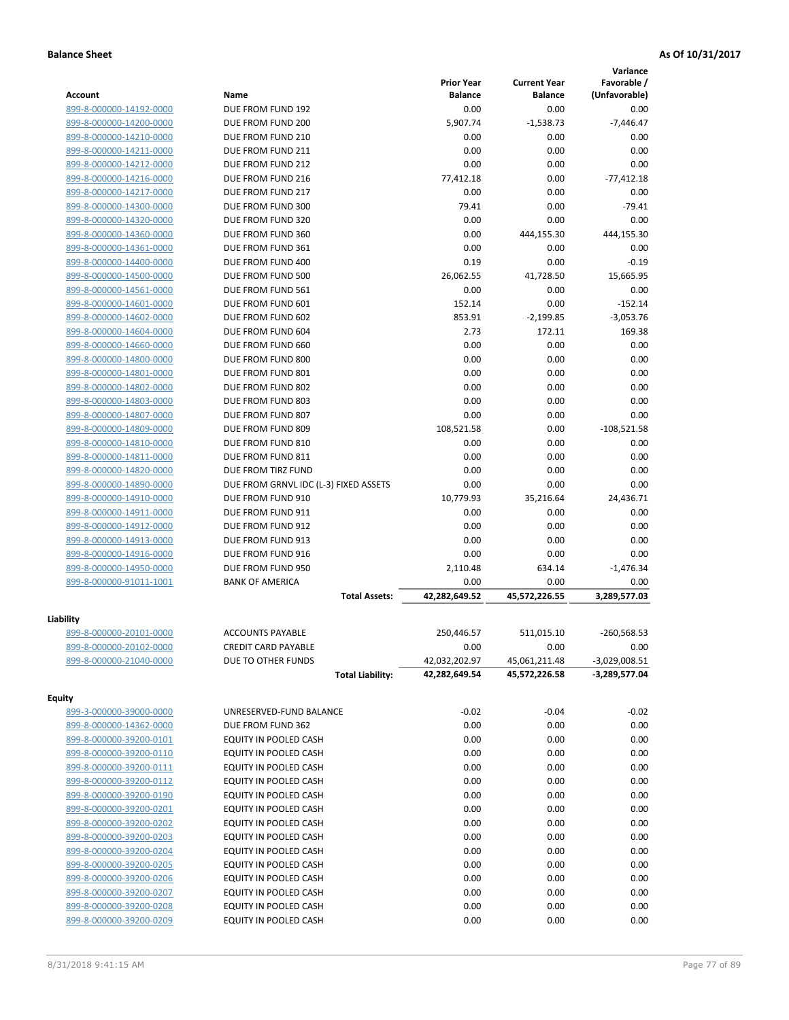|                         |                                       |                   |                                | Variance        |
|-------------------------|---------------------------------------|-------------------|--------------------------------|-----------------|
|                         |                                       | <b>Prior Year</b> | <b>Current Year</b>            | Favorable /     |
| Account                 | Name                                  | <b>Balance</b>    | <b>Balance</b>                 | (Unfavorable)   |
| 899-8-000000-14192-0000 | DUE FROM FUND 192                     | 0.00              | 0.00                           | 0.00            |
| 899-8-000000-14200-0000 | DUE FROM FUND 200                     | 5,907.74          | $-1,538.73$                    | $-7,446.47$     |
| 899-8-000000-14210-0000 | DUE FROM FUND 210                     | 0.00              | 0.00                           | 0.00            |
| 899-8-000000-14211-0000 | DUE FROM FUND 211                     | 0.00              | 0.00                           | 0.00            |
| 899-8-000000-14212-0000 | DUE FROM FUND 212                     | 0.00              | 0.00                           | 0.00            |
| 899-8-000000-14216-0000 | DUE FROM FUND 216                     | 77,412.18         | 0.00                           | $-77,412.18$    |
| 899-8-000000-14217-0000 | DUE FROM FUND 217                     | 0.00              | 0.00                           | 0.00            |
| 899-8-000000-14300-0000 | DUE FROM FUND 300                     | 79.41             | 0.00                           | $-79.41$        |
| 899-8-000000-14320-0000 | DUE FROM FUND 320                     | 0.00              | 0.00                           | 0.00            |
| 899-8-000000-14360-0000 | DUE FROM FUND 360                     | 0.00              | 444,155.30                     | 444,155.30      |
| 899-8-000000-14361-0000 | DUE FROM FUND 361                     | 0.00              | 0.00                           | 0.00            |
| 899-8-000000-14400-0000 | DUE FROM FUND 400                     | 0.19              | 0.00                           | $-0.19$         |
| 899-8-000000-14500-0000 | DUE FROM FUND 500                     | 26,062.55         | 41,728.50                      | 15,665.95       |
| 899-8-000000-14561-0000 | DUE FROM FUND 561                     | 0.00              | 0.00                           | 0.00            |
| 899-8-000000-14601-0000 | DUE FROM FUND 601                     | 152.14            | 0.00                           | $-152.14$       |
| 899-8-000000-14602-0000 | DUE FROM FUND 602                     | 853.91            | $-2,199.85$                    | $-3,053.76$     |
| 899-8-000000-14604-0000 | DUE FROM FUND 604                     | 2.73              | 172.11                         | 169.38          |
| 899-8-000000-14660-0000 | DUE FROM FUND 660                     | 0.00              | 0.00                           | 0.00            |
| 899-8-000000-14800-0000 | DUE FROM FUND 800                     | 0.00              | 0.00                           | 0.00            |
| 899-8-000000-14801-0000 | DUE FROM FUND 801                     | 0.00              | 0.00                           | 0.00            |
| 899-8-000000-14802-0000 | DUE FROM FUND 802                     | 0.00              | 0.00                           | 0.00            |
| 899-8-000000-14803-0000 | DUE FROM FUND 803                     | 0.00              | 0.00                           | 0.00            |
| 899-8-000000-14807-0000 | DUE FROM FUND 807                     | 0.00              | 0.00                           | 0.00            |
| 899-8-000000-14809-0000 | DUE FROM FUND 809                     | 108,521.58        | 0.00                           | $-108,521.58$   |
| 899-8-000000-14810-0000 | DUE FROM FUND 810                     | 0.00              | 0.00                           | 0.00            |
| 899-8-000000-14811-0000 | DUE FROM FUND 811                     | 0.00              | 0.00                           | 0.00            |
| 899-8-000000-14820-0000 | DUE FROM TIRZ FUND                    | 0.00              | 0.00                           | 0.00            |
| 899-8-000000-14890-0000 | DUE FROM GRNVL IDC (L-3) FIXED ASSETS | 0.00              | 0.00                           | 0.00            |
| 899-8-000000-14910-0000 | DUE FROM FUND 910                     | 10,779.93         |                                | 24,436.71       |
| 899-8-000000-14911-0000 | DUE FROM FUND 911                     | 0.00              | 35,216.64<br>0.00              | 0.00            |
|                         |                                       |                   |                                |                 |
| 899-8-000000-14912-0000 | DUE FROM FUND 912                     | 0.00              | 0.00                           | 0.00<br>0.00    |
| 899-8-000000-14913-0000 | DUE FROM FUND 913                     | 0.00              | 0.00                           |                 |
| 899-8-000000-14916-0000 | DUE FROM FUND 916                     | 0.00              | 0.00                           | 0.00            |
| 899-8-000000-14950-0000 | DUE FROM FUND 950                     | 2,110.48          | 634.14                         | $-1,476.34$     |
| 899-8-000000-91011-1001 | <b>BANK OF AMERICA</b>                | 0.00              | 0.00                           | 0.00            |
|                         | <b>Total Assets:</b>                  | 42,282,649.52     | 45,572,226.55                  | 3,289,577.03    |
| Liability               |                                       |                   |                                |                 |
| 899-8-000000-20101-0000 | <b>ACCOUNTS PAYABLE</b>               | 250,446.57        | 511,015.10                     | $-260,568.53$   |
| 899-8-000000-20102-0000 | <b>CREDIT CARD PAYABLE</b>            | 0.00              | 0.00                           | 0.00            |
| 899-8-000000-21040-0000 | DUE TO OTHER FUNDS                    | 42,032,202.97     |                                | $-3,029,008.51$ |
|                         | <b>Total Liability:</b>               | 42,282,649.54     | 45,061,211.48<br>45,572,226.58 | -3,289,577.04   |
|                         |                                       |                   |                                |                 |
| <b>Equity</b>           |                                       |                   |                                |                 |
| 899-3-000000-39000-0000 | UNRESERVED-FUND BALANCE               | $-0.02$           | $-0.04$                        | $-0.02$         |
| 899-8-000000-14362-0000 | DUE FROM FUND 362                     | 0.00              | 0.00                           | 0.00            |
| 899-8-000000-39200-0101 | EQUITY IN POOLED CASH                 | 0.00              | 0.00                           | 0.00            |
| 899-8-000000-39200-0110 | EQUITY IN POOLED CASH                 | 0.00              | 0.00                           | 0.00            |
| 899-8-000000-39200-0111 | EQUITY IN POOLED CASH                 | 0.00              | 0.00                           | 0.00            |
| 899-8-000000-39200-0112 | EQUITY IN POOLED CASH                 | 0.00              | 0.00                           | 0.00            |
| 899-8-000000-39200-0190 | EQUITY IN POOLED CASH                 | 0.00              | 0.00                           | 0.00            |
| 899-8-000000-39200-0201 | EQUITY IN POOLED CASH                 | 0.00              | 0.00                           | 0.00            |
|                         |                                       |                   |                                |                 |
| 899-8-000000-39200-0202 | EQUITY IN POOLED CASH                 | 0.00              | 0.00                           | 0.00            |
| 899-8-000000-39200-0203 | EQUITY IN POOLED CASH                 | 0.00              | 0.00                           | 0.00            |
| 899-8-000000-39200-0204 | EQUITY IN POOLED CASH                 | 0.00              | 0.00                           | 0.00            |
| 899-8-000000-39200-0205 | EQUITY IN POOLED CASH                 | 0.00              | 0.00                           | 0.00            |
| 899-8-000000-39200-0206 | EQUITY IN POOLED CASH                 | 0.00              | 0.00                           | 0.00            |
| 899-8-000000-39200-0207 | EQUITY IN POOLED CASH                 | 0.00              | 0.00                           | 0.00            |
| 899-8-000000-39200-0208 | EQUITY IN POOLED CASH                 | 0.00              | 0.00                           | 0.00            |
| 899-8-000000-39200-0209 | EQUITY IN POOLED CASH                 | 0.00              | 0.00                           | 0.00            |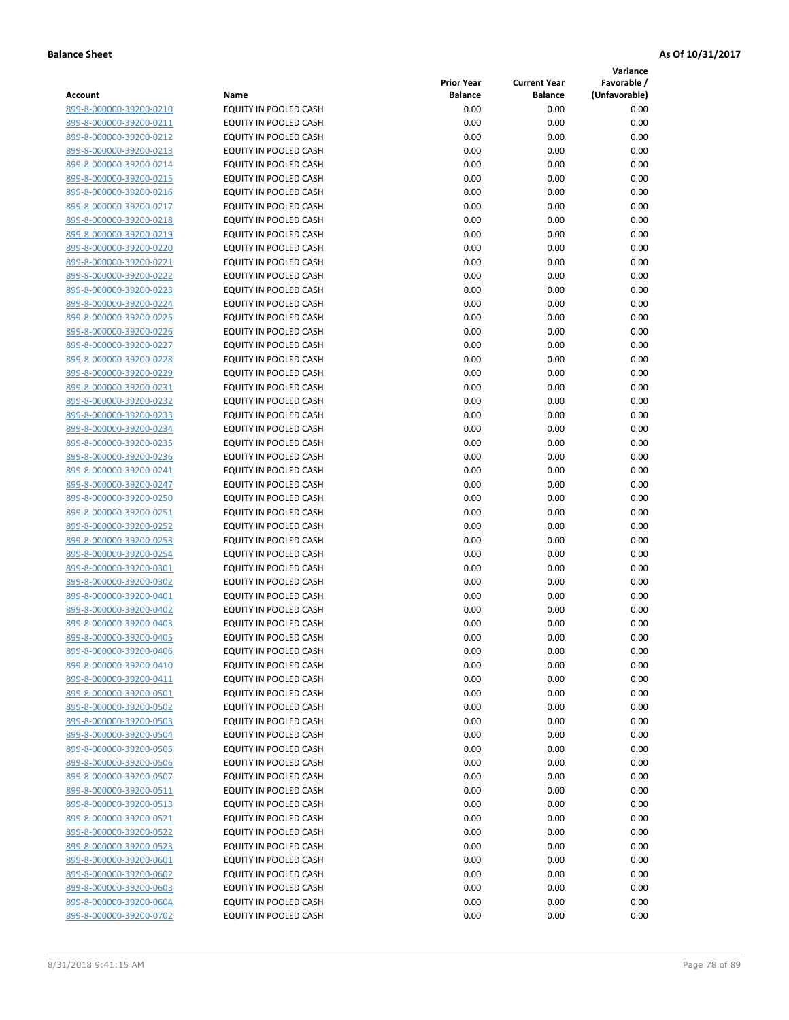**Variance**

| Account                                            | Name                                           | <b>Prior Year</b><br><b>Balance</b> | <b>Current Year</b><br><b>Balance</b> | Favorable /<br>(Unfavorable) |
|----------------------------------------------------|------------------------------------------------|-------------------------------------|---------------------------------------|------------------------------|
| 899-8-000000-39200-0210                            | EQUITY IN POOLED CASH                          | 0.00                                | 0.00                                  | 0.00                         |
| 899-8-000000-39200-0211                            | EQUITY IN POOLED CASH                          | 0.00                                | 0.00                                  | 0.00                         |
| 899-8-000000-39200-0212                            | EQUITY IN POOLED CASH                          | 0.00                                | 0.00                                  | 0.00                         |
| 899-8-000000-39200-0213                            | EQUITY IN POOLED CASH                          | 0.00                                | 0.00                                  | 0.00                         |
| 899-8-000000-39200-0214                            | EQUITY IN POOLED CASH                          | 0.00                                | 0.00                                  | 0.00                         |
| 899-8-000000-39200-0215                            | EQUITY IN POOLED CASH                          | 0.00                                | 0.00                                  | 0.00                         |
| 899-8-000000-39200-0216                            | EQUITY IN POOLED CASH                          | 0.00                                | 0.00                                  | 0.00                         |
| 899-8-000000-39200-0217                            | <b>EQUITY IN POOLED CASH</b>                   | 0.00                                | 0.00                                  | 0.00                         |
| 899-8-000000-39200-0218                            | EQUITY IN POOLED CASH                          | 0.00                                | 0.00                                  | 0.00                         |
| 899-8-000000-39200-0219                            | EQUITY IN POOLED CASH                          | 0.00                                | 0.00                                  | 0.00                         |
| 899-8-000000-39200-0220                            | EQUITY IN POOLED CASH                          | 0.00                                | 0.00                                  | 0.00                         |
| 899-8-000000-39200-0221                            | EQUITY IN POOLED CASH                          | 0.00                                | 0.00                                  | 0.00                         |
| 899-8-000000-39200-0222                            | EQUITY IN POOLED CASH                          | 0.00                                | 0.00                                  | 0.00                         |
| 899-8-000000-39200-0223                            | EQUITY IN POOLED CASH                          | 0.00                                | 0.00                                  | 0.00                         |
| 899-8-000000-39200-0224                            | EQUITY IN POOLED CASH                          | 0.00                                | 0.00                                  | 0.00                         |
| 899-8-000000-39200-0225                            | EQUITY IN POOLED CASH                          | 0.00                                | 0.00                                  | 0.00                         |
| 899-8-000000-39200-0226                            | EQUITY IN POOLED CASH                          | 0.00                                | 0.00                                  | 0.00                         |
| 899-8-000000-39200-0227                            | EQUITY IN POOLED CASH                          | 0.00                                | 0.00                                  | 0.00                         |
| 899-8-000000-39200-0228                            | EQUITY IN POOLED CASH                          | 0.00                                | 0.00                                  | 0.00                         |
| 899-8-000000-39200-0229                            | EQUITY IN POOLED CASH                          | 0.00                                | 0.00                                  | 0.00                         |
| 899-8-000000-39200-0231                            | <b>EQUITY IN POOLED CASH</b>                   | 0.00                                | 0.00                                  | 0.00                         |
| 899-8-000000-39200-0232                            | EQUITY IN POOLED CASH                          | 0.00                                | 0.00                                  | 0.00                         |
| 899-8-000000-39200-0233                            | EQUITY IN POOLED CASH                          | 0.00                                | 0.00                                  | 0.00                         |
| 899-8-000000-39200-0234                            | EQUITY IN POOLED CASH                          | 0.00                                | 0.00                                  | 0.00                         |
| 899-8-000000-39200-0235                            | EQUITY IN POOLED CASH                          | 0.00                                | 0.00                                  | 0.00                         |
| 899-8-000000-39200-0236                            | EQUITY IN POOLED CASH                          | 0.00                                | 0.00                                  | 0.00                         |
| 899-8-000000-39200-0241                            | EQUITY IN POOLED CASH                          | 0.00                                | 0.00                                  | 0.00                         |
| 899-8-000000-39200-0247                            | EQUITY IN POOLED CASH                          | 0.00                                | 0.00                                  | 0.00                         |
| 899-8-000000-39200-0250                            | EQUITY IN POOLED CASH                          | 0.00                                | 0.00                                  | 0.00                         |
| 899-8-000000-39200-0251                            | EQUITY IN POOLED CASH                          | 0.00                                | 0.00                                  | 0.00                         |
| 899-8-000000-39200-0252                            | EQUITY IN POOLED CASH                          | 0.00                                | 0.00                                  | 0.00                         |
| 899-8-000000-39200-0253                            | EQUITY IN POOLED CASH                          | 0.00                                | 0.00                                  | 0.00                         |
| 899-8-000000-39200-0254                            | EQUITY IN POOLED CASH                          | 0.00                                | 0.00                                  | 0.00                         |
| 899-8-000000-39200-0301                            | EQUITY IN POOLED CASH                          | 0.00                                | 0.00                                  | 0.00                         |
| 899-8-000000-39200-0302                            | EQUITY IN POOLED CASH                          | 0.00                                | 0.00                                  | 0.00                         |
| 899-8-000000-39200-0401<br>899-8-000000-39200-0402 | EQUITY IN POOLED CASH<br>EQUITY IN POOLED CASH | 0.00<br>0.00                        | 0.00<br>0.00                          | 0.00<br>0.00                 |
| 899-8-000000-39200-0403                            | EQUITY IN POOLED CASH                          | 0.00                                | 0.00                                  | 0.00                         |
| 899-8-000000-39200-0405                            | EQUITY IN POOLED CASH                          | 0.00                                | 0.00                                  | 0.00                         |
| 899-8-000000-39200-0406                            | <b>EQUITY IN POOLED CASH</b>                   | 0.00                                | 0.00                                  | 0.00                         |
| 899-8-000000-39200-0410                            | <b>EQUITY IN POOLED CASH</b>                   | 0.00                                | 0.00                                  | 0.00                         |
| 899-8-000000-39200-0411                            | EQUITY IN POOLED CASH                          | 0.00                                | 0.00                                  | 0.00                         |
| 899-8-000000-39200-0501                            | EQUITY IN POOLED CASH                          | 0.00                                | 0.00                                  | 0.00                         |
| 899-8-000000-39200-0502                            | EQUITY IN POOLED CASH                          | 0.00                                | 0.00                                  | 0.00                         |
| 899-8-000000-39200-0503                            | EQUITY IN POOLED CASH                          | 0.00                                | 0.00                                  | 0.00                         |
| 899-8-000000-39200-0504                            | EQUITY IN POOLED CASH                          | 0.00                                | 0.00                                  | 0.00                         |
| 899-8-000000-39200-0505                            | EQUITY IN POOLED CASH                          | 0.00                                | 0.00                                  | 0.00                         |
| 899-8-000000-39200-0506                            | EQUITY IN POOLED CASH                          | 0.00                                | 0.00                                  | 0.00                         |
| 899-8-000000-39200-0507                            | EQUITY IN POOLED CASH                          | 0.00                                | 0.00                                  | 0.00                         |
| 899-8-000000-39200-0511                            | EQUITY IN POOLED CASH                          | 0.00                                | 0.00                                  | 0.00                         |
| 899-8-000000-39200-0513                            | <b>EQUITY IN POOLED CASH</b>                   | 0.00                                | 0.00                                  | 0.00                         |
| 899-8-000000-39200-0521                            | EQUITY IN POOLED CASH                          | 0.00                                | 0.00                                  | 0.00                         |
| 899-8-000000-39200-0522                            | EQUITY IN POOLED CASH                          | 0.00                                | 0.00                                  | 0.00                         |
| 899-8-000000-39200-0523                            | EQUITY IN POOLED CASH                          | 0.00                                | 0.00                                  | 0.00                         |
| 899-8-000000-39200-0601                            | EQUITY IN POOLED CASH                          | 0.00                                | 0.00                                  | 0.00                         |
| 899-8-000000-39200-0602                            | EQUITY IN POOLED CASH                          | 0.00                                | 0.00                                  | 0.00                         |
| 899-8-000000-39200-0603                            | EQUITY IN POOLED CASH                          | 0.00                                | 0.00                                  | 0.00                         |
| 899-8-000000-39200-0604                            | EQUITY IN POOLED CASH                          | 0.00                                | 0.00                                  | 0.00                         |
| 899-8-000000-39200-0702                            | EQUITY IN POOLED CASH                          | 0.00                                | 0.00                                  | 0.00                         |
|                                                    |                                                |                                     |                                       |                              |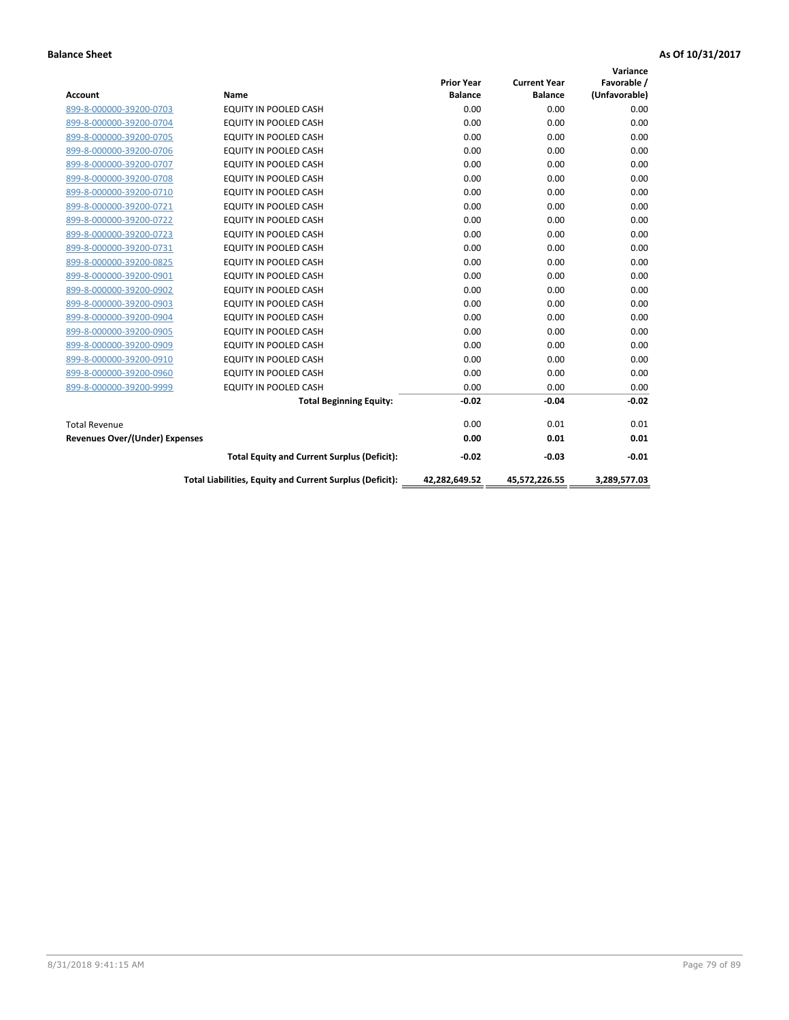| <b>Account</b>                        | Name                                                     | <b>Prior Year</b><br><b>Balance</b> | <b>Current Year</b><br><b>Balance</b> | Variance<br>Favorable /<br>(Unfavorable) |
|---------------------------------------|----------------------------------------------------------|-------------------------------------|---------------------------------------|------------------------------------------|
| 899-8-000000-39200-0703               | <b>EQUITY IN POOLED CASH</b>                             | 0.00                                | 0.00                                  | 0.00                                     |
| 899-8-000000-39200-0704               | <b>EQUITY IN POOLED CASH</b>                             | 0.00                                | 0.00                                  | 0.00                                     |
| 899-8-000000-39200-0705               | <b>EQUITY IN POOLED CASH</b>                             | 0.00                                | 0.00                                  | 0.00                                     |
| 899-8-000000-39200-0706               | <b>EQUITY IN POOLED CASH</b>                             | 0.00                                | 0.00                                  | 0.00                                     |
| 899-8-000000-39200-0707               | EQUITY IN POOLED CASH                                    | 0.00                                | 0.00                                  | 0.00                                     |
| 899-8-000000-39200-0708               | <b>EQUITY IN POOLED CASH</b>                             | 0.00                                | 0.00                                  | 0.00                                     |
| 899-8-000000-39200-0710               | <b>EQUITY IN POOLED CASH</b>                             | 0.00                                | 0.00                                  | 0.00                                     |
| 899-8-000000-39200-0721               | <b>EQUITY IN POOLED CASH</b>                             | 0.00                                | 0.00                                  | 0.00                                     |
| 899-8-000000-39200-0722               | <b>EQUITY IN POOLED CASH</b>                             | 0.00                                | 0.00                                  | 0.00                                     |
| 899-8-000000-39200-0723               | EQUITY IN POOLED CASH                                    | 0.00                                | 0.00                                  | 0.00                                     |
| 899-8-000000-39200-0731               | <b>EQUITY IN POOLED CASH</b>                             | 0.00                                | 0.00                                  | 0.00                                     |
| 899-8-000000-39200-0825               | EQUITY IN POOLED CASH                                    | 0.00                                | 0.00                                  | 0.00                                     |
| 899-8-000000-39200-0901               | EQUITY IN POOLED CASH                                    | 0.00                                | 0.00                                  | 0.00                                     |
| 899-8-000000-39200-0902               | EQUITY IN POOLED CASH                                    | 0.00                                | 0.00                                  | 0.00                                     |
| 899-8-000000-39200-0903               | <b>EQUITY IN POOLED CASH</b>                             | 0.00                                | 0.00                                  | 0.00                                     |
| 899-8-000000-39200-0904               | <b>EQUITY IN POOLED CASH</b>                             | 0.00                                | 0.00                                  | 0.00                                     |
| 899-8-000000-39200-0905               | EQUITY IN POOLED CASH                                    | 0.00                                | 0.00                                  | 0.00                                     |
| 899-8-000000-39200-0909               | EQUITY IN POOLED CASH                                    | 0.00                                | 0.00                                  | 0.00                                     |
| 899-8-000000-39200-0910               | <b>EQUITY IN POOLED CASH</b>                             | 0.00                                | 0.00                                  | 0.00                                     |
| 899-8-000000-39200-0960               | <b>EQUITY IN POOLED CASH</b>                             | 0.00                                | 0.00                                  | 0.00                                     |
| 899-8-000000-39200-9999               | EQUITY IN POOLED CASH                                    | 0.00                                | 0.00                                  | 0.00                                     |
|                                       | <b>Total Beginning Equity:</b>                           | $-0.02$                             | $-0.04$                               | $-0.02$                                  |
| <b>Total Revenue</b>                  |                                                          | 0.00                                | 0.01                                  | 0.01                                     |
| <b>Revenues Over/(Under) Expenses</b> |                                                          | 0.00                                | 0.01                                  | 0.01                                     |
|                                       | <b>Total Equity and Current Surplus (Deficit):</b>       | $-0.02$                             | $-0.03$                               | $-0.01$                                  |
|                                       | Total Liabilities, Equity and Current Surplus (Deficit): | 42,282,649.52                       | 45,572,226.55                         | 3,289,577.03                             |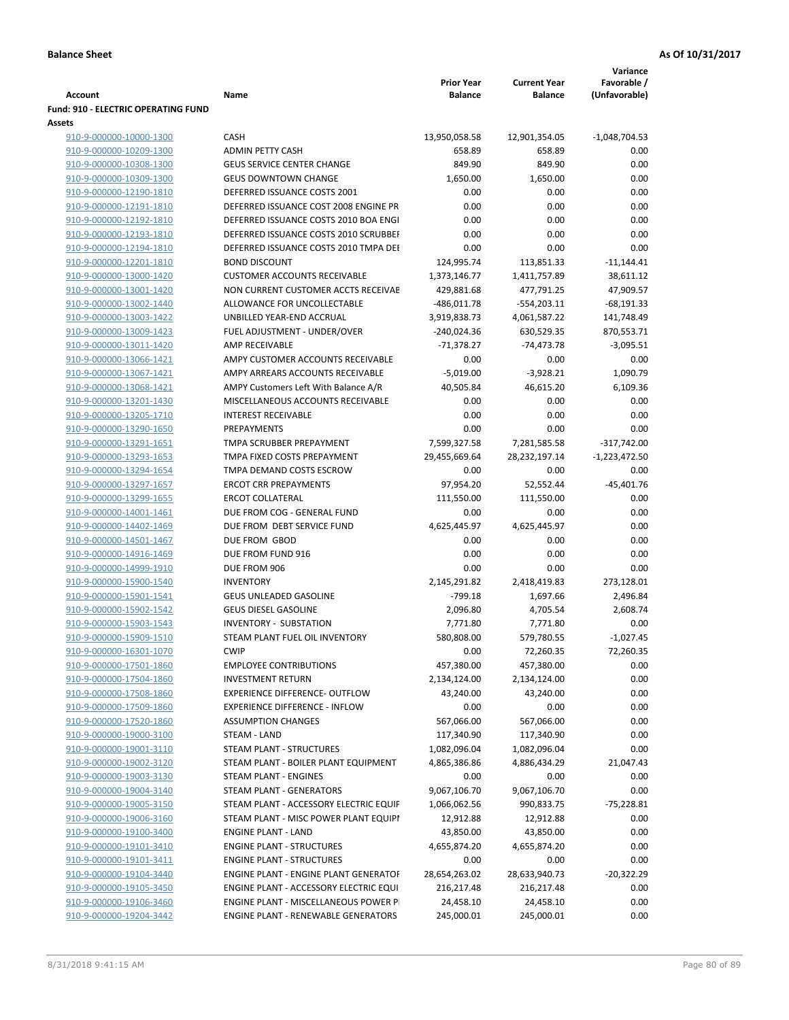|                                                    |                                              |                                     |                                       | Variance                     |
|----------------------------------------------------|----------------------------------------------|-------------------------------------|---------------------------------------|------------------------------|
| Account                                            | Name                                         | <b>Prior Year</b><br><b>Balance</b> | <b>Current Year</b><br><b>Balance</b> | Favorable /<br>(Unfavorable) |
| <b>Fund: 910 - ELECTRIC OPERATING FUND</b>         |                                              |                                     |                                       |                              |
| <b>Assets</b>                                      |                                              |                                     |                                       |                              |
| 910-9-000000-10000-1300                            | <b>CASH</b>                                  | 13,950,058.58                       | 12,901,354.05                         | $-1,048,704.53$              |
| 910-9-000000-10209-1300                            | <b>ADMIN PETTY CASH</b>                      | 658.89                              | 658.89                                | 0.00                         |
| 910-9-000000-10308-1300                            | <b>GEUS SERVICE CENTER CHANGE</b>            | 849.90                              | 849.90                                | 0.00                         |
| 910-9-000000-10309-1300                            | <b>GEUS DOWNTOWN CHANGE</b>                  | 1,650.00                            | 1,650.00                              | 0.00                         |
| 910-9-000000-12190-1810                            | DEFERRED ISSUANCE COSTS 2001                 | 0.00                                | 0.00                                  | 0.00                         |
| 910-9-000000-12191-1810                            | DEFERRED ISSUANCE COST 2008 ENGINE PR        | 0.00                                | 0.00                                  | 0.00                         |
| 910-9-000000-12192-1810                            | DEFERRED ISSUANCE COSTS 2010 BOA ENGI        | 0.00                                | 0.00                                  | 0.00                         |
| 910-9-000000-12193-1810                            | DEFERRED ISSUANCE COSTS 2010 SCRUBBEI        | 0.00                                | 0.00                                  | 0.00                         |
| 910-9-000000-12194-1810                            | DEFERRED ISSUANCE COSTS 2010 TMPA DEI        | 0.00                                | 0.00                                  | 0.00                         |
| 910-9-000000-12201-1810                            | <b>BOND DISCOUNT</b>                         | 124,995.74                          | 113,851.33                            | $-11,144.41$                 |
| 910-9-000000-13000-1420                            | <b>CUSTOMER ACCOUNTS RECEIVABLE</b>          | 1,373,146.77                        | 1,411,757.89                          | 38,611.12                    |
| 910-9-000000-13001-1420                            | NON CURRENT CUSTOMER ACCTS RECEIVAE          | 429,881.68                          | 477,791.25                            | 47,909.57                    |
| 910-9-000000-13002-1440                            | ALLOWANCE FOR UNCOLLECTABLE                  | $-486,011.78$                       | $-554,203.11$                         | $-68,191.33$                 |
| 910-9-000000-13003-1422                            | UNBILLED YEAR-END ACCRUAL                    | 3,919,838.73                        | 4,061,587.22                          | 141,748.49                   |
| 910-9-000000-13009-1423                            | FUEL ADJUSTMENT - UNDER/OVER                 | $-240,024.36$                       | 630,529.35                            | 870,553.71                   |
| 910-9-000000-13011-1420                            | <b>AMP RECEIVABLE</b>                        | $-71,378.27$                        | $-74,473.78$                          | $-3,095.51$                  |
| 910-9-000000-13066-1421                            | AMPY CUSTOMER ACCOUNTS RECEIVABLE            | 0.00                                | 0.00                                  | 0.00                         |
| 910-9-000000-13067-1421                            | AMPY ARREARS ACCOUNTS RECEIVABLE             | $-5,019.00$                         | $-3,928.21$                           | 1,090.79                     |
| 910-9-000000-13068-1421                            | AMPY Customers Left With Balance A/R         | 40,505.84                           | 46,615.20                             | 6,109.36                     |
| 910-9-000000-13201-1430                            | MISCELLANEOUS ACCOUNTS RECEIVABLE            | 0.00                                | 0.00                                  | 0.00                         |
| 910-9-000000-13205-1710                            | <b>INTEREST RECEIVABLE</b>                   | 0.00                                | 0.00                                  | 0.00                         |
| 910-9-000000-13290-1650                            | PREPAYMENTS                                  | 0.00                                | 0.00                                  | 0.00                         |
| 910-9-000000-13291-1651                            | TMPA SCRUBBER PREPAYMENT                     | 7,599,327.58                        | 7,281,585.58                          | $-317,742.00$                |
| 910-9-000000-13293-1653                            | TMPA FIXED COSTS PREPAYMENT                  | 29,455,669.64                       | 28, 232, 197. 14                      | $-1,223,472.50$              |
| 910-9-000000-13294-1654                            | TMPA DEMAND COSTS ESCROW                     | 0.00                                | 0.00                                  | 0.00                         |
| 910-9-000000-13297-1657                            | <b>ERCOT CRR PREPAYMENTS</b>                 | 97,954.20                           | 52,552.44                             | $-45,401.76$                 |
| 910-9-000000-13299-1655                            | <b>ERCOT COLLATERAL</b>                      | 111,550.00                          | 111,550.00                            | 0.00                         |
| 910-9-000000-14001-1461                            | DUE FROM COG - GENERAL FUND                  | 0.00                                | 0.00                                  | 0.00                         |
| 910-9-000000-14402-1469                            | DUE FROM DEBT SERVICE FUND<br>DUE FROM GBOD  | 4,625,445.97<br>0.00                | 4,625,445.97<br>0.00                  | 0.00<br>0.00                 |
| 910-9-000000-14501-1467<br>910-9-000000-14916-1469 | DUE FROM FUND 916                            | 0.00                                | 0.00                                  | 0.00                         |
| 910-9-000000-14999-1910                            | DUE FROM 906                                 | 0.00                                | 0.00                                  | 0.00                         |
| 910-9-000000-15900-1540                            | <b>INVENTORY</b>                             | 2,145,291.82                        | 2,418,419.83                          | 273,128.01                   |
| 910-9-000000-15901-1541                            | <b>GEUS UNLEADED GASOLINE</b>                | $-799.18$                           | 1,697.66                              | 2,496.84                     |
| 910-9-000000-15902-1542                            | <b>GEUS DIESEL GASOLINE</b>                  | 2,096.80                            | 4,705.54                              | 2,608.74                     |
| 910-9-000000-15903-1543                            | <b>INVENTORY - SUBSTATION</b>                | 7,771.80                            | 7,771.80                              | 0.00                         |
| 910-9-000000-15909-1510                            | STEAM PLANT FUEL OIL INVENTORY               | 580,808.00                          | 579,780.55                            | $-1,027.45$                  |
| 910-9-000000-16301-1070                            | <b>CWIP</b>                                  | 0.00                                | 72,260.35                             | 72,260.35                    |
| 910-9-000000-17501-1860                            | <b>EMPLOYEE CONTRIBUTIONS</b>                | 457,380.00                          | 457,380.00                            | 0.00                         |
| 910-9-000000-17504-1860                            | <b>INVESTMENT RETURN</b>                     | 2,134,124.00                        | 2,134,124.00                          | 0.00                         |
| 910-9-000000-17508-1860                            | <b>EXPERIENCE DIFFERENCE- OUTFLOW</b>        | 43,240.00                           | 43,240.00                             | 0.00                         |
| 910-9-000000-17509-1860                            | <b>EXPERIENCE DIFFERENCE - INFLOW</b>        | 0.00                                | 0.00                                  | 0.00                         |
| 910-9-000000-17520-1860                            | <b>ASSUMPTION CHANGES</b>                    | 567,066.00                          | 567,066.00                            | 0.00                         |
| 910-9-000000-19000-3100                            | <b>STEAM - LAND</b>                          | 117,340.90                          | 117,340.90                            | 0.00                         |
| 910-9-000000-19001-3110                            | STEAM PLANT - STRUCTURES                     | 1,082,096.04                        | 1,082,096.04                          | 0.00                         |
| 910-9-000000-19002-3120                            | STEAM PLANT - BOILER PLANT EQUIPMENT         | 4,865,386.86                        | 4,886,434.29                          | 21,047.43                    |
| 910-9-000000-19003-3130                            | <b>STEAM PLANT - ENGINES</b>                 | 0.00                                | 0.00                                  | 0.00                         |
| 910-9-000000-19004-3140                            | STEAM PLANT - GENERATORS                     | 9,067,106.70                        | 9,067,106.70                          | 0.00                         |
| 910-9-000000-19005-3150                            | STEAM PLANT - ACCESSORY ELECTRIC EQUIF       | 1,066,062.56                        | 990,833.75                            | $-75,228.81$                 |
| 910-9-000000-19006-3160                            | STEAM PLANT - MISC POWER PLANT EQUIPI        | 12,912.88                           | 12,912.88                             | 0.00                         |
| 910-9-000000-19100-3400                            | <b>ENGINE PLANT - LAND</b>                   | 43,850.00                           | 43,850.00                             | 0.00                         |
| 910-9-000000-19101-3410                            | <b>ENGINE PLANT - STRUCTURES</b>             | 4,655,874.20                        | 4,655,874.20                          | 0.00                         |
| 910-9-000000-19101-3411                            | <b>ENGINE PLANT - STRUCTURES</b>             | 0.00                                | 0.00                                  | 0.00                         |
| 910-9-000000-19104-3440                            | <b>ENGINE PLANT - ENGINE PLANT GENERATOF</b> | 28,654,263.02                       | 28,633,940.73                         | $-20,322.29$                 |
| 910-9-000000-19105-3450                            | ENGINE PLANT - ACCESSORY ELECTRIC EQUI       | 216,217.48                          | 216,217.48                            | 0.00                         |
| 910-9-000000-19106-3460                            | ENGINE PLANT - MISCELLANEOUS POWER P         | 24,458.10                           | 24,458.10                             | 0.00                         |
| 910-9-000000-19204-3442                            | ENGINE PLANT - RENEWABLE GENERATORS          | 245,000.01                          | 245,000.01                            | 0.00                         |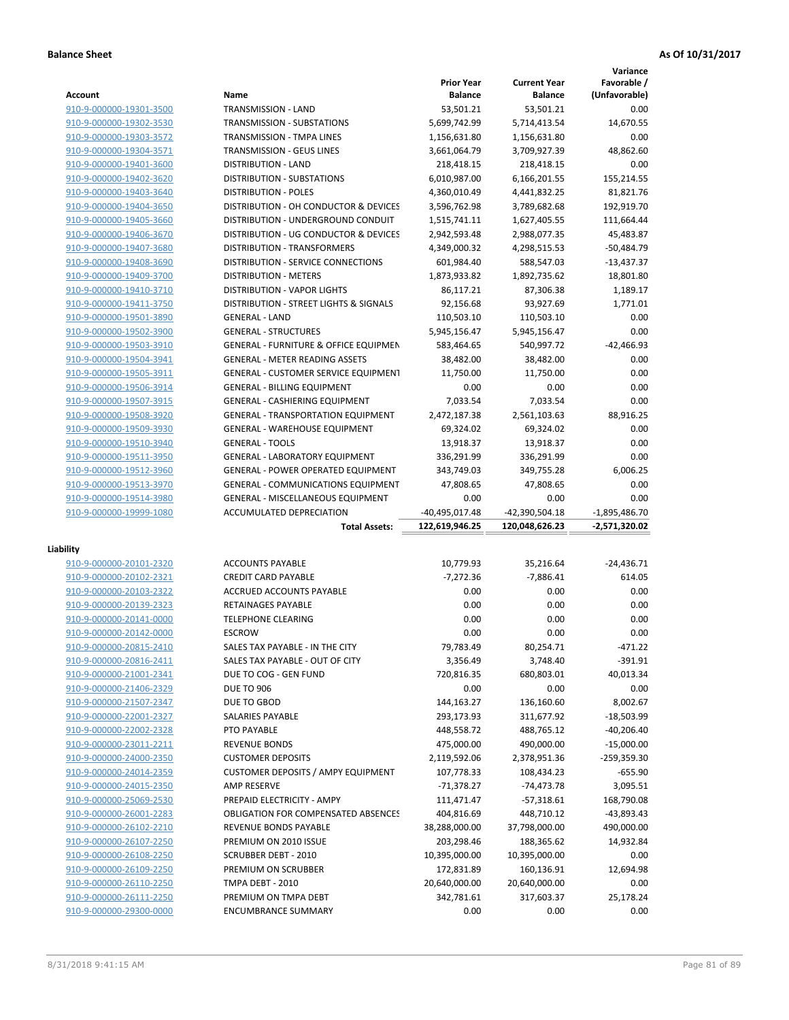**Variance**

|                                                    |                                                    | <b>Prior Year</b>  | <b>Current Year</b> | Favorable /       |
|----------------------------------------------------|----------------------------------------------------|--------------------|---------------------|-------------------|
| Account                                            | Name                                               | <b>Balance</b>     | <b>Balance</b>      | (Unfavorable)     |
| 910-9-000000-19301-3500                            | TRANSMISSION - LAND                                | 53,501.21          | 53,501.21           | 0.00              |
| 910-9-000000-19302-3530                            | <b>TRANSMISSION - SUBSTATIONS</b>                  | 5,699,742.99       | 5,714,413.54        | 14,670.55         |
| 910-9-000000-19303-3572                            | TRANSMISSION - TMPA LINES                          | 1,156,631.80       | 1,156,631.80        | 0.00              |
| 910-9-000000-19304-3571                            | TRANSMISSION - GEUS LINES                          | 3,661,064.79       | 3,709,927.39        | 48,862.60         |
| 910-9-000000-19401-3600                            | <b>DISTRIBUTION - LAND</b>                         | 218,418.15         | 218,418.15          | 0.00              |
| 910-9-000000-19402-3620                            | <b>DISTRIBUTION - SUBSTATIONS</b>                  | 6,010,987.00       | 6,166,201.55        | 155,214.55        |
| 910-9-000000-19403-3640                            | <b>DISTRIBUTION - POLES</b>                        | 4,360,010.49       | 4,441,832.25        | 81,821.76         |
| 910-9-000000-19404-3650                            | DISTRIBUTION - OH CONDUCTOR & DEVICES              | 3,596,762.98       | 3,789,682.68        | 192,919.70        |
| 910-9-000000-19405-3660                            | DISTRIBUTION - UNDERGROUND CONDUIT                 | 1,515,741.11       | 1,627,405.55        | 111,664.44        |
| 910-9-000000-19406-3670                            | DISTRIBUTION - UG CONDUCTOR & DEVICES              | 2,942,593.48       | 2,988,077.35        | 45,483.87         |
| 910-9-000000-19407-3680                            | DISTRIBUTION - TRANSFORMERS                        | 4,349,000.32       | 4,298,515.53        | $-50,484.79$      |
|                                                    | <b>DISTRIBUTION - SERVICE CONNECTIONS</b>          |                    |                     |                   |
| 910-9-000000-19408-3690                            |                                                    | 601,984.40         | 588,547.03          | $-13,437.37$      |
| 910-9-000000-19409-3700                            | <b>DISTRIBUTION - METERS</b>                       | 1,873,933.82       | 1,892,735.62        | 18,801.80         |
| 910-9-000000-19410-3710                            | <b>DISTRIBUTION - VAPOR LIGHTS</b>                 | 86,117.21          | 87,306.38           | 1,189.17          |
| 910-9-000000-19411-3750                            | DISTRIBUTION - STREET LIGHTS & SIGNALS             | 92,156.68          | 93,927.69           | 1,771.01          |
| 910-9-000000-19501-3890                            | <b>GENERAL - LAND</b>                              | 110,503.10         | 110,503.10          | 0.00              |
| 910-9-000000-19502-3900                            | <b>GENERAL - STRUCTURES</b>                        | 5,945,156.47       | 5,945,156.47        | 0.00              |
| 910-9-000000-19503-3910                            | <b>GENERAL - FURNITURE &amp; OFFICE EQUIPMEN</b>   | 583,464.65         | 540,997.72          | $-42,466.93$      |
| 910-9-000000-19504-3941                            | <b>GENERAL - METER READING ASSETS</b>              | 38,482.00          | 38,482.00           | 0.00              |
| 910-9-000000-19505-3911                            | GENERAL - CUSTOMER SERVICE EQUIPMENT               | 11,750.00          | 11,750.00           | 0.00              |
| 910-9-000000-19506-3914                            | <b>GENERAL - BILLING EQUIPMENT</b>                 | 0.00               | 0.00                | 0.00              |
| 910-9-000000-19507-3915                            | GENERAL - CASHIERING EQUIPMENT                     | 7,033.54           | 7,033.54            | 0.00              |
| 910-9-000000-19508-3920                            | <b>GENERAL - TRANSPORTATION EQUIPMENT</b>          | 2,472,187.38       | 2,561,103.63        | 88,916.25         |
| 910-9-000000-19509-3930                            | <b>GENERAL - WAREHOUSE EQUIPMENT</b>               | 69,324.02          | 69,324.02           | 0.00              |
| 910-9-000000-19510-3940                            | <b>GENERAL - TOOLS</b>                             | 13,918.37          | 13,918.37           | 0.00              |
| 910-9-000000-19511-3950                            | <b>GENERAL - LABORATORY EQUIPMENT</b>              | 336,291.99         | 336,291.99          | 0.00              |
| 910-9-000000-19512-3960                            | GENERAL - POWER OPERATED EQUIPMENT                 | 343,749.03         | 349,755.28          | 6,006.25          |
| 910-9-000000-19513-3970                            | <b>GENERAL - COMMUNICATIONS EQUIPMENT</b>          | 47,808.65          | 47,808.65           | 0.00              |
| 910-9-000000-19514-3980                            | <b>GENERAL - MISCELLANEOUS EQUIPMENT</b>           | 0.00               | 0.00                | 0.00              |
| 910-9-000000-19999-1080                            | ACCUMULATED DEPRECIATION                           | -40,495,017.48     | -42,390,504.18      | $-1,895,486.70$   |
|                                                    | <b>Total Assets:</b>                               | 122,619,946.25     | 120,048,626.23      | -2,571,320.02     |
|                                                    |                                                    |                    |                     |                   |
| Liability                                          |                                                    |                    |                     |                   |
| 910-9-000000-20101-2320                            | <b>ACCOUNTS PAYABLE</b>                            | 10,779.93          | 35,216.64           | $-24,436.71$      |
| 910-9-000000-20102-2321                            | <b>CREDIT CARD PAYABLE</b>                         | $-7,272.36$        | $-7,886.41$         | 614.05            |
| 910-9-000000-20103-2322                            | ACCRUED ACCOUNTS PAYABLE                           | 0.00               | 0.00                | 0.00              |
| 910-9-000000-20139-2323                            | RETAINAGES PAYABLE                                 | 0.00               | 0.00                | 0.00              |
| 910-9-000000-20141-0000                            | <b>TELEPHONE CLEARING</b>                          | 0.00               | 0.00                | 0.00              |
| 910-9-000000-20142-0000                            | <b>ESCROW</b>                                      | 0.00               | 0.00                | 0.00              |
|                                                    | SALES TAX PAYABLE - IN THE CITY                    | 79,783.49          |                     | $-471.22$         |
| 910-9-000000-20815-2410                            |                                                    |                    | 80,254.71           |                   |
| 910-9-000000-20816-2411                            | SALES TAX PAYABLE - OUT OF CITY                    | 3,356.49           | 3,748.40            | -391.91           |
| 910-9-000000-21001-2341                            | DUE TO COG - GEN FUND                              | 720,816.35         | 680,803.01          | 40,013.34         |
| 910-9-000000-21406-2329                            | <b>DUE TO 906</b>                                  | 0.00               | 0.00                | 0.00              |
| 910-9-000000-21507-2347                            | DUE TO GBOD                                        | 144,163.27         | 136,160.60          | 8,002.67          |
| 910-9-000000-22001-2327                            | SALARIES PAYABLE                                   | 293,173.93         | 311,677.92          | $-18,503.99$      |
| 910-9-000000-22002-2328                            | PTO PAYABLE                                        | 448,558.72         | 488,765.12          | $-40,206.40$      |
| 910-9-000000-23011-2211                            | <b>REVENUE BONDS</b>                               | 475,000.00         | 490,000.00          | $-15,000.00$      |
| 910-9-000000-24000-2350                            | <b>CUSTOMER DEPOSITS</b>                           | 2,119,592.06       | 2,378,951.36        | -259,359.30       |
| 910-9-000000-24014-2359                            | <b>CUSTOMER DEPOSITS / AMPY EQUIPMENT</b>          | 107,778.33         | 108,434.23          | $-655.90$         |
| 910-9-000000-24015-2350                            | <b>AMP RESERVE</b>                                 | $-71,378.27$       | -74,473.78          | 3,095.51          |
| 910-9-000000-25069-2530                            | PREPAID ELECTRICITY - AMPY                         | 111,471.47         | $-57,318.61$        | 168,790.08        |
| 910-9-000000-26001-2283                            | <b>OBLIGATION FOR COMPENSATED ABSENCES</b>         | 404,816.69         | 448,710.12          | -43,893.43        |
| 910-9-000000-26102-2210                            | REVENUE BONDS PAYABLE                              | 38,288,000.00      | 37,798,000.00       | 490,000.00        |
| 910-9-000000-26107-2250                            | PREMIUM ON 2010 ISSUE                              | 203,298.46         | 188,365.62          | 14,932.84         |
| 910-9-000000-26108-2250                            | SCRUBBER DEBT - 2010                               | 10,395,000.00      | 10,395,000.00       | 0.00              |
| 910-9-000000-26109-2250                            | PREMIUM ON SCRUBBER                                | 172,831.89         | 160,136.91          | 12,694.98         |
| 910-9-000000-26110-2250                            |                                                    |                    |                     |                   |
|                                                    |                                                    |                    |                     |                   |
|                                                    | TMPA DEBT - 2010                                   | 20,640,000.00      | 20,640,000.00       | 0.00              |
| 910-9-000000-26111-2250<br>910-9-000000-29300-0000 | PREMIUM ON TMPA DEBT<br><b>ENCUMBRANCE SUMMARY</b> | 342,781.61<br>0.00 | 317,603.37<br>0.00  | 25,178.24<br>0.00 |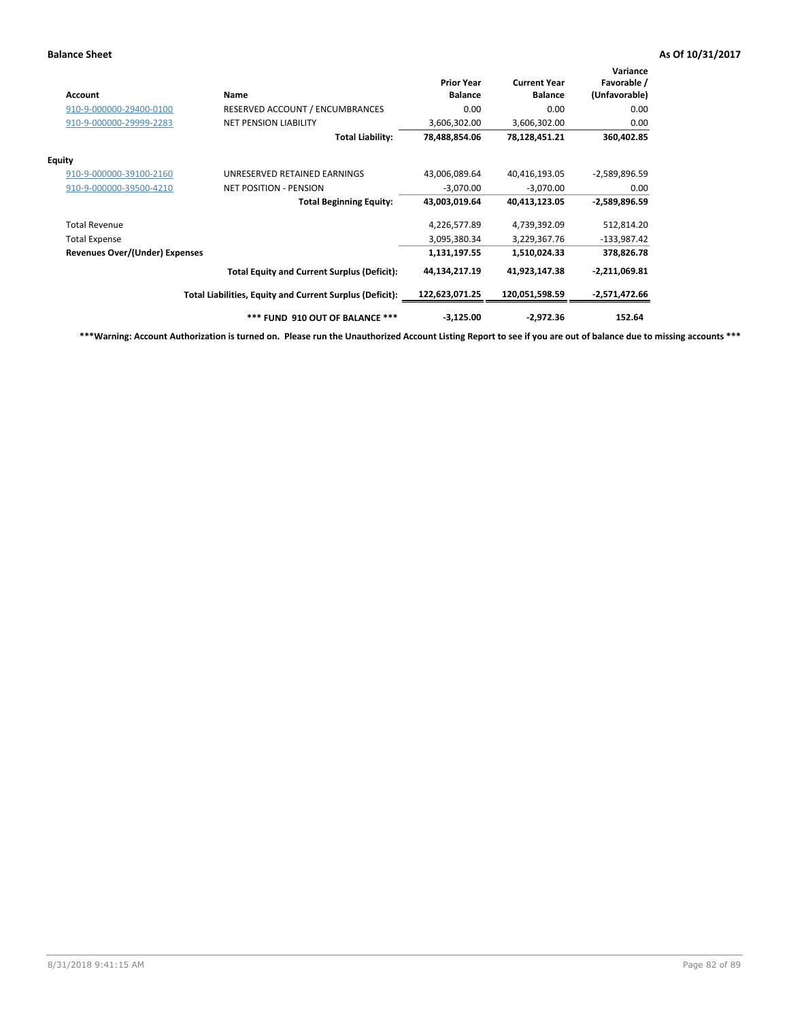| <b>Account</b>                        | Name                                                     | <b>Prior Year</b><br><b>Balance</b> | <b>Current Year</b><br><b>Balance</b> | Variance<br>Favorable /<br>(Unfavorable) |
|---------------------------------------|----------------------------------------------------------|-------------------------------------|---------------------------------------|------------------------------------------|
| 910-9-000000-29400-0100               | RESERVED ACCOUNT / ENCUMBRANCES                          | 0.00                                | 0.00                                  | 0.00                                     |
| 910-9-000000-29999-2283               | <b>NET PENSION LIABILITY</b>                             | 3,606,302.00                        | 3,606,302.00                          | 0.00                                     |
|                                       | <b>Total Liability:</b>                                  | 78,488,854.06                       | 78,128,451.21                         | 360,402.85                               |
| <b>Equity</b>                         |                                                          |                                     |                                       |                                          |
| 910-9-000000-39100-2160               | UNRESERVED RETAINED EARNINGS                             | 43,006,089.64                       | 40,416,193.05                         | $-2,589,896.59$                          |
| 910-9-000000-39500-4210               | <b>NET POSITION - PENSION</b>                            | $-3,070.00$                         | $-3,070.00$                           | 0.00                                     |
|                                       | <b>Total Beginning Equity:</b>                           | 43,003,019.64                       | 40,413,123.05                         | -2,589,896.59                            |
| <b>Total Revenue</b>                  |                                                          | 4,226,577.89                        | 4,739,392.09                          | 512,814.20                               |
| <b>Total Expense</b>                  |                                                          | 3,095,380.34                        | 3,229,367.76                          | $-133,987.42$                            |
| <b>Revenues Over/(Under) Expenses</b> |                                                          | 1,131,197.55                        | 1,510,024.33                          | 378,826.78                               |
|                                       | <b>Total Equity and Current Surplus (Deficit):</b>       | 44,134,217.19                       | 41,923,147.38                         | -2,211,069.81                            |
|                                       | Total Liabilities, Equity and Current Surplus (Deficit): | 122,623,071.25                      | 120,051,598.59                        | -2,571,472.66                            |
|                                       | *** FUND 910 OUT OF BALANCE ***                          | $-3,125.00$                         | $-2,972.36$                           | 152.64                                   |

**\*\*\*Warning: Account Authorization is turned on. Please run the Unauthorized Account Listing Report to see if you are out of balance due to missing accounts \*\*\***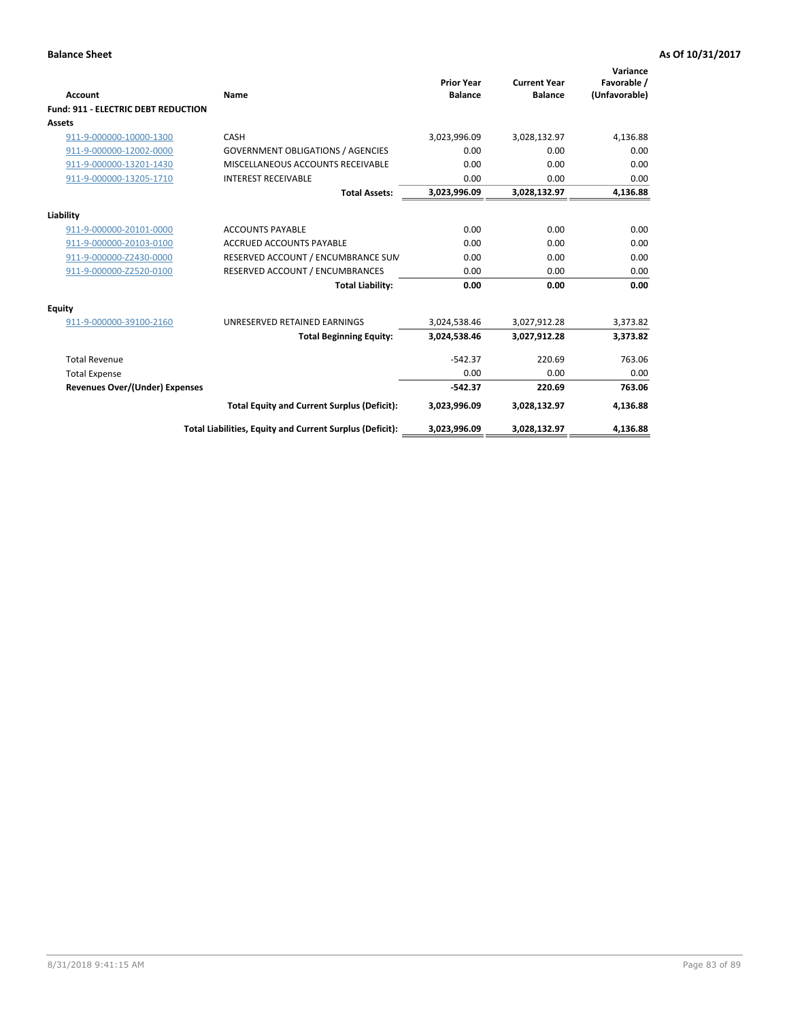| <b>Account</b>                             | Name                                                     | <b>Prior Year</b><br><b>Balance</b> | <b>Current Year</b><br><b>Balance</b> | Variance<br>Favorable /<br>(Unfavorable) |
|--------------------------------------------|----------------------------------------------------------|-------------------------------------|---------------------------------------|------------------------------------------|
| <b>Fund: 911 - ELECTRIC DEBT REDUCTION</b> |                                                          |                                     |                                       |                                          |
| Assets                                     |                                                          |                                     |                                       |                                          |
| 911-9-000000-10000-1300                    | CASH                                                     | 3,023,996.09                        | 3,028,132.97                          | 4,136.88                                 |
| 911-9-000000-12002-0000                    | <b>GOVERNMENT OBLIGATIONS / AGENCIES</b>                 | 0.00                                | 0.00                                  | 0.00                                     |
| 911-9-000000-13201-1430                    | MISCELLANEOUS ACCOUNTS RECEIVABLE                        | 0.00                                | 0.00                                  | 0.00                                     |
| 911-9-000000-13205-1710                    | <b>INTEREST RECEIVABLE</b>                               | 0.00                                | 0.00                                  | 0.00                                     |
|                                            | <b>Total Assets:</b>                                     | 3,023,996.09                        | 3,028,132.97                          | 4,136.88                                 |
| Liability                                  |                                                          |                                     |                                       |                                          |
| 911-9-000000-20101-0000                    | <b>ACCOUNTS PAYABLE</b>                                  | 0.00                                | 0.00                                  | 0.00                                     |
| 911-9-000000-20103-0100                    | <b>ACCRUED ACCOUNTS PAYABLE</b>                          | 0.00                                | 0.00                                  | 0.00                                     |
| 911-9-000000-Z2430-0000                    | RESERVED ACCOUNT / ENCUMBRANCE SUM                       | 0.00                                | 0.00                                  | 0.00                                     |
| 911-9-000000-Z2520-0100                    | RESERVED ACCOUNT / ENCUMBRANCES                          | 0.00                                | 0.00                                  | 0.00                                     |
|                                            | <b>Total Liability:</b>                                  | 0.00                                | 0.00                                  | 0.00                                     |
| Equity                                     |                                                          |                                     |                                       |                                          |
| 911-9-000000-39100-2160                    | UNRESERVED RETAINED EARNINGS                             | 3,024,538.46                        | 3,027,912.28                          | 3,373.82                                 |
|                                            | <b>Total Beginning Equity:</b>                           | 3,024,538.46                        | 3,027,912.28                          | 3,373.82                                 |
| <b>Total Revenue</b>                       |                                                          | $-542.37$                           | 220.69                                | 763.06                                   |
| <b>Total Expense</b>                       |                                                          | 0.00                                | 0.00                                  | 0.00                                     |
| <b>Revenues Over/(Under) Expenses</b>      |                                                          | $-542.37$                           | 220.69                                | 763.06                                   |
|                                            | <b>Total Equity and Current Surplus (Deficit):</b>       | 3,023,996.09                        | 3,028,132.97                          | 4,136.88                                 |
|                                            | Total Liabilities, Equity and Current Surplus (Deficit): | 3,023,996.09                        | 3,028,132.97                          | 4,136.88                                 |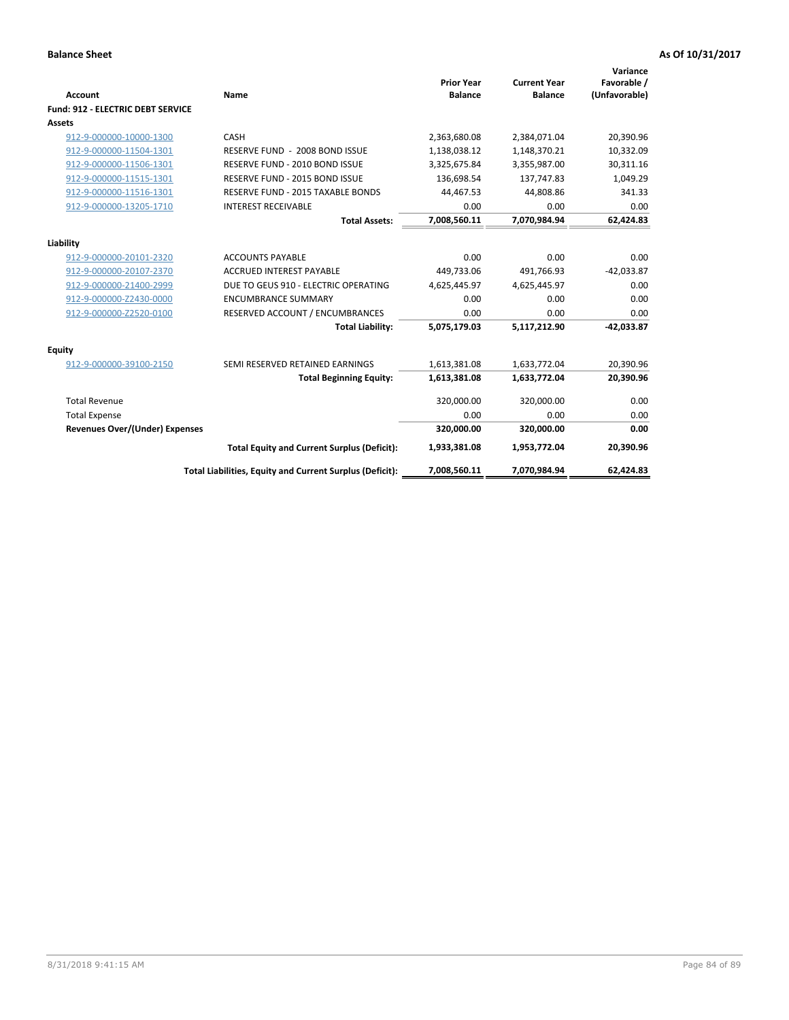| <b>Account</b>                           | Name                                                     | <b>Prior Year</b><br><b>Balance</b> | <b>Current Year</b><br><b>Balance</b> | Variance<br>Favorable /<br>(Unfavorable) |
|------------------------------------------|----------------------------------------------------------|-------------------------------------|---------------------------------------|------------------------------------------|
| <b>Fund: 912 - ELECTRIC DEBT SERVICE</b> |                                                          |                                     |                                       |                                          |
| <b>Assets</b>                            |                                                          |                                     |                                       |                                          |
| 912-9-000000-10000-1300                  | CASH                                                     | 2,363,680.08                        | 2,384,071.04                          | 20,390.96                                |
| 912-9-000000-11504-1301                  | RESERVE FUND - 2008 BOND ISSUE                           | 1,138,038.12                        | 1,148,370.21                          | 10,332.09                                |
| 912-9-000000-11506-1301                  | RESERVE FUND - 2010 BOND ISSUE                           | 3,325,675.84                        | 3,355,987.00                          | 30,311.16                                |
| 912-9-000000-11515-1301                  | RESERVE FUND - 2015 BOND ISSUE                           | 136,698.54                          | 137,747.83                            | 1,049.29                                 |
| 912-9-000000-11516-1301                  | RESERVE FUND - 2015 TAXABLE BONDS                        | 44,467.53                           | 44,808.86                             | 341.33                                   |
| 912-9-000000-13205-1710                  | <b>INTEREST RECEIVABLE</b>                               | 0.00                                | 0.00                                  | 0.00                                     |
|                                          | <b>Total Assets:</b>                                     | 7,008,560.11                        | 7,070,984.94                          | 62,424.83                                |
| Liability                                |                                                          |                                     |                                       |                                          |
| 912-9-000000-20101-2320                  | <b>ACCOUNTS PAYABLE</b>                                  | 0.00                                | 0.00                                  | 0.00                                     |
| 912-9-000000-20107-2370                  | <b>ACCRUED INTEREST PAYABLE</b>                          | 449.733.06                          | 491.766.93                            | $-42,033.87$                             |
| 912-9-000000-21400-2999                  | DUE TO GEUS 910 - ELECTRIC OPERATING                     | 4,625,445.97                        | 4,625,445.97                          | 0.00                                     |
| 912-9-000000-Z2430-0000                  | <b>ENCUMBRANCE SUMMARY</b>                               | 0.00                                | 0.00                                  | 0.00                                     |
| 912-9-000000-Z2520-0100                  | RESERVED ACCOUNT / ENCUMBRANCES                          | 0.00                                | 0.00                                  | 0.00                                     |
|                                          | <b>Total Liability:</b>                                  | 5,075,179.03                        | 5,117,212.90                          | $-42,033.87$                             |
| Equity                                   |                                                          |                                     |                                       |                                          |
| 912-9-000000-39100-2150                  | SEMI RESERVED RETAINED EARNINGS                          | 1,613,381.08                        | 1,633,772.04                          | 20,390.96                                |
|                                          | <b>Total Beginning Equity:</b>                           | 1,613,381.08                        | 1,633,772.04                          | 20,390.96                                |
| <b>Total Revenue</b>                     |                                                          | 320,000.00                          | 320,000.00                            | 0.00                                     |
| <b>Total Expense</b>                     |                                                          | 0.00                                | 0.00                                  | 0.00                                     |
| Revenues Over/(Under) Expenses           |                                                          | 320,000.00                          | 320,000.00                            | 0.00                                     |
|                                          | <b>Total Equity and Current Surplus (Deficit):</b>       | 1,933,381.08                        | 1,953,772.04                          | 20,390.96                                |
|                                          | Total Liabilities, Equity and Current Surplus (Deficit): | 7,008,560.11                        | 7,070,984.94                          | 62,424.83                                |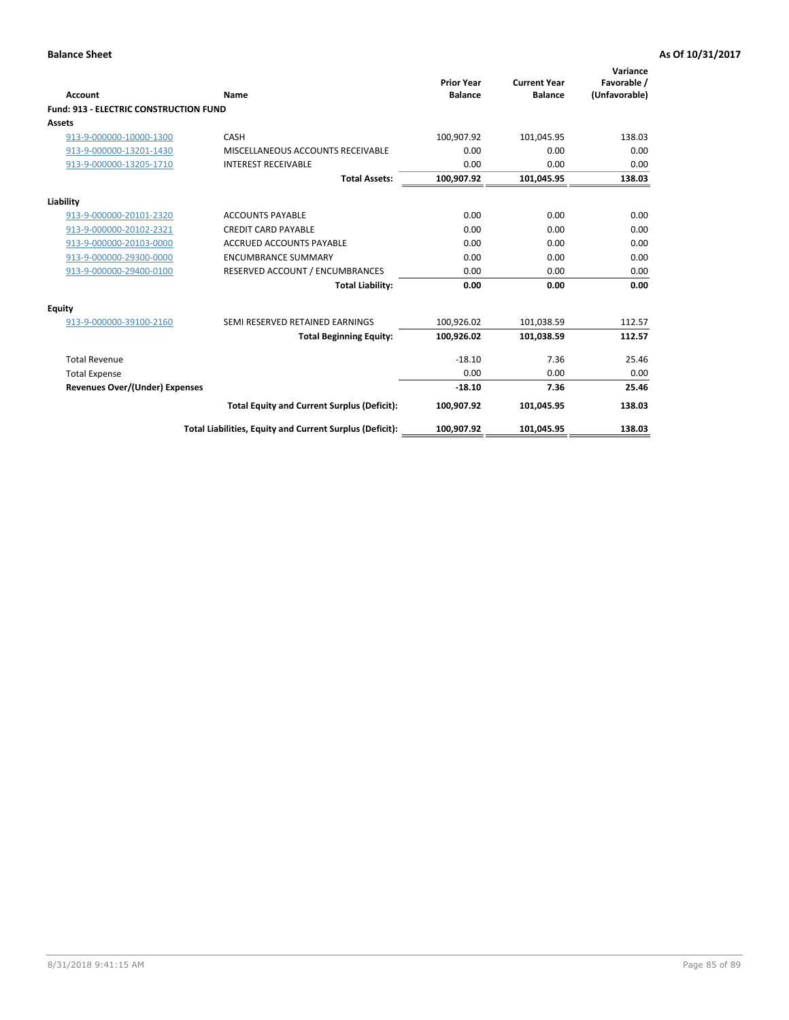| Account                                       | Name                                                     | <b>Prior Year</b><br><b>Balance</b> | <b>Current Year</b><br><b>Balance</b> | Variance<br>Favorable /<br>(Unfavorable) |
|-----------------------------------------------|----------------------------------------------------------|-------------------------------------|---------------------------------------|------------------------------------------|
| <b>Fund: 913 - ELECTRIC CONSTRUCTION FUND</b> |                                                          |                                     |                                       |                                          |
| <b>Assets</b>                                 |                                                          |                                     |                                       |                                          |
| 913-9-000000-10000-1300                       | CASH                                                     | 100,907.92                          | 101,045.95                            | 138.03                                   |
| 913-9-000000-13201-1430                       | MISCELLANEOUS ACCOUNTS RECEIVABLE                        | 0.00                                | 0.00                                  | 0.00                                     |
| 913-9-000000-13205-1710                       | <b>INTEREST RECEIVABLE</b>                               | 0.00                                | 0.00                                  | 0.00                                     |
|                                               | <b>Total Assets:</b>                                     | 100,907.92                          | 101,045.95                            | 138.03                                   |
| Liability                                     |                                                          |                                     |                                       |                                          |
| 913-9-000000-20101-2320                       | <b>ACCOUNTS PAYABLE</b>                                  | 0.00                                | 0.00                                  | 0.00                                     |
| 913-9-000000-20102-2321                       | <b>CREDIT CARD PAYABLE</b>                               | 0.00                                | 0.00                                  | 0.00                                     |
| 913-9-000000-20103-0000                       | <b>ACCRUED ACCOUNTS PAYABLE</b>                          | 0.00                                | 0.00                                  | 0.00                                     |
| 913-9-000000-29300-0000                       | <b>ENCUMBRANCE SUMMARY</b>                               | 0.00                                | 0.00                                  | 0.00                                     |
| 913-9-000000-29400-0100                       | RESERVED ACCOUNT / ENCUMBRANCES                          | 0.00                                | 0.00                                  | 0.00                                     |
|                                               | <b>Total Liability:</b>                                  | 0.00                                | 0.00                                  | 0.00                                     |
| <b>Equity</b>                                 |                                                          |                                     |                                       |                                          |
| 913-9-000000-39100-2160                       | SEMI RESERVED RETAINED EARNINGS                          | 100,926.02                          | 101,038.59                            | 112.57                                   |
|                                               | <b>Total Beginning Equity:</b>                           | 100,926.02                          | 101,038.59                            | 112.57                                   |
| <b>Total Revenue</b>                          |                                                          | $-18.10$                            | 7.36                                  | 25.46                                    |
| <b>Total Expense</b>                          |                                                          | 0.00                                | 0.00                                  | 0.00                                     |
| <b>Revenues Over/(Under) Expenses</b>         |                                                          | $-18.10$                            | 7.36                                  | 25.46                                    |
|                                               | <b>Total Equity and Current Surplus (Deficit):</b>       | 100,907.92                          | 101,045.95                            | 138.03                                   |
|                                               | Total Liabilities, Equity and Current Surplus (Deficit): | 100,907.92                          | 101,045.95                            | 138.03                                   |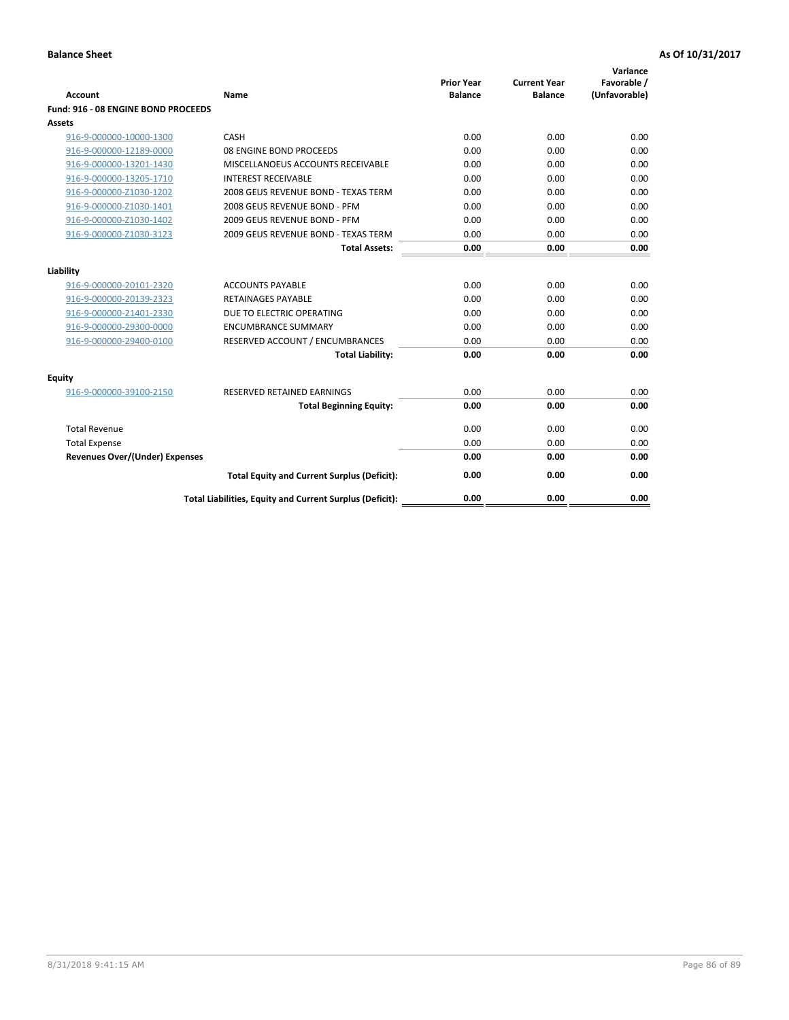| <b>Account</b>                        | Name                                                     | <b>Prior Year</b><br><b>Balance</b> | <b>Current Year</b><br><b>Balance</b> | Variance<br>Favorable /<br>(Unfavorable) |
|---------------------------------------|----------------------------------------------------------|-------------------------------------|---------------------------------------|------------------------------------------|
| Fund: 916 - 08 ENGINE BOND PROCEEDS   |                                                          |                                     |                                       |                                          |
| Assets                                |                                                          |                                     |                                       |                                          |
| 916-9-000000-10000-1300               | CASH                                                     | 0.00                                | 0.00                                  | 0.00                                     |
| 916-9-000000-12189-0000               | 08 ENGINE BOND PROCEEDS                                  | 0.00                                | 0.00                                  | 0.00                                     |
| 916-9-000000-13201-1430               | MISCELLANOEUS ACCOUNTS RECEIVABLE                        | 0.00                                | 0.00                                  | 0.00                                     |
| 916-9-000000-13205-1710               | <b>INTEREST RECEIVABLE</b>                               | 0.00                                | 0.00                                  | 0.00                                     |
| 916-9-000000-Z1030-1202               | 2008 GEUS REVENUE BOND - TEXAS TERM                      | 0.00                                | 0.00                                  | 0.00                                     |
| 916-9-000000-Z1030-1401               | 2008 GEUS REVENUE BOND - PFM                             | 0.00                                | 0.00                                  | 0.00                                     |
| 916-9-000000-Z1030-1402               | 2009 GEUS REVENUE BOND - PFM                             | 0.00                                | 0.00                                  | 0.00                                     |
| 916-9-000000-Z1030-3123               | 2009 GEUS REVENUE BOND - TEXAS TERM                      | 0.00                                | 0.00                                  | 0.00                                     |
|                                       | <b>Total Assets:</b>                                     | 0.00                                | 0.00                                  | 0.00                                     |
| Liability                             |                                                          |                                     |                                       |                                          |
| 916-9-000000-20101-2320               | <b>ACCOUNTS PAYABLE</b>                                  | 0.00                                | 0.00                                  | 0.00                                     |
| 916-9-000000-20139-2323               | <b>RETAINAGES PAYABLE</b>                                | 0.00                                | 0.00                                  | 0.00                                     |
| 916-9-000000-21401-2330               | DUE TO ELECTRIC OPERATING                                | 0.00                                | 0.00                                  | 0.00                                     |
| 916-9-000000-29300-0000               | <b>ENCUMBRANCE SUMMARY</b>                               | 0.00                                | 0.00                                  | 0.00                                     |
| 916-9-000000-29400-0100               | RESERVED ACCOUNT / ENCUMBRANCES                          | 0.00                                | 0.00                                  | 0.00                                     |
|                                       | <b>Total Liability:</b>                                  | 0.00                                | 0.00                                  | 0.00                                     |
| Equity                                |                                                          |                                     |                                       |                                          |
| 916-9-000000-39100-2150               | <b>RESERVED RETAINED EARNINGS</b>                        | 0.00                                | 0.00                                  | 0.00                                     |
|                                       | <b>Total Beginning Equity:</b>                           | 0.00                                | 0.00                                  | 0.00                                     |
| <b>Total Revenue</b>                  |                                                          | 0.00                                | 0.00                                  | 0.00                                     |
| <b>Total Expense</b>                  |                                                          | 0.00                                | 0.00                                  | 0.00                                     |
| <b>Revenues Over/(Under) Expenses</b> |                                                          | 0.00                                | 0.00                                  | 0.00                                     |
|                                       | <b>Total Equity and Current Surplus (Deficit):</b>       | 0.00                                | 0.00                                  | 0.00                                     |
|                                       | Total Liabilities, Equity and Current Surplus (Deficit): | 0.00                                | 0.00                                  | 0.00                                     |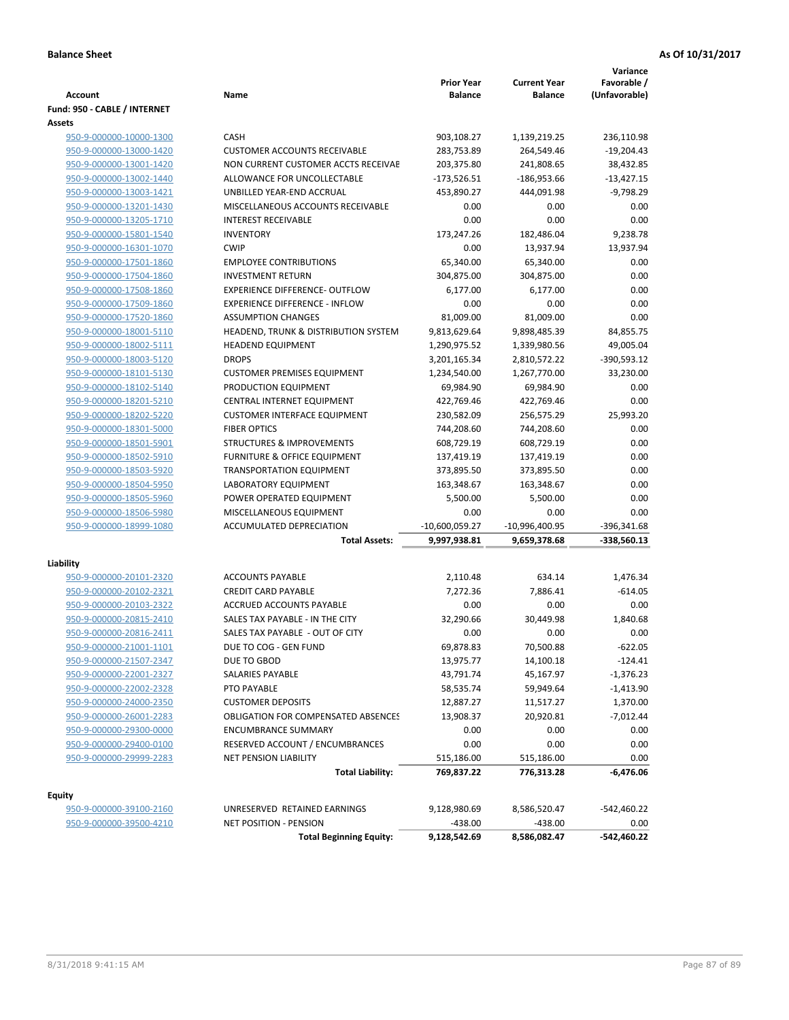| <b>Account</b>                                     | Name                                       | <b>Prior Year</b><br><b>Balance</b> | <b>Current Year</b><br><b>Balance</b> | Variance<br>Favorable /<br>(Unfavorable) |
|----------------------------------------------------|--------------------------------------------|-------------------------------------|---------------------------------------|------------------------------------------|
| Fund: 950 - CABLE / INTERNET                       |                                            |                                     |                                       |                                          |
| Assets                                             |                                            |                                     |                                       |                                          |
| 950-9-000000-10000-1300                            | CASH                                       | 903,108.27                          | 1,139,219.25                          | 236,110.98                               |
| 950-9-000000-13000-1420                            | <b>CUSTOMER ACCOUNTS RECEIVABLE</b>        | 283,753.89                          | 264,549.46                            | $-19,204.43$                             |
| 950-9-000000-13001-1420                            | NON CURRENT CUSTOMER ACCTS RECEIVAE        | 203,375.80                          | 241,808.65                            | 38,432.85                                |
| 950-9-000000-13002-1440                            | ALLOWANCE FOR UNCOLLECTABLE                | $-173,526.51$                       | $-186,953.66$                         | $-13,427.15$                             |
| 950-9-000000-13003-1421                            | UNBILLED YEAR-END ACCRUAL                  | 453,890.27                          | 444,091.98                            | $-9,798.29$                              |
| 950-9-000000-13201-1430                            | MISCELLANEOUS ACCOUNTS RECEIVABLE          | 0.00                                | 0.00                                  | 0.00                                     |
| 950-9-000000-13205-1710                            | <b>INTEREST RECEIVABLE</b>                 | 0.00                                | 0.00                                  | 0.00                                     |
| 950-9-000000-15801-1540                            | <b>INVENTORY</b><br><b>CWIP</b>            | 173,247.26                          | 182,486.04                            | 9,238.78                                 |
| 950-9-000000-16301-1070<br>950-9-000000-17501-1860 | <b>EMPLOYEE CONTRIBUTIONS</b>              | 0.00<br>65,340.00                   | 13,937.94                             | 13,937.94<br>0.00                        |
|                                                    | <b>INVESTMENT RETURN</b>                   |                                     | 65,340.00                             |                                          |
| 950-9-000000-17504-1860<br>950-9-000000-17508-1860 | <b>EXPERIENCE DIFFERENCE- OUTFLOW</b>      | 304,875.00<br>6,177.00              | 304,875.00<br>6,177.00                | 0.00<br>0.00                             |
| 950-9-000000-17509-1860                            | <b>EXPERIENCE DIFFERENCE - INFLOW</b>      | 0.00                                | 0.00                                  | 0.00                                     |
| 950-9-000000-17520-1860                            | <b>ASSUMPTION CHANGES</b>                  | 81,009.00                           | 81,009.00                             | 0.00                                     |
| 950-9-000000-18001-5110                            | HEADEND, TRUNK & DISTRIBUTION SYSTEM       | 9,813,629.64                        | 9,898,485.39                          | 84,855.75                                |
| 950-9-000000-18002-5111                            | <b>HEADEND EQUIPMENT</b>                   | 1,290,975.52                        | 1,339,980.56                          | 49,005.04                                |
| 950-9-000000-18003-5120                            | <b>DROPS</b>                               | 3,201,165.34                        | 2,810,572.22                          | -390,593.12                              |
| 950-9-000000-18101-5130                            | <b>CUSTOMER PREMISES EQUIPMENT</b>         | 1,234,540.00                        | 1,267,770.00                          | 33,230.00                                |
| 950-9-000000-18102-5140                            | PRODUCTION EQUIPMENT                       | 69,984.90                           | 69,984.90                             | 0.00                                     |
| 950-9-000000-18201-5210                            | CENTRAL INTERNET EQUIPMENT                 | 422,769.46                          | 422,769.46                            | 0.00                                     |
| 950-9-000000-18202-5220                            | <b>CUSTOMER INTERFACE EQUIPMENT</b>        | 230,582.09                          | 256,575.29                            | 25,993.20                                |
| 950-9-000000-18301-5000                            | <b>FIBER OPTICS</b>                        | 744,208.60                          | 744,208.60                            | 0.00                                     |
| 950-9-000000-18501-5901                            | <b>STRUCTURES &amp; IMPROVEMENTS</b>       | 608,729.19                          | 608,729.19                            | 0.00                                     |
| 950-9-000000-18502-5910                            | <b>FURNITURE &amp; OFFICE EQUIPMENT</b>    | 137,419.19                          | 137,419.19                            | 0.00                                     |
| 950-9-000000-18503-5920                            | <b>TRANSPORTATION EQUIPMENT</b>            | 373,895.50                          | 373,895.50                            | 0.00                                     |
| 950-9-000000-18504-5950                            | LABORATORY EQUIPMENT                       | 163,348.67                          | 163,348.67                            | 0.00                                     |
| 950-9-000000-18505-5960                            | POWER OPERATED EQUIPMENT                   | 5,500.00                            | 5,500.00                              | 0.00                                     |
| 950-9-000000-18506-5980                            | MISCELLANEOUS EQUIPMENT                    | 0.00                                | 0.00                                  | 0.00                                     |
| 950-9-000000-18999-1080                            | ACCUMULATED DEPRECIATION                   | $-10,600,059.27$                    | -10,996,400.95                        | -396,341.68                              |
|                                                    | <b>Total Assets:</b>                       | 9,997,938.81                        | 9,659,378.68                          | $-338,560.13$                            |
| Liability                                          |                                            |                                     |                                       |                                          |
| 950-9-000000-20101-2320                            | <b>ACCOUNTS PAYABLE</b>                    | 2,110.48                            | 634.14                                | 1,476.34                                 |
| 950-9-000000-20102-2321                            | <b>CREDIT CARD PAYABLE</b>                 | 7,272.36                            | 7,886.41                              | $-614.05$                                |
| 950-9-000000-20103-2322                            | ACCRUED ACCOUNTS PAYABLE                   | 0.00                                | 0.00                                  | 0.00                                     |
| 950-9-000000-20815-2410                            | SALES TAX PAYABLE - IN THE CITY            | 32,290.66                           | 30.449.98                             | 1,840.68                                 |
| 950-9-000000-20816-2411                            | SALES TAX PAYABLE - OUT OF CITY            | 0.00                                | 0.00                                  | 0.00                                     |
| 950-9-000000-21001-1101                            | DUE TO COG - GEN FUND                      | 69,878.83                           | 70,500.88                             | $-622.05$                                |
| 950-9-000000-21507-2347                            | DUE TO GBOD                                | 13,975.77                           | 14,100.18                             | $-124.41$                                |
| 950-9-000000-22001-2327                            | SALARIES PAYABLE                           | 43,791.74                           | 45,167.97                             | $-1,376.23$                              |
| 950-9-000000-22002-2328                            | PTO PAYABLE                                | 58,535.74                           | 59,949.64                             | -1,413.90                                |
| 950-9-000000-24000-2350                            | <b>CUSTOMER DEPOSITS</b>                   | 12,887.27                           | 11,517.27                             | 1,370.00                                 |
| 950-9-000000-26001-2283                            | <b>OBLIGATION FOR COMPENSATED ABSENCES</b> | 13,908.37                           | 20,920.81                             | $-7,012.44$                              |
| 950-9-000000-29300-0000                            | <b>ENCUMBRANCE SUMMARY</b>                 | 0.00                                | 0.00                                  | 0.00                                     |
| 950-9-000000-29400-0100                            | RESERVED ACCOUNT / ENCUMBRANCES            | 0.00                                | 0.00                                  | 0.00                                     |
| 950-9-000000-29999-2283                            | <b>NET PENSION LIABILITY</b>               | 515,186.00                          | 515,186.00                            | 0.00                                     |
|                                                    | <b>Total Liability:</b>                    | 769,837.22                          | 776,313.28                            | -6,476.06                                |
| Equity                                             |                                            |                                     |                                       |                                          |
| 950-9-000000-39100-2160                            | UNRESERVED RETAINED EARNINGS               | 9,128,980.69                        | 8,586,520.47                          | -542,460.22                              |
| 950-9-000000-39500-4210                            | NET POSITION - PENSION                     | $-438.00$                           | $-438.00$                             | 0.00                                     |
|                                                    | <b>Total Beginning Equity:</b>             | 9,128,542.69                        | 8,586,082.47                          | -542,460.22                              |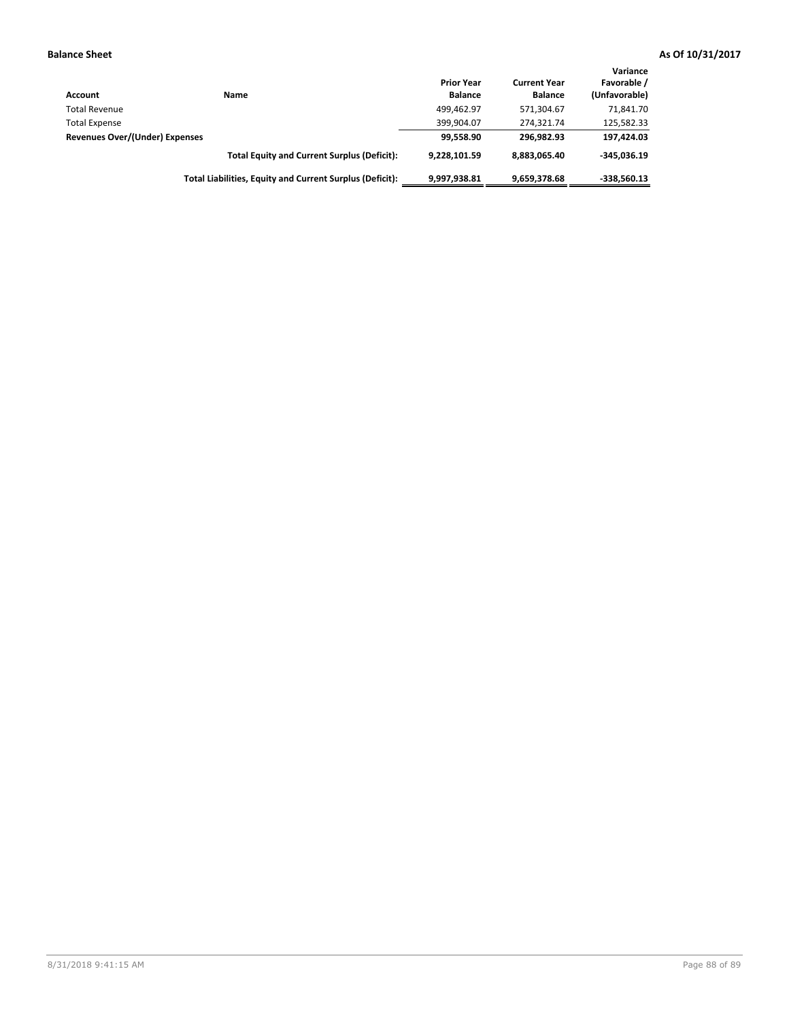| <b>Account</b>                        | Name                                                     | <b>Prior Year</b><br><b>Balance</b> | <b>Current Year</b><br><b>Balance</b> | Variance<br>Favorable /<br>(Unfavorable) |
|---------------------------------------|----------------------------------------------------------|-------------------------------------|---------------------------------------|------------------------------------------|
| <b>Total Revenue</b>                  |                                                          | 499.462.97                          | 571.304.67                            | 71,841.70                                |
| <b>Total Expense</b>                  |                                                          | 399.904.07                          | 274.321.74                            | 125,582.33                               |
| <b>Revenues Over/(Under) Expenses</b> |                                                          | 99.558.90                           | 296.982.93                            | 197,424.03                               |
|                                       | <b>Total Equity and Current Surplus (Deficit):</b>       | 9,228,101.59                        | 8,883,065.40                          | $-345,036.19$                            |
|                                       | Total Liabilities, Equity and Current Surplus (Deficit): | 9,997,938.81                        | 9,659,378.68                          | -338,560.13                              |